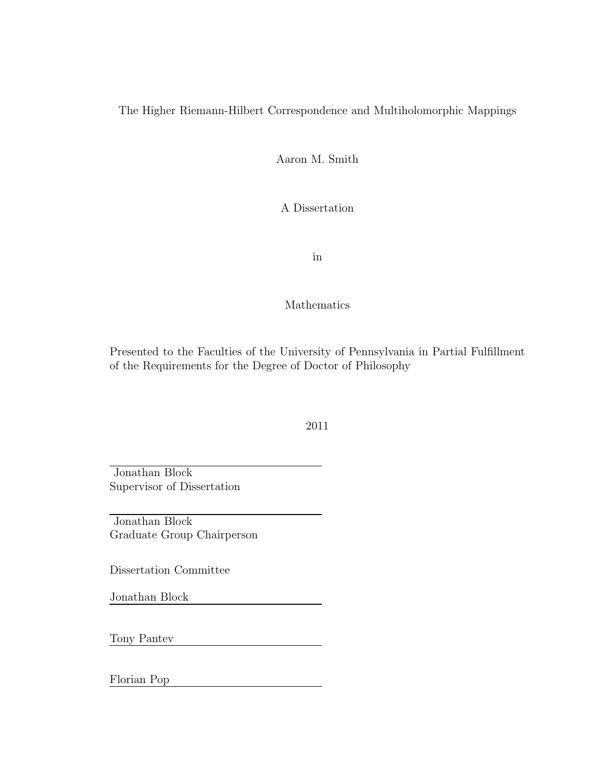#### The Higher Riemann-Hilbert Correspondence and Multiholomorphic Mappings

Aaron M. Smith

A Dissertation

in

Mathematics

Presented to the Faculties of the University of Pennsylvania in Partial Fulfillment of the Requirements for the Degree of Doctor of Philosophy

2011

Jonathan Block Supervisor of Dissertation

Jonathan Block Graduate Group Chairperson

Dissertation Committee

Jonathan Block

Tony Pantev

Florian Pop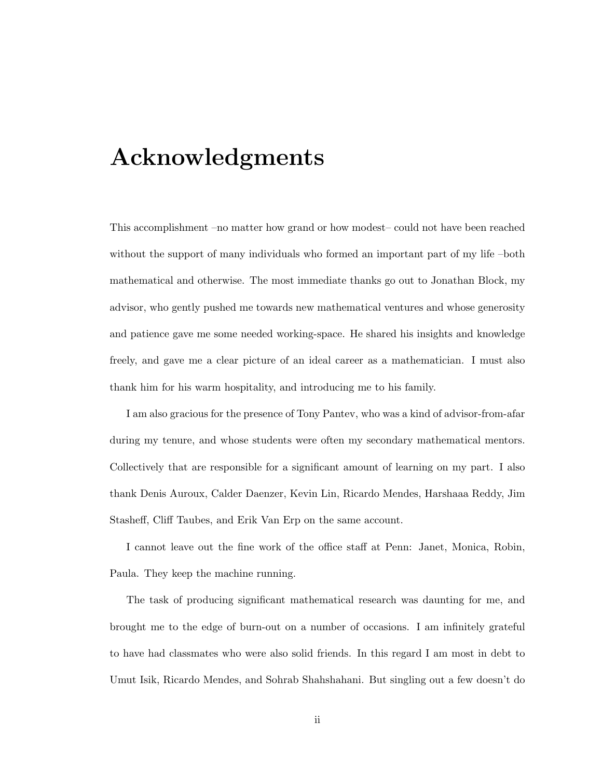# Acknowledgments

This accomplishment –no matter how grand or how modest– could not have been reached without the support of many individuals who formed an important part of my life –both mathematical and otherwise. The most immediate thanks go out to Jonathan Block, my advisor, who gently pushed me towards new mathematical ventures and whose generosity and patience gave me some needed working-space. He shared his insights and knowledge freely, and gave me a clear picture of an ideal career as a mathematician. I must also thank him for his warm hospitality, and introducing me to his family.

I am also gracious for the presence of Tony Pantev, who was a kind of advisor-from-afar during my tenure, and whose students were often my secondary mathematical mentors. Collectively that are responsible for a significant amount of learning on my part. I also thank Denis Auroux, Calder Daenzer, Kevin Lin, Ricardo Mendes, Harshaaa Reddy, Jim Stasheff, Cliff Taubes, and Erik Van Erp on the same account.

I cannot leave out the fine work of the office staff at Penn: Janet, Monica, Robin, Paula. They keep the machine running.

The task of producing significant mathematical research was daunting for me, and brought me to the edge of burn-out on a number of occasions. I am infinitely grateful to have had classmates who were also solid friends. In this regard I am most in debt to Umut Isik, Ricardo Mendes, and Sohrab Shahshahani. But singling out a few doesn't do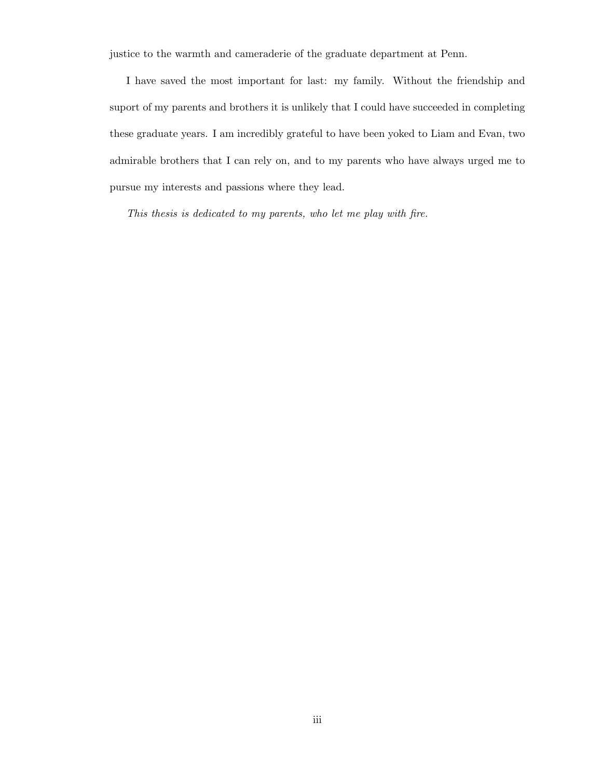justice to the warmth and cameraderie of the graduate department at Penn.

I have saved the most important for last: my family. Without the friendship and suport of my parents and brothers it is unlikely that I could have succeeded in completing these graduate years. I am incredibly grateful to have been yoked to Liam and Evan, two admirable brothers that I can rely on, and to my parents who have always urged me to pursue my interests and passions where they lead.

This thesis is dedicated to my parents, who let me play with fire.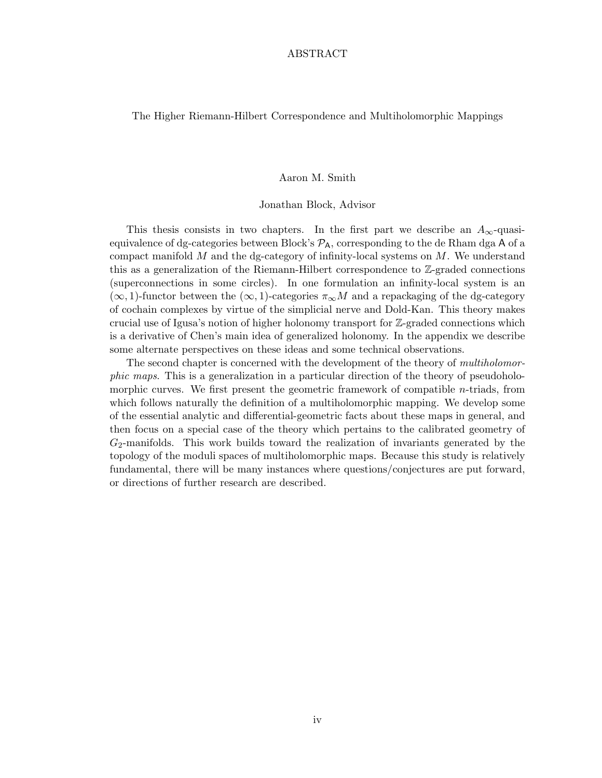#### ABSTRACT

#### The Higher Riemann-Hilbert Correspondence and Multiholomorphic Mappings

#### Aaron M. Smith

#### Jonathan Block, Advisor

This thesis consists in two chapters. In the first part we describe an  $A_{\infty}$ -quasiequivalence of dg-categories between Block's  $P_A$ , corresponding to the de Rham dga A of a compact manifold  $M$  and the dg-category of infinity-local systems on  $M$ . We understand this as a generalization of the Riemann-Hilbert correspondence to Z-graded connections (superconnections in some circles). In one formulation an infinity-local system is an  $(\infty, 1)$ -functor between the  $(\infty, 1)$ -categories  $\pi_{\infty}M$  and a repackaging of the dg-category of cochain complexes by virtue of the simplicial nerve and Dold-Kan. This theory makes crucial use of Igusa's notion of higher holonomy transport for Z-graded connections which is a derivative of Chen's main idea of generalized holonomy. In the appendix we describe some alternate perspectives on these ideas and some technical observations.

The second chapter is concerned with the development of the theory of multiholomorphic maps. This is a generalization in a particular direction of the theory of pseudoholomorphic curves. We first present the geometric framework of compatible n-triads, from which follows naturally the definition of a multiholomorphic mapping. We develop some of the essential analytic and differential-geometric facts about these maps in general, and then focus on a special case of the theory which pertains to the calibrated geometry of  $G<sub>2</sub>$ -manifolds. This work builds toward the realization of invariants generated by the topology of the moduli spaces of multiholomorphic maps. Because this study is relatively fundamental, there will be many instances where questions/conjectures are put forward, or directions of further research are described.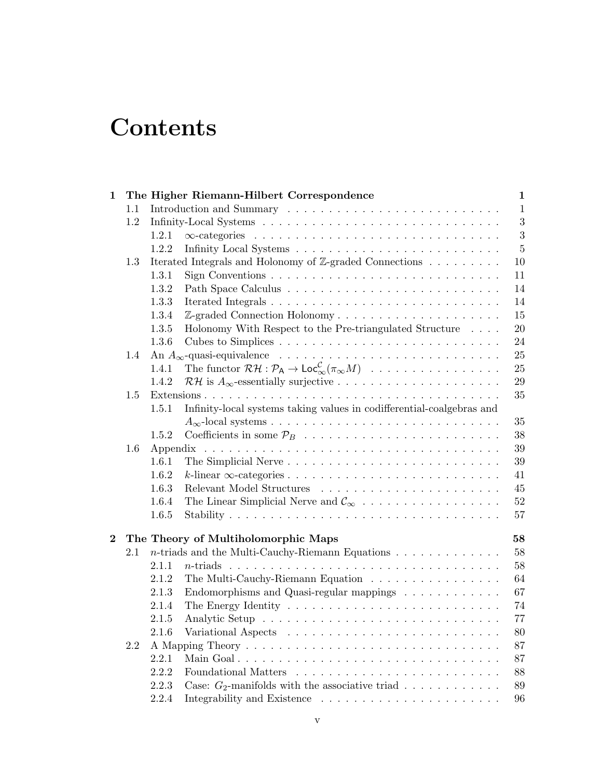# **Contents**

| $\mathbf 1$             |     |       | The Higher Riemann-Hilbert Correspondence                                                                                            | $\mathbf{1}$   |  |  |
|-------------------------|-----|-------|--------------------------------------------------------------------------------------------------------------------------------------|----------------|--|--|
|                         | 1.1 |       |                                                                                                                                      | $\mathbf{1}$   |  |  |
|                         | 1.2 |       |                                                                                                                                      | $\sqrt{3}$     |  |  |
|                         |     | 1.2.1 |                                                                                                                                      | 3              |  |  |
|                         |     | 1.2.2 |                                                                                                                                      | $\overline{5}$ |  |  |
|                         | 1.3 |       | Iterated Integrals and Holonomy of Z-graded Connections                                                                              | 10             |  |  |
|                         |     | 1.3.1 |                                                                                                                                      | 11             |  |  |
|                         |     | 1.3.2 |                                                                                                                                      | 14             |  |  |
|                         |     | 1.3.3 |                                                                                                                                      | 14             |  |  |
|                         |     | 1.3.4 | Z-graded Connection Holonomy                                                                                                         | 15             |  |  |
|                         |     | 1.3.5 | Holonomy With Respect to the Pre-triangulated Structure                                                                              | 20             |  |  |
|                         |     | 1.3.6 |                                                                                                                                      | 24             |  |  |
|                         | 1.4 |       |                                                                                                                                      | 25             |  |  |
|                         |     | 1.4.1 | The functor $\mathcal{RH}: \mathcal{P}_A \to \mathsf{Loc}_{\infty}^{\mathcal{C}}(\pi_{\infty}M) \dots \dots \dots \dots \dots \dots$ | 25             |  |  |
|                         |     | 1.4.2 |                                                                                                                                      | 29             |  |  |
|                         | 1.5 |       |                                                                                                                                      | 35             |  |  |
|                         |     | 1.5.1 | Infinity-local systems taking values in codifferential-coalgebras and                                                                |                |  |  |
|                         |     |       |                                                                                                                                      | 35             |  |  |
|                         |     | 1.5.2 |                                                                                                                                      | 38             |  |  |
|                         | 1.6 |       |                                                                                                                                      |                |  |  |
|                         |     | 1.6.1 |                                                                                                                                      | 39             |  |  |
|                         |     | 1.6.2 |                                                                                                                                      | 41             |  |  |
|                         |     | 1.6.3 |                                                                                                                                      | 45             |  |  |
|                         |     | 1.6.4 | The Linear Simplicial Nerve and $\mathcal{C}_{\infty}$                                                                               | 52             |  |  |
|                         |     | 1.6.5 |                                                                                                                                      | 57             |  |  |
| $\overline{\mathbf{2}}$ |     |       | The Theory of Multiholomorphic Maps                                                                                                  | 58             |  |  |
|                         | 2.1 |       | $n\text{-triads}$ and the Multi-Cauchy-Riemann Equations                                                                             | 58             |  |  |
|                         |     | 2.1.1 |                                                                                                                                      | 58             |  |  |
|                         |     | 2.1.2 | The Multi-Cauchy-Riemann Equation                                                                                                    | 64             |  |  |
|                         |     | 2.1.3 | Endomorphisms and Quasi-regular mappings                                                                                             | 67             |  |  |
|                         |     | 2.1.4 |                                                                                                                                      | 74             |  |  |
|                         |     | 2.1.5 |                                                                                                                                      | 77             |  |  |
|                         |     | 2.1.6 |                                                                                                                                      | 80             |  |  |
|                         | 2.2 |       |                                                                                                                                      | 87             |  |  |
|                         |     | 2.2.1 |                                                                                                                                      | 87             |  |  |
|                         |     | 2.2.2 |                                                                                                                                      | 88             |  |  |
|                         |     | 2.2.3 | Case: $G_2$ -manifolds with the associative triad                                                                                    | 89             |  |  |
|                         |     | 2.2.4 |                                                                                                                                      | 96             |  |  |
|                         |     |       |                                                                                                                                      |                |  |  |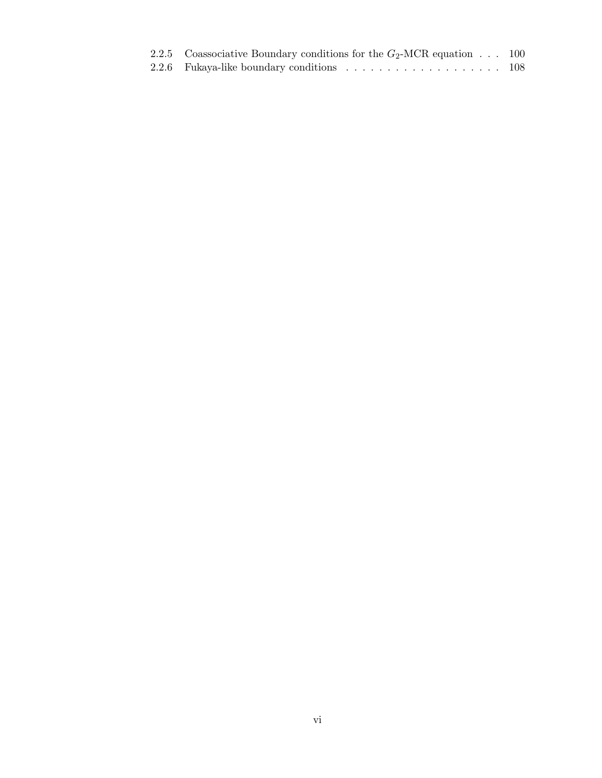| 2.2.5 Coassociative Boundary conditions for the $G_2$ -MCR equation 100 |  |
|-------------------------------------------------------------------------|--|
|                                                                         |  |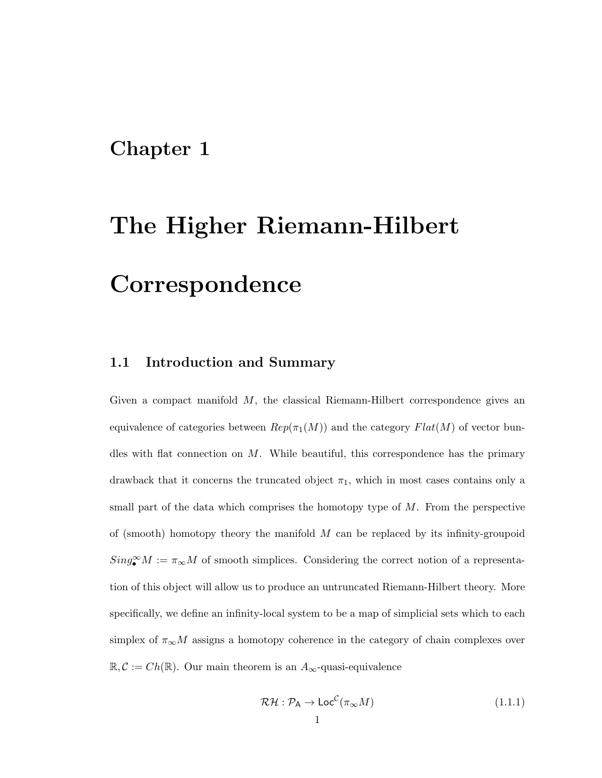## Chapter 1

# The Higher Riemann-Hilbert Correspondence

#### 1.1 Introduction and Summary

Given a compact manifold  $M$ , the classical Riemann-Hilbert correspondence gives an equivalence of categories between  $Rep(\pi_1(M))$  and the category  $Flat(M)$  of vector bundles with flat connection on  $M$ . While beautiful, this correspondence has the primary drawback that it concerns the truncated object  $\pi_1$ , which in most cases contains only a small part of the data which comprises the homotopy type of  $M$ . From the perspective of (smooth) homotopy theory the manifold  $M$  can be replaced by its infinity-groupoid  $Sing_{\bullet}^{\infty}M:=\pi_{\infty}M$  of smooth simplices. Considering the correct notion of a representation of this object will allow us to produce an untruncated Riemann-Hilbert theory. More specifically, we define an infinity-local system to be a map of simplicial sets which to each simplex of  $\pi_{\infty}M$  assigns a homotopy coherence in the category of chain complexes over  $\mathbb{R}, \mathcal{C} := Ch(\mathbb{R})$ . Our main theorem is an  $A_{\infty}$ -quasi-equivalence

$$
\mathcal{RH} : \mathcal{P}_A \to \mathsf{Loc}^{\mathcal{C}}(\pi_\infty M) \tag{1.1.1}
$$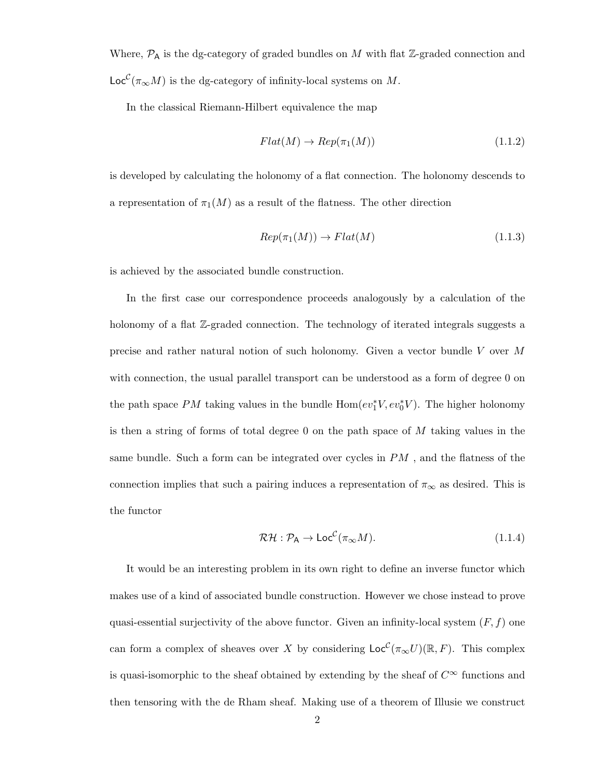Where,  $P_A$  is the dg-category of graded bundles on M with flat Z-graded connection and  $\mathsf{Loc}^{\mathcal C}(\pi_{\infty}M)$  is the dg-category of infinity-local systems on M.

In the classical Riemann-Hilbert equivalence the map

$$
Flat(M) \to Rep(\pi_1(M))
$$
\n(1.1.2)

is developed by calculating the holonomy of a flat connection. The holonomy descends to a representation of  $\pi_1(M)$  as a result of the flatness. The other direction

$$
Rep(\pi_1(M)) \to Flat(M) \tag{1.1.3}
$$

is achieved by the associated bundle construction.

In the first case our correspondence proceeds analogously by a calculation of the holonomy of a flat Z-graded connection. The technology of iterated integrals suggests a precise and rather natural notion of such holonomy. Given a vector bundle V over M with connection, the usual parallel transport can be understood as a form of degree 0 on the path space  $PM$  taking values in the bundle  $\text{Hom}(ev_1^*V, ev_0^*V)$ . The higher holonomy is then a string of forms of total degree 0 on the path space of  $M$  taking values in the same bundle. Such a form can be integrated over cycles in PM , and the flatness of the connection implies that such a pairing induces a representation of  $\pi_{\infty}$  as desired. This is the functor

$$
\mathcal{RH} : \mathcal{P}_A \to \mathsf{Loc}^{\mathcal{C}}(\pi_{\infty}M). \tag{1.1.4}
$$

It would be an interesting problem in its own right to define an inverse functor which makes use of a kind of associated bundle construction. However we chose instead to prove quasi-essential surjectivity of the above functor. Given an infinity-local system  $(F, f)$  one can form a complex of sheaves over X by considering  $\mathsf{Loc}^{\mathcal{C}}(\pi_{\infty}U)(\mathbb{R}, F)$ . This complex is quasi-isomorphic to the sheaf obtained by extending by the sheaf of  $C^{\infty}$  functions and then tensoring with the de Rham sheaf. Making use of a theorem of Illusie we construct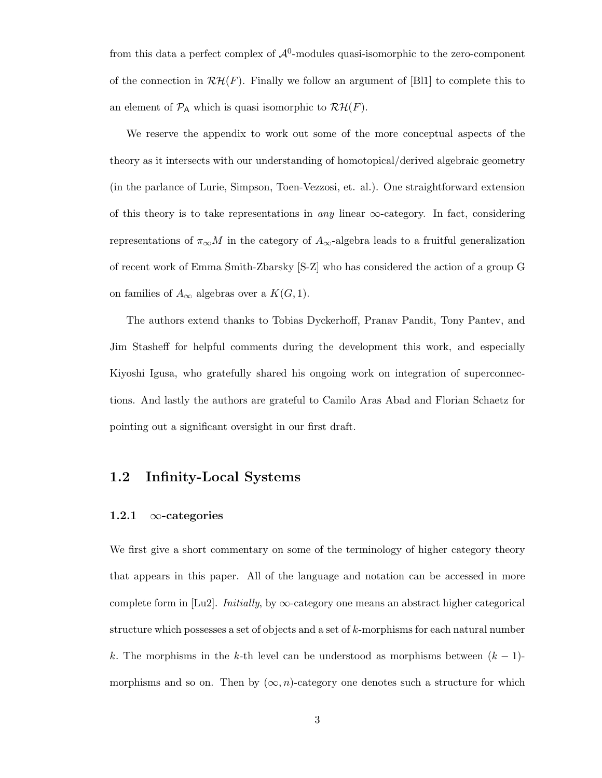from this data a perfect complex of  $\mathcal{A}^0$ -modules quasi-isomorphic to the zero-component of the connection in  $\mathcal{RH}(F)$ . Finally we follow an argument of [Bl1] to complete this to an element of  $\mathcal{P}_{A}$  which is quasi isomorphic to  $\mathcal{RH}(F)$ .

We reserve the appendix to work out some of the more conceptual aspects of the theory as it intersects with our understanding of homotopical/derived algebraic geometry (in the parlance of Lurie, Simpson, Toen-Vezzosi, et. al.). One straightforward extension of this theory is to take representations in *any* linear  $\infty$ -category. In fact, considering representations of  $\pi_{\infty}M$  in the category of  $A_{\infty}$ -algebra leads to a fruitful generalization of recent work of Emma Smith-Zbarsky [S-Z] who has considered the action of a group G on families of  $A_{\infty}$  algebras over a  $K(G, 1)$ .

The authors extend thanks to Tobias Dyckerhoff, Pranav Pandit, Tony Pantev, and Jim Stasheff for helpful comments during the development this work, and especially Kiyoshi Igusa, who gratefully shared his ongoing work on integration of superconnections. And lastly the authors are grateful to Camilo Aras Abad and Florian Schaetz for pointing out a significant oversight in our first draft.

#### 1.2 Infinity-Local Systems

#### 1.2.1  $\infty$ -categories

We first give a short commentary on some of the terminology of higher category theory that appears in this paper. All of the language and notation can be accessed in more complete form in [Lu2]. *Initially*, by  $\infty$ -category one means an abstract higher categorical structure which possesses a set of objects and a set of k-morphisms for each natural number k. The morphisms in the k-th level can be understood as morphisms between  $(k - 1)$ morphisms and so on. Then by  $(\infty, n)$ -category one denotes such a structure for which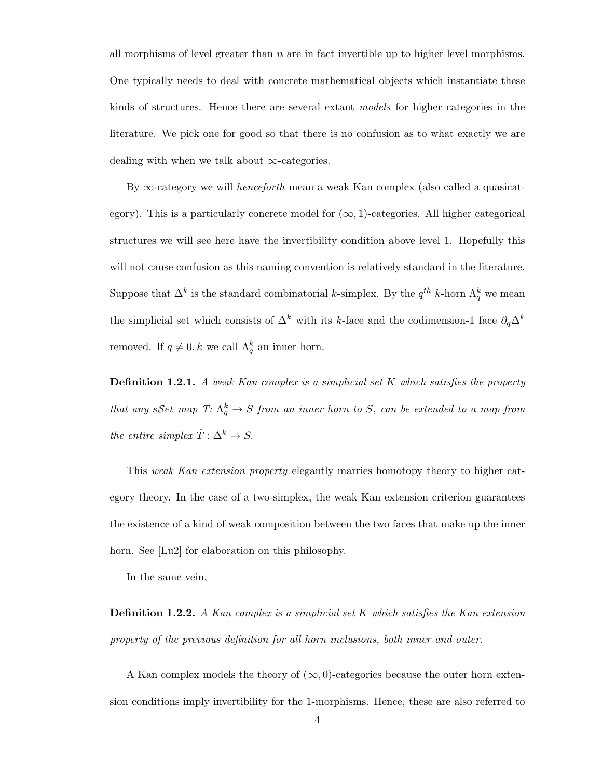all morphisms of level greater than  $n$  are in fact invertible up to higher level morphisms. One typically needs to deal with concrete mathematical objects which instantiate these kinds of structures. Hence there are several extant models for higher categories in the literature. We pick one for good so that there is no confusion as to what exactly we are dealing with when we talk about  $\infty$ -categories.

By  $\infty$ -category we will *henceforth* mean a weak Kan complex (also called a quasicategory). This is a particularly concrete model for  $(\infty, 1)$ -categories. All higher categorical structures we will see here have the invertibility condition above level 1. Hopefully this will not cause confusion as this naming convention is relatively standard in the literature. Suppose that  $\Delta^k$  is the standard combinatorial k-simplex. By the  $q^{th}$  k-horn  $\Lambda_q^k$  we mean the simplicial set which consists of  $\Delta^k$  with its k-face and the codimension-1 face  $\partial_q \Delta^k$ removed. If  $q \neq 0, k$  we call  $\Lambda_q^k$  an inner horn.

**Definition 1.2.1.** A weak Kan complex is a simplicial set  $K$  which satisfies the property that any sSet map  $T: \Lambda_q^k \to S$  from an inner horn to S, can be extended to a map from the entire simplex  $\hat{T}: \Delta^k \to S$ .

This weak Kan extension property elegantly marries homotopy theory to higher category theory. In the case of a two-simplex, the weak Kan extension criterion guarantees the existence of a kind of weak composition between the two faces that make up the inner horn. See [Lu2] for elaboration on this philosophy.

In the same vein,

**Definition 1.2.2.** A Kan complex is a simplicial set K which satisfies the Kan extension property of the previous definition for all horn inclusions, both inner and outer.

A Kan complex models the theory of  $(\infty, 0)$ -categories because the outer horn extension conditions imply invertibility for the 1-morphisms. Hence, these are also referred to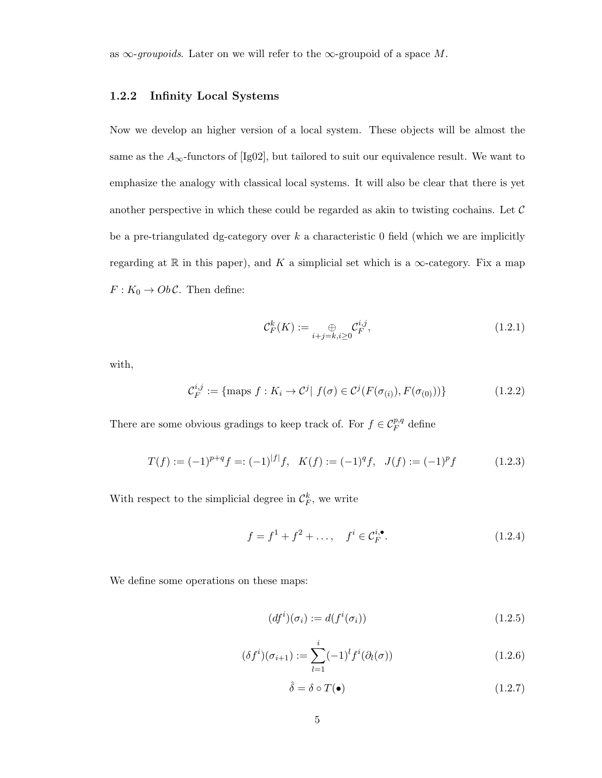as  $\infty$ -groupoids. Later on we will refer to the  $\infty$ -groupoid of a space M.

#### 1.2.2 Infinity Local Systems

Now we develop an higher version of a local system. These objects will be almost the same as the  $A_{\infty}$ -functors of [Ig02], but tailored to suit our equivalence result. We want to emphasize the analogy with classical local systems. It will also be clear that there is yet another perspective in which these could be regarded as akin to twisting cochains. Let  $\mathcal C$ be a pre-triangulated dg-category over  $k$  a characteristic 0 field (which we are implicitly regarding at R in this paper), and K a simplicial set which is a  $\infty$ -category. Fix a map  $F: K_0 \to Ob\mathcal{C}.$  Then define:

$$
\mathcal{C}_F^k(K) := \bigoplus_{i+j=k, i\geq 0} \mathcal{C}_F^{i,j},\tag{1.2.1}
$$

with,

$$
\mathcal{C}_F^{i,j} := \{ \text{maps } f : K_i \to \mathcal{C}^j | f(\sigma) \in \mathcal{C}^j(F(\sigma_{(i)}), F(\sigma_{(0)})) \} \tag{1.2.2}
$$

There are some obvious gradings to keep track of. For  $f \in \mathcal{C}_F^{p,q}$  define

$$
T(f) := (-1)^{p+q} f = (-1)^{|f|} f, \quad K(f) := (-1)^{q} f, \quad J(f) := (-1)^{p} f \tag{1.2.3}
$$

With respect to the simplicial degree in  $\mathcal{C}_F^k$ , we write

$$
f = f^{1} + f^{2} + \dots, \quad f^{i} \in \mathcal{C}_{F}^{i, \bullet}.
$$
 (1.2.4)

We define some operations on these maps:

$$
(dfi)(\sigmai) := d(fi(\sigmai))
$$
\n(1.2.5)

$$
(\delta f^{i})(\sigma_{i+1}) := \sum_{l=1}^{i} (-1)^{l} f^{i}(\partial_{l}(\sigma))
$$
\n(1.2.6)

$$
\hat{\delta} = \delta \circ T(\bullet) \tag{1.2.7}
$$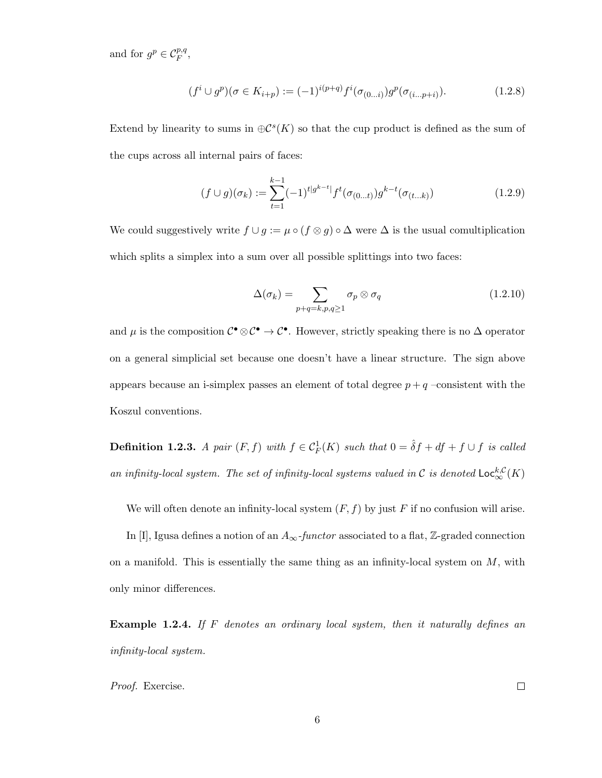and for  $g^p \in \mathcal{C}_F^{p,q}$ ,

$$
(f^i \cup g^p)(\sigma \in K_{i+p}) := (-1)^{i(p+q)} f^i(\sigma_{(0...i)}) g^p(\sigma_{(i...p+i)}).
$$
\n(1.2.8)

Extend by linearity to sums in  $\oplus \mathcal{C}^s(K)$  so that the cup product is defined as the sum of the cups across all internal pairs of faces:

$$
(f \cup g)(\sigma_k) := \sum_{t=1}^{k-1} (-1)^{t|g^{k-t}|} f^t(\sigma_{(0...t)}) g^{k-t}(\sigma_{(t...k)})
$$
\n(1.2.9)

We could suggestively write  $f \cup g := \mu \circ (f \otimes g) \circ \Delta$  were  $\Delta$  is the usual comultiplication which splits a simplex into a sum over all possible splittings into two faces:

$$
\Delta(\sigma_k) = \sum_{p+q=k, p, q \ge 1} \sigma_p \otimes \sigma_q \tag{1.2.10}
$$

and  $\mu$  is the composition  $\mathcal{C}^{\bullet} \otimes \mathcal{C}^{\bullet} \to \mathcal{C}^{\bullet}$ . However, strictly speaking there is no  $\Delta$  operator on a general simplicial set because one doesn't have a linear structure. The sign above appears because an i-simplex passes an element of total degree  $p + q$  –consistent with the Koszul conventions.

**Definition 1.2.3.** A pair  $(F, f)$  with  $f \in C_F^1(K)$  such that  $0 = \hat{\delta}f + df + f \cup f$  is called an infinity-local system. The set of infinity-local systems valued in  $\mathcal C$  is denoted  $\mathsf{Loc}^{k, \mathcal C}_\infty(K)$ 

We will often denote an infinity-local system  $(F, f)$  by just F if no confusion will arise.

In [I], Igusa defines a notion of an  $A_{\infty}$ -functor associated to a flat, Z-graded connection on a manifold. This is essentially the same thing as an infinity-local system on  $M$ , with only minor differences.

**Example 1.2.4.** If F denotes an ordinary local system, then it naturally defines an infinity-local system.

Proof. Exercise.

 $\Box$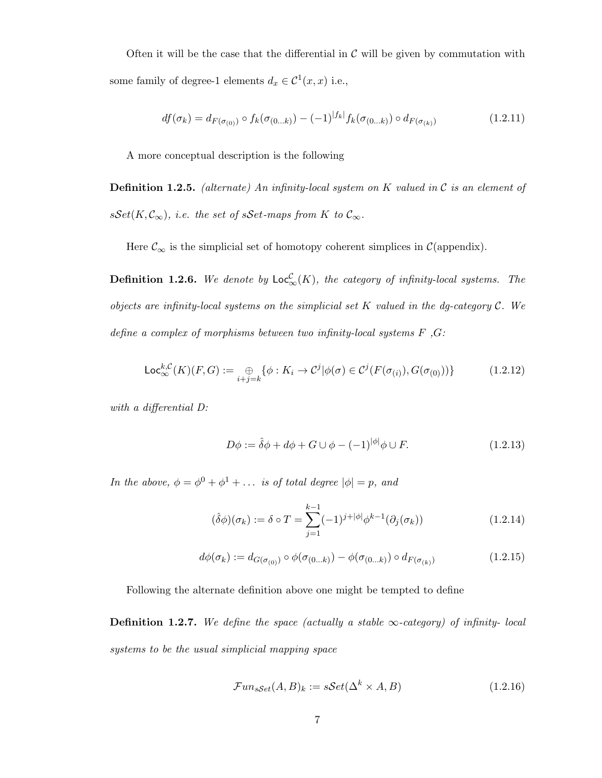Often it will be the case that the differential in  $\mathcal C$  will be given by commutation with some family of degree-1 elements  $d_x \in C^1(x, x)$  i.e.,

$$
df(\sigma_k) = d_{F(\sigma_{(0)})} \circ f_k(\sigma_{(0...k)}) - (-1)^{|f_k|} f_k(\sigma_{(0...k)}) \circ d_{F(\sigma_{(k)})}
$$
(1.2.11)

A more conceptual description is the following

**Definition 1.2.5.** (alternate) An infinity-local system on K valued in  $\mathcal{C}$  is an element of  $sSet(K, \mathcal{C}_{\infty}),$  i.e. the set of sSet-maps from K to  $\mathcal{C}_{\infty}$ .

Here  $\mathcal{C}_{\infty}$  is the simplicial set of homotopy coherent simplices in  $\mathcal{C}$ (appendix).

**Definition 1.2.6.** We denote by  $\mathsf{Loc}_{\infty}^{\mathcal{C}}(K)$ , the category of infinity-local systems. The objects are infinity-local systems on the simplicial set  $K$  valued in the dg-category  $\mathcal{C}$ . We define a complex of morphisms between two infinity-local systems  $F$ ,  $G$ :

$$
\mathsf{Loc}_{\infty}^{k,C}(K)(F,G) := \bigoplus_{i+j=k} \{ \phi : K_i \to C^j | \phi(\sigma) \in C^j(F(\sigma_{(i)}), G(\sigma_{(0)})) \}
$$
(1.2.12)

with a differential D:

$$
D\phi := \hat{\delta}\phi + d\phi + G \cup \phi - (-1)^{|\phi|}\phi \cup F.
$$
 (1.2.13)

In the above,  $\phi = \phi^0 + \phi^1 + \dots$  is of total degree  $|\phi| = p$ , and

$$
(\hat{\delta}\phi)(\sigma_k) := \delta \circ T = \sum_{j=1}^{k-1} (-1)^{j+|\phi|} \phi^{k-1}(\partial_j(\sigma_k))
$$
\n(1.2.14)

$$
d\phi(\sigma_k) := d_{G(\sigma_{(0)})} \circ \phi(\sigma_{(0...k)}) - \phi(\sigma_{(0...k)}) \circ d_{F(\sigma_{(k)})}
$$
(1.2.15)

Following the alternate definition above one might be tempted to define

**Definition 1.2.7.** We define the space (actually a stable  $\infty$ -category) of infinity-local systems to be the usual simplicial mapping space

$$
\mathcal{F}un_{sSet}(A,B)_k := s\mathcal{S}et(\Delta^k \times A,B) \tag{1.2.16}
$$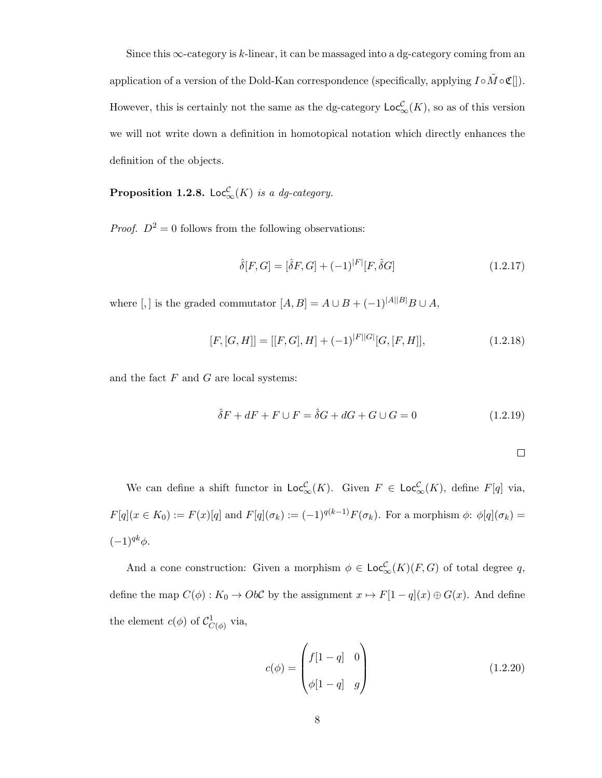Since this  $\infty$ -category is k-linear, it can be massaged into a dg-category coming from an application of a version of the Dold-Kan correspondence (specifically, applying  $I \circ \tilde{M} \circ \mathfrak{C}[]$ ). However, this is certainly not the same as the dg-category  $\mathsf{Loc}_{\infty}^{\mathcal{C}}(K)$ , so as of this version we will not write down a definition in homotopical notation which directly enhances the definition of the objects.

**Proposition 1.2.8.** Loc ${}^{\mathcal{C}}_{\infty}(K)$  is a dg-category.

*Proof.*  $D^2 = 0$  follows from the following observations:

$$
\hat{\delta}[F,G] = [\hat{\delta}F,G] + (-1)^{|F|}[F,\hat{\delta}G] \tag{1.2.17}
$$

where [,] is the graded commutator  $[A, B] = A \cup B + (-1)^{|A||B|} B \cup A$ ,

$$
[F, [G, H]] = [[F, G], H] + (-1)^{|F||G|} [G, [F, H]], \qquad (1.2.18)
$$

and the fact  $F$  and  $G$  are local systems:

$$
\hat{\delta}F + dF + F \cup F = \hat{\delta}G + dG + G \cup G = 0 \tag{1.2.19}
$$

We can define a shift functor in  $\mathsf{Loc}_{\infty}^{\mathcal{C}}(K)$ . Given  $F \in \mathsf{Loc}_{\infty}^{\mathcal{C}}(K)$ , define  $F[q]$  via,  $F[q](x \in K_0) := F(x)[q]$  and  $F[q](\sigma_k) := (-1)^{q(k-1)}F(\sigma_k)$ . For a morphism  $\phi: \phi[q](\sigma_k) =$  $(-1)^{qk}\phi$ .

And a cone construction: Given a morphism  $\phi \in \mathsf{Loc}_{\infty}^{\mathcal{C}}(K)(F,G)$  of total degree q, define the map  $C(\phi) : K_0 \to Ob\mathcal{C}$  by the assignment  $x \mapsto F[1-q](x) \oplus G(x)$ . And define the element  $c(\phi)$  of  $\mathcal{C}^1_{C(\phi)}$  via,

$$
c(\phi) = \begin{pmatrix} f[1-q] & 0 \\ \phi[1-q] & g \end{pmatrix}
$$
 (1.2.20)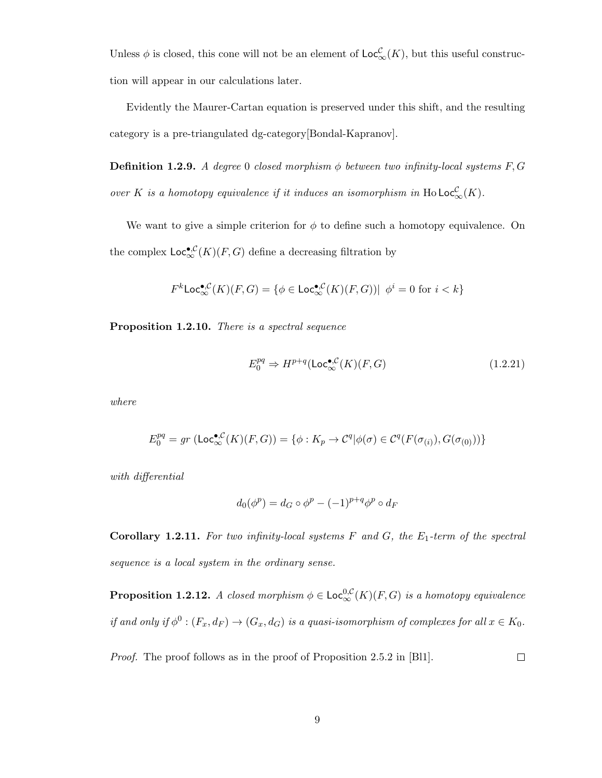Unless  $\phi$  is closed, this cone will not be an element of  $\mathsf{Loc}_{\infty}^{\mathcal{C}}(K)$ , but this useful construction will appear in our calculations later.

Evidently the Maurer-Cartan equation is preserved under this shift, and the resulting category is a pre-triangulated dg-category[Bondal-Kapranov].

**Definition 1.2.9.** A degree 0 closed morphism  $\phi$  between two infinity-local systems F, G over K is a homotopy equivalence if it induces an isomorphism in  $\text{Ho}\textsf{Loc}^{\mathcal{C}}_{\infty}(K)$ .

We want to give a simple criterion for  $\phi$  to define such a homotopy equivalence. On the complex  $\mathsf{Loc}^{\bullet, \mathcal{C}}_{\infty}(K)(F, G)$  define a decreasing filtration by

$$
F^k\text{Loc}_\infty^{\bullet, \mathcal{C}}(K)(F, G) = \{ \phi \in \text{Loc}_\infty^{\bullet, \mathcal{C}}(K)(F, G)) | \ \phi^i = 0 \text{ for } i < k \}
$$

Proposition 1.2.10. There is a spectral sequence

$$
E_0^{pq} \Rightarrow H^{p+q}(\mathsf{Loc}_{\infty}^{\bullet,\mathcal{C}}(K)(F,G)
$$
\n(1.2.21)

where

$$
E_0^{pq} = gr \left( \mathsf{Loc}_{\infty}^{\bullet, \mathcal{C}}(K)(F, G) \right) = \{ \phi : K_p \to \mathcal{C}^q | \phi(\sigma) \in \mathcal{C}^q(F(\sigma_{(i)}), G(\sigma_{(0)})) \}
$$

with differential

$$
d_0(\phi^p) = d_G \circ \phi^p - (-1)^{p+q} \phi^p \circ d_F
$$

Corollary 1.2.11. For two infinity-local systems  $F$  and  $G$ , the  $E_1$ -term of the spectral sequence is a local system in the ordinary sense.

**Proposition 1.2.12.** A closed morphism  $\phi \in \mathsf{Loc}_{\infty}^{0,\mathcal{C}}(K)(F,G)$  is a homotopy equivalence if and only if  $\phi^0$ :  $(F_x, d_F) \to (G_x, d_G)$  is a quasi-isomorphism of complexes for all  $x \in K_0$ .

Proof. The proof follows as in the proof of Proposition 2.5.2 in [Bl1].  $\Box$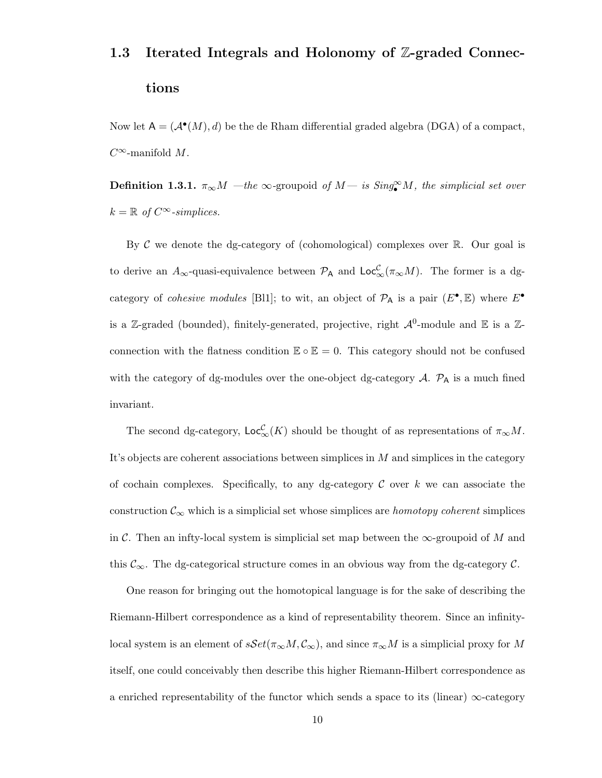# 1.3 Iterated Integrals and Holonomy of Z-graded Connections

Now let  $A = (A^{\bullet}(M), d)$  be the de Rham differential graded algebra (DGA) of a compact,  $C^{\infty}$ -manifold M.

**Definition 1.3.1.**  $\pi_{\infty}M$  —the  $\infty$ -groupoid of  $M -$  is  $Sing_{\bullet}^{\infty}M$ , the simplicial set over  $k = \mathbb{R}$  of  $C^{\infty}$ -simplices.

By C we denote the dg-category of (cohomological) complexes over  $\mathbb{R}$ . Our goal is to derive an  $A_{\infty}$ -quasi-equivalence between  $\mathcal{P}_{A}$  and  $\mathsf{Loc}_{\infty}^{\mathcal{C}}(\pi_{\infty}M)$ . The former is a dgcategory of *cohesive modules* [Bl1]; to wit, an object of  $\mathcal{P}_A$  is a pair  $(E^{\bullet}, \mathbb{E})$  where  $E^{\bullet}$ is a Z-graded (bounded), finitely-generated, projective, right  $\mathcal{A}^0$ -module and E is a Zconnection with the flatness condition  $\mathbb{E} \circ \mathbb{E} = 0$ . This category should not be confused with the category of dg-modules over the one-object dg-category  $A$ .  $\mathcal{P}_A$  is a much fined invariant.

The second dg-category,  $\mathsf{Loc}_{\infty}^{\mathcal{C}}(K)$  should be thought of as representations of  $\pi_{\infty}M$ . It's objects are coherent associations between simplices in M and simplices in the category of cochain complexes. Specifically, to any dg-category  $\mathcal C$  over k we can associate the construction  $\mathcal{C}_{\infty}$  which is a simplicial set whose simplices are *homotopy coherent* simplices in C. Then an infty-local system is simplicial set map between the  $\infty$ -groupoid of M and this  $\mathcal{C}_{\infty}$ . The dg-categorical structure comes in an obvious way from the dg-category  $\mathcal{C}$ .

One reason for bringing out the homotopical language is for the sake of describing the Riemann-Hilbert correspondence as a kind of representability theorem. Since an infinitylocal system is an element of  $sSet(\pi_{\infty}M, \mathcal{C}_{\infty})$ , and since  $\pi_{\infty}M$  is a simplicial proxy for M itself, one could conceivably then describe this higher Riemann-Hilbert correspondence as a enriched representability of the functor which sends a space to its (linear)  $\infty$ -category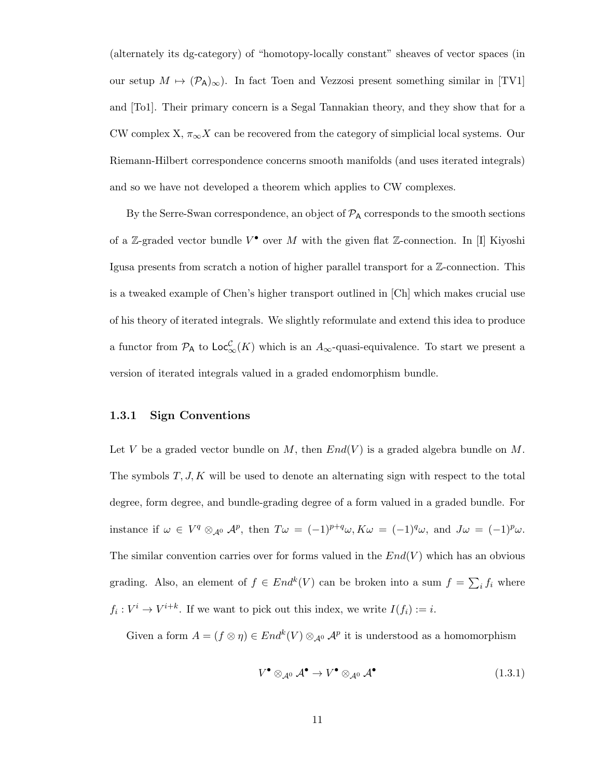(alternately its dg-category) of "homotopy-locally constant" sheaves of vector spaces (in our setup  $M \mapsto (\mathcal{P}_A)_{\infty}$ . In fact Toen and Vezzosi present something similar in [TV1] and [To1]. Their primary concern is a Segal Tannakian theory, and they show that for a CW complex X,  $\pi_{\infty} X$  can be recovered from the category of simplicial local systems. Our Riemann-Hilbert correspondence concerns smooth manifolds (and uses iterated integrals) and so we have not developed a theorem which applies to CW complexes.

By the Serre-Swan correspondence, an object of  $\mathcal{P}_A$  corresponds to the smooth sections of a Z-graded vector bundle  $V^{\bullet}$  over M with the given flat Z-connection. In [I] Kiyoshi Igusa presents from scratch a notion of higher parallel transport for a Z-connection. This is a tweaked example of Chen's higher transport outlined in [Ch] which makes crucial use of his theory of iterated integrals. We slightly reformulate and extend this idea to produce a functor from  $P_A$  to  $\mathsf{Loc}_{\infty}^{\mathcal{C}}(K)$  which is an  $A_{\infty}$ -quasi-equivalence. To start we present a version of iterated integrals valued in a graded endomorphism bundle.

#### 1.3.1 Sign Conventions

Let V be a graded vector bundle on M, then  $End(V)$  is a graded algebra bundle on M. The symbols  $T, J, K$  will be used to denote an alternating sign with respect to the total degree, form degree, and bundle-grading degree of a form valued in a graded bundle. For instance if  $\omega \in V^q \otimes_{\mathcal{A}^0} \mathcal{A}^p$ , then  $T\omega = (-1)^{p+q} \omega$ ,  $K\omega = (-1)^q \omega$ , and  $J\omega = (-1)^p \omega$ . The similar convention carries over for forms valued in the  $End(V)$  which has an obvious grading. Also, an element of  $f \in End^k(V)$  can be broken into a sum  $f = \sum_i f_i$  where  $f_i: V^i \to V^{i+k}$ . If we want to pick out this index, we write  $I(f_i) := i$ .

Given a form  $A = (f \otimes \eta) \in End^k(V) \otimes_{\mathcal{A}^0} \mathcal{A}^p$  it is understood as a homomorphism

$$
V^{\bullet} \otimes_{\mathcal{A}^0} \mathcal{A}^{\bullet} \to V^{\bullet} \otimes_{\mathcal{A}^0} \mathcal{A}^{\bullet}
$$
 (1.3.1)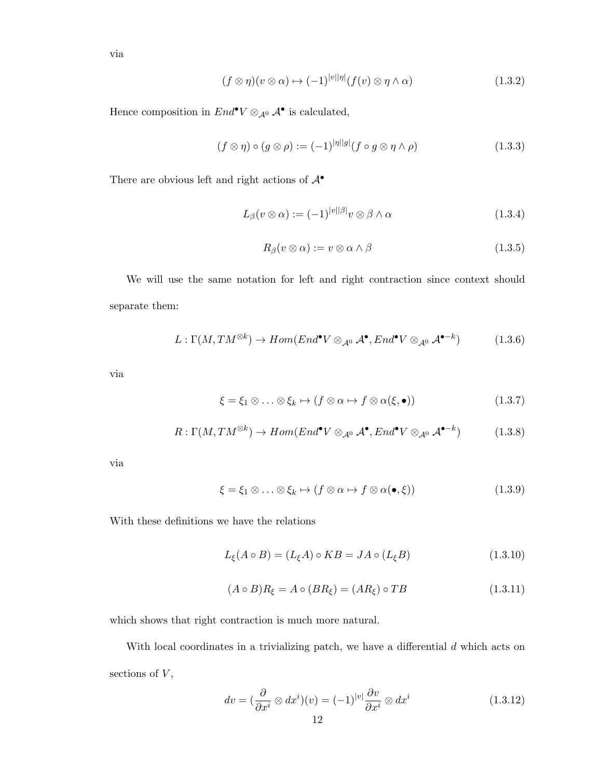via

$$
(f \otimes \eta)(v \otimes \alpha) \mapsto (-1)^{|v||\eta|} (f(v) \otimes \eta \wedge \alpha) \tag{1.3.2}
$$

Hence composition in  $End^{\bullet}V \otimes_{\mathcal{A}^0} \mathcal{A}^{\bullet}$  is calculated,

$$
(f \otimes \eta) \circ (g \otimes \rho) := (-1)^{|\eta||g|} (f \circ g \otimes \eta \wedge \rho) \tag{1.3.3}
$$

There are obvious left and right actions of  $\mathcal{A}^{\bullet}$ 

$$
L_{\beta}(v \otimes \alpha) := (-1)^{|v||\beta|} v \otimes \beta \wedge \alpha \tag{1.3.4}
$$

$$
R_{\beta}(v \otimes \alpha) := v \otimes \alpha \wedge \beta \tag{1.3.5}
$$

We will use the same notation for left and right contraction since context should separate them:

$$
L: \Gamma(M, TM^{\otimes k}) \to Hom(End^{\bullet}V \otimes_{\mathcal{A}^{0}} \mathcal{A}^{\bullet}, End^{\bullet}V \otimes_{\mathcal{A}^{0}} \mathcal{A}^{\bullet-k})
$$
(1.3.6)

via

$$
\xi = \xi_1 \otimes \ldots \otimes \xi_k \mapsto (f \otimes \alpha \mapsto f \otimes \alpha(\xi, \bullet)) \tag{1.3.7}
$$

$$
R: \Gamma(M, TM^{\otimes k}) \to Hom(End^{\bullet}V \otimes_{\mathcal{A}^{0}} \mathcal{A}^{\bullet}, End^{\bullet}V \otimes_{\mathcal{A}^{0}} \mathcal{A}^{\bullet-k})
$$
(1.3.8)

via

$$
\xi = \xi_1 \otimes \ldots \otimes \xi_k \mapsto (f \otimes \alpha \mapsto f \otimes \alpha(\bullet, \xi)) \tag{1.3.9}
$$

With these definitions we have the relations

$$
L_{\xi}(A \circ B) = (L_{\xi}A) \circ KB = JA \circ (L_{\xi}B) \tag{1.3.10}
$$

$$
(A \circ B)R_{\xi} = A \circ (BR_{\xi}) = (AR_{\xi}) \circ TB \tag{1.3.11}
$$

which shows that right contraction is much more natural.

With local coordinates in a trivializing patch, we have a differential  $d$  which acts on sections of  ${\cal V},$ 

$$
dv = \left(\frac{\partial}{\partial x^i} \otimes dx^i\right)(v) = (-1)^{|v|} \frac{\partial v}{\partial x^i} \otimes dx^i \tag{1.3.12}
$$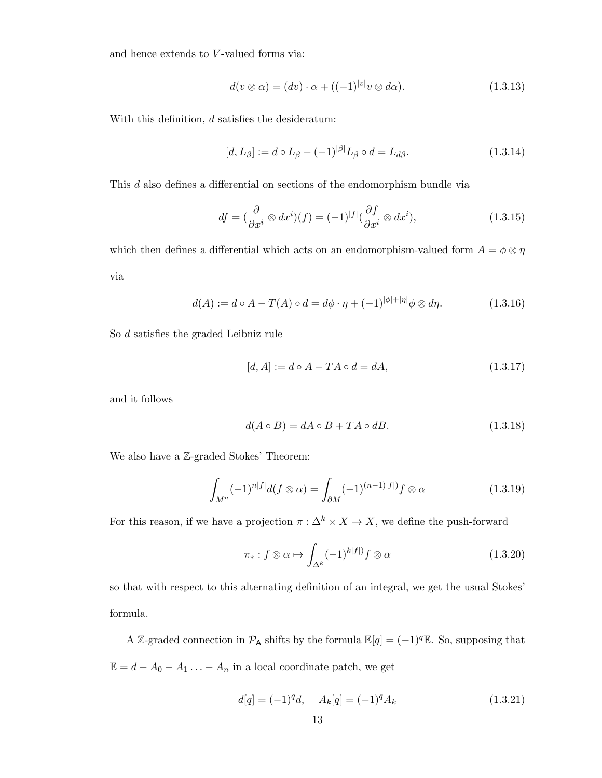and hence extends to  $V$ -valued forms via:

$$
d(v \otimes \alpha) = (dv) \cdot \alpha + ((-1)^{|v|} v \otimes d\alpha). \tag{1.3.13}
$$

With this definition,  $d$  satisfies the desideratum:

$$
[d, L_{\beta}] := d \circ L_{\beta} - (-1)^{|\beta|} L_{\beta} \circ d = L_{d\beta}.
$$
 (1.3.14)

This d also defines a differential on sections of the endomorphism bundle via

$$
df = \left(\frac{\partial}{\partial x^i} \otimes dx^i\right)(f) = (-1)^{|f|} \left(\frac{\partial f}{\partial x^i} \otimes dx^i\right),\tag{1.3.15}
$$

which then defines a differential which acts on an endomorphism-valued form  $A=\phi\otimes\eta$ via

$$
d(A) := d \circ A - T(A) \circ d = d\phi \cdot \eta + (-1)^{|\phi| + |\eta|} \phi \otimes d\eta. \tag{1.3.16}
$$

So d satisfies the graded Leibniz rule

$$
[d, A] := d \circ A - TA \circ d = dA, \tag{1.3.17}
$$

and it follows

$$
d(A \circ B) = dA \circ B + TA \circ dB. \tag{1.3.18}
$$

We also have a  $\mathbb Z$ -graded Stokes' Theorem:

$$
\int_{M^n} (-1)^{n|f|} d(f \otimes \alpha) = \int_{\partial M} (-1)^{(n-1)|f|} f \otimes \alpha \tag{1.3.19}
$$

For this reason, if we have a projection  $\pi : \Delta^k \times X \to X$ , we define the push-forward

$$
\pi_*: f \otimes \alpha \mapsto \int_{\Delta^k} (-1)^{k|f|} f \otimes \alpha \tag{1.3.20}
$$

so that with respect to this alternating definition of an integral, we get the usual Stokes' formula.

A Z-graded connection in  $\mathcal{P}_A$  shifts by the formula  $\mathbb{E}[q] = (-1)^q \mathbb{E}$ . So, supposing that  $\mathbb{E} = d - A_0 - A_1 \ldots - A_n$  in a local coordinate patch, we get

$$
d[q] = (-1)^{q}d, \quad A_{k}[q] = (-1)^{q}A_{k} \tag{1.3.21}
$$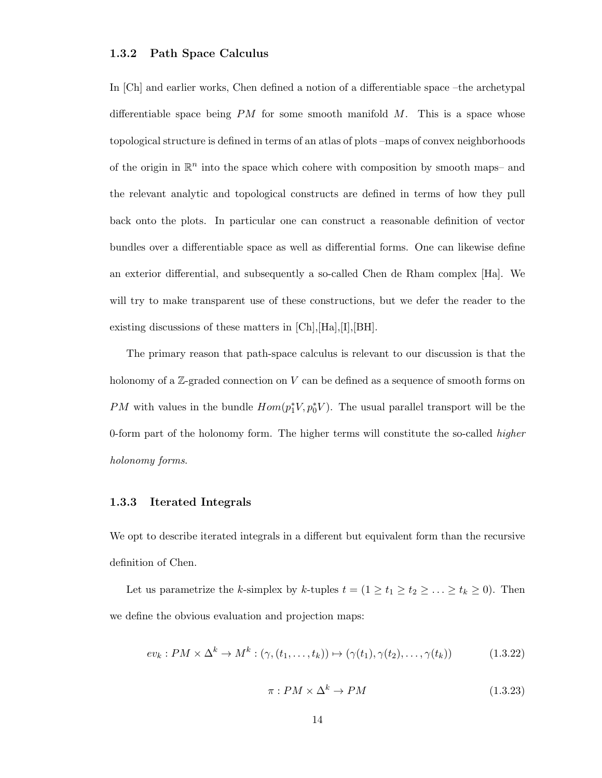#### 1.3.2 Path Space Calculus

In [Ch] and earlier works, Chen defined a notion of a differentiable space –the archetypal differentiable space being  $PM$  for some smooth manifold  $M$ . This is a space whose topological structure is defined in terms of an atlas of plots –maps of convex neighborhoods of the origin in  $\mathbb{R}^n$  into the space which cohere with composition by smooth maps- and the relevant analytic and topological constructs are defined in terms of how they pull back onto the plots. In particular one can construct a reasonable definition of vector bundles over a differentiable space as well as differential forms. One can likewise define an exterior differential, and subsequently a so-called Chen de Rham complex [Ha]. We will try to make transparent use of these constructions, but we defer the reader to the existing discussions of these matters in [Ch],[Ha],[I],[BH].

The primary reason that path-space calculus is relevant to our discussion is that the holonomy of a  $\mathbb{Z}$ -graded connection on V can be defined as a sequence of smooth forms on PM with values in the bundle  $Hom(p_1^*V, p_0^*V)$ . The usual parallel transport will be the 0-form part of the holonomy form. The higher terms will constitute the so-called *higher* holonomy forms.

#### 1.3.3 Iterated Integrals

We opt to describe iterated integrals in a different but equivalent form than the recursive definition of Chen.

Let us parametrize the k-simplex by k-tuples  $t = (1 \ge t_1 \ge t_2 \ge \ldots \ge t_k \ge 0)$ . Then we define the obvious evaluation and projection maps:

$$
ev_k: PM \times \Delta^k \to M^k: (\gamma, (t_1, \dots, t_k)) \mapsto (\gamma(t_1), \gamma(t_2), \dots, \gamma(t_k))
$$
\n(1.3.22)

$$
\pi: PM \times \Delta^k \to PM \tag{1.3.23}
$$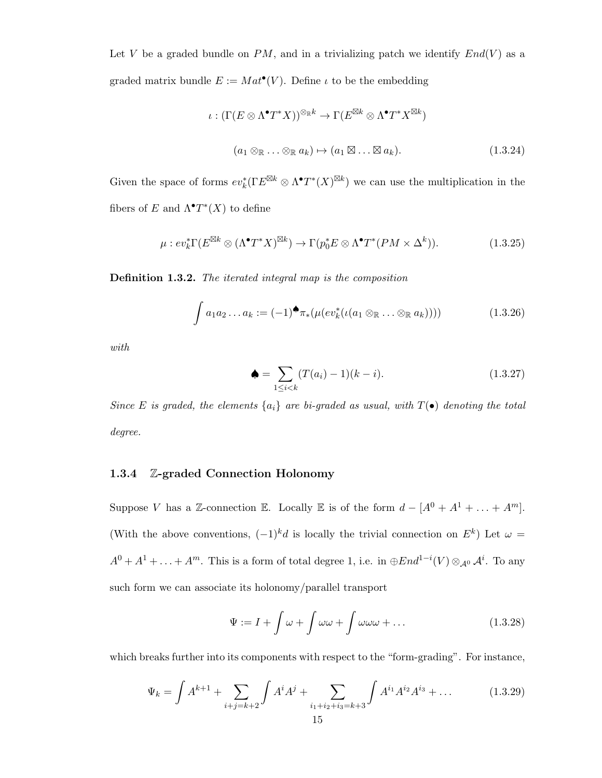Let V be a graded bundle on  $PM$ , and in a trivializing patch we identify  $End(V)$  as a graded matrix bundle  $E := Mat^{\bullet}(V)$ . Define  $\iota$  to be the embedding

$$
\iota : (\Gamma(E \otimes \Lambda^{\bullet} T^*X))^{\otimes_{\mathbb{R}}k} \to \Gamma(E^{\boxtimes k} \otimes \Lambda^{\bullet} T^*X^{\boxtimes k})
$$

$$
(a_1 \otimes_{\mathbb{R}} \dots \otimes_{\mathbb{R}} a_k) \mapsto (a_1 \boxtimes \dots \boxtimes a_k). \tag{1.3.24}
$$

Given the space of forms  $ev_k^*(\Gamma E^{\boxtimes k} \otimes \Lambda^{\bullet} T^*(X)^{\boxtimes k})$  we can use the multiplication in the fibers of E and  $\Lambda^{\bullet}T^{*}(X)$  to define

$$
\mu : ev_k^* \Gamma(E^{\boxtimes k} \otimes (\Lambda^\bullet T^* X)^{\boxtimes k}) \to \Gamma(p_0^* E \otimes \Lambda^\bullet T^* (PM \times \Delta^k)). \tag{1.3.25}
$$

Definition 1.3.2. The iterated integral map is the composition

$$
\int a_1 a_2 \dots a_k := (-1)^{\spadesuit} \pi_* (\mu(ev_k^*(\iota(a_1 \otimes_{\mathbb{R}} \dots \otimes_{\mathbb{R}} a_k)))) \tag{1.3.26}
$$

with

$$
\spadesuit = \sum_{1 \le i < k} (T(a_i) - 1)(k - i). \tag{1.3.27}
$$

Since E is graded, the elements  $\{a_i\}$  are bi-graded as usual, with  $T(\bullet)$  denoting the total degree.

#### 1.3.4 Z-graded Connection Holonomy

Suppose V has a Z-connection E. Locally E is of the form  $d - [A^0 + A^1 + ... + A^m]$ . (With the above conventions,  $(-1)^k d$  is locally the trivial connection on  $E^k$ ) Let  $\omega =$  $A^0 + A^1 + \ldots + A^m$ . This is a form of total degree 1, i.e. in  $\oplus End^{1-i}(V) \otimes_{\mathcal{A}^0} \mathcal{A}^i$ . To any such form we can associate its holonomy/parallel transport

$$
\Psi := I + \int \omega + \int \omega \omega + \int \omega \omega + \dots \tag{1.3.28}
$$

which breaks further into its components with respect to the "form-grading". For instance,

$$
\Psi_k = \int A^{k+1} + \sum_{i+j=k+2} \int A^i A^j + \sum_{i_1+i_2+i_3=k+3} \int A^{i_1} A^{i_2} A^{i_3} + \dots \tag{1.3.29}
$$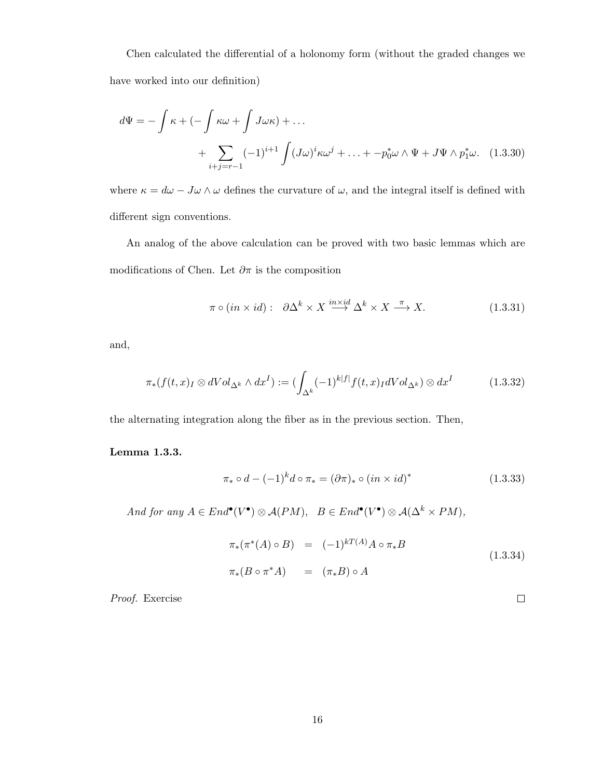Chen calculated the differential of a holonomy form (without the graded changes we have worked into our definition)

$$
d\Psi = -\int \kappa + \left(-\int \kappa \omega + \int J \omega \kappa\right) + \dots
$$
  
+ 
$$
\sum_{i+j=r-1} (-1)^{i+1} \int (J \omega)^i \kappa \omega^j + \dots + -p_0^* \omega \wedge \Psi + J \Psi \wedge p_1^* \omega. \quad (1.3.30)
$$

where  $\kappa = d\omega - J\omega \wedge \omega$  defines the curvature of  $\omega$ , and the integral itself is defined with different sign conventions.

An analog of the above calculation can be proved with two basic lemmas which are modifications of Chen. Let  $\partial \pi$  is the composition

$$
\pi \circ (in \times id): \quad \partial \Delta^k \times X \xrightarrow{in \times id} \Delta^k \times X \xrightarrow{\pi} X. \tag{1.3.31}
$$

and,

$$
\pi_*(f(t,x)_I \otimes dVol_{\Delta^k} \wedge dx^I) := (\int_{\Delta^k} (-1)^{k|f|} f(t,x)_I dVol_{\Delta^k}) \otimes dx^I \tag{1.3.32}
$$

the alternating integration along the fiber as in the previous section. Then,

#### Lemma 1.3.3.

$$
\pi_* \circ d - (-1)^k d \circ \pi_* = (\partial \pi)_* \circ (in \times id)^* \tag{1.3.33}
$$

And for any  $A \in End^{\bullet}(V^{\bullet}) \otimes \mathcal{A}(PM)$ ,  $B \in End^{\bullet}(V^{\bullet}) \otimes \mathcal{A}(\Delta^k \times PM)$ ,

$$
\pi_*(\pi^*(A) \circ B) = (-1)^{kT(A)} A \circ \pi_* B
$$
  
\n
$$
\pi_*(B \circ \pi^* A) = (\pi_* B) \circ A
$$
\n(1.3.34)

 $\Box$ 

Proof. Exercise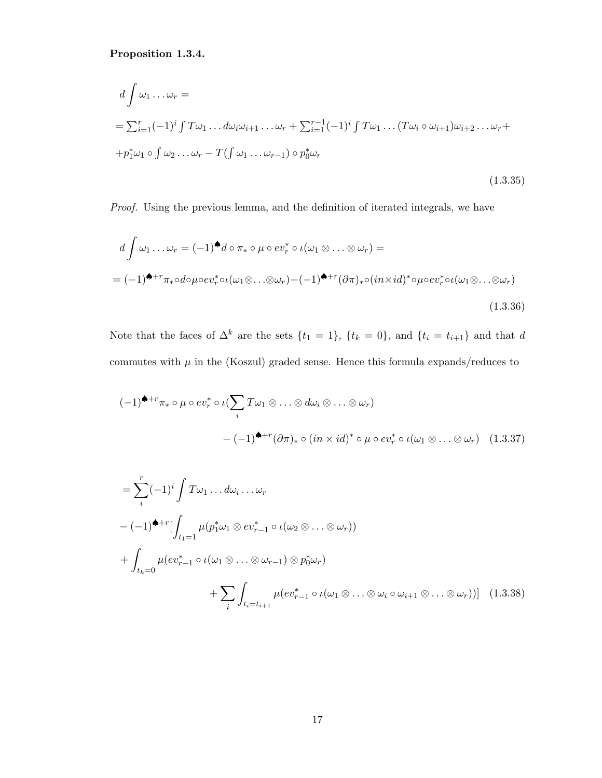Proposition 1.3.4.

$$
d \int \omega_1 \dots \omega_r =
$$
  
=  $\sum_{i=1}^r (-1)^i \int T \omega_1 \dots d\omega_i \omega_{i+1} \dots \omega_r + \sum_{i=1}^{r-1} (-1)^i \int T \omega_1 \dots (T \omega_i \circ \omega_{i+1}) \omega_{i+2} \dots \omega_r +$   
+  $p_1^* \omega_1 \circ \int \omega_2 \dots \omega_r - T (\int \omega_1 \dots \omega_{r-1}) \circ p_0^* \omega_r$  (1.3.35)

Proof. Using the previous lemma, and the definition of iterated integrals, we have

$$
d \int \omega_1 \dots \omega_r = (-1)^{\clubsuit} d \circ \pi_* \circ \mu \circ ev_r^* \circ \iota(\omega_1 \otimes \dots \otimes \omega_r) =
$$
  
=  $(-1)^{\spadesuit+r} \pi_* \circ d \circ \mu \circ ev_r^* \circ \iota(\omega_1 \otimes \dots \otimes \omega_r) - (-1)^{\spadesuit+r} (\partial \pi)_* \circ (in \times id)^* \circ \mu \circ ev_r^* \circ \iota(\omega_1 \otimes \dots \otimes \omega_r)$   
(1.3.36)

Note that the faces of  $\Delta^k$  are the sets  $\{t_1 = 1\}$ ,  $\{t_k = 0\}$ , and  $\{t_i = t_{i+1}\}$  and that d commutes with  $\mu$  in the (Koszul) graded sense. Hence this formula expands/reduces to

$$
(-1)^{\spadesuit+r}\pi_* \circ \mu \circ ev_r^* \circ \iota(\sum_i T\omega_1 \otimes \ldots \otimes d\omega_i \otimes \ldots \otimes \omega_r)
$$

$$
-(-1)^{\spadesuit+r}(\partial \pi)_* \circ (in \times id)^* \circ \mu \circ ev_r^* \circ \iota(\omega_1 \otimes \ldots \otimes \omega_r) \quad (1.3.37)
$$

$$
= \sum_{i}^{r} (-1)^{i} \int T\omega_{1} \dots d\omega_{i} \dots \omega_{r}
$$
  

$$
- (-1)^{\blacklozenge + r} \Big[ \int_{t_{1}=1} \mu(p_{1}^{*}\omega_{1} \otimes ev_{r-1}^{*} \circ \iota(\omega_{2} \otimes \dots \otimes \omega_{r}))
$$
  

$$
+ \int_{t_{k}=0} \mu(ev_{r-1}^{*} \circ \iota(\omega_{1} \otimes \dots \otimes \omega_{r-1}) \otimes p_{0}^{*}\omega_{r})
$$
  

$$
+ \sum_{i} \int_{t_{i}=t_{i+1}} \mu(ev_{r-1}^{*} \circ \iota(\omega_{1} \otimes \dots \otimes \omega_{i} \circ \omega_{i+1} \otimes \dots \otimes \omega_{r})) \Big] (1.3.38)
$$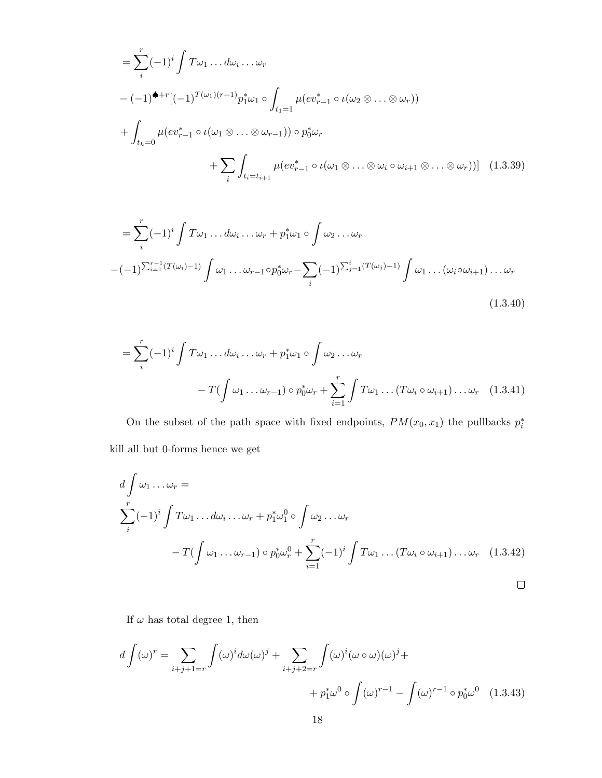$$
= \sum_{i}^{r} (-1)^{i} \int T\omega_{1} \dots d\omega_{i} \dots \omega_{r}
$$
  

$$
- (-1)^{\spadesuit+r} [(-1)^{T(\omega_{1})(r-1)} p_{1}^{*} \omega_{1} \circ \int_{t_{1}=1} \mu(ev_{r-1}^{*} \circ \iota(\omega_{2} \otimes \dots \otimes \omega_{r}))
$$
  

$$
+ \int_{t_{k}=0} \mu(ev_{r-1}^{*} \circ \iota(\omega_{1} \otimes \dots \otimes \omega_{r-1})) \circ p_{0}^{*} \omega_{r}
$$
  

$$
+ \sum_{i} \int_{t_{i}=t_{i+1}} \mu(ev_{r-1}^{*} \circ \iota(\omega_{1} \otimes \dots \otimes \omega_{i} \circ \omega_{i+1} \otimes \dots \otimes \omega_{r})) ] \quad (1.3.39)
$$

$$
= \sum_{i}^{r} (-1)^{i} \int T\omega_{1} \dots d\omega_{i} \dots \omega_{r} + p_{1}^{*}\omega_{1} \circ \int \omega_{2} \dots \omega_{r}
$$

$$
-(-1)^{\sum_{i=1}^{r-1} (T(\omega_{i})-1)} \int \omega_{1} \dots \omega_{r-1} \circ p_{0}^{*}\omega_{r} - \sum_{i} (-1)^{\sum_{j=1}^{i} (T(\omega_{j})-1)} \int \omega_{1} \dots (\omega_{i} \circ \omega_{i+1}) \dots \omega_{r}
$$
(1.3.40)

$$
= \sum_{i}^{r} (-1)^{i} \int T \omega_{1} \dots d\omega_{i} \dots \omega_{r} + p_{1}^{*} \omega_{1} \circ \int \omega_{2} \dots \omega_{r}
$$

$$
- T(\int \omega_{1} \dots \omega_{r-1}) \circ p_{0}^{*} \omega_{r} + \sum_{i=1}^{r} \int T \omega_{1} \dots (T \omega_{i} \circ \omega_{i+1}) \dots \omega_{r} \quad (1.3.41)
$$

On the subset of the path space with fixed endpoints,  $PM(x_0, x_1)$  the pullbacks  $p_i^*$ kill all but 0-forms hence we get

$$
d \int \omega_1 \dots \omega_r =
$$
  
\n
$$
\sum_{i}^{r} (-1)^i \int T \omega_1 \dots d\omega_i \dots \omega_r + p_1^* \omega_1^0 \circ \int \omega_2 \dots \omega_r
$$
  
\n
$$
-T(\int \omega_1 \dots \omega_{r-1}) \circ p_0^* \omega_r^0 + \sum_{i=1}^{r} (-1)^i \int T \omega_1 \dots (T \omega_i \circ \omega_{i+1}) \dots \omega_r \quad (1.3.42)
$$

If  $\omega$  has total degree 1, then

$$
d\int (\omega)^r = \sum_{i+j+1=r} \int (\omega)^i d\omega (\omega)^j + \sum_{i+j+2=r} \int (\omega)^i (\omega \circ \omega) (\omega)^j +
$$

$$
+ p_1^* \omega^0 \circ \int (\omega)^{r-1} - \int (\omega)^{r-1} \circ p_0^* \omega^0 \quad (1.3.43)
$$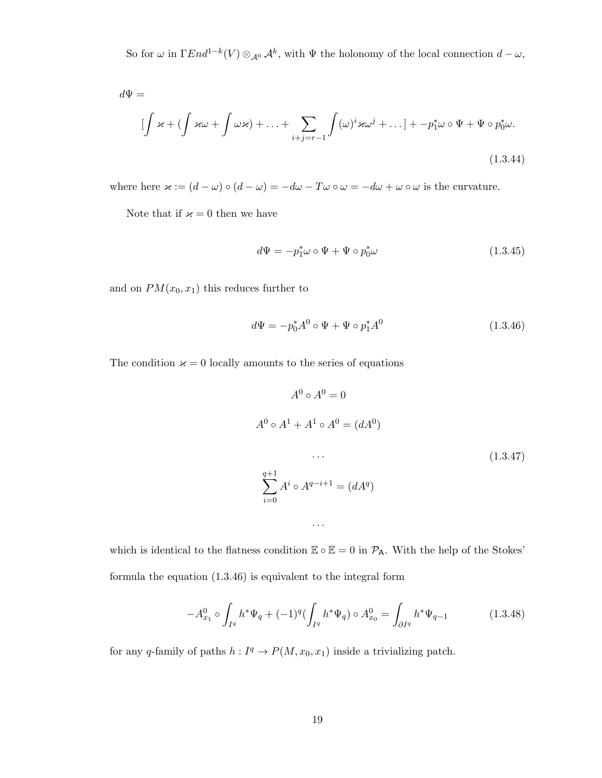So for  $\omega$  in  $\Gamma End^{1-k}(V) \otimes_{\mathcal{A}^0} \mathcal{A}^k$ , with  $\Psi$  the holonomy of the local connection  $d-\omega$ ,

$$
d\Psi =
$$
\n
$$
\left[\int \varkappa + \left(\int \varkappa \omega + \int \omega \varkappa\right) + \ldots + \sum_{i+j=r-1} \int (\omega)^i \varkappa \omega^j + \ldots\right] + -p_1^* \omega \circ \Psi + \Psi \circ p_0^* \omega.
$$
\n(1.3.44)

where here  $\varkappa := (d - \omega) \circ (d - \omega) = -d\omega - T\omega \circ \omega = -d\omega + \omega \circ \omega$  is the curvature.

Note that if  $\varkappa = 0$  then we have

$$
d\Psi = -p_1^*\omega \circ \Psi + \Psi \circ p_0^*\omega \tag{1.3.45}
$$

and on  $PM(x_0, x_1)$  this reduces further to

$$
d\Psi = -p_0^* A^0 \circ \Psi + \Psi \circ p_1^* A^0 \tag{1.3.46}
$$

The condition  $\varkappa = 0$  locally amounts to the series of equations

$$
A^{0} \circ A^{0} = 0
$$
  
\n
$$
A^{0} \circ A^{1} + A^{1} \circ A^{0} = (dA^{0})
$$
  
\n...  
\n
$$
\sum_{i=0}^{q+1} A^{i} \circ A^{q-i+1} = (dA^{q})
$$
  
\n(1.3.47)

which is identical to the flatness condition  $\mathbb{E} \circ \mathbb{E} = 0$  in  $\mathcal{P}_{A}$ . With the help of the Stokes' formula the equation (1.3.46) is equivalent to the integral form

. . .

$$
-A_{x_1}^0 \circ \int_{I^q} h^* \Psi_q + (-1)^q (\int_{I^q} h^* \Psi_q) \circ A_{x_0}^0 = \int_{\partial I^q} h^* \Psi_{q-1}
$$
 (1.3.48)

for any q-family of paths  $h: I^q \to P(M, x_0, x_1)$  inside a trivializing patch.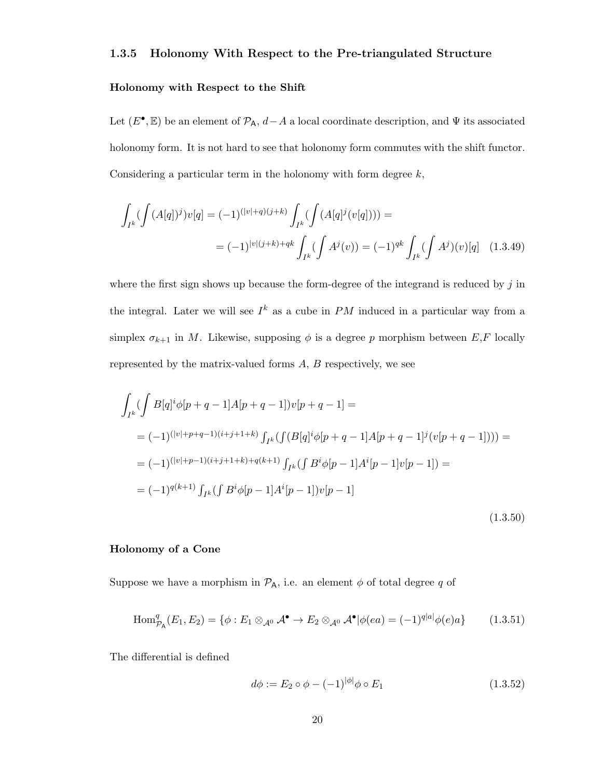#### 1.3.5 Holonomy With Respect to the Pre-triangulated Structure

#### Holonomy with Respect to the Shift

Let  $(E^{\bullet}, \mathbb{E})$  be an element of  $\mathcal{P}_{A}$ ,  $d-A$  a local coordinate description, and  $\Psi$  its associated holonomy form. It is not hard to see that holonomy form commutes with the shift functor. Considering a particular term in the holonomy with form degree  $k$ ,

$$
\int_{I^k} (\int (A[q])^j) v[q] = (-1)^{(|v|+q)(j+k)} \int_{I^k} (\int (A[q]^j (v[q]))) = (-1)^{qk} \int_{I^k} (\int A^j) (v)[q] \quad (1.3.49)
$$
\n
$$
= (-1)^{|v|(j+k)+qk} \int_{I^k} (\int A^j (v)) = (-1)^{qk} \int_{I^k} (\int A^j) (v)[q] \quad (1.3.49)
$$

where the first sign shows up because the form-degree of the integrand is reduced by  $j$  in the integral. Later we will see  $I^k$  as a cube in PM induced in a particular way from a simplex  $\sigma_{k+1}$  in M. Likewise, supposing  $\phi$  is a degree p morphism between E,F locally represented by the matrix-valued forms A, B respectively, we see

$$
\int_{I^k} (\int B[q]^i \phi[p+q-1]A[p+q-1])v[p+q-1] =
$$
\n
$$
= (-1)^{(|v|+p+q-1)(i+j+1+k)} \int_{I^k} (\int (B[q]^i \phi[p+q-1]A[p+q-1]^j (v[p+q-1])) ) =
$$
\n
$$
= (-1)^{(|v|+p-1)(i+j+1+k)+q(k+1)} \int_{I^k} (\int B^i \phi[p-1]A^i[p-1]v[p-1]) =
$$
\n
$$
= (-1)^{q(k+1)} \int_{I^k} (\int B^i \phi[p-1]A^i[p-1])v[p-1]
$$
\n(1.3.50)

#### Holonomy of a Cone

Suppose we have a morphism in  $\mathcal{P}_A$ , i.e. an element  $\phi$  of total degree q of

$$
\text{Hom}_{\mathcal{P}_{\mathsf{A}}}^{q}(E_1, E_2) = \{ \phi : E_1 \otimes_{\mathcal{A}^0} \mathcal{A}^{\bullet} \to E_2 \otimes_{\mathcal{A}^0} \mathcal{A}^{\bullet} | \phi(ea) = (-1)^{q|a|} \phi(e)a \}
$$
(1.3.51)

The differential is defined

$$
d\phi := E_2 \circ \phi - (-1)^{|\phi|} \phi \circ E_1 \tag{1.3.52}
$$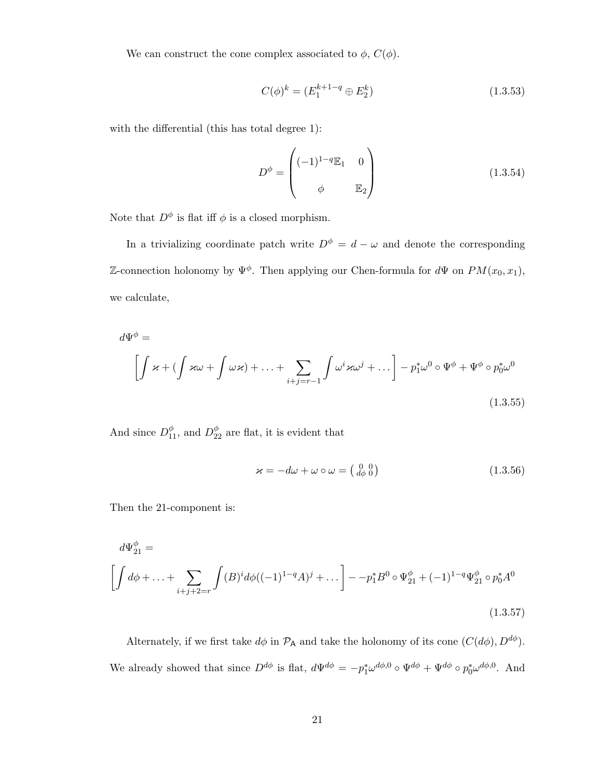We can construct the cone complex associated to  $\phi$ ,  $C(\phi)$ .

$$
C(\phi)^k = (E_1^{k+1-q} \oplus E_2^k) \tag{1.3.53}
$$

with the differential (this has total degree 1):

$$
D^{\phi} = \begin{pmatrix} (-1)^{1-q} \mathbb{E}_1 & 0 \\ \phi & \mathbb{E}_2 \end{pmatrix}
$$
 (1.3.54)

Note that  $D^{\phi}$  is flat iff  $\phi$  is a closed morphism.

In a trivializing coordinate patch write  $D^{\phi} = d - \omega$  and denote the corresponding Z-connection holonomy by  $\Psi^{\phi}$ . Then applying our Chen-formula for  $d\Psi$  on  $PM(x_0, x_1)$ , we calculate,

$$
d\Psi^{\phi} = \left[ \int \varkappa + \left( \int \varkappa \omega + \int \omega \varkappa \right) + \ldots + \sum_{i+j=r-1} \int \omega^{i} \varkappa \omega^{j} + \ldots \right] - p_{1}^{*} \omega^{0} \circ \Psi^{\phi} + \Psi^{\phi} \circ p_{0}^{*} \omega^{0}
$$
\n(1.3.55)

And since  $D_{11}^{\phi}$ , and  $D_{22}^{\phi}$  are flat, it is evident that

$$
\varkappa = -d\omega + \omega \circ \omega = \left(\begin{smallmatrix} 0 & 0 \\ d\phi & 0 \end{smallmatrix}\right) \tag{1.3.56}
$$

Then the 21-component is:

$$
d\Psi_{21}^{\phi} = \left[ \int d\phi + \dots + \sum_{i+j+2=r} \int (B)^i d\phi ((-1)^{1-q} A)^j + \dots \right] - p_1^* B^0 \circ \Psi_{21}^{\phi} + (-1)^{1-q} \Psi_{21}^{\phi} \circ p_0^* A^0
$$
\n(1.3.57)

Alternately, if we first take  $d\phi$  in  $\mathcal{P}_A$  and take the holonomy of its cone  $(C(d\phi), D^{d\phi})$ . We already showed that since  $D^{d\phi}$  is flat,  $d\Psi^{d\phi} = -p_1^*\omega^{d\phi,0} \circ \Psi^{d\phi} + \Psi^{d\phi} \circ p_0^*\omega^{d\phi,0}$ . And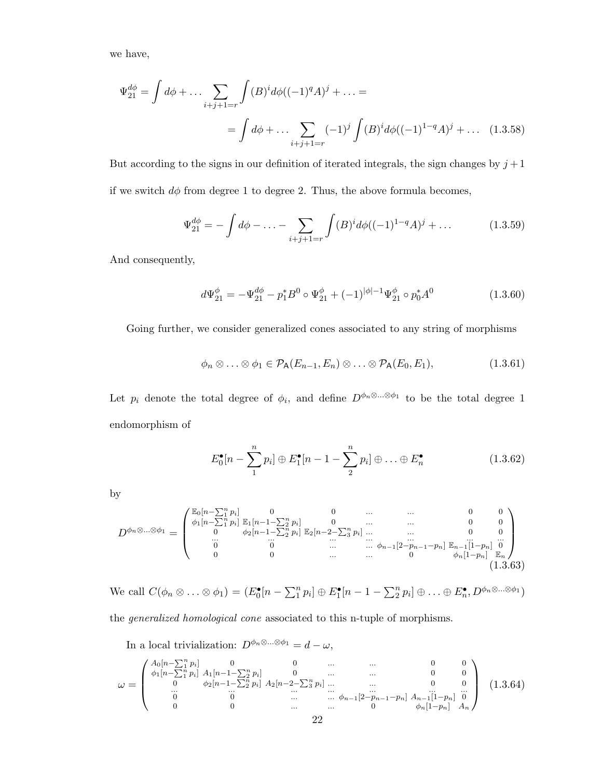we have,

$$
\Psi_{21}^{d\phi} = \int d\phi + \dots \sum_{i+j+1=r} \int (B)^i d\phi ((-1)^q A)^j + \dots =
$$
  
= 
$$
\int d\phi + \dots \sum_{i+j+1=r} (-1)^j \int (B)^i d\phi ((-1)^{1-q} A)^j + \dots \quad (1.3.58)
$$

But according to the signs in our definition of iterated integrals, the sign changes by  $j+1$ if we switch  $d\phi$  from degree 1 to degree 2. Thus, the above formula becomes,

$$
\Psi_{21}^{d\phi} = -\int d\phi - \dots - \sum_{i+j+1=r} \int (B)^i d\phi ((-1)^{1-q}A)^j + \dots \tag{1.3.59}
$$

And consequently,

$$
d\Psi_{21}^{\phi} = -\Psi_{21}^{d\phi} - p_1^* B^0 \circ \Psi_{21}^{\phi} + (-1)^{|\phi|-1} \Psi_{21}^{\phi} \circ p_0^* A^0 \tag{1.3.60}
$$

Going further, we consider generalized cones associated to any string of morphisms

$$
\phi_n \otimes \ldots \otimes \phi_1 \in \mathcal{P}_A(E_{n-1}, E_n) \otimes \ldots \otimes \mathcal{P}_A(E_0, E_1), \qquad (1.3.61)
$$

Let  $p_i$  denote the total degree of  $\phi_i$ , and define  $D^{\phi_n \otimes \ldots \otimes \phi_1}$  to be the total degree 1 endomorphism of

$$
E_0^{\bullet}[n-\sum_{1}^{n}p_i]\oplus E_1^{\bullet}[n-1-\sum_{2}^{n}p_i]\oplus\ldots\oplus E_n^{\bullet}
$$
 (1.3.62)

by

$$
D^{\phi_n \otimes \dots \otimes \phi_1} = \begin{pmatrix} \mathbb{E}_0[n - \sum_{1}^{n} p_i] & 0 & 0 & \dots & \dots & 0 & 0\\ \phi_1[n - \sum_{1}^{n} p_i] & \mathbb{E}_1[n - 1 - \sum_{2}^{n} p_i] & 0 & \dots & \dots & 0 & 0\\ 0 & \phi_2[n - 1 - \sum_{2}^{n} p_i] & \mathbb{E}_2[n - 2 - \sum_{3}^{n} p_i] & \dots & \dots & 0 & 0\\ \dots & \dots & \dots & \dots & \dots & \dots & 0 & 0\\ \dots & \dots & \dots & \dots & \dots & \dots & \dots & \dots & \dots\\ 0 & 0 & 0 & \dots & \dots & \dots & 0 & \phi_n[1 - p_n] & \mathbb{E}_n\end{pmatrix}
$$
(1.3.63)

We call  $C(\phi_n \otimes \ldots \otimes \phi_1) = (E_0^{\bullet}[n - \sum_{1}^{n} p_i] \oplus E_1^{\bullet}[n - 1 - \sum_{2}^{n} p_i] \oplus \ldots \oplus E_n^{\bullet}, D^{\phi_n \otimes \ldots \otimes \phi_1})$ 

the generalized homological cone associated to this n-tuple of morphisms.

In a local trivialization:  $D^{\phi_n \otimes \ldots \otimes \phi_1} = d - \omega$ ,

$$
\omega = \begin{pmatrix}\nA_0[n-\sum_{1}^{n} p_i] & 0 & 0 & \dots & \dots & 0 & 0 \\
\phi_1[n-\sum_{1}^{n} p_i] & A_1[n-1-\sum_{2}^{n} p_i] & 0 & \dots & \dots & 0 & 0 \\
0 & \phi_2[n-1-\sum_{2}^{n} p_i] & A_2[n-2-\sum_{3}^{n} p_i] & \dots & \dots & 0 & 0 \\
\vdots & \vdots & \vdots & \ddots & \vdots & \vdots & \vdots \\
0 & 0 & 0 & \dots & \dots & \phi_{n-1}[2-p_{n-1}-p_n] & A_{n-1}[1-p_n] & 0 \\
0 & 0 & \dots & \dots & 0 & \phi_n[1-p_n] & A_n\n\end{pmatrix}
$$
(1.3.64)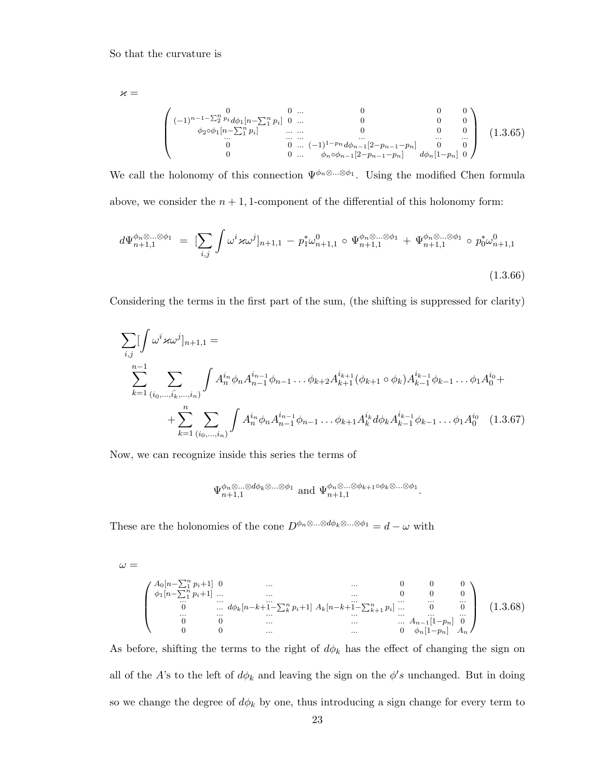$\varkappa =$ 

$$
\begin{pmatrix}\n0 & 0 & \dots & 0 & 0 & 0 \\
(-1)^{n-1-\sum_{2}^{n} p_{i}} d\phi_{1}[n-\sum_{1}^{n} p_{i}] & 0 & \dots & 0 & 0 & 0 \\
\phi_{2} \circ \phi_{1}[n-\sum_{1}^{n} p_{i}] & \dots & \dots & 0 & 0 & 0 \\
\vdots & \vdots & \vdots & \vdots & \vdots & \vdots \\
0 & 0 & \dots & (-1)^{1-p_{n}} d\phi_{n-1}[2-p_{n-1}-p_{n}] & 0 & 0 \\
0 & 0 & \dots & \phi_{n} \circ \phi_{n-1}[2-p_{n-1}-p_{n}] & d\phi_{n}[1-p_{n}] & 0\n\end{pmatrix}
$$
\n(1.3.65)

We call the holonomy of this connection  $\Psi^{\phi_n \otimes \dots \otimes \phi_1}$ . Using the modified Chen formula above, we consider the  $n + 1$ , 1-component of the differential of this holonomy form:

$$
d\Psi_{n+1,1}^{\phi_n \otimes \dots \otimes \phi_1} = \left[ \sum_{i,j} \int \omega^i \varkappa \omega^j \right]_{n+1,1} - p_1^* \omega_{n+1,1}^0 \circ \Psi_{n+1,1}^{\phi_n \otimes \dots \otimes \phi_1} + \Psi_{n+1,1}^{\phi_n \otimes \dots \otimes \phi_1} \circ p_0^* \omega_{n+1,1}^0
$$
\n(1.3.66)

Considering the terms in the first part of the sum, (the shifting is suppressed for clarity)

$$
\sum_{i,j} \left[ \int \omega^i \varkappa \omega^j \right]_{n+1,1} =
$$
\n
$$
\sum_{k=1}^{n-1} \sum_{(i_0, \dots, \hat{i_k}, \dots, i_n)} \int A_n^{i_n} \phi_n A_{n-1}^{i_{n-1}} \phi_{n-1} \dots \phi_{k+2} A_{k+1}^{i_{k+1}} (\phi_{k+1} \circ \phi_k) A_{k-1}^{i_{k-1}} \phi_{k-1} \dots \phi_1 A_0^{i_0} +
$$
\n
$$
+ \sum_{k=1}^n \sum_{(i_0, \dots, i_n)} \int A_n^{i_n} \phi_n A_{n-1}^{i_{n-1}} \phi_{n-1} \dots \phi_{k+1} A_k^{i_k} d\phi_k A_{k-1}^{i_{k-1}} \phi_{k-1} \dots \phi_1 A_0^{i_0} \quad (1.3.67)
$$

Now, we can recognize inside this series the terms of

$$
\Psi_{n+1,1}^{\phi_n\otimes\ldots\otimes d\phi_k\otimes\ldots\otimes\phi_1}\text{ and }\Psi_{n+1,1}^{\phi_n\otimes\ldots\otimes\phi_{k+1}\circ\phi_k\otimes\ldots\otimes\phi_1}.
$$

These are the holonomies of the cone  $D^{\phi_n \otimes \ldots \otimes d_{\phi_k} \otimes \ldots \otimes \phi_1} = d - \omega$  with

$$
\omega =
$$

$$
\begin{pmatrix}\nA_0[n-\sum_{1}^{n} p_i+1] & 0 & \cdots & \cdots & 0 & 0 & 0 \\
\phi_1[n-\sum_{1}^{n} p_i+1] & \cdots & \cdots & \cdots & 0 & 0 & 0 \\
\vdots & \vdots & \ddots & \vdots & \ddots & \vdots & \vdots \\
0 & \cdots & d\phi_k[n-k+1-\sum_{k}^{n} p_i+1] & A_k[n-k+1-\sum_{k+1}^{n} p_i] & \cdots & 0 & 0 \\
\vdots & \vdots & \ddots & \vdots & \ddots & \vdots & \vdots \\
0 & 0 & \cdots & \cdots & \cdots & 0 & \phi_n[1-p_n] & A_n\n\end{pmatrix}
$$
\n(1.3.68)

As before, shifting the terms to the right of  $d\phi_k$  has the effect of changing the sign on all of the A's to the left of  $d\phi_k$  and leaving the sign on the  $\phi's$  unchanged. But in doing so we change the degree of  $d\phi_k$  by one, thus introducing a sign change for every term to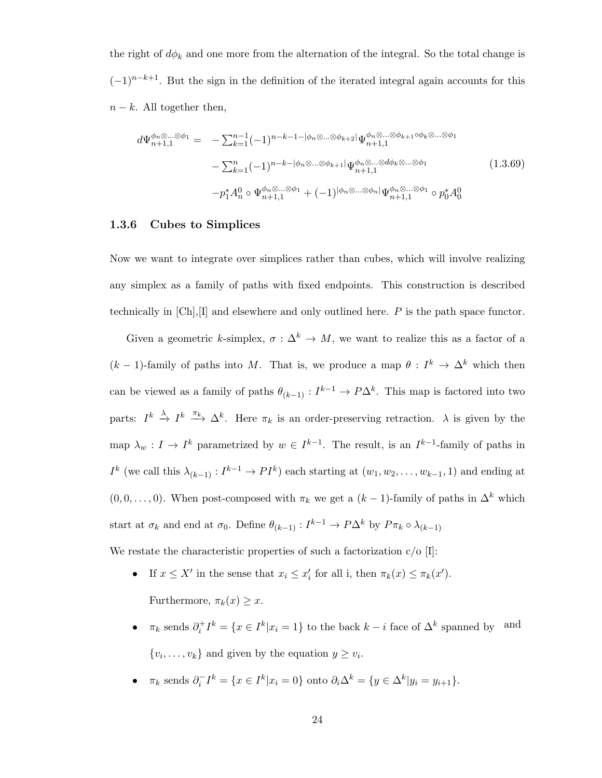the right of  $d\phi_k$  and one more from the alternation of the integral. So the total change is  $(-1)^{n-k+1}$ . But the sign in the definition of the iterated integral again accounts for this  $n - k$ . All together then,

$$
d\Psi_{n+1,1}^{\phi_n \otimes \dots \otimes \phi_1} = -\sum_{k=1}^{n-1} (-1)^{n-k-1-|\phi_n \otimes \dots \otimes \phi_{k+2}|} \Psi_{n+1,1}^{\phi_n \otimes \dots \otimes \phi_{k+1} \circ \phi_k \otimes \dots \otimes \phi_1}
$$
  

$$
-\sum_{k=1}^{n} (-1)^{n-k-|\phi_n \otimes \dots \otimes \phi_{k+1}|} \Psi_{n+1,1}^{\phi_n \otimes \dots \otimes \phi_k \otimes \dots \otimes \phi_1}
$$
  

$$
-p_1^* A_n^0 \circ \Psi_{n+1,1}^{\phi_n \otimes \dots \otimes \phi_1} + (-1)^{|\phi_n \otimes \dots \otimes \phi_n|} \Psi_{n+1,1}^{\phi_n \otimes \dots \otimes \phi_1} \circ p_0^* A_0^0
$$
  
(1.3.69)

#### 1.3.6 Cubes to Simplices

Now we want to integrate over simplices rather than cubes, which will involve realizing any simplex as a family of paths with fixed endpoints. This construction is described technically in  $[Ch], [I]$  and elsewhere and only outlined here. P is the path space functor.

Given a geometric k-simplex,  $\sigma : \Delta^k \to M$ , we want to realize this as a factor of a  $(k-1)$ -family of paths into M. That is, we produce a map  $\theta: I^k \to \Delta^k$  which then can be viewed as a family of paths  $\theta_{(k-1)} : I^{k-1} \to P\Delta^k$ . This map is factored into two parts:  $I^k \xrightarrow{\lambda} I^k \xrightarrow{\pi_k} \Delta^k$ . Here  $\pi_k$  is an order-preserving retraction.  $\lambda$  is given by the map  $\lambda_w: I \to I^k$  parametrized by  $w \in I^{k-1}$ . The result, is an  $I^{k-1}$ -family of paths in  $I^k$  (we call this  $\lambda_{(k-1)} : I^{k-1} \to PI^k$ ) each starting at  $(w_1, w_2, \ldots, w_{k-1}, 1)$  and ending at  $(0, 0, \ldots, 0)$ . When post-composed with  $\pi_k$  we get a  $(k-1)$ -family of paths in  $\Delta^k$  which start at  $\sigma_k$  and end at  $\sigma_0$ . Define  $\theta_{(k-1)} : I^{k-1} \to P\Delta^k$  by  $P\pi_k \circ \lambda_{(k-1)}$ 

We restate the characteristic properties of such a factorization  $c/O$  [I]:

- If  $x \leq X'$  in the sense that  $x_i \leq x'_i$  for all i, then  $\pi_k(x) \leq \pi_k(x')$ .
	- Furthermore,  $\pi_k(x) \geq x$ .
- $\pi_k$  sends  $\partial_i^+ I^k = \{x \in I^k | x_i = 1\}$  to the back  $k i$  face of  $\Delta^k$  spanned by and  $\{v_i, \ldots, v_k\}$  and given by the equation  $y \ge v_i$ .
- $\pi_k$  sends  $\partial_i^- I^k = \{x \in I^k | x_i = 0\}$  onto  $\partial_i \Delta^k = \{y \in \Delta^k | y_i = y_{i+1}\}.$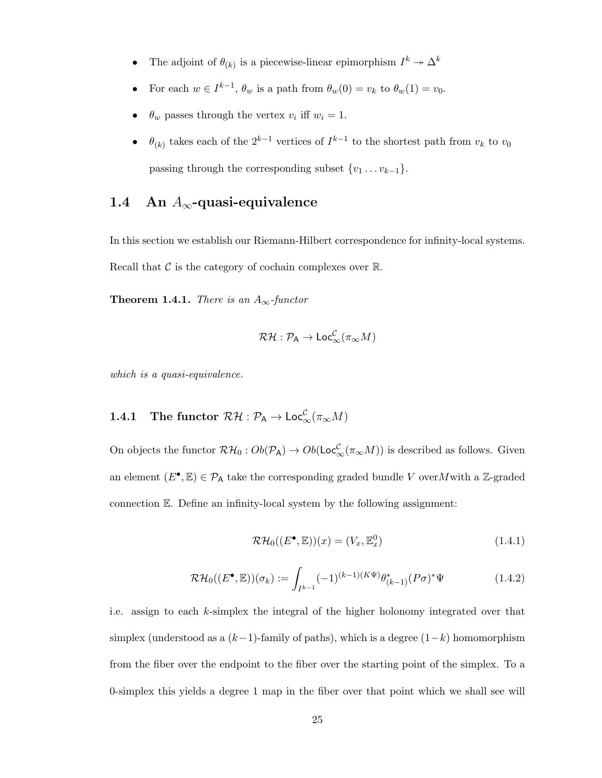- The adjoint of  $\theta_{(k)}$  is a piecewise-linear epimorphism  $I^k \to \Delta^k$
- For each  $w \in I^{k-1}$ ,  $\theta_w$  is a path from  $\theta_w(0) = v_k$  to  $\theta_w(1) = v_0$ .
- $\theta_w$  passes through the vertex  $v_i$  iff  $w_i = 1$ .
- $\theta_{(k)}$  takes each of the  $2^{k-1}$  vertices of  $I^{k-1}$  to the shortest path from  $v_k$  to  $v_0$ passing through the corresponding subset  $\{v_1 \dots v_{k-1}\}.$

### 1.4 An  $A_{\infty}$ -quasi-equivalence

In this section we establish our Riemann-Hilbert correspondence for infinity-local systems. Recall that  $\mathcal C$  is the category of cochain complexes over  $\mathbb R$ .

**Theorem 1.4.1.** There is an  $A_{\infty}$ -functor

$$
\mathcal{RH} : \mathcal{P}_A \to \mathsf{Loc}_{\infty}^{\mathcal{C}}(\pi_{\infty}M)
$$

which is a quasi-equivalence.

## **1.4.1** The functor  $\mathcal{RH} : \mathcal{P}_A \to \mathsf{Loc}^\mathcal{C}_\infty(\pi_\infty M)$

On objects the functor  $\mathcal{RH}_0: Ob(\mathcal{P}_A) \to Ob(\mathsf{Loc}^{\mathcal{C}}_{\infty}(\pi_{\infty}M))$  is described as follows. Given an element  $(E^{\bullet}, \mathbb{E}) \in \mathcal{P}_{A}$  take the corresponding graded bundle V over M with a Z-graded connection E. Define an infinity-local system by the following assignment:

$$
\mathcal{RH}_0((E^{\bullet}, \mathbb{E}))(x) = (V_x, \mathbb{E}^0_x) \tag{1.4.1}
$$

$$
\mathcal{RH}_0((E^{\bullet}, \mathbb{E}))(\sigma_k) := \int_{I^{k-1}} (-1)^{(k-1)(K\Psi)} \theta_{(k-1)}^*(P\sigma)^* \Psi
$$
 (1.4.2)

i.e. assign to each  $k$ -simplex the integral of the higher holonomy integrated over that simplex (understood as a  $(k-1)$ -family of paths), which is a degree  $(1-k)$  homomorphism from the fiber over the endpoint to the fiber over the starting point of the simplex. To a 0-simplex this yields a degree 1 map in the fiber over that point which we shall see will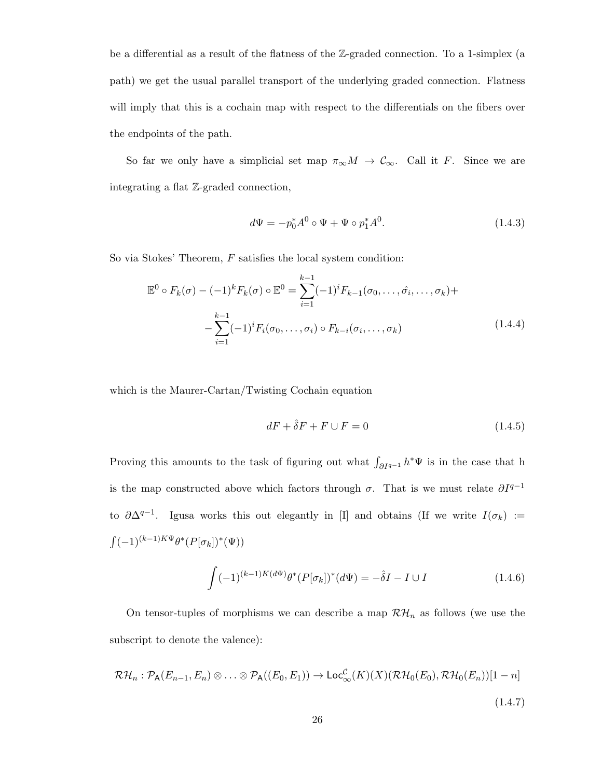be a differential as a result of the flatness of the Z-graded connection. To a 1-simplex (a path) we get the usual parallel transport of the underlying graded connection. Flatness will imply that this is a cochain map with respect to the differentials on the fibers over the endpoints of the path.

So far we only have a simplicial set map  $\pi_{\infty}M \to \mathcal{C}_{\infty}$ . Call it F. Since we are integrating a flat Z-graded connection,

$$
d\Psi = -p_0^* A^0 \circ \Psi + \Psi \circ p_1^* A^0. \tag{1.4.3}
$$

So via Stokes' Theorem,  $F$  satisfies the local system condition:

$$
\mathbb{E}^{0} \circ F_{k}(\sigma) - (-1)^{k} F_{k}(\sigma) \circ \mathbb{E}^{0} = \sum_{i=1}^{k-1} (-1)^{i} F_{k-1}(\sigma_{0}, \dots, \hat{\sigma_{i}}, \dots, \sigma_{k}) +
$$

$$
- \sum_{i=1}^{k-1} (-1)^{i} F_{i}(\sigma_{0}, \dots, \sigma_{i}) \circ F_{k-i}(\sigma_{i}, \dots, \sigma_{k}) \qquad (1.4.4)
$$

which is the Maurer-Cartan/Twisting Cochain equation

$$
dF + \hat{\delta}F + F \cup F = 0 \tag{1.4.5}
$$

Proving this amounts to the task of figuring out what  $\int_{\partial I^{q-1}} h^* \Psi$  is in the case that h is the map constructed above which factors through  $\sigma$ . That is we must relate  $\partial I^{q-1}$ to  $\partial \Delta^{q-1}$ . Igusa works this out elegantly in [I] and obtains (If we write  $I(\sigma_k) :=$  $\int (-1)^{(k-1)K\Psi}\theta^*(P[\sigma_k])^*(\Psi))$ 

$$
\int (-1)^{(k-1)K(d\Psi)} \theta^* (P[\sigma_k])^* (d\Psi) = -\hat{\delta} I - I \cup I \tag{1.4.6}
$$

On tensor-tuples of morphisms we can describe a map  $\mathcal{RH}_n$  as follows (we use the subscript to denote the valence):

$$
\mathcal{RH}_n: \mathcal{P}_A(E_{n-1}, E_n) \otimes \ldots \otimes \mathcal{P}_A((E_0, E_1)) \to \mathsf{Loc}_{\infty}^{\mathcal{C}}(K)(X)(\mathcal{RH}_0(E_0), \mathcal{RH}_0(E_n))[1-n]
$$
\n(1.4.7)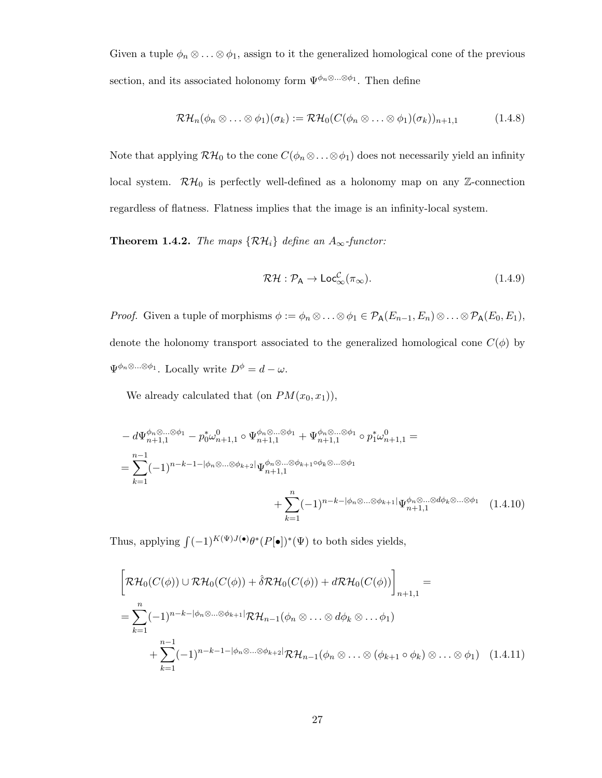Given a tuple  $\phi_n \otimes \ldots \otimes \phi_1$ , assign to it the generalized homological cone of the previous section, and its associated holonomy form  $\Psi^{\phi_n \otimes \dots \otimes \phi_1}$ . Then define

$$
\mathcal{RH}_n(\phi_n \otimes \ldots \otimes \phi_1)(\sigma_k) := \mathcal{RH}_0(C(\phi_n \otimes \ldots \otimes \phi_1)(\sigma_k))_{n+1,1} \tag{1.4.8}
$$

Note that applying  $\mathcal{RH}_0$  to the cone  $C(\phi_n \otimes \ldots \otimes \phi_1)$  does not necessarily yield an infinity local system.  $\mathcal{RH}_{0}$  is perfectly well-defined as a holonomy map on any Z-connection regardless of flatness. Flatness implies that the image is an infinity-local system.

**Theorem 1.4.2.** The maps  $\{RH_i\}$  define an  $A_{\infty}$ -functor:

$$
\mathcal{RH} : \mathcal{P}_A \to \mathsf{Loc}_{\infty}^{\mathcal{C}}(\pi_{\infty}). \tag{1.4.9}
$$

Proof. Given a tuple of morphisms  $\phi := \phi_n \otimes \ldots \otimes \phi_1 \in \mathcal{P}_A(E_{n-1}, E_n) \otimes \ldots \otimes \mathcal{P}_A(E_0, E_1)$ , denote the holonomy transport associated to the generalized homological cone  $C(\phi)$  by  $\Psi^{\phi_n \otimes \ldots \otimes \phi_1}$ . Locally write  $D^{\phi} = d - \omega$ .

We already calculated that (on  $PM(x_0, x_1)$ ),

$$
- d\Psi_{n+1,1}^{\phi_n \otimes \dots \otimes \phi_1} - p_0^* \omega_{n+1,1}^0 \circ \Psi_{n+1,1}^{\phi_n \otimes \dots \otimes \phi_1} + \Psi_{n+1,1}^{\phi_n \otimes \dots \otimes \phi_1} \circ p_1^* \omega_{n+1,1}^0 =
$$
  
= 
$$
\sum_{k=1}^{n-1} (-1)^{n-k-1-|\phi_n \otimes \dots \otimes \phi_{k+2}|} \Psi_{n+1,1}^{\phi_n \otimes \dots \otimes \phi_{k+1} \circ \phi_k \otimes \dots \otimes \phi_1}
$$
  
+ 
$$
\sum_{k=1}^n (-1)^{n-k-|\phi_n \otimes \dots \otimes \phi_{k+1}|} \Psi_{n+1,1}^{\phi_n \otimes \dots \otimes \phi_k \otimes \dots \otimes \phi_1} (1.4.10)
$$

Thus, applying  $\int (-1)^{K(\Psi)J(\bullet)} \theta^*(P[\bullet])^*(\Psi)$  to both sides yields,

$$
\left[\mathcal{RH}_{0}(C(\phi)) \cup \mathcal{RH}_{0}(C(\phi)) + \hat{\delta} \mathcal{RH}_{0}(C(\phi)) + d\mathcal{RH}_{0}(C(\phi))\right]_{n+1,1} =
$$
\n
$$
= \sum_{k=1}^{n} (-1)^{n-k-|\phi_{n}\otimes...\otimes\phi_{k+1}|} \mathcal{RH}_{n-1}(\phi_{n}\otimes...\otimes d\phi_{k}\otimes...\phi_{1}) + \sum_{k=1}^{n-1} (-1)^{n-k-1-|\phi_{n}\otimes...\otimes\phi_{k+2}|} \mathcal{RH}_{n-1}(\phi_{n}\otimes...\otimes (\phi_{k+1}\circ\phi_{k})\otimes...\otimes \phi_{1}) \quad (1.4.11)
$$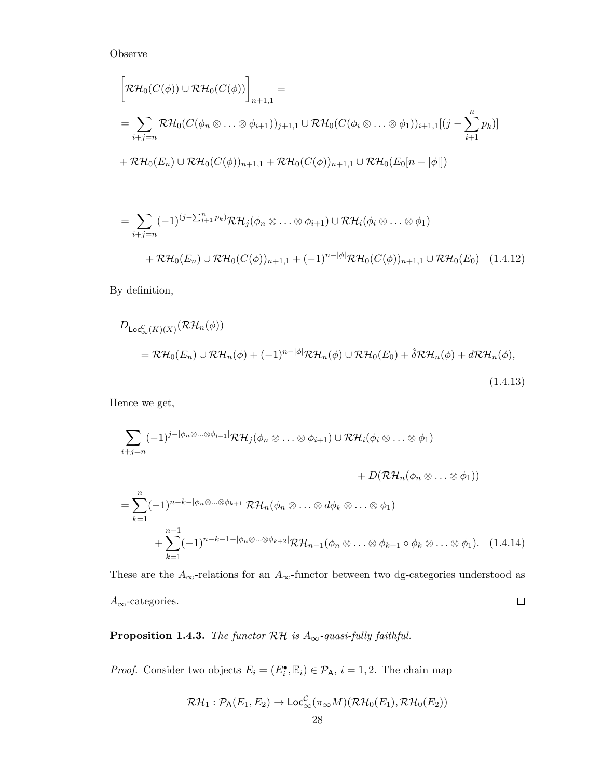Observe

$$
\[\mathcal{RH}_0(C(\phi)) \cup \mathcal{RH}_0(C(\phi))\]_{n+1,1} =\n= \sum_{i+j=n} \mathcal{RH}_0(C(\phi_n \otimes \ldots \otimes \phi_{i+1}))_{j+1,1} \cup \mathcal{RH}_0(C(\phi_i \otimes \ldots \otimes \phi_1))_{i+1,1}[(j-\sum_{i+1}^n p_k)]\n+ \mathcal{RH}_0(E_n) \cup \mathcal{RH}_0(C(\phi))_{n+1,1} + \mathcal{RH}_0(C(\phi))_{n+1,1} \cup \mathcal{RH}_0(E_0[n-|\phi|])\n\]
$$

$$
= \sum_{i+j=n} (-1)^{(j-\sum_{i=1}^{n} p_k)} \mathcal{RH}_j(\phi_n \otimes \dots \otimes \phi_{i+1}) \cup \mathcal{RH}_i(\phi_i \otimes \dots \otimes \phi_1)
$$
  
+  $\mathcal{RH}_0(E_n) \cup \mathcal{RH}_0(C(\phi))_{n+1,1} + (-1)^{n-|\phi|} \mathcal{RH}_0(C(\phi))_{n+1,1} \cup \mathcal{RH}_0(E_0)$  (1.4.12)

By definition,

$$
D_{\mathsf{Loc}_{\infty}^{\mathcal{C}}(K)(X)}(\mathcal{RH}_{n}(\phi))
$$
  
=  $\mathcal{RH}_{0}(E_{n}) \cup \mathcal{RH}_{n}(\phi) + (-1)^{n-|\phi|}\mathcal{RH}_{n}(\phi) \cup \mathcal{RH}_{0}(E_{0}) + \hat{\delta}\mathcal{RH}_{n}(\phi) + d\mathcal{RH}_{n}(\phi),$   
(1.4.13)

Hence we get,

$$
\sum_{i+j=n} (-1)^{j-|\phi_n \otimes \dots \otimes \phi_{i+1}|} \mathcal{RH}_j(\phi_n \otimes \dots \otimes \phi_{i+1}) \cup \mathcal{RH}_i(\phi_i \otimes \dots \otimes \phi_1)
$$
  
+  $D(\mathcal{RH}_n(\phi_n \otimes \dots \otimes \phi_1))$   
=  $\sum_{k=1}^n (-1)^{n-k-|\phi_n \otimes \dots \otimes \phi_{k+1}|} \mathcal{RH}_n(\phi_n \otimes \dots \otimes d\phi_k \otimes \dots \otimes \phi_1)$   
+  $\sum_{k=1}^{n-1} (-1)^{n-k-1-|\phi_n \otimes \dots \otimes \phi_{k+2}|} \mathcal{RH}_{n-1}(\phi_n \otimes \dots \otimes \phi_{k+1} \circ \phi_k \otimes \dots \otimes \phi_1).$  (1.4.14)

These are the  $A_\infty\text{-relations}$  for an  $A_\infty\text{-functor}$  between two dg-categories understood as  $\Box$  $A_{\infty}$ -categories.

**Proposition 1.4.3.** The functor  $\mathcal{RH}$  is  $A_{\infty}$ -quasi-fully faithful.

*Proof.* Consider two objects  $E_i = (E_i^{\bullet}, \mathbb{E}_i) \in \mathcal{P}_A$ ,  $i = 1, 2$ . The chain map

$$
\mathcal{RH}_1: \mathcal{P}_{\mathsf{A}}(E_1, E_2) \to \mathsf{Loc}_{\infty}^{\mathcal{C}}(\pi_{\infty}M)(\mathcal{RH}_0(E_1), \mathcal{RH}_0(E_2))
$$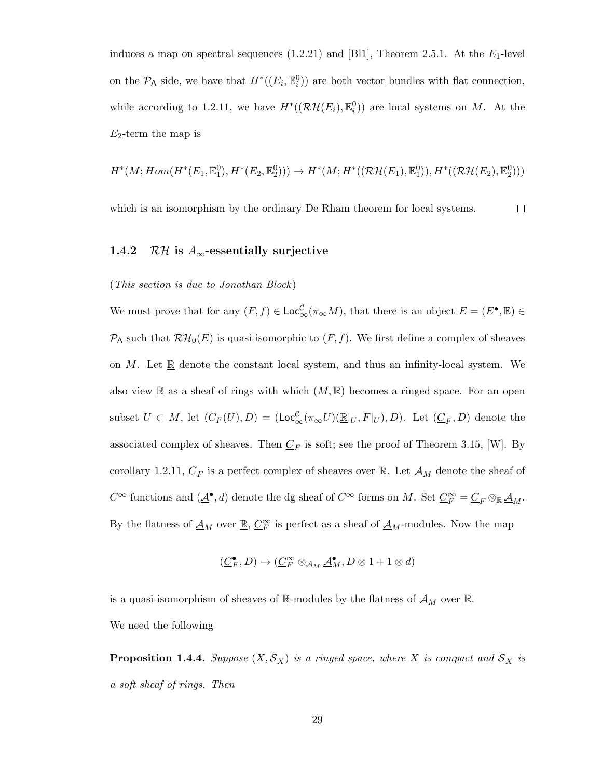induces a map on spectral sequences  $(1.2.21)$  and [Bl1], Theorem 2.5.1. At the  $E_1$ -level on the  $\mathcal{P}_{\mathsf{A}}$  side, we have that  $H^*((E_i, \mathbb{E}_i^0))$  are both vector bundles with flat connection, while according to 1.2.11, we have  $H^*(\mathcal{RH}(E_i), \mathbb{E}_i^0)$  are local systems on M. At the  $E_2$ -term the map is

$$
H^*(M; Hom(H^*(E_1, \mathbb{E}^0_1), H^*(E_2, \mathbb{E}^0_2))) \to H^*(M; H^*((\mathcal{RH}(E_1), \mathbb{E}^0_1)), H^*((\mathcal{RH}(E_2), \mathbb{E}^0_2)))
$$

which is an isomorphism by the ordinary De Rham theorem for local systems.  $\Box$ 

#### 1.4.2 RH is  $A_{\infty}$ -essentially surjective

#### (This section is due to Jonathan Block )

We must prove that for any  $(F, f) \in \mathsf{Loc}_{\infty}^{\mathcal{C}}(\pi_{\infty}M)$ , that there is an object  $E = (E^{\bullet}, \mathbb{E}) \in$  $\mathcal{P}_{\mathsf{A}}$  such that  $\mathcal{RH}_{0}(E)$  is quasi-isomorphic to  $(F, f)$ . We first define a complex of sheaves on M. Let  $\mathbb R$  denote the constant local system, and thus an infinity-local system. We also view  $\mathbb R$  as a sheaf of rings with which  $(M, \mathbb R)$  becomes a ringed space. For an open subset  $U \subset M$ , let  $(C_F(U), D) = (Loc_{\infty}^{C}(\pi_{\infty}U)(\mathbb{R}|_U, F|_U), D)$ . Let  $(\underline{C}_F, D)$  denote the associated complex of sheaves. Then  $C_F$  is soft; see the proof of Theorem 3.15, [W]. By corollary 1.2.11,  $\underline{C}_F$  is a perfect complex of sheaves over  $\underline{\mathbb{R}}$ . Let  $\underline{A}_M$  denote the sheaf of  $C^{\infty}$  functions and  $(\underline{\mathcal{A}}^{\bullet}, d)$  denote the dg sheaf of  $C^{\infty}$  forms on M. Set  $\underline{C}_F^{\infty} = \underline{C}_F \otimes_{\mathbb{R}} \underline{\mathcal{A}}_M$ . By the flatness of  $\underline{\mathcal{A}}_M$  over  $\underline{\mathbb{R}}$ ,  $\underline{C}_F^{\infty}$  is perfect as a sheaf of  $\underline{\mathcal{A}}_M$ -modules. Now the map

$$
(\underline{C}_F^\bullet,D)\to (\underline{C}_F^\infty\otimes_{\underline{\mathcal{A}}_M}\underline{\mathcal{A}}^\bullet_M,D\otimes 1+1\otimes d)
$$

is a quasi-isomorphism of sheaves of  $\underline{\mathbb{R}}$ -modules by the flatness of  $\underline{\mathcal{A}}_M$  over  $\underline{\mathbb{R}}$ . We need the following

**Proposition 1.4.4.** Suppose  $(X, \mathcal{S}_X)$  is a ringed space, where X is compact and  $\mathcal{S}_X$  is a soft sheaf of rings. Then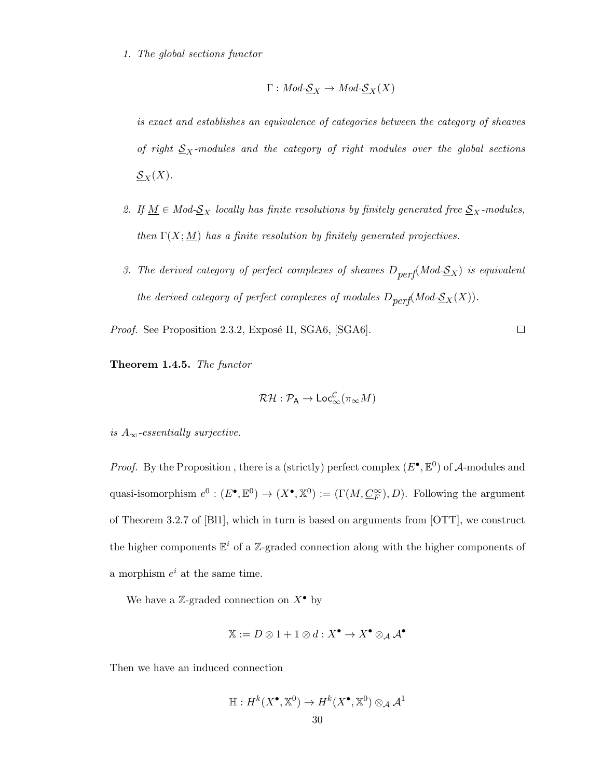1. The global sections functor

$$
\Gamma: Mod\text{-}\underline{\mathcal{S}}_X \to Mod\text{-}\underline{\mathcal{S}}_X(X)
$$

is exact and establishes an equivalence of categories between the category of sheaves of right  $S_X$ -modules and the category of right modules over the global sections  $\underline{\mathcal{S}}_X(X).$ 

- 2. If  $\underline{M} \in Mod-S_X$  locally has finite resolutions by finitely generated free  $S_X$ -modules, then  $\Gamma(X; M)$  has a finite resolution by finitely generated projectives.
- 3. The derived category of perfect complexes of sheaves  $D_{perf}(Mod-\underline{S}_X)$  is equivalent the derived category of perfect complexes of modules  $D_{perf}(Mod-\underline{\mathcal{S}}_X(X)).$

 $\Box$ 

Proof. See Proposition 2.3.2, Exposé II, SGA6, [SGA6].

Theorem 1.4.5. The functor

$$
\mathcal{RH}:\mathcal{P}_\mathsf{A}\to \mathsf{Loc}^\mathcal{C}_\infty(\pi_\infty M)
$$

is  $A_{\infty}$ -essentially surjective.

*Proof.* By the Proposition, there is a (strictly) perfect complex  $(E^{\bullet}, \mathbb{E}^0)$  of A-modules and quasi-isomorphism  $e^0 : (E^{\bullet}, \mathbb{E}^0) \to (X^{\bullet}, \mathbb{X}^0) := (\Gamma(M, \underline{C_F^{\infty}}), D)$ . Following the argument of Theorem 3.2.7 of [Bl1], which in turn is based on arguments from [OTT], we construct the higher components  $\mathbb{E}^i$  of a Z-graded connection along with the higher components of a morphism  $e^i$  at the same time.

We have a Z-graded connection on  $X^{\bullet}$  by

$$
\mathbb{X}:=D\otimes 1+1\otimes d:X^\bullet\to X^\bullet\otimes_{\mathcal{A}}\mathcal{A}^\bullet
$$

Then we have an induced connection

$$
\mathbb{H}: H^k(X^\bullet, \mathbb{X}^0) \to H^k(X^\bullet, \mathbb{X}^0) \otimes_{\mathcal{A}} \mathcal{A}^1
$$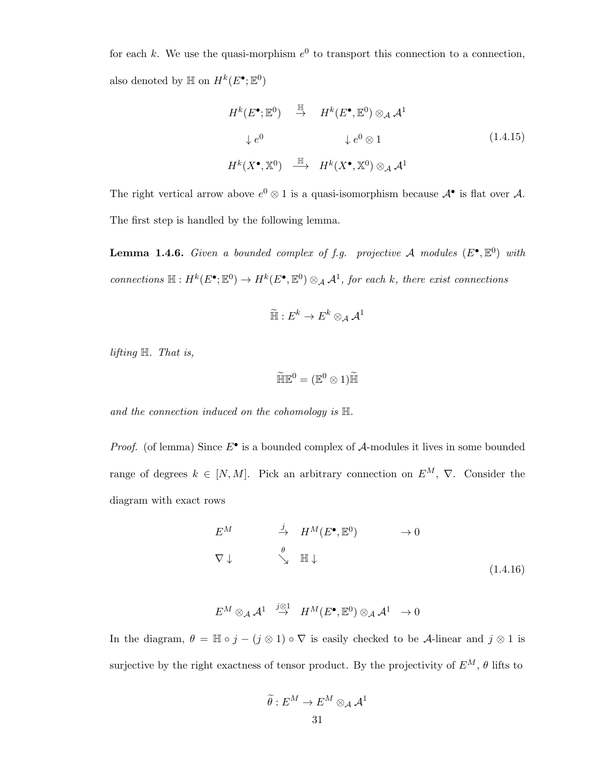for each k. We use the quasi-morphism  $e^0$  to transport this connection to a connection, also denoted by  $\mathbb H$  on  $H^k(E^{\bullet}; \mathbb E^0)$ 

$$
H^{k}(E^{\bullet}; \mathbb{E}^{0}) \stackrel{\mathbb{H}}{\to} H^{k}(E^{\bullet}, \mathbb{E}^{0}) \otimes_{\mathcal{A}} \mathcal{A}^{1}
$$
  
\n
$$
\downarrow e^{0} \qquad \qquad \downarrow e^{0} \otimes 1 \qquad (1.4.15)
$$
  
\n
$$
H^{k}(X^{\bullet}, \mathbb{X}^{0}) \stackrel{\mathbb{H}}{\longrightarrow} H^{k}(X^{\bullet}, \mathbb{X}^{0}) \otimes_{\mathcal{A}} \mathcal{A}^{1}
$$

The right vertical arrow above  $e^0 \otimes 1$  is a quasi-isomorphism because  $\mathcal{A}^{\bullet}$  is flat over  $\mathcal{A}$ . The first step is handled by the following lemma.

**Lemma 1.4.6.** Given a bounded complex of f.g. projective A modules  $(E^{\bullet}, \mathbb{E}^0)$  with connections  $\mathbb{H}: H^k(E^{\bullet}; \mathbb{E}^0) \to H^k(E^{\bullet}, \mathbb{E}^0) \otimes_A \mathcal{A}^1$ , for each k, there exist connections

$$
\widetilde{\mathbb{H}}: E^k \to E^k \otimes_{\mathcal{A}} \mathcal{A}^1
$$

lifting H. That is,

$$
\widetilde{\mathbb{H}}\mathbb{E}^0 = (\mathbb{E}^0 \otimes 1)\widetilde{\mathbb{H}}
$$

and the connection induced on the cohomology is  $\mathbb H$ .

*Proof.* (of lemma) Since  $E^{\bullet}$  is a bounded complex of  $A$ -modules it lives in some bounded range of degrees  $k \in [N, M]$ . Pick an arbitrary connection on  $E^M$ ,  $\nabla$ . Consider the diagram with exact rows

$$
E^M \qquad \xrightarrow{j} H^M(E^{\bullet}, \mathbb{E}^0) \qquad \rightarrow 0
$$
  

$$
\nabla \downarrow \qquad \searrow \qquad \mathbb{H} \downarrow \qquad (1.4.16)
$$

$$
E^M \otimes_{\mathcal{A}} {\mathcal{A}}^1 \ \stackrel{j \otimes 1}{\rightarrow} \ H^M(E^\bullet, \mathbb{E}^0) \otimes_{\mathcal{A}} {\mathcal{A}}^1 \ \rightarrow 0
$$

In the diagram,  $\theta = \mathbb{H} \circ j - (j \otimes 1) \circ \nabla$  is easily checked to be A-linear and  $j \otimes 1$  is surjective by the right exactness of tensor product. By the projectivity of  $E^M$ ,  $\theta$  lifts to

$$
\widetilde{\theta}: E^M \to E^M \otimes_{\mathcal{A}} \mathcal{A}^1
$$
31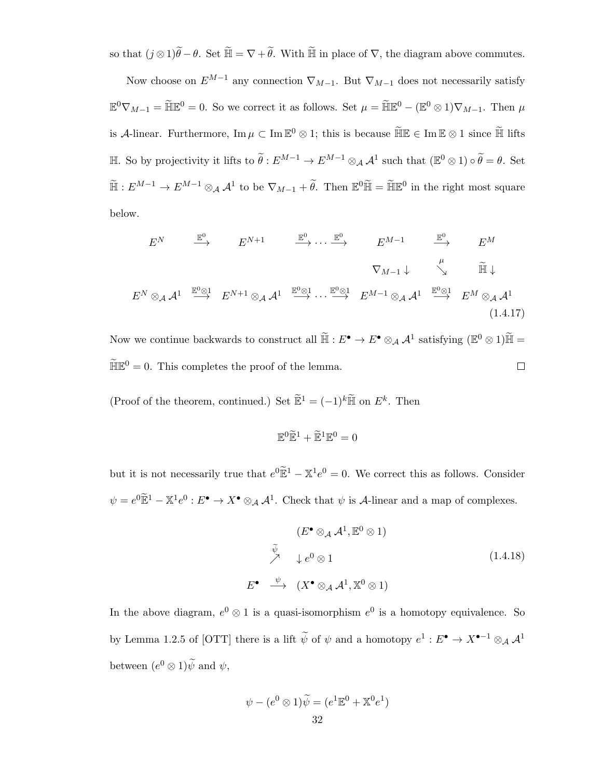so that  $(j \otimes 1)\widetilde{\theta} - \theta$ . Set  $\widetilde{\mathbb{H}} = \nabla + \widetilde{\theta}$ . With  $\widetilde{\mathbb{H}}$  in place of  $\nabla$ , the diagram above commutes.

Now choose on  $E^{M-1}$  any connection  $\nabla_{M-1}$ . But  $\nabla_{M-1}$  does not necessarily satisfy  $\mathbb{E}^0 \nabla_{M-1} = \widetilde{\mathbb{H}} \mathbb{E}^0 = 0$ . So we correct it as follows. Set  $\mu = \widetilde{\mathbb{H}} \mathbb{E}^0 - (\mathbb{E}^0 \otimes 1) \nabla_{M-1}$ . Then  $\mu$ is A-linear. Furthermore,  $\text{Im}\,\mu \subset \text{Im}\,\mathbb{E}^0 \otimes 1$ ; this is because  $\widetilde{\mathbb{H}}\mathbb{E} \in \text{Im}\,\mathbb{E} \otimes 1$  since  $\widetilde{\mathbb{H}}$  lifts  $\mathbb{H}$ . So by projectivity it lifts to  $\widetilde{\theta}$  :  $E^{M-1}$  →  $E^{M-1}$  ⊗<sub>A</sub>  $\mathcal{A}^1$  such that  $(\mathbb{E}^0 \otimes 1) \circ \widetilde{\theta} = \theta$ . Set  $\widetilde{\mathbb{H}}: E^{M-1} \to E^{M-1} \otimes_{\mathcal{A}} \mathcal{A}^1$  to be  $\nabla_{M-1} + \widetilde{\theta}$ . Then  $\mathbb{E}^0 \widetilde{\mathbb{H}} = \widetilde{\mathbb{H}} \mathbb{E}^0$  in the right most square below.

$$
E^{N} \xrightarrow{\mathbb{E}^{0}} E^{N+1} \xrightarrow{\mathbb{E}^{0}} \cdots \xrightarrow{\mathbb{E}^{0}} E^{M-1} \xrightarrow{\mathbb{E}^{0}} E^{M}
$$
  

$$
\nabla_{M-1} \downarrow \searrow^{\mu} \widetilde{\mathbb{H}} \downarrow
$$
  

$$
E^{N} \otimes_{\mathcal{A}} \mathcal{A}^{1} \xrightarrow{\mathbb{E}^{0} \otimes 1} E^{N+1} \otimes_{\mathcal{A}} \mathcal{A}^{1} \xrightarrow{\mathbb{E}^{0} \otimes 1} E^{M-1} \otimes_{\mathcal{A}} \mathcal{A}^{1} \xrightarrow{\mathbb{E}^{0} \otimes 1} E^{M} \otimes_{\mathcal{A}} \mathcal{A}^{1}
$$
  
(1.4.17)

Now we continue backwards to construct all  $\widetilde{\mathbb{H}} : E^{\bullet} \to E^{\bullet} \otimes_A \mathcal{A}^1$  satisfying  $(\mathbb{E}^0 \otimes 1)\widetilde{\mathbb{H}} =$  $\widetilde{\mathbb{H}}\mathbb{E}^0=0$ . This completes the proof of the lemma.  $\Box$ 

(Proof of the theorem, continued.) Set  $\widetilde{\mathbb{E}}^1 = (-1)^k \widetilde{\mathbb{H}}$  on  $E^k$ . Then

$$
\mathbb{E}^0\widetilde{\mathbb{E}}^1 + \widetilde{\mathbb{E}}^1\mathbb{E}^0 = 0
$$

but it is not necessarily true that  $e^{0}\tilde{E}^{1} - \mathbb{X}^{1}e^{0} = 0$ . We correct this as follows. Consider  $\psi = e^{0} \widetilde{\mathbb{E}}^{1} - \mathbb{X}^{1} e^{0} : E^{\bullet} \to X^{\bullet} \otimes_{\mathcal{A}} \mathcal{A}^{1}$ . Check that  $\psi$  is A-linear and a map of complexes.

$$
(E^{\bullet} \otimes_{\mathcal{A}} \mathcal{A}^{1}, \mathbb{E}^{0} \otimes 1)
$$
  
\n
$$
\stackrel{\tilde{\psi}}{\nearrow} \downarrow e^{0} \otimes 1
$$
  
\n
$$
E^{\bullet} \stackrel{\psi}{\longrightarrow} (X^{\bullet} \otimes_{\mathcal{A}} \mathcal{A}^{1}, \mathbb{X}^{0} \otimes 1)
$$
  
\n(1.4.18)

In the above diagram,  $e^0 \otimes 1$  is a quasi-isomorphism  $e^0$  is a homotopy equivalence. So by Lemma 1.2.5 of [OTT] there is a lift  $\tilde{\psi}$  of  $\psi$  and a homotopy  $e^1: E^{\bullet} \to X^{\bullet-1} \otimes_{\mathcal{A}} \mathcal{A}^1$ between  $(e^0 \otimes 1)\tilde{\psi}$  and  $\psi$ ,

$$
\psi - (e^0 \otimes 1)\widetilde{\psi} = (e^1 \mathbb{E}^0 + \mathbb{X}^0 e^1)
$$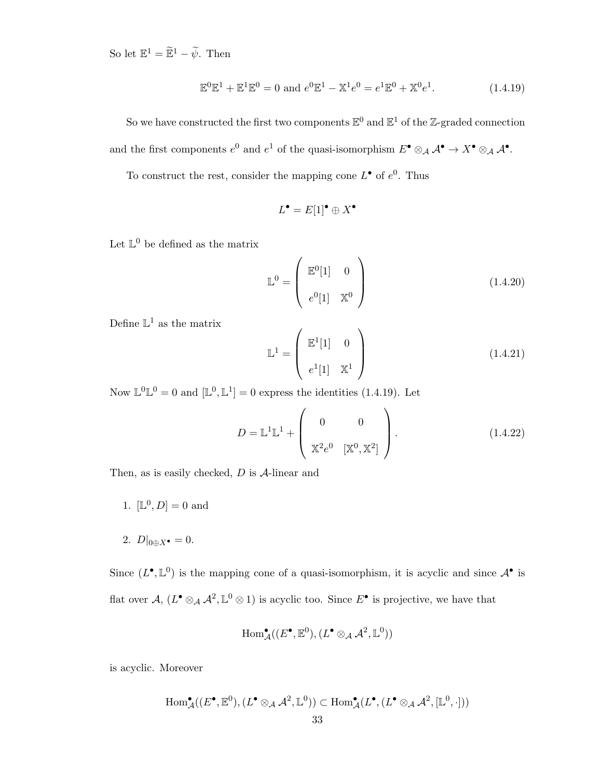So let  $\mathbb{E}^1 = \widetilde{\mathbb{E}}^1 - \widetilde{\psi}$ . Then

$$
\mathbb{E}^{0}\mathbb{E}^{1} + \mathbb{E}^{1}\mathbb{E}^{0} = 0 \text{ and } e^{0}\mathbb{E}^{1} - \mathbb{X}^{1}e^{0} = e^{1}\mathbb{E}^{0} + \mathbb{X}^{0}e^{1}.
$$
 (1.4.19)

So we have constructed the first two components  $\mathbb{E}^0$  and  $\mathbb{E}^1$  of the Z-graded connection and the first components  $e^0$  and  $e^1$  of the quasi-isomorphism  $E^{\bullet} \otimes_{\mathcal{A}} \mathcal{A}^{\bullet} \to X^{\bullet} \otimes_{\mathcal{A}} \mathcal{A}^{\bullet}$ .

To construct the rest, consider the mapping cone  $L^{\bullet}$  of  $e^{0}$ . Thus

$$
L^{\bullet} = E[1]^{\bullet} \oplus X^{\bullet}
$$

Let  $\mathbb{L}^0$  be defined as the matrix

$$
\mathbb{L}^0 = \begin{pmatrix} \mathbb{E}^0[1] & 0 \\ e^0[1] & \mathbb{X}^0 \end{pmatrix}
$$
 (1.4.20)

Define  $\mathbb{L}^1$  as the matrix

$$
\mathbb{L}^{1} = \begin{pmatrix} \mathbb{E}^{1}[1] & 0 \\ e^{1}[1] & \mathbb{X}^{1} \end{pmatrix}
$$
 (1.4.21)

Now  $\mathbb{L}^0 \mathbb{L}^0 = 0$  and  $[\mathbb{L}^0, \mathbb{L}^1] = 0$  express the identities (1.4.19). Let

$$
D = \mathbb{L}^{1} \mathbb{L}^{1} + \begin{pmatrix} 0 & 0 \\ \mathbb{X}^{2} e^{0} & [\mathbb{X}^{0}, \mathbb{X}^{2}] \end{pmatrix}.
$$
 (1.4.22)

Then, as is easily checked,  $D$  is  $A$ -linear and

- 1.  $[L^0, D] = 0$  and
- 2.  $D|_{0 \oplus X^{\bullet}} = 0.$

Since  $(L^{\bullet}, \mathbb{L}^0)$  is the mapping cone of a quasi-isomorphism, it is acyclic and since  $\mathcal{A}^{\bullet}$  is flat over  $\mathcal{A}, \, (L^{\bullet} \otimes_{\mathcal{A}} \mathcal{A}^2, \mathbb{L}^0 \otimes 1)$  is acyclic too. Since  $E^{\bullet}$  is projective, we have that

$$
\operatorname{Hom}\nolimits^\bullet_{\mathcal{A}}((E^\bullet,\mathbb{E}^0),(L^\bullet \otimes_{\mathcal{A}} \mathcal{A}^2,\mathbb{L}^0))
$$

is acyclic. Moreover

$$
\operatorname{Hom}^{\bullet}_{\mathcal{A}}((E^{\bullet}, \mathbb{E}^0), (L^{\bullet} \otimes_{\mathcal{A}} \mathcal{A}^2, \mathbb{L}^0)) \subset \operatorname{Hom}^{\bullet}_{\mathcal{A}}(L^{\bullet}, (L^{\bullet} \otimes_{\mathcal{A}} \mathcal{A}^2, [\mathbb{L}^0, \cdot]))
$$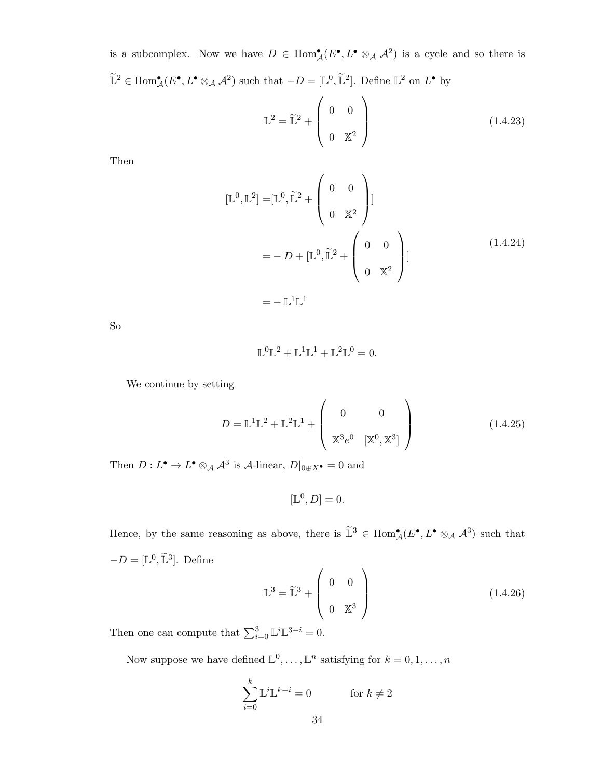is a subcomplex. Now we have  $D \in \text{Hom}_{\mathcal{A}}^{\bullet}(E^{\bullet}, L^{\bullet} \otimes_{\mathcal{A}} \mathcal{A}^2)$  is a cycle and so there is  $\widetilde{\mathbb{L}}^2 \in \text{Hom}_{\mathcal{A}}^{\bullet}(E^{\bullet}, L^{\bullet} \otimes_{\mathcal{A}} \mathcal{A}^2)$  such that  $-D = [\mathbb{L}^0, \widetilde{\mathbb{L}}^2]$ . Define  $\mathbb{L}^2$  on  $L^{\bullet}$  by

$$
\mathbb{L}^2 = \widetilde{\mathbb{L}}^2 + \begin{pmatrix} 0 & 0 \\ 0 & \mathbb{X}^2 \end{pmatrix}
$$
 (1.4.23)

Then

$$
[\mathbb{L}^0, \mathbb{L}^2] = [\mathbb{L}^0, \widetilde{\mathbb{L}}^2 + \begin{pmatrix} 0 & 0 \\ 0 & \mathbb{X}^2 \end{pmatrix}]
$$
  
= -D + [\mathbb{L}^0, \widetilde{\mathbb{L}}^2 + \begin{pmatrix} 0 & 0 \\ 0 & \mathbb{X}^2 \end{pmatrix}]  
= -\mathbb{L}^1 \mathbb{L}^1 (1.4.24)

So

$$
\mathbb{L}^0 \mathbb{L}^2 + \mathbb{L}^1 \mathbb{L}^1 + \mathbb{L}^2 \mathbb{L}^0 = 0.
$$

We continue by setting

$$
D = \mathbb{L}^{1} \mathbb{L}^{2} + \mathbb{L}^{2} \mathbb{L}^{1} + \begin{pmatrix} 0 & 0 \\ \mathbb{X}^{3} e^{0} & [\mathbb{X}^{0}, \mathbb{X}^{3}] \end{pmatrix}
$$
 (1.4.25)

Then  $D: L^{\bullet} \to L^{\bullet} \otimes_{\mathcal{A}} \mathcal{A}^3$  is  $\mathcal{A}\text{-linear}, D|_{0 \oplus X^{\bullet}} = 0$  and

$$
[\mathbb{L}^0, D] = 0.
$$

Hence, by the same reasoning as above, there is  $\mathbb{L}^3 \in \text{Hom}_{\mathcal{A}}^{\bullet}(E^{\bullet}, L^{\bullet} \otimes_{\mathcal{A}} \mathcal{A}^3)$  such that  $-D = [\mathbb{L}^0, \tilde{\mathbb{L}}^3]$ . Define

$$
\mathbb{L}^3 = \widetilde{\mathbb{L}}^3 + \begin{pmatrix} 0 & 0 \\ 0 & \mathbb{X}^3 \end{pmatrix}
$$
 (1.4.26)

Then one can compute that  $\sum_{i=0}^{3} \mathbb{L}^{i} \mathbb{L}^{3-i} = 0$ .

Now suppose we have defined  $\mathbb{L}^0, \ldots, \mathbb{L}^n$  satisfying for  $k = 0, 1, \ldots, n$ 

$$
\sum_{i=0}^{k} \mathbb{L}^{i} \mathbb{L}^{k-i} = 0 \qquad \text{for } k \neq 2
$$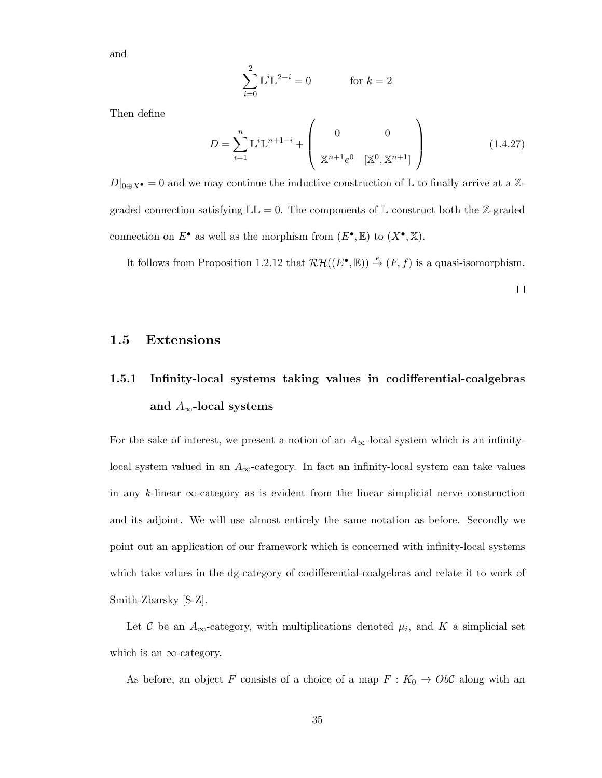and

$$
\sum_{i=0}^{2} \mathbb{L}^{i} \mathbb{L}^{2-i} = 0 \qquad \text{for } k = 2
$$

Then define

$$
D = \sum_{i=1}^{n} \mathbb{L}^{i} \mathbb{L}^{n+1-i} + \begin{pmatrix} 0 & 0 \\ \mathbb{X}^{n+1} e^{0} & [\mathbb{X}^{0}, \mathbb{X}^{n+1}] \end{pmatrix}
$$
 (1.4.27)

 $D|_{0 \oplus X^{\bullet}} = 0$  and we may continue the inductive construction of L to finally arrive at a Zgraded connection satisfying  $\mathbb{LL} = 0$ . The components of  $\mathbb L$  construct both the Z-graded connection on  $E^{\bullet}$  as well as the morphism from  $(E^{\bullet}, \mathbb{E})$  to  $(X^{\bullet}, \mathbb{X})$ .

It follows from Proposition 1.2.12 that  $\mathcal{RH}((E^{\bullet}, \mathbb{E})) \stackrel{e}{\rightarrow} (F, f)$  is a quasi-isomorphism.

 $\Box$ 

#### 1.5 Extensions

# 1.5.1 Infinity-local systems taking values in codifferential-coalgebras and  $A_{\infty}$ -local systems

For the sake of interest, we present a notion of an  $A_{\infty}$ -local system which is an infinitylocal system valued in an  $A_{\infty}$ -category. In fact an infinity-local system can take values in any k-linear  $\infty$ -category as is evident from the linear simplicial nerve construction and its adjoint. We will use almost entirely the same notation as before. Secondly we point out an application of our framework which is concerned with infinity-local systems which take values in the dg-category of codifferential-coalgebras and relate it to work of Smith-Zbarsky [S-Z].

Let C be an  $A_{\infty}$ -category, with multiplications denoted  $\mu_i$ , and K a simplicial set which is an  $\infty$ -category.

As before, an object F consists of a choice of a map  $F : K_0 \to Ob\mathcal{C}$  along with an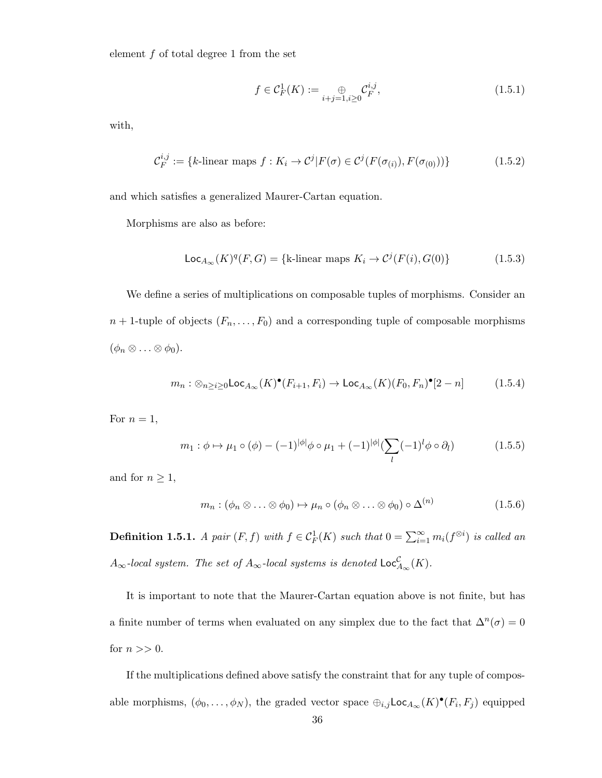element  $f$  of total degree 1 from the set

$$
f \in \mathcal{C}_F^1(K) := \bigoplus_{i+j=1, i \ge 0} \mathcal{C}_F^{i,j},\tag{1.5.1}
$$

with,

$$
\mathcal{C}_F^{i,j} := \{k\text{-linear maps } f : K_i \to \mathcal{C}^j | F(\sigma) \in \mathcal{C}^j(F(\sigma_{(i)}), F(\sigma_{(0)}))\}
$$
(1.5.2)

and which satisfies a generalized Maurer-Cartan equation.

Morphisms are also as before:

$$
\mathsf{Loc}_{A_{\infty}}(K)^{q}(F, G) = \{ \text{k-linear maps } K_i \to \mathcal{C}^{j}(F(i), G(0)) \}
$$
(1.5.3)

We define a series of multiplications on composable tuples of morphisms. Consider an  $n + 1$ -tuple of objects  $(F_n, \ldots, F_0)$  and a corresponding tuple of composable morphisms  $(\phi_n \otimes \ldots \otimes \phi_0).$ 

$$
m_n: \otimes_{n \ge i \ge 0} \mathsf{Loc}_{A_{\infty}}(K)^{\bullet}(F_{i+1}, F_i) \to \mathsf{Loc}_{A_{\infty}}(K)(F_0, F_n)^{\bullet}[2 - n] \tag{1.5.4}
$$

For  $n = 1$ ,

$$
m_1 : \phi \mapsto \mu_1 \circ (\phi) - (-1)^{|\phi|} \phi \circ \mu_1 + (-1)^{|\phi|} (\sum_l (-1)^l \phi \circ \partial_l) \tag{1.5.5}
$$

and for  $n\geq 1,$ 

$$
m_n : (\phi_n \otimes \ldots \otimes \phi_0) \mapsto \mu_n \circ (\phi_n \otimes \ldots \otimes \phi_0) \circ \Delta^{(n)} \tag{1.5.6}
$$

**Definition 1.5.1.** A pair  $(F, f)$  with  $f \in C_F^1(K)$  such that  $0 = \sum_{i=1}^{\infty} m_i(f^{\otimes i})$  is called an  $A_{\infty}$ -local system. The set of  $A_{\infty}$ -local systems is denoted  $\mathsf{Loc}^{\mathcal{C}}_{A_{\infty}}(K)$ .

It is important to note that the Maurer-Cartan equation above is not finite, but has a finite number of terms when evaluated on any simplex due to the fact that  $\Delta^{n}(\sigma) = 0$ for  $n >> 0$ .

If the multiplications defined above satisfy the constraint that for any tuple of composable morphisms,  $(\phi_0, \ldots, \phi_N)$ , the graded vector space  $\oplus_{i,j}$ Loc<sub> $A_\infty$ </sub> $(K)^\bullet(F_i, F_j)$  equipped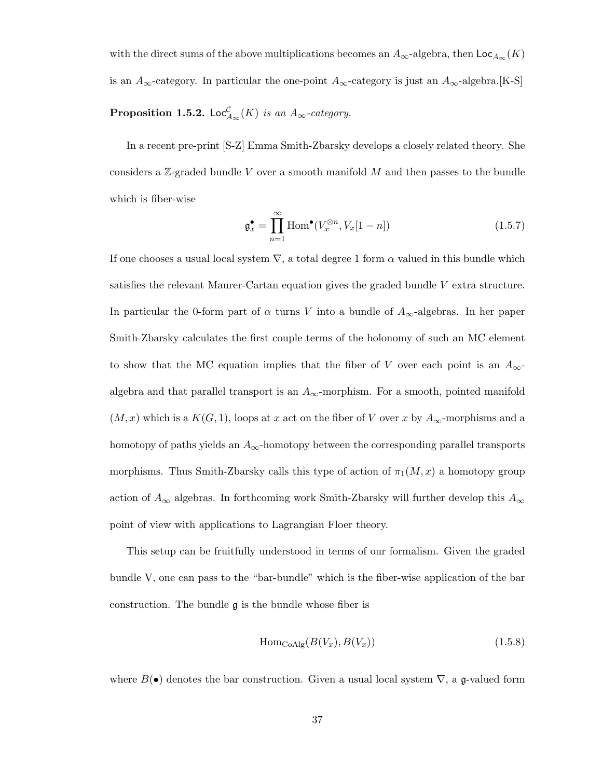with the direct sums of the above multiplications becomes an  $A_{\infty}$ -algebra, then  $\mathsf{Loc}_{A_{\infty}}(K)$ is an  $A_{\infty}$ -category. In particular the one-point  $A_{\infty}$ -category is just an  $A_{\infty}$ -algebra.[K-S]

## **Proposition 1.5.2.** Loc<sup>C</sup><sub> $A_{\infty}(K)$  is an  $A_{\infty}$ -category.</sub>

In a recent pre-print [S-Z] Emma Smith-Zbarsky develops a closely related theory. She considers a  $\mathbb{Z}$ -graded bundle V over a smooth manifold M and then passes to the bundle which is fiber-wise

$$
\mathfrak{g}_x^{\bullet} = \prod_{n=1}^{\infty} \text{Hom}^{\bullet}(V_x^{\otimes n}, V_x[1-n]) \tag{1.5.7}
$$

If one chooses a usual local system  $\nabla$ , a total degree 1 form  $\alpha$  valued in this bundle which satisfies the relevant Maurer-Cartan equation gives the graded bundle V extra structure. In particular the 0-form part of  $\alpha$  turns V into a bundle of  $A_{\infty}$ -algebras. In her paper Smith-Zbarsky calculates the first couple terms of the holonomy of such an MC element to show that the MC equation implies that the fiber of V over each point is an  $A_{\infty}$ algebra and that parallel transport is an  $A_{\infty}$ -morphism. For a smooth, pointed manifold  $(M, x)$  which is a  $K(G, 1)$ , loops at x act on the fiber of V over x by  $A_{\infty}$ -morphisms and a homotopy of paths yields an  $A_{\infty}$ -homotopy between the corresponding parallel transports morphisms. Thus Smith-Zbarsky calls this type of action of  $\pi_1(M, x)$  a homotopy group action of  $A_{\infty}$  algebras. In forthcoming work Smith-Zbarsky will further develop this  $A_{\infty}$ point of view with applications to Lagrangian Floer theory.

This setup can be fruitfully understood in terms of our formalism. Given the graded bundle V, one can pass to the "bar-bundle" which is the fiber-wise application of the bar construction. The bundle  $\mathfrak g$  is the bundle whose fiber is

$$
\text{Hom}_{\text{CoAlg}}(B(V_x), B(V_x))\tag{1.5.8}
$$

where  $B(\bullet)$  denotes the bar construction. Given a usual local system  $\nabla$ , a g-valued form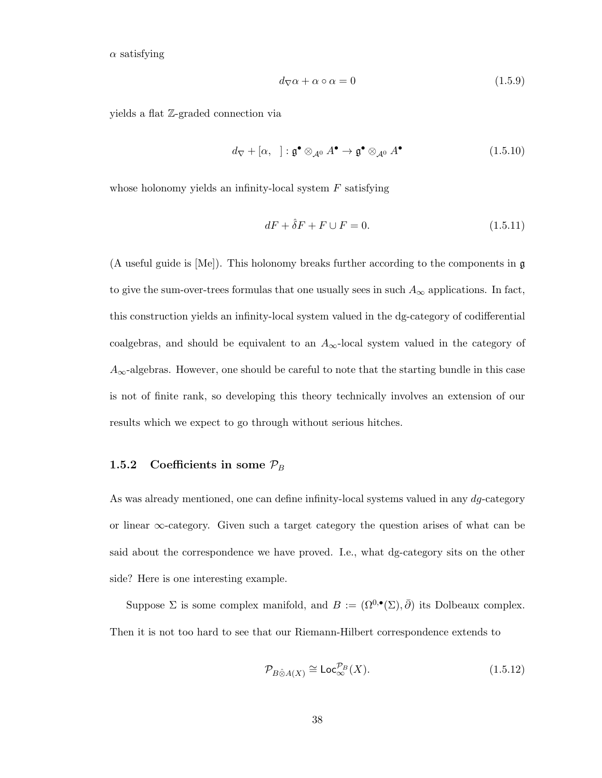$\alpha$  satisfying

$$
d_{\nabla}\alpha + \alpha \circ \alpha = 0 \tag{1.5.9}
$$

yields a flat Z-graded connection via

$$
d_{\nabla} + [\alpha, \quad] : \mathfrak{g}^{\bullet} \otimes_{\mathcal{A}^0} A^{\bullet} \to \mathfrak{g}^{\bullet} \otimes_{\mathcal{A}^0} A^{\bullet} \tag{1.5.10}
$$

whose holonomy yields an infinity-local system  $F$  satisfying

$$
dF + \hat{\delta}F + F \cup F = 0. \tag{1.5.11}
$$

(A useful guide is [Me]). This holonomy breaks further according to the components in g to give the sum-over-trees formulas that one usually sees in such  $A_{\infty}$  applications. In fact, this construction yields an infinity-local system valued in the dg-category of codifferential coalgebras, and should be equivalent to an  $A_{\infty}$ -local system valued in the category of  $A_{\infty}$ -algebras. However, one should be careful to note that the starting bundle in this case is not of finite rank, so developing this theory technically involves an extension of our results which we expect to go through without serious hitches.

#### 1.5.2 Coefficients in some  $\mathcal{P}_B$

As was already mentioned, one can define infinity-local systems valued in any  $dg$ -category or linear ∞-category. Given such a target category the question arises of what can be said about the correspondence we have proved. I.e., what dg-category sits on the other side? Here is one interesting example.

Suppose  $\Sigma$  is some complex manifold, and  $B := (\Omega^{0,\bullet}(\Sigma), \bar{\partial})$  its Dolbeaux complex. Then it is not too hard to see that our Riemann-Hilbert correspondence extends to

$$
\mathcal{P}_{B\hat{\otimes}A(X)} \cong \mathsf{Loc}_{\infty}^{\mathcal{P}_B}(X). \tag{1.5.12}
$$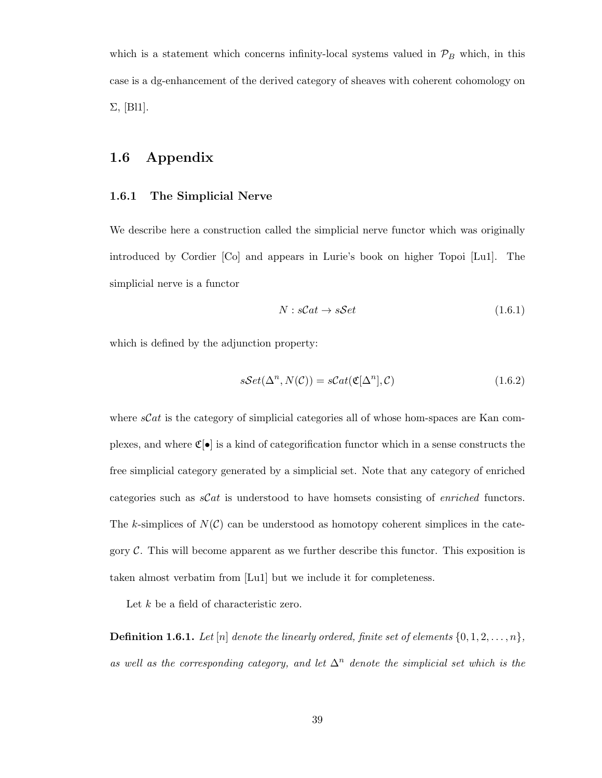which is a statement which concerns infinity-local systems valued in  $\mathcal{P}_B$  which, in this case is a dg-enhancement of the derived category of sheaves with coherent cohomology on  $\Sigma$ , [Bl1].

## 1.6 Appendix

#### 1.6.1 The Simplicial Nerve

We describe here a construction called the simplicial nerve functor which was originally introduced by Cordier [Co] and appears in Lurie's book on higher Topoi [Lu1]. The simplicial nerve is a functor

$$
N: sCat \to sSet
$$
\n
$$
(1.6.1)
$$

which is defined by the adjunction property:

$$
sSet(\Delta^n, N(\mathcal{C})) = sCat(\mathfrak{C}[\Delta^n], \mathcal{C})
$$
\n(1.6.2)

where  $sCat$  is the category of simplicial categories all of whose hom-spaces are Kan complexes, and where  $\mathfrak{C}[\bullet]$  is a kind of categorification functor which in a sense constructs the free simplicial category generated by a simplicial set. Note that any category of enriched categories such as  $\mathcal{S}at$  is understood to have homsets consisting of *enriched* functors. The k-simplices of  $N(\mathcal{C})$  can be understood as homotopy coherent simplices in the category  $\mathcal{C}$ . This will become apparent as we further describe this functor. This exposition is taken almost verbatim from [Lu1] but we include it for completeness.

Let  $k$  be a field of characteristic zero.

**Definition 1.6.1.** Let  $[n]$  denote the linearly ordered, finite set of elements  $\{0, 1, 2, \ldots, n\}$ , as well as the corresponding category, and let  $\Delta^n$  denote the simplicial set which is the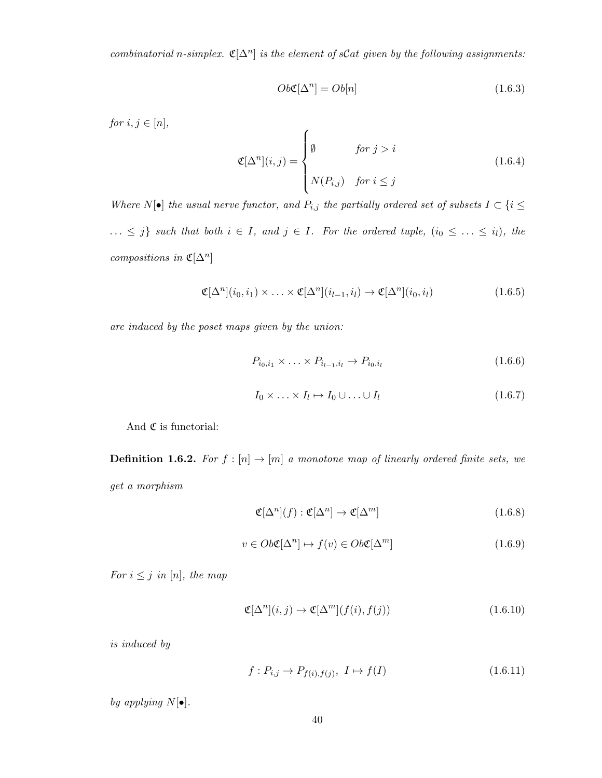combinatorial n-simplex.  $\mathfrak{C}[\Delta^n]$  is the element of sCat given by the following assignments:

$$
Ob \mathfrak{C}[\Delta^n] = Ob[n] \tag{1.6.3}
$$

for  $i, j \in [n]$ ,

$$
\mathfrak{C}[\Delta^n](i,j) = \begin{cases} \emptyset & \text{for } j > i \\ N(P_{i,j}) & \text{for } i \le j \end{cases}
$$
 (1.6.4)

Where  $N[\bullet]$  the usual nerve functor, and  $P_{i,j}$  the partially ordered set of subsets  $I \subset \{i \leq j\}$  $\ldots \leq j$  such that both  $i \in I$ , and  $j \in I$ . For the ordered tuple,  $(i_0 \leq \ldots \leq i_l)$ , the compositions in  $\mathfrak{C}[\Delta^n]$ 

$$
\mathfrak{C}[\Delta^n](i_0, i_1) \times \ldots \times \mathfrak{C}[\Delta^n](i_{l-1}, i_l) \to \mathfrak{C}[\Delta^n](i_0, i_l)
$$
\n(1.6.5)

are induced by the poset maps given by the union:

$$
P_{i_0,i_1} \times \ldots \times P_{i_{l-1},i_l} \to P_{i_0,i_l}
$$
\n(1.6.6)

$$
I_0 \times \ldots \times I_l \mapsto I_0 \cup \ldots \cup I_l \tag{1.6.7}
$$

And  $\mathfrak C$  is functorial:

**Definition 1.6.2.** For  $f : [n] \rightarrow [m]$  a monotone map of linearly ordered finite sets, we get a morphism

$$
\mathfrak{C}[\Delta^n](f) : \mathfrak{C}[\Delta^n] \to \mathfrak{C}[\Delta^m]
$$
\n(1.6.8)

$$
v \in Ob\mathfrak{C}[\Delta^n] \mapsto f(v) \in Ob\mathfrak{C}[\Delta^m]
$$
\n(1.6.9)

For  $i \leq j$  in [n], the map

$$
\mathfrak{C}[\Delta^n](i,j) \to \mathfrak{C}[\Delta^m](f(i),f(j))\tag{1.6.10}
$$

is induced by

$$
f: P_{i,j} \to P_{f(i),f(j)}, \ I \mapsto f(I) \tag{1.6.11}
$$

by applying  $N[\bullet]$ .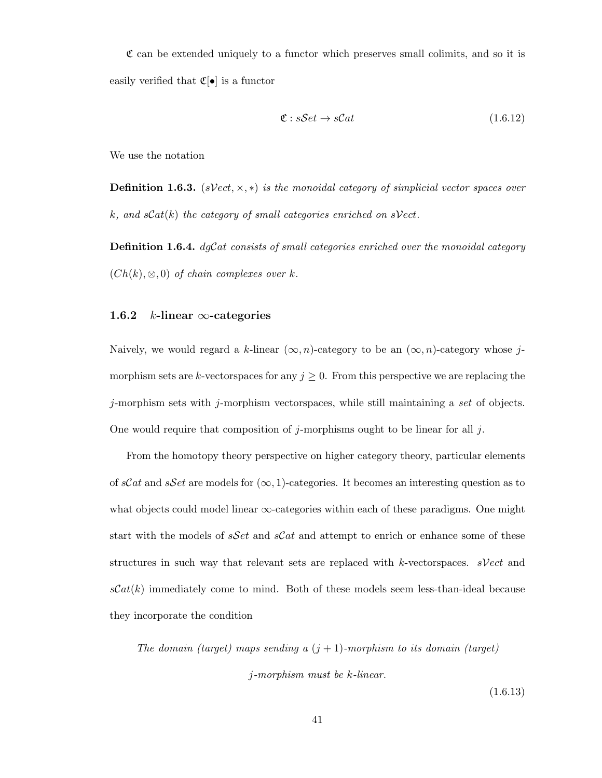$\mathfrak C$  can be extended uniquely to a functor which preserves small colimits, and so it is easily verified that  $\mathfrak{C}[\bullet]$  is a functor

$$
\mathfrak{C}: sSet \to sCat \tag{1.6.12}
$$

We use the notation

**Definition 1.6.3.** (sVect,  $\times$ , \*) is the monoidal category of simplicial vector spaces over k, and  $sCat(k)$  the category of small categories enriched on  $sVect$ .

**Definition 1.6.4.**  $dgCat$  consists of small categories enriched over the monoidal category  $(Ch(k), \otimes, 0)$  of chain complexes over k.

#### 1.6.2 k-linear  $\infty$ -categories

Naively, we would regard a k-linear  $(\infty, n)$ -category to be an  $(\infty, n)$ -category whose jmorphism sets are k-vectorspaces for any  $j \geq 0$ . From this perspective we are replacing the  $j$ -morphism sets with  $j$ -morphism vectorspaces, while still maintaining a set of objects. One would require that composition of j-morphisms ought to be linear for all j.

From the homotopy theory perspective on higher category theory, particular elements of sCat and sSet are models for  $(\infty, 1)$ -categories. It becomes an interesting question as to what objects could model linear  $\infty$ -categories within each of these paradigms. One might start with the models of  $sSet$  and  $sCat$  and attempt to enrich or enhance some of these structures in such way that relevant sets are replaced with k-vectorspaces.  $sVect$  and  $sCat(k)$  immediately come to mind. Both of these models seem less-than-ideal because they incorporate the condition

The domain (target) maps sending a  $(j + 1)$ -morphism to its domain (target) j-morphism must be k-linear.

(1.6.13)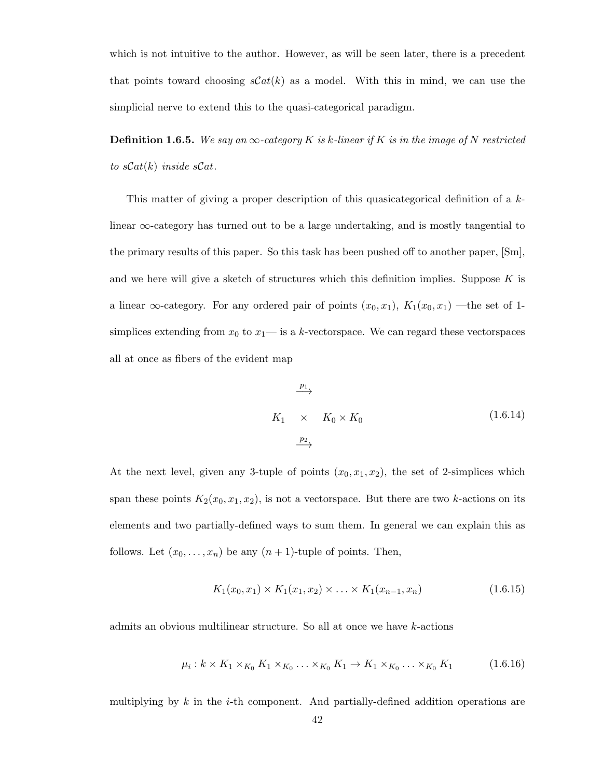which is not intuitive to the author. However, as will be seen later, there is a precedent that points toward choosing  $\mathcal{S}at(k)$  as a model. With this in mind, we can use the simplicial nerve to extend this to the quasi-categorical paradigm.

**Definition 1.6.5.** We say an  $\infty$ -category K is k-linear if K is in the image of N restricted to  $sCat(k)$  inside  $sCat$ .

This matter of giving a proper description of this quasicategorical definition of a klinear  $\infty$ -category has turned out to be a large undertaking, and is mostly tangential to the primary results of this paper. So this task has been pushed off to another paper, [Sm], and we here will give a sketch of structures which this definition implies. Suppose  $K$  is a linear  $\infty$ -category. For any ordered pair of points  $(x_0, x_1)$ ,  $K_1(x_0, x_1)$  —the set of 1simplices extending from  $x_0$  to  $x_1$ — is a k-vector space. We can regard these vector spaces all at once as fibers of the evident map

$$
K_1 \times K_0 \times K_0 \qquad (1.6.14)
$$
\n
$$
\xrightarrow{\underline{p_2}} \qquad (1.6.15)
$$

At the next level, given any 3-tuple of points  $(x_0, x_1, x_2)$ , the set of 2-simplices which span these points  $K_2(x_0, x_1, x_2)$ , is not a vectorspace. But there are two k-actions on its elements and two partially-defined ways to sum them. In general we can explain this as follows. Let  $(x_0, \ldots, x_n)$  be any  $(n + 1)$ -tuple of points. Then,

$$
K_1(x_0, x_1) \times K_1(x_1, x_2) \times \ldots \times K_1(x_{n-1}, x_n) \tag{1.6.15}
$$

admits an obvious multilinear structure. So all at once we have k-actions

$$
\mu_i: k \times K_1 \times_{K_0} K_1 \times_{K_0} \ldots \times_{K_0} K_1 \to K_1 \times_{K_0} \ldots \times_{K_0} K_1 \tag{1.6.16}
$$

multiplying by  $k$  in the *i*-th component. And partially-defined addition operations are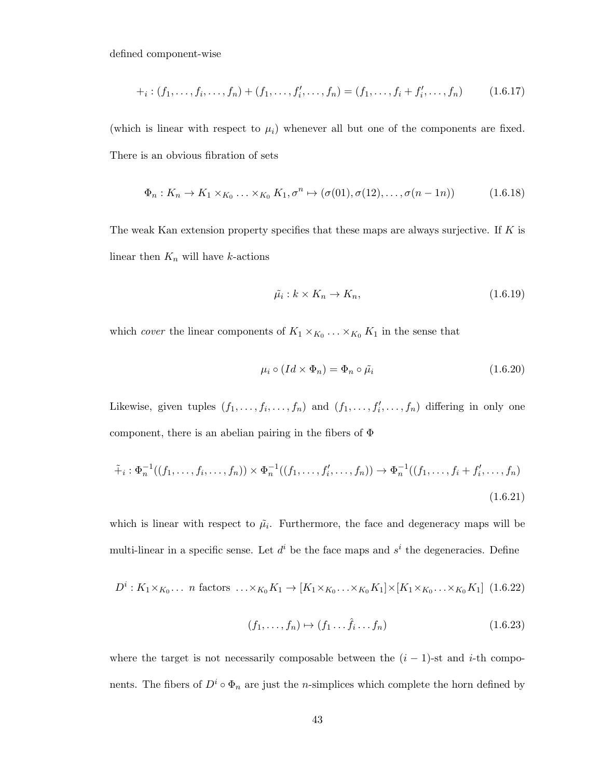defined component-wise

$$
+_i: (f_1, \ldots, f_i, \ldots, f_n) + (f_1, \ldots, f'_i, \ldots, f_n) = (f_1, \ldots, f_i + f'_i, \ldots, f_n) \tag{1.6.17}
$$

(which is linear with respect to  $\mu_i$ ) whenever all but one of the components are fixed. There is an obvious fibration of sets

$$
\Phi_n: K_n \to K_1 \times_{K_0} \ldots \times_{K_0} K_1, \sigma^n \mapsto (\sigma(01), \sigma(12), \ldots, \sigma(n-1n)) \tag{1.6.18}
$$

The weak Kan extension property specifies that these maps are always surjective. If  $K$  is linear then  $K_n$  will have k-actions

$$
\tilde{\mu}_i: k \times K_n \to K_n,\tag{1.6.19}
$$

which *cover* the linear components of  $K_1 \times_{K_0} \ldots \times_{K_0} K_1$  in the sense that

$$
\mu_i \circ (Id \times \Phi_n) = \Phi_n \circ \tilde{\mu}_i \tag{1.6.20}
$$

Likewise, given tuples  $(f_1, \ldots, f_i, \ldots, f_n)$  and  $(f_1, \ldots, f_i', \ldots, f_n)$  differing in only one component, there is an abelian pairing in the fibers of  $\Phi$ 

$$
\tilde{+}_i : \Phi_n^{-1}((f_1, \dots, f_i, \dots, f_n)) \times \Phi_n^{-1}((f_1, \dots, f_i', \dots, f_n)) \to \Phi_n^{-1}((f_1, \dots, f_i + f_i', \dots, f_n))
$$
\n(1.6.21)

which is linear with respect to  $\tilde{\mu}_i$ . Furthermore, the face and degeneracy maps will be multi-linear in a specific sense. Let  $d^i$  be the face maps and  $s^i$  the degeneracies. Define

$$
D^i: K_1 \times_{K_0} \ldots \text{ n factors } \ldots \times_{K_0} K_1 \to [K_1 \times_{K_0} \ldots \times_{K_0} K_1] \times [K_1 \times_{K_0} \ldots \times_{K_0} K_1] \tag{1.6.22}
$$

$$
(f_1, \ldots, f_n) \mapsto (f_1 \ldots \hat{f}_i \ldots f_n) \tag{1.6.23}
$$

where the target is not necessarily composable between the  $(i - 1)$ -st and i-th components. The fibers of  $D^i \circ \Phi_n$  are just the *n*-simplices which complete the horn defined by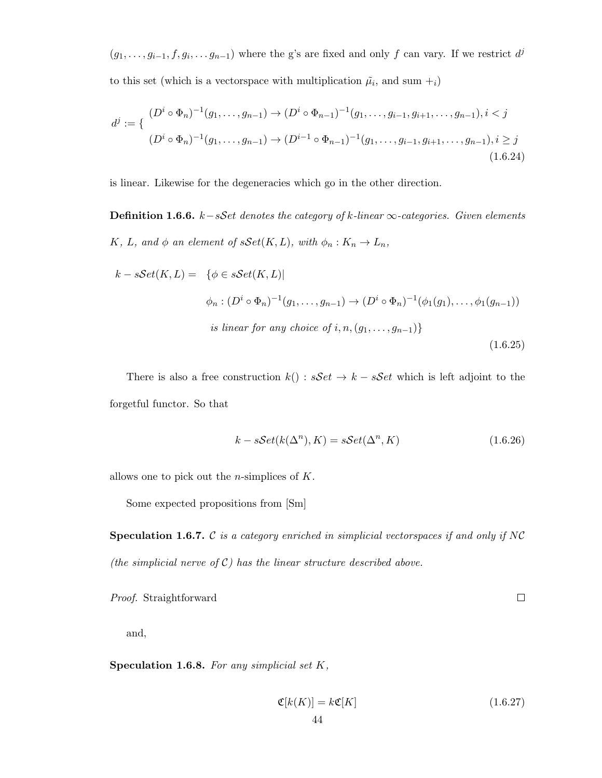$(g_1, \ldots, g_{i-1}, f, g_i, \ldots, g_{n-1})$  where the g's are fixed and only f can vary. If we restrict  $d^j$ to this set (which is a vector space with multiplication  $\tilde{\mu}_i$ , and sum  $+_i$ )

$$
d^{j} := \left\{ \begin{array}{c} (D^{i} \circ \Phi_{n})^{-1}(g_{1}, \ldots, g_{n-1}) \to (D^{i} \circ \Phi_{n-1})^{-1}(g_{1}, \ldots, g_{i-1}, g_{i+1}, \ldots, g_{n-1}), i < j \\ (D^{i} \circ \Phi_{n})^{-1}(g_{1}, \ldots, g_{n-1}) \to (D^{i-1} \circ \Phi_{n-1})^{-1}(g_{1}, \ldots, g_{i-1}, g_{i+1}, \ldots, g_{n-1}), i \geq j \\ (1.6.24) \end{array} \right.
$$

is linear. Likewise for the degeneracies which go in the other direction.

**Definition 1.6.6.** k–sSet denotes the category of k-linear  $\infty$ -categories. Given elements K, L, and  $\phi$  an element of  $sSet(K, L)$ , with  $\phi_n : K_n \to L_n$ ,

$$
k - sSet(K, L) = \{ \phi \in sSet(K, L) |
$$
  

$$
\phi_n : (D^i \circ \Phi_n)^{-1}(g_1, \dots, g_{n-1}) \to (D^i \circ \Phi_n)^{-1}(\phi_1(g_1), \dots, \phi_1(g_{n-1}))
$$
  
is linear for any choice of  $i, n, (g_1, \dots, g_{n-1}) \}$   
(1.6.25)

There is also a free construction  $k() : sSet \rightarrow k - sSet$  which is left adjoint to the forgetful functor. So that

$$
k - sSet(k(\Delta^n), K) = sSet(\Delta^n, K)
$$
\n(1.6.26)

allows one to pick out the *n*-simplices of  $K$ .

Some expected propositions from [Sm]

**Speculation 1.6.7.** C is a category enriched in simplicial vectorspaces if and only if NC (the simplicial nerve of  $C$ ) has the linear structure described above.

Proof. Straightforward

and,

Speculation 1.6.8. For any simplicial set  $K$ ,

$$
\mathfrak{C}[k(K)] = k\mathfrak{C}[K] \tag{1.6.27}
$$

 $\Box$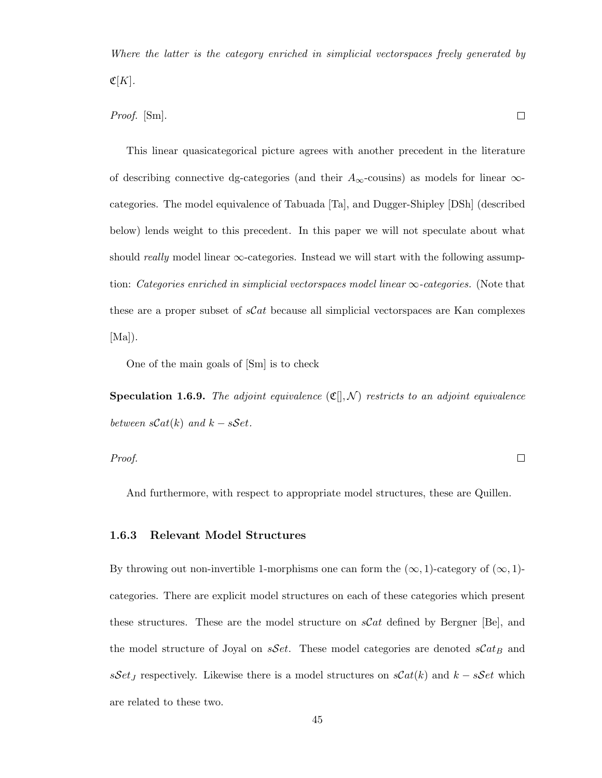Where the latter is the category enriched in simplicial vectorspaces freely generated by  $\mathfrak{C}[K]$ .

Proof. [Sm].

This linear quasicategorical picture agrees with another precedent in the literature of describing connective dg-categories (and their  $A_{\infty}$ -cousins) as models for linear  $\infty$ categories. The model equivalence of Tabuada [Ta], and Dugger-Shipley [DSh] (described below) lends weight to this precedent. In this paper we will not speculate about what should really model linear  $\infty$ -categories. Instead we will start with the following assumption: Categories enriched in simplicial vectorspaces model linear  $\infty$ -categories. (Note that these are a proper subset of  $\mathcal{SC}at$  because all simplicial vectorspaces are Kan complexes  $[Ma]$ .

One of the main goals of [Sm] is to check

**Speculation 1.6.9.** The adjoint equivalence  $(\mathfrak{C}[, \mathcal{N})$  restricts to an adjoint equivalence between  $sCat(k)$  and  $k - sSet$ .

 $\Box$ Proof.

And furthermore, with respect to appropriate model structures, these are Quillen.

#### 1.6.3 Relevant Model Structures

By throwing out non-invertible 1-morphisms one can form the  $(\infty, 1)$ -category of  $(\infty, 1)$ categories. There are explicit model structures on each of these categories which present these structures. These are the model structure on  $\mathcal{SC}at$  defined by Bergner [Be], and the model structure of Joyal on  $sSet$ . These model categories are denoted  $sCat_B$  and sSet<sub>J</sub> respectively. Likewise there is a model structures on  $sCat(k)$  and  $k - sSet$  which are related to these two.

 $\Box$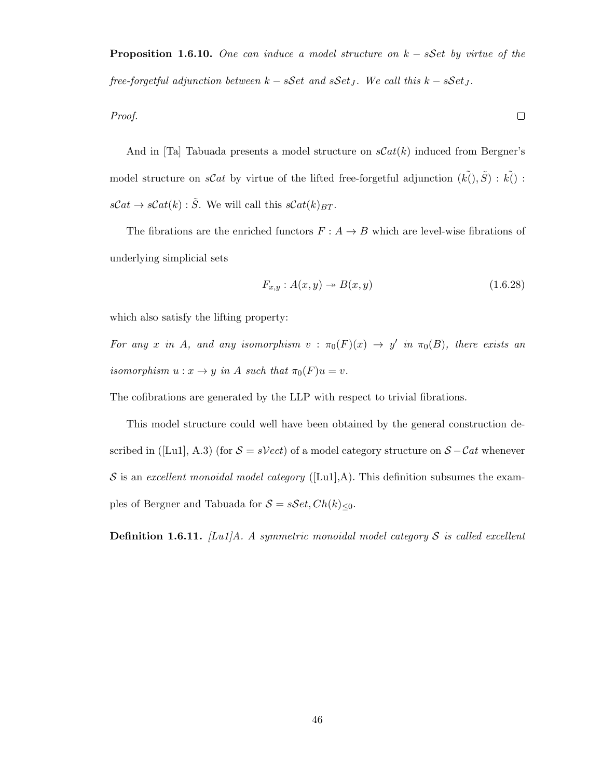**Proposition 1.6.10.** One can induce a model structure on  $k - sSet$  by virtue of the free-forgetful adjunction between  $k - sSet$  and  $sSet_J$ . We call this  $k - sSet_J$ .

Proof.

And in [Ta] Tabuada presents a model structure on  $sCat(k)$  induced from Bergner's model structure on sCat by virtue of the lifted free-forgetful adjunction  $(k\tilde{l}), \tilde{S}$  :  $k\tilde{l})$  :  $s\mathcal{C}at \to s\mathcal{C}at(k): \tilde{S}$ . We will call this  $s\mathcal{C}at(k)_{BT}$ .

The fibrations are the enriched functors  $F : A \rightarrow B$  which are level-wise fibrations of underlying simplicial sets

$$
F_{x,y}: A(x,y) \to B(x,y) \tag{1.6.28}
$$

 $\Box$ 

which also satisfy the lifting property:

For any x in A, and any isomorphism  $v : \pi_0(F)(x) \to y'$  in  $\pi_0(B)$ , there exists an isomorphism  $u: x \to y$  in A such that  $\pi_0(F)u = v$ .

The cofibrations are generated by the LLP with respect to trivial fibrations.

This model structure could well have been obtained by the general construction described in ([Lu1], A.3) (for  $S = sVect$ ) of a model category structure on  $S - Cat$  whenever S is an excellent monoidal model category ([Lu1],A). This definition subsumes the examples of Bergner and Tabuada for  $S = sSet, Ch(k)_{\leq 0}$ .

**Definition 1.6.11.** [Lu1]A. A symmetric monoidal model category S is called excellent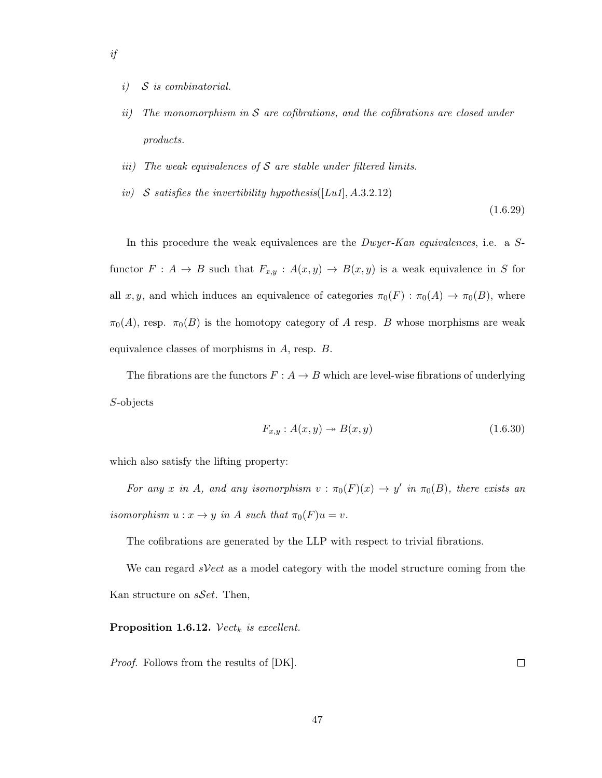- i) S is combinatorial.
- ii) The monomorphism in  $S$  are cofibrations, and the cofibrations are closed under products.
- iii) The weak equivalences of  $S$  are stable under filtered limits.
- iv) S satisfies the invertibility hypothesis([Lu1], A.3.2.12)

(1.6.29)

In this procedure the weak equivalences are the *Dwyer-Kan equivalences*, i.e. a Sfunctor  $F: A \to B$  such that  $F_{x,y}$  :  $A(x,y) \to B(x,y)$  is a weak equivalence in S for all x, y, and which induces an equivalence of categories  $\pi_0(F) : \pi_0(A) \to \pi_0(B)$ , where  $\pi_0(A)$ , resp.  $\pi_0(B)$  is the homotopy category of A resp. B whose morphisms are weak equivalence classes of morphisms in A, resp. B.

The fibrations are the functors  $F: A \rightarrow B$  which are level-wise fibrations of underlying S-objects

$$
F_{x,y}: A(x,y) \to B(x,y) \tag{1.6.30}
$$

which also satisfy the lifting property:

For any x in A, and any isomorphism  $v : \pi_0(F)(x) \to y'$  in  $\pi_0(B)$ , there exists an isomorphism  $u: x \to y$  in A such that  $\pi_0(F)u = v$ .

The cofibrations are generated by the LLP with respect to trivial fibrations.

We can regard  $sVect$  as a model category with the model structure coming from the Kan structure on  $sSet$ . Then,

#### Proposition 1.6.12.  $Vect_k$  is excellent.

Proof. Follows from the results of [DK].

 $\Box$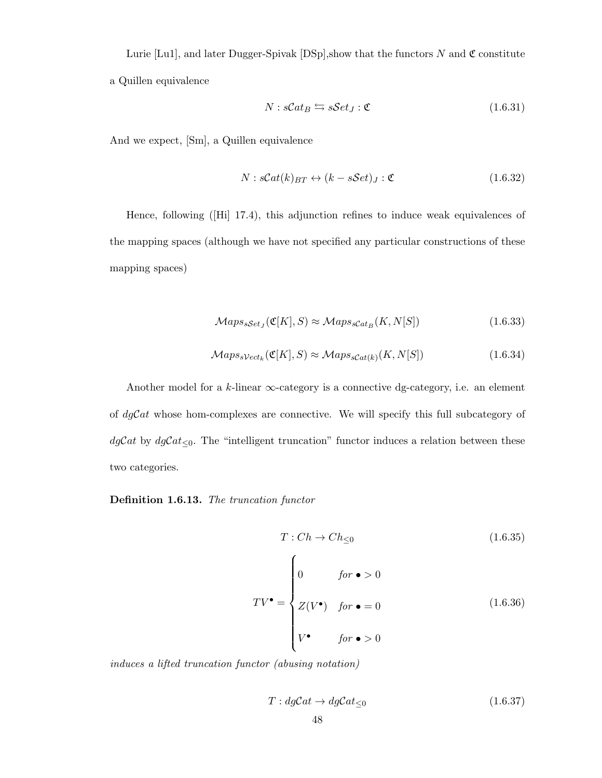Lurie [Lu1], and later Dugger-Spivak [DSp], show that the functors N and  $\mathfrak{C}$  constitute a Quillen equivalence

$$
N: sCat_B \leftrightarrows sSet_J : \mathfrak{C} \tag{1.6.31}
$$

And we expect, [Sm], a Quillen equivalence

$$
N: sCat(k)_{BT} \leftrightarrow (k - sSet)_J : \mathfrak{C}
$$
\n
$$
(1.6.32)
$$

Hence, following ([Hi] 17.4), this adjunction refines to induce weak equivalences of the mapping spaces (although we have not specified any particular constructions of these mapping spaces)

$$
Maps_{sSet_{J}}(\mathfrak{C}[K], S) \approx Maps_{sCat_B}(K, N[S])
$$
\n(1.6.33)

$$
Maps_{sVect_k}(\mathfrak{C}[K], S) \approx Maps_{sCat(k)}(K, N[S])
$$
\n(1.6.34)

Another model for a  $k$ -linear  $\infty$ -category is a connective dg-category, i.e. an element of  $dgCat$  whose hom-complexes are connective. We will specify this full subcategory of  $dgCat \leq 0$ . The "intelligent truncation" functor induces a relation between these two categories.

Definition 1.6.13. The truncation functor

$$
T: Ch \to Ch_{\leq 0}
$$
\n
$$
TV^{\bullet} = \begin{cases}\n0 & \text{for } \bullet > 0 \\
Z(V^{\bullet}) & \text{for } \bullet = 0 \\
V^{\bullet} & \text{for } \bullet > 0\n\end{cases}
$$
\n(1.6.36)

induces a lifted truncation functor (abusing notation)

$$
T: dgCat \to dgCat_{\leq 0}
$$
\n
$$
(1.6.37)
$$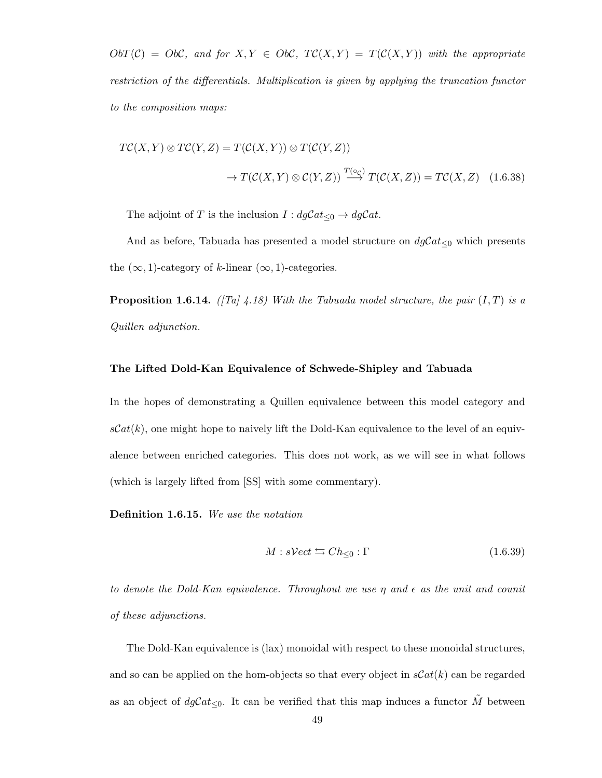$ObT(\mathcal{C}) = Ob\mathcal{C}$ , and for  $X, Y \in Ob\mathcal{C}$ ,  $TC(X, Y) = T(C(X, Y))$  with the appropriate restriction of the differentials. Multiplication is given by applying the truncation functor to the composition maps:

$$
TC(X,Y) \otimes TC(Y,Z) = T(C(X,Y)) \otimes T(C(Y,Z))
$$
  

$$
\to T(C(X,Y) \otimes C(Y,Z)) \xrightarrow{T(\circ c)} T(C(X,Z)) = TC(X,Z) \quad (1.6.38)
$$

The adjoint of T is the inclusion  $I : dgCat_{\leq 0} \to dgCat$ .

And as before, Tabuada has presented a model structure on  $dgCat_{\leq 0}$  which presents the  $(\infty, 1)$ -category of k-linear  $(\infty, 1)$ -categories.

**Proposition 1.6.14.** ([Ta] 4.18) With the Tabuada model structure, the pair  $(I, T)$  is a Quillen adjunction.

#### The Lifted Dold-Kan Equivalence of Schwede-Shipley and Tabuada

In the hopes of demonstrating a Quillen equivalence between this model category and  $sCat(k)$ , one might hope to naively lift the Dold-Kan equivalence to the level of an equivalence between enriched categories. This does not work, as we will see in what follows (which is largely lifted from [SS] with some commentary).

Definition 1.6.15. We use the notation

$$
M: sVect \leftrightarrows Ch_{\leq 0} : \Gamma \tag{1.6.39}
$$

to denote the Dold-Kan equivalence. Throughout we use  $\eta$  and  $\epsilon$  as the unit and counit of these adjunctions.

The Dold-Kan equivalence is (lax) monoidal with respect to these monoidal structures, and so can be applied on the hom-objects so that every object in  $\mathcal{C}at(k)$  can be regarded as an object of  $dgCat_{\leq 0}$ . It can be verified that this map induces a functor  $\tilde{M}$  between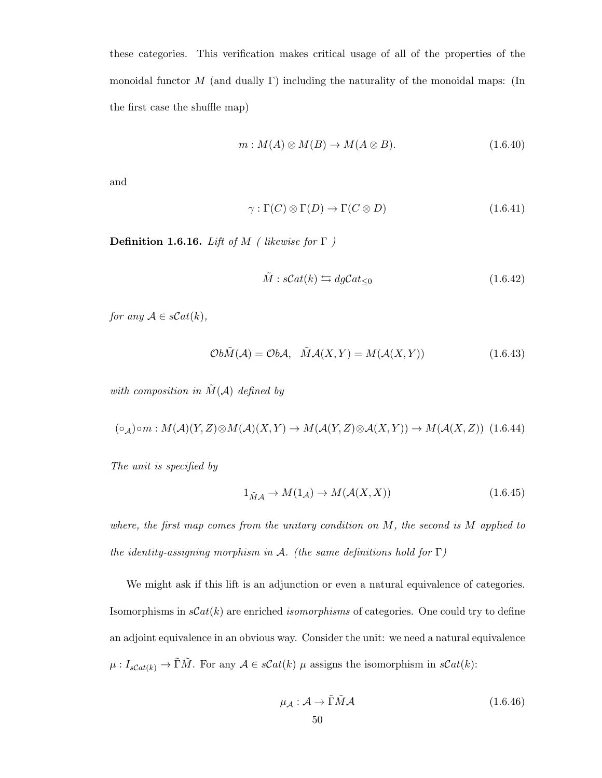these categories. This verification makes critical usage of all of the properties of the monoidal functor  $M$  (and dually  $\Gamma$ ) including the naturality of the monoidal maps: (In the first case the shuffle map)

$$
m: M(A) \otimes M(B) \to M(A \otimes B). \tag{1.6.40}
$$

and

$$
\gamma : \Gamma(C) \otimes \Gamma(D) \to \Gamma(C \otimes D) \tag{1.6.41}
$$

**Definition 1.6.16.** Lift of M ( likewise for  $\Gamma$  )

$$
\tilde{M} : sCat(k) \leftrightarrows dgCat_{\leq 0}
$$
\n(1.6.42)

for any  $A \in sCat(k)$ ,

$$
\mathcal{O}b\tilde{M}(\mathcal{A}) = \mathcal{O}b\mathcal{A}, \quad \tilde{M}\mathcal{A}(X,Y) = M(\mathcal{A}(X,Y))
$$
\n(1.6.43)

with composition in  $\tilde{M}(\mathcal{A})$  defined by

$$
(\circ_{\mathcal{A}})\circ m: M(\mathcal{A})(Y,Z)\otimes M(\mathcal{A})(X,Y)\to M(\mathcal{A}(Y,Z)\otimes \mathcal{A}(X,Y))\to M(\mathcal{A}(X,Z))\tag{1.6.44}
$$

The unit is specified by

$$
1_{\tilde{M}\mathcal{A}} \to M(1_{\mathcal{A}}) \to M(\mathcal{A}(X,X)) \tag{1.6.45}
$$

where, the first map comes from the unitary condition on  $M$ , the second is  $M$  applied to the identity-assigning morphism in A. (the same definitions hold for  $\Gamma$ )

We might ask if this lift is an adjunction or even a natural equivalence of categories. Isomorphisms in  $\mathcal{S}at(k)$  are enriched *isomorphisms* of categories. One could try to define an adjoint equivalence in an obvious way. Consider the unit: we need a natural equivalence  $\mu: I_{sCat(k)} \to \tilde{\Gamma} \tilde{M}$ . For any  $\mathcal{A} \in sCat(k)$   $\mu$  assigns the isomorphism in  $sCat(k)$ :

$$
\mu_{\mathcal{A}} : \mathcal{A} \to \tilde{\Gamma} \tilde{M} \mathcal{A} \tag{1.6.46}
$$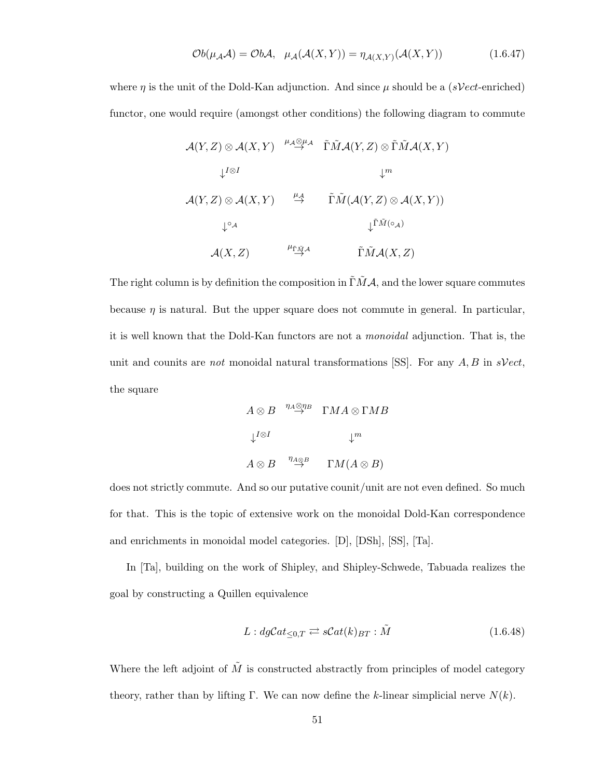$$
\mathcal{O}b(\mu_{\mathcal{A}}\mathcal{A}) = \mathcal{O}b\mathcal{A}, \quad \mu_{\mathcal{A}}(\mathcal{A}(X,Y)) = \eta_{\mathcal{A}(X,Y)}(\mathcal{A}(X,Y)) \tag{1.6.47}
$$

where  $\eta$  is the unit of the Dold-Kan adjunction. And since  $\mu$  should be a (sVect-enriched) functor, one would require (amongst other conditions) the following diagram to commute

$$
\mathcal{A}(Y, Z) \otimes \mathcal{A}(X, Y) \xrightarrow{\mu_{\mathcal{A}} \otimes \mu_{\mathcal{A}}} \tilde{\Gamma} \tilde{M} \mathcal{A}(Y, Z) \otimes \tilde{\Gamma} \tilde{M} \mathcal{A}(X, Y)
$$
\n
$$
\downarrow^{I \otimes I} \qquad \qquad \downarrow^{m}
$$
\n
$$
\mathcal{A}(Y, Z) \otimes \mathcal{A}(X, Y) \xrightarrow{\mu_{\mathcal{A}}} \tilde{\Gamma} \tilde{M} (\mathcal{A}(Y, Z) \otimes \mathcal{A}(X, Y))
$$
\n
$$
\downarrow^{\circ}_{\mathcal{A}} \qquad \qquad \downarrow^{\tilde{\Gamma} \tilde{M}(\circ_{\mathcal{A}})}
$$
\n
$$
\mathcal{A}(X, Z) \xrightarrow{\mu_{\tilde{\Gamma} \tilde{M} \mathcal{A}}} \tilde{\Gamma} \tilde{M} \mathcal{A}(X, Z)
$$

The right column is by definition the composition in  $\tilde{\Gamma} \tilde{M} A$ , and the lower square commutes because  $\eta$  is natural. But the upper square does not commute in general. In particular, it is well known that the Dold-Kan functors are not a monoidal adjunction. That is, the unit and counits are not monoidal natural transformations [SS]. For any  $A, B$  in  $sVect$ , the square

$$
A \otimes B \xrightarrow{\eta_A \otimes \eta_B} \Gamma MA \otimes \Gamma MB
$$
  

$$
\downarrow^{I \otimes I} \qquad \qquad \downarrow^m
$$
  

$$
A \otimes B \xrightarrow{\eta_{A \otimes B}} \Gamma M(A \otimes B)
$$

does not strictly commute. And so our putative counit/unit are not even defined. So much for that. This is the topic of extensive work on the monoidal Dold-Kan correspondence and enrichments in monoidal model categories. [D], [DSh], [SS], [Ta].

In [Ta], building on the work of Shipley, and Shipley-Schwede, Tabuada realizes the goal by constructing a Quillen equivalence

$$
L: dgCat_{\leq 0,T} \rightleftarrows sCat(k)_{BT} : \tilde{M}
$$
\n
$$
(1.6.48)
$$

Where the left adjoint of  $\tilde{M}$  is constructed abstractly from principles of model category theory, rather than by lifting Γ. We can now define the k-linear simplicial nerve  $N(k)$ .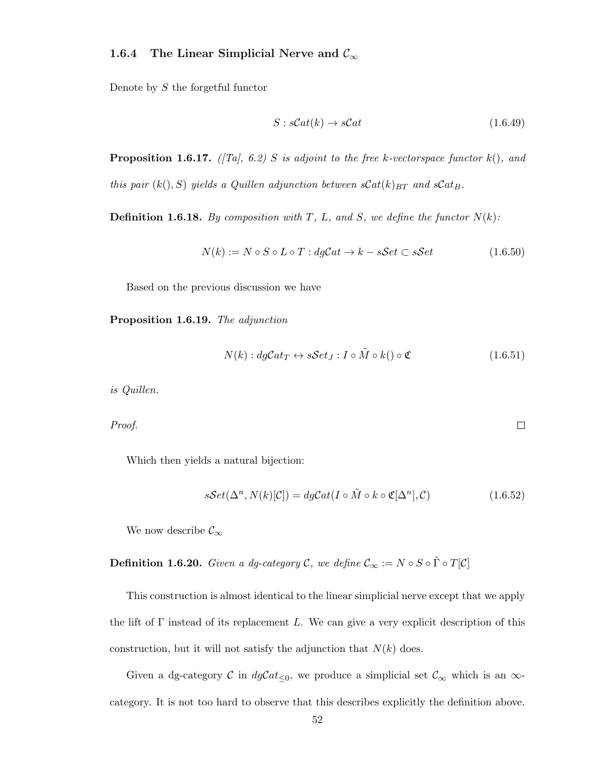#### 1.6.4 The Linear Simplicial Nerve and  $\mathcal{C}_{\infty}$

Denote by S the forgetful functor

$$
S: sCat(k) \to sCat
$$
 (1.6.49)

**Proposition 1.6.17.** ([Ta], 6.2] S is adjoint to the free k-vectorspace functor  $k()$ , and this pair  $(k(), S)$  yields a Quillen adjunction between  $sCat(k)_{BT}$  and  $sCat_B$ .

**Definition 1.6.18.** By composition with T, L, and S, we define the functor  $N(k)$ :

$$
N(k) := N \circ S \circ L \circ T : dgCat \to k - sSet \subset sSet \tag{1.6.50}
$$

Based on the previous discussion we have

Proposition 1.6.19. The adjunction

$$
N(k): dgCat_T \leftrightarrow sSet_J: I \circ \tilde{M} \circ k() \circ \mathfrak{C}
$$
\n(1.6.51)

 $\Box$ 

is Quillen.

Proof.

Which then yields a natural bijection:

$$
sSet(\Delta^n, N(k)[\mathcal{C}]) = dgCat(I \circ \tilde{M} \circ k \circ \mathfrak{C}[\Delta^n], \mathcal{C})
$$
\n(1.6.52)

We now describe  $\mathcal{C}_{\infty}$ 

**Definition 1.6.20.** Given a dg-category C, we define  $C_{\infty} := N \circ S \circ \tilde{\Gamma} \circ T[\mathcal{C}]$ 

This construction is almost identical to the linear simplicial nerve except that we apply the lift of  $\Gamma$  instead of its replacement L. We can give a very explicit description of this construction, but it will not satisfy the adjunction that  $N(k)$  does.

Given a dg-category C in  $dgCat_{\leq 0}$ , we produce a simplicial set  $\mathcal{C}_{\infty}$  which is an  $\infty$ category. It is not too hard to observe that this describes explicitly the definition above.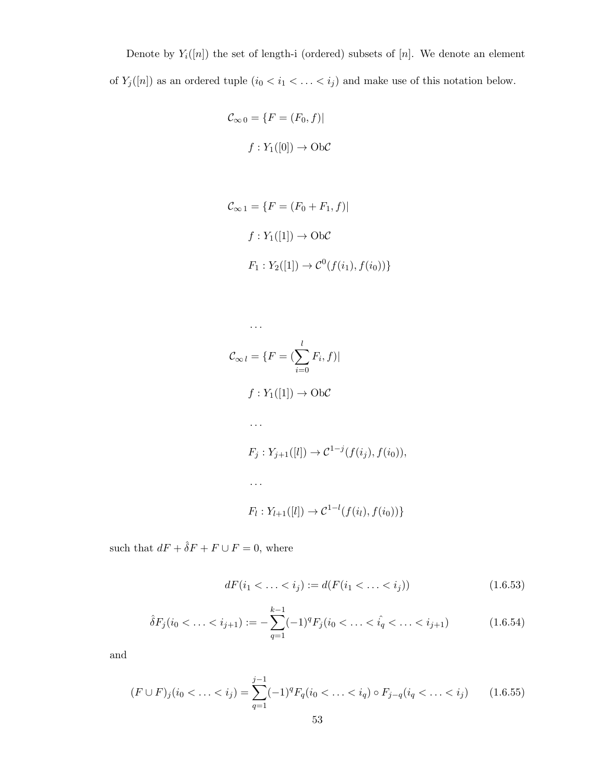Denote by  $Y_i([n])$  the set of length-i (ordered) subsets of [n]. We denote an element of  $Y_j([n])$  as an ordered tuple  $(i_0 < i_1 < \ldots < i_j)$  and make use of this notation below.

$$
\mathcal{C}_{\infty 0} = \{ F = (F_0, f) |
$$

$$
f: Y_1([0]) \to \text{Ob}\mathcal{C}
$$

$$
\mathcal{C}_{\infty 1} = \{ F = (F_0 + F_1, f) |
$$

$$
f: Y_1([1]) \to \text{Ob}\mathcal{C}
$$

$$
F_1: Y_2([1]) \to \mathcal{C}^0(f(i_1), f(i_0)) \}
$$

$$
C_{\infty l} = \{F = (\sum_{i=0}^{l} F_i, f)|
$$
  

$$
f: Y_1([1]) \to Ob\mathcal{C}
$$
  

$$
\cdots
$$
  

$$
F_j: Y_{j+1}([l]) \to \mathcal{C}^{1-j}(f(i_j), f(i_0)),
$$
  

$$
\cdots
$$
  

$$
F_l: Y_{l+1}([l]) \to \mathcal{C}^{1-l}(f(i_l), f(i_0))\}
$$

such that  $dF + \hat{\delta} F + F \cup F = 0,$  where

$$
dF(i_1 < \ldots < i_j) := d(F(i_1 < \ldots < i_j))
$$
\n(1.6.53)

$$
\hat{\delta}F_j(i_0 < \ldots < i_{j+1}) := -\sum_{q=1}^{k-1} (-1)^q F_j(i_0 < \ldots < \hat{i}_q < \ldots < i_{j+1}) \tag{1.6.54}
$$

and

$$
(F \cup F)_j (i_0 < \ldots < i_j) = \sum_{q=1}^{j-1} (-1)^q F_q(i_0 < \ldots < i_q) \circ F_{j-q}(i_q < \ldots < i_j) \tag{1.6.55}
$$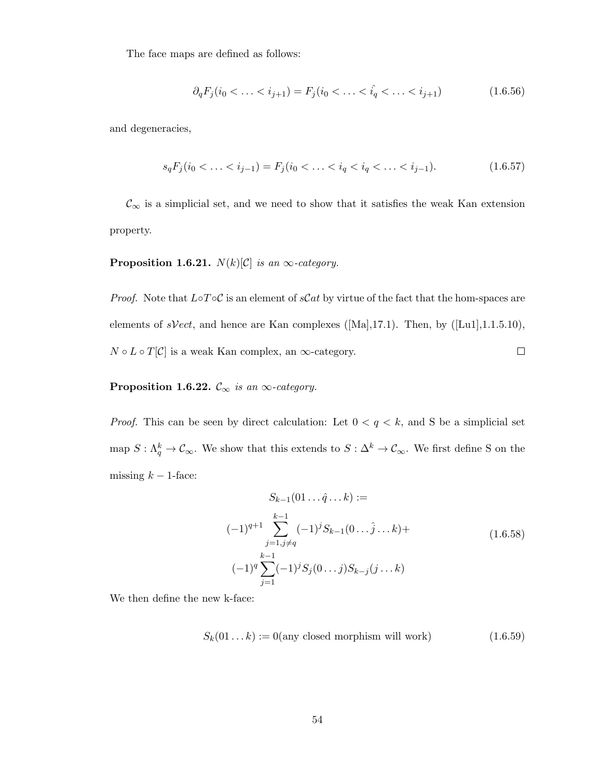The face maps are defined as follows:

$$
\partial_q F_j(i_0 < \ldots < i_{j+1}) = F_j(i_0 < \ldots < \hat{i}_q < \ldots < i_{j+1}) \tag{1.6.56}
$$

and degeneracies,

$$
s_q F_j(i_0 < \ldots < i_{j-1}) = F_j(i_0 < \ldots < i_q < i_q < \ldots < i_{j-1}).\tag{1.6.57}
$$

 $\mathcal{C}_\infty$  is a simplicial set, and we need to show that it satisfies the weak Kan extension property.

#### **Proposition 1.6.21.**  $N(k)[\mathcal{C}]$  is an  $\infty$ -category.

*Proof.* Note that  $L \circ T \circ C$  is an element of sCat by virtue of the fact that the hom-spaces are elements of sVect, and hence are Kan complexes ([Ma],17.1). Then, by ([Lu1],1.1.5.10),  $N\circ L\circ T[\mathcal{C}]$  is a weak Kan complex, an  $\infty\text{-category.}$  $\Box$ 

#### **Proposition 1.6.22.**  $\mathcal{C}_{\infty}$  is an  $\infty$ -category.

*Proof.* This can be seen by direct calculation: Let  $0 < q < k$ , and S be a simplicial set map  $S: \Lambda_q^k \to \mathcal{C}_{\infty}$ . We show that this extends to  $S: \Delta^k \to \mathcal{C}_{\infty}$ . We first define S on the missing  $k - 1$ -face:

$$
S_{k-1}(01... \hat{q}...k) :=
$$
  

$$
(-1)^{q+1} \sum_{j=1, j \neq q}^{k-1} (-1)^j S_{k-1}(0... \hat{j}...k) +
$$
  

$$
(-1)^q \sum_{j=1}^{k-1} (-1)^j S_j(0...j) S_{k-j}(j...k)
$$
 (1.6.58)

We then define the new k-face:

$$
S_k(01...k) := 0(\text{any closed morphism will work})\tag{1.6.59}
$$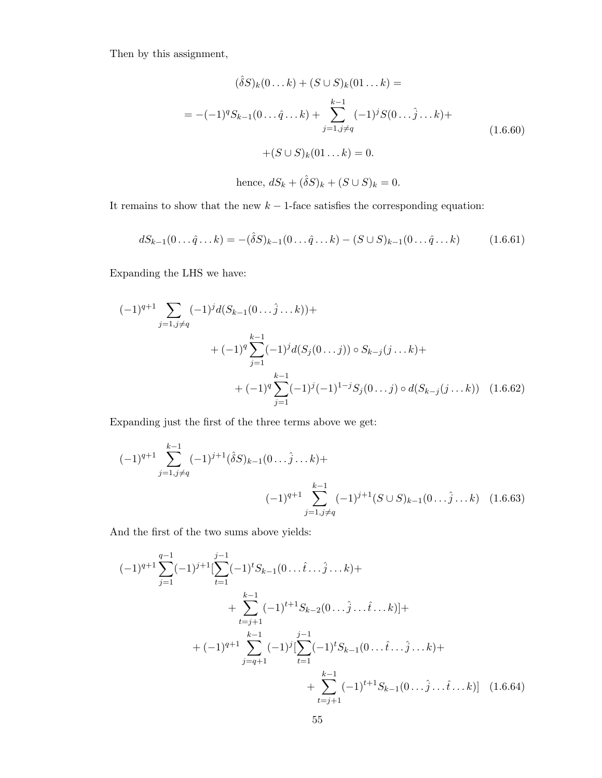Then by this assignment,

$$
(\hat{\delta}S)_k(0...k) + (S \cup S)_k(01...k) =
$$
  
= -(-1)<sup>q</sup>S<sub>k-1</sub>(0... $\hat{q}...k$ ) + 
$$
\sum_{j=1,j \neq q}^{k-1} (-1)^j S(0... \hat{j}...k) +
$$
  
+
$$
(S \cup S)_k(01...k) = 0.
$$
 (1.6.60)

hence, 
$$
dS_k + (\hat{\delta}S)_k + (S \cup S)_k = 0.
$$

It remains to show that the new  $k - 1$ -face satisfies the corresponding equation:

$$
dS_{k-1}(0... \hat{q}...k) = -(\hat{\delta}S)_{k-1}(0... \hat{q}...k) - (S \cup S)_{k-1}(0... \hat{q}...k) \qquad (1.6.61)
$$

Expanding the LHS we have:

$$
(-1)^{q+1} \sum_{j=1, j \neq q} (-1)^{j} d(S_{k-1}(0... \hat{j}... k)) +
$$
  
+ 
$$
(-1)^{q} \sum_{j=1}^{k-1} (-1)^{j} d(S_{j}(0... j)) \circ S_{k-j}(j... k) +
$$
  
+ 
$$
(-1)^{q} \sum_{j=1}^{k-1} (-1)^{j} (-1)^{1-j} S_{j}(0... j) \circ d(S_{k-j}(j... k)) \quad (1.6.62)
$$

Expanding just the first of the three terms above we get:

$$
(-1)^{q+1} \sum_{j=1,j\neq q}^{k-1} (-1)^{j+1} (\hat{\delta}S)_{k-1} (0 \dots \hat{j} \dots k) +
$$
  

$$
(-1)^{q+1} \sum_{j=1,j\neq q}^{k-1} (-1)^{j+1} (S \cup S)_{k-1} (0 \dots \hat{j} \dots k) \quad (1.6.63)
$$

And the first of the two sums above yields:

$$
(-1)^{q+1} \sum_{j=1}^{q-1} (-1)^{j+1} \left[ \sum_{t=1}^{j-1} (-1)^{t} S_{k-1}(0 \dots \hat{t} \dots \hat{j} \dots k) + \right.+ \sum_{t=j+1}^{k-1} (-1)^{t+1} S_{k-2}(0 \dots \hat{j} \dots \hat{t} \dots k) \right] + + (-1)^{q+1} \sum_{j=q+1}^{k-1} (-1)^{j} \left[ \sum_{t=1}^{j-1} (-1)^{t} S_{k-1}(0 \dots \hat{t} \dots \hat{j} \dots k) + \right.+ \sum_{t=j+1}^{k-1} (-1)^{t+1} S_{k-1}(0 \dots \hat{j} \dots \hat{t} \dots k) \right] (1.6.64)
$$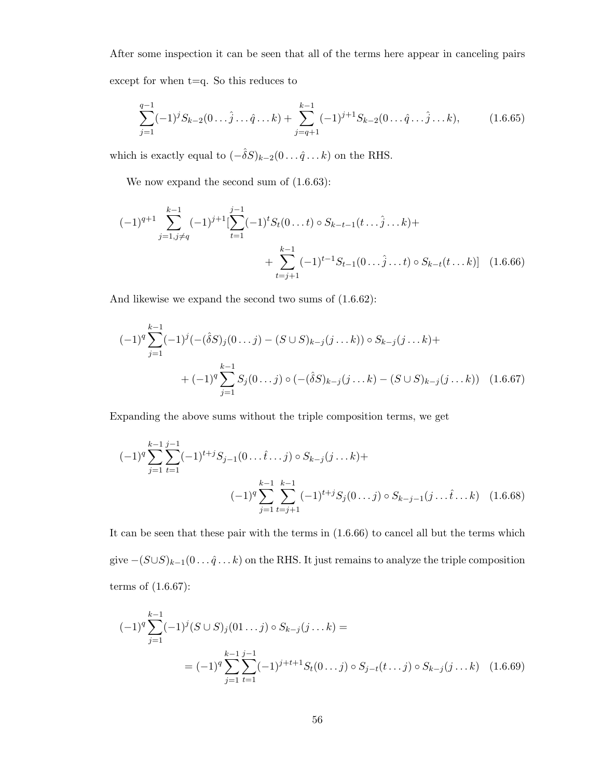After some inspection it can be seen that all of the terms here appear in canceling pairs except for when t=q. So this reduces to

$$
\sum_{j=1}^{q-1} (-1)^j S_{k-2}(0 \dots \hat{j} \dots \hat{q} \dots k) + \sum_{j=q+1}^{k-1} (-1)^{j+1} S_{k-2}(0 \dots \hat{q} \dots \hat{j} \dots k),
$$
 (1.6.65)

which is exactly equal to  $(-\hat{\delta}S)_{k-2}(0\ldots\hat{q}\ldots k)$  on the RHS.

We now expand the second sum of  $(1.6.63)$ :

$$
(-1)^{q+1} \sum_{j=1,j\neq q}^{k-1} (-1)^{j+1} \left[ \sum_{t=1}^{j-1} (-1)^t S_t(0...t) \circ S_{k-t-1}(t...\hat{j}...k) + \sum_{t=j+1}^{k-1} (-1)^{t-1} S_{t-1}(0...\hat{j}...t) \circ S_{k-t}(t...k) \right] (1.6.66)
$$

And likewise we expand the second two sums of (1.6.62):

$$
(-1)^{q} \sum_{j=1}^{k-1} (-1)^{j} \left( -(\hat{\delta}S)_{j}(0...j) - (S \cup S)_{k-j}(j...k) \right) \circ S_{k-j}(j...k) + (-1)^{q} \sum_{j=1}^{k-1} S_{j}(0...j) \circ \left( -(\hat{\delta}S)_{k-j}(j...k) - (S \cup S)_{k-j}(j...k) \right) \tag{1.6.67}
$$

Expanding the above sums without the triple composition terms, we get

$$
(-1)^{q} \sum_{j=1}^{k-1} \sum_{t=1}^{j-1} (-1)^{t+j} S_{j-1}(0 \dots \hat{t} \dots j) \circ S_{k-j}(j \dots k) +
$$
  

$$
(-1)^{q} \sum_{j=1}^{k-1} \sum_{t=j+1}^{k-1} (-1)^{t+j} S_j(0 \dots j) \circ S_{k-j-1}(j \dots \hat{t} \dots k) \quad (1.6.68)
$$

It can be seen that these pair with the terms in (1.6.66) to cancel all but the terms which give  $-(S\cup S)_{k-1}(0\ldots\hat{q}\ldots k)$  on the RHS. It just remains to analyze the triple composition terms of (1.6.67):

$$
(-1)^{q} \sum_{j=1}^{k-1} (-1)^{j} (S \cup S)_{j} (01 \dots j) \circ S_{k-j} (j \dots k) =
$$
  
= 
$$
(-1)^{q} \sum_{j=1}^{k-1} \sum_{t=1}^{j-1} (-1)^{j+t+1} S_{t} (0 \dots j) \circ S_{j-t} (t \dots j) \circ S_{k-j} (j \dots k) \quad (1.6.69)
$$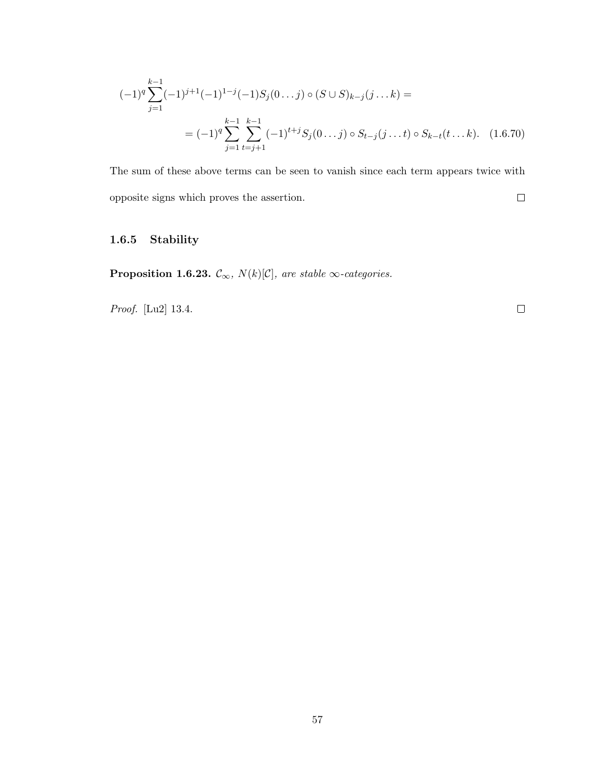$$
(-1)^{q} \sum_{j=1}^{k-1} (-1)^{j+1} (-1)^{1-j} (-1) S_j(0...j) \circ (S \cup S)_{k-j} (j...k) =
$$
  
= 
$$
(-1)^{q} \sum_{j=1}^{k-1} \sum_{t=j+1}^{k-1} (-1)^{t+j} S_j(0...j) \circ S_{t-j} (j...t) \circ S_{k-t} (t...k). \quad (1.6.70)
$$

The sum of these above terms can be seen to vanish since each term appears twice with opposite signs which proves the assertion.  $\Box$ 

# 1.6.5 Stability

**Proposition 1.6.23.**  $\mathcal{C}_{\infty}$ ,  $N(k)[\mathcal{C}]$ , are stable  $\infty$ -categories.

Proof. [Lu2] 13.4.

 $\Box$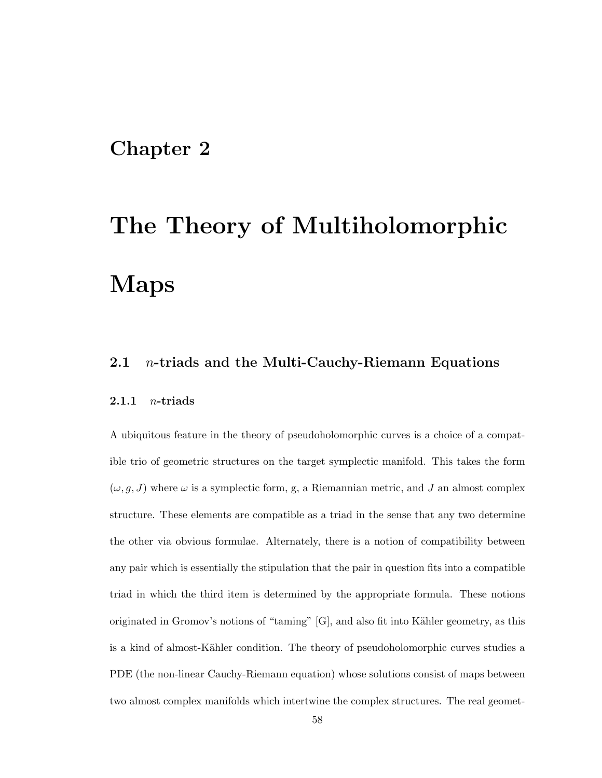# Chapter 2

# The Theory of Multiholomorphic Maps

### 2.1 *n*-triads and the Multi-Cauchy-Riemann Equations

#### 2.1.1  $n\text{-triads}$

A ubiquitous feature in the theory of pseudoholomorphic curves is a choice of a compatible trio of geometric structures on the target symplectic manifold. This takes the form  $(\omega, q, J)$  where  $\omega$  is a symplectic form, g, a Riemannian metric, and J an almost complex structure. These elements are compatible as a triad in the sense that any two determine the other via obvious formulae. Alternately, there is a notion of compatibility between any pair which is essentially the stipulation that the pair in question fits into a compatible triad in which the third item is determined by the appropriate formula. These notions originated in Gromov's notions of "taming"  $[G]$ , and also fit into Kähler geometry, as this is a kind of almost-Kähler condition. The theory of pseudoholomorphic curves studies a PDE (the non-linear Cauchy-Riemann equation) whose solutions consist of maps between two almost complex manifolds which intertwine the complex structures. The real geomet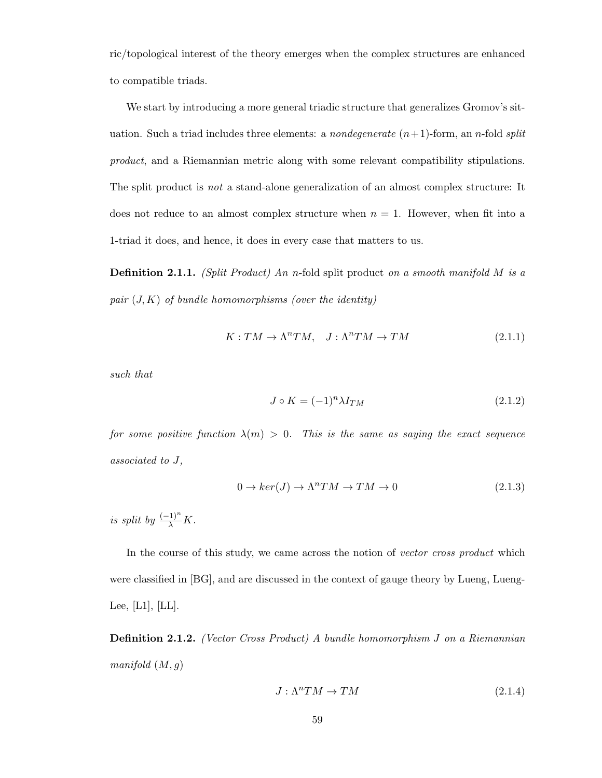ric/topological interest of the theory emerges when the complex structures are enhanced to compatible triads.

We start by introducing a more general triadic structure that generalizes Gromov's situation. Such a triad includes three elements: a *nondegenerate*  $(n+1)$ -form, an *n*-fold *split* product, and a Riemannian metric along with some relevant compatibility stipulations. The split product is not a stand-alone generalization of an almost complex structure: It does not reduce to an almost complex structure when  $n = 1$ . However, when fit into a 1-triad it does, and hence, it does in every case that matters to us.

**Definition 2.1.1.** (Split Product) An n-fold split product on a smooth manifold M is a pair  $(J, K)$  of bundle homomorphisms (over the identity)

$$
K: TM \to \Lambda^n TM, \quad J: \Lambda^n TM \to TM \tag{2.1.1}
$$

such that

$$
J \circ K = (-1)^n \lambda I_{TM} \tag{2.1.2}
$$

for some positive function  $\lambda(m) > 0$ . This is the same as saying the exact sequence associated to J,

$$
0 \to \ker(J) \to \Lambda^n TM \to TM \to 0 \tag{2.1.3}
$$

is split by  $\frac{(-1)^n}{\lambda}K$ .

In the course of this study, we came across the notion of vector cross product which were classified in [BG], and are discussed in the context of gauge theory by Lueng, Lueng-Lee,  $[L1]$ ,  $[LL]$ .

Definition 2.1.2. (Vector Cross Product) A bundle homomorphism J on a Riemannian manifold  $(M, g)$ 

$$
J: \Lambda^n TM \to TM \tag{2.1.4}
$$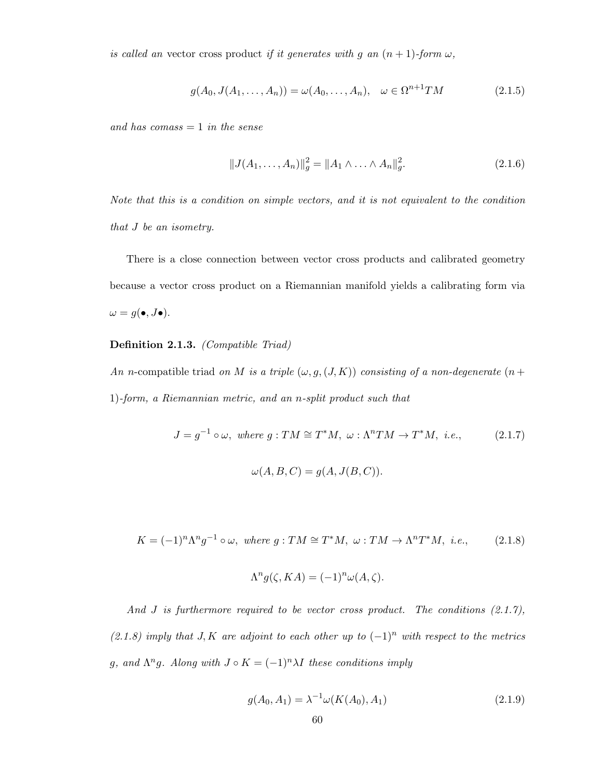is called an vector cross product if it generates with g an  $(n + 1)$ -form  $\omega$ ,

$$
g(A_0, J(A_1, \dots, A_n)) = \omega(A_0, \dots, A_n), \quad \omega \in \Omega^{n+1}TM
$$
\n(2.1.5)

and has  $comass = 1$  in the sense

$$
||J(A_1, ..., A_n)||_g^2 = ||A_1 \wedge ... \wedge A_n||_g^2.
$$
 (2.1.6)

Note that this is a condition on simple vectors, and it is not equivalent to the condition that J be an isometry.

There is a close connection between vector cross products and calibrated geometry because a vector cross product on a Riemannian manifold yields a calibrating form via  $\omega = g(\bullet, J\bullet).$ 

#### Definition 2.1.3. (Compatible Triad)

An n-compatible triad on M is a triple  $(\omega, g, (J, K))$  consisting of a non-degenerate  $(n +$ 1)-form, a Riemannian metric, and an n-split product such that

$$
J = g^{-1} \circ \omega, \text{ where } g: TM \cong T^*M, \omega: \Lambda^n TM \to T^*M, \text{ i.e.,}
$$
 (2.1.7)

$$
\omega(A, B, C) = g(A, J(B, C)).
$$

$$
K = (-1)^n \Lambda^n g^{-1} \circ \omega, \text{ where } g: TM \cong T^*M, \omega: TM \to \Lambda^n T^*M, \text{ i.e., } (2.1.8)
$$

$$
\Lambda^n g(\zeta, KA) = (-1)^n \omega(A, \zeta).
$$

And  $J$  is furthermore required to be vector cross product. The conditions  $(2.1.7)$ , (2.1.8) imply that  $J, K$  are adjoint to each other up to  $(-1)^n$  with respect to the metrics g, and  $\Lambda^n g$ . Along with  $J \circ K = (-1)^n \lambda I$  these conditions imply

$$
g(A_0, A_1) = \lambda^{-1} \omega(K(A_0), A_1)
$$
\n(2.1.9)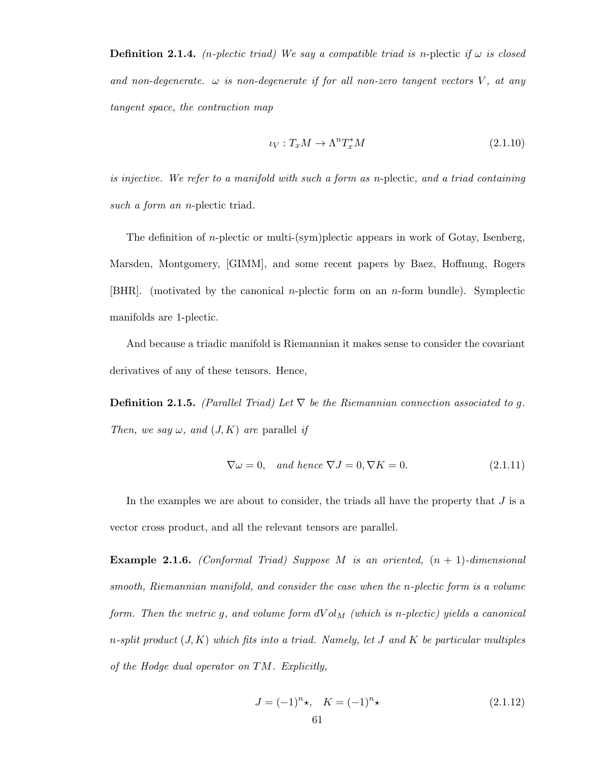**Definition 2.1.4.** (*n*-plectic triad) We say a compatible triad is *n*-plectic if  $\omega$  is closed and non-degenerate.  $\omega$  is non-degenerate if for all non-zero tangent vectors V, at any tangent space, the contraction map

$$
\iota_V: T_x M \to \Lambda^n T_x^* M \tag{2.1.10}
$$

is injective. We refer to a manifold with such a form as n-plectic, and a triad containing such a form an *n*-plectic triad.

The definition of  $n$ -plectic or multi-(sym)plectic appears in work of Gotay, Isenberg, Marsden, Montgomery, [GIMM], and some recent papers by Baez, Hoffnung, Rogers [BHR]. (motivated by the canonical n-plectic form on an n-form bundle). Symplectic manifolds are 1-plectic.

And because a triadic manifold is Riemannian it makes sense to consider the covariant derivatives of any of these tensors. Hence,

**Definition 2.1.5.** (Parallel Triad) Let  $\nabla$  be the Riemannian connection associated to g. Then, we say  $\omega$ , and  $(J, K)$  are parallel if

$$
\nabla \omega = 0, \quad and \quad hence \quad \nabla J = 0, \nabla K = 0. \tag{2.1.11}
$$

In the examples we are about to consider, the triads all have the property that  $J$  is a vector cross product, and all the relevant tensors are parallel.

**Example 2.1.6.** (Conformal Triad) Suppose M is an oriented,  $(n + 1)$ -dimensional smooth, Riemannian manifold, and consider the case when the n-plectic form is a volume form. Then the metric g, and volume form  $dVol_M$  (which is n-plectic) yields a canonical n-split product  $(J, K)$  which fits into a triad. Namely, let J and K be particular multiples of the Hodge dual operator on TM. Explicitly,

$$
J = (-1)^n \star, \quad K = (-1)^n \star \tag{2.1.12}
$$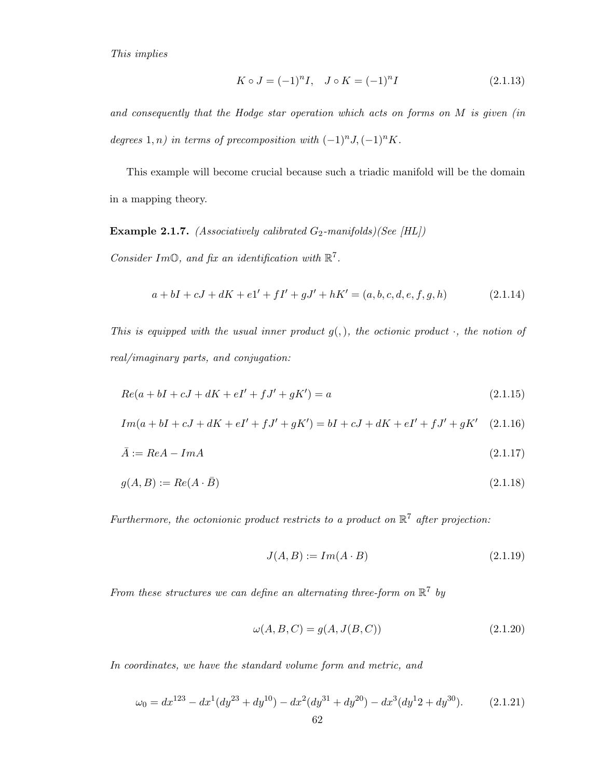This implies

$$
K \circ J = (-1)^n I, \quad J \circ K = (-1)^n I \tag{2.1.13}
$$

and consequently that the Hodge star operation which acts on forms on M is given (in degrees  $1, n$ ) in terms of precomposition with  $(-1)^n J, (-1)^n K$ .

This example will become crucial because such a triadic manifold will be the domain in a mapping theory.

**Example 2.1.7.** (Associatively calibrated  $G_2$ -manifolds)(See [HL])

Consider Im $\mathbb{O}$ , and fix an identification with  $\mathbb{R}^7$ .

$$
a + bI + cJ + dK + e1' + fI' + gJ' + hK' = (a, b, c, d, e, f, g, h)
$$
\n(2.1.14)

This is equipped with the usual inner product  $g($ ,  $)$ , the octionic product  $\cdot$ , the notion of real/imaginary parts, and conjugation:

$$
Re(a + bI + cJ + dK + eI' + fJ' + gK') = a \tag{2.1.15}
$$

$$
Im(a + bI + cJ + dK + eI' + fJ' + gK') = bI + cJ + dK + eI' + fJ' + gK'
$$
 (2.1.16)

$$
\bar{A} := ReA - ImA \tag{2.1.17}
$$

$$
g(A, B) := Re(A \cdot \bar{B}) \tag{2.1.18}
$$

Furthermore, the octonionic product restricts to a product on  $\mathbb{R}^7$  after projection:

$$
J(A, B) := Im(A \cdot B) \tag{2.1.19}
$$

From these structures we can define an alternating three-form on  $\mathbb{R}^7$  by

$$
\omega(A, B, C) = g(A, J(B, C))\tag{2.1.20}
$$

In coordinates, we have the standard volume form and metric, and

$$
\omega_0 = dx^{123} - dx^1 (dy^{23} + dy^{10}) - dx^2 (dy^{31} + dy^{20}) - dx^3 (dy^1 2 + dy^{30}).
$$
\n(2.1.21)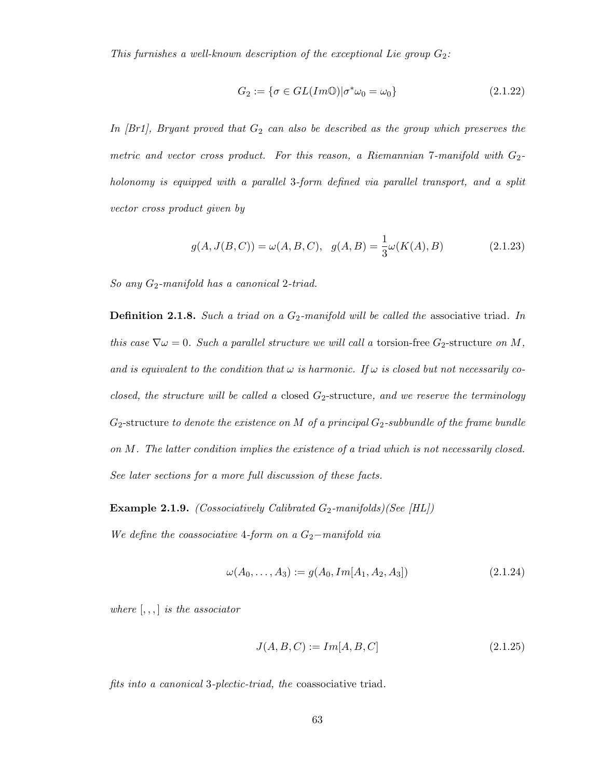This furnishes a well-known description of the exceptional Lie group  $G_2$ :

$$
G_2 := \{ \sigma \in GL(Im\mathbb{O}) | \sigma^* \omega_0 = \omega_0 \}
$$
\n
$$
(2.1.22)
$$

In  $[Br1]$ , Bryant proved that  $G_2$  can also be described as the group which preserves the metric and vector cross product. For this reason, a Riemannian 7-manifold with  $G_2$ holonomy is equipped with a parallel 3-form defined via parallel transport, and a split vector cross product given by

$$
g(A, J(B, C)) = \omega(A, B, C), \quad g(A, B) = \frac{1}{3}\omega(K(A), B)
$$
\n(2.1.23)

So any  $G_2$ -manifold has a canonical  $2$ -triad.

**Definition 2.1.8.** Such a triad on a  $G_2$ -manifold will be called the associative triad. In this case  $\nabla \omega = 0$ . Such a parallel structure we will call a torsion-free  $G_2$ -structure on M, and is equivalent to the condition that  $\omega$  is harmonic. If  $\omega$  is closed but not necessarily coclosed, the structure will be called a closed  $G_2$ -structure, and we reserve the terminology  $G_2$ -structure to denote the existence on M of a principal  $G_2$ -subbundle of the frame bundle on M. The latter condition implies the existence of a triad which is not necessarily closed. See later sections for a more full discussion of these facts.

**Example 2.1.9.** (Cossociatively Calibrated  $G_2$ -manifolds)(See [HL])

We define the coassociative 4-form on a  $G_2$ −manifold via

$$
\omega(A_0, \dots, A_3) := g(A_0, Im[A_1, A_2, A_3]) \tag{2.1.24}
$$

where  $[, , ,]$  is the associator

$$
J(A, B, C) := Im[A, B, C]
$$
\n(2.1.25)

fits into a canonical 3-plectic-triad, the coassociative triad.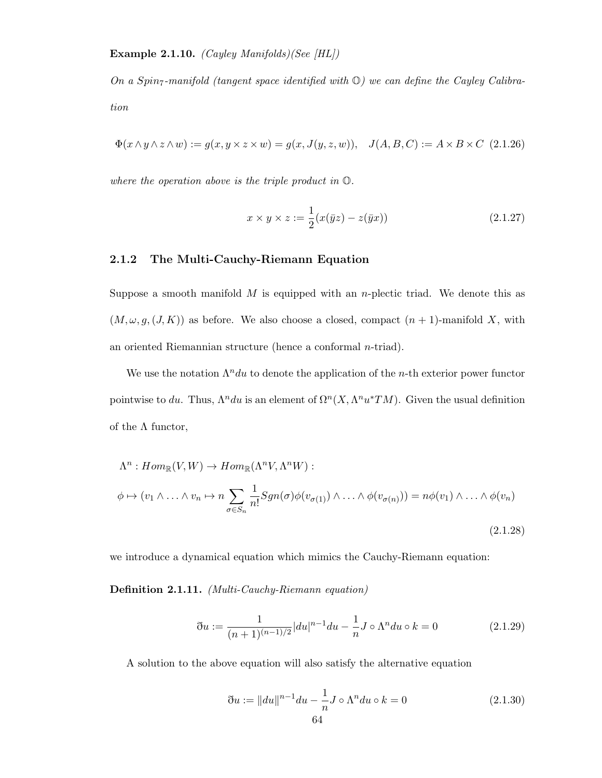On a Spin<sub>7</sub>-manifold (tangent space identified with  $\mathbb{O}$ ) we can define the Cayley Calibration

$$
\Phi(x \wedge y \wedge z \wedge w) := g(x, y \times z \times w) = g(x, J(y, z, w)), \quad J(A, B, C) := A \times B \times C \tag{2.1.26}
$$

where the operation above is the triple product in  $\mathbb{O}$ .

$$
x \times y \times z := \frac{1}{2}(x(\bar{y}z) - z(\bar{y}x))
$$
\n(2.1.27)

#### 2.1.2 The Multi-Cauchy-Riemann Equation

Suppose a smooth manifold  $M$  is equipped with an *n*-plectic triad. We denote this as  $(M, \omega, g, (J, K))$  as before. We also choose a closed, compact  $(n + 1)$ -manifold X, with an oriented Riemannian structure (hence a conformal n-triad).

We use the notation  $\Lambda^n du$  to denote the application of the *n*-th exterior power functor pointwise to du. Thus,  $\Lambda^n du$  is an element of  $\Omega^n(X, \Lambda^n u^*TM)$ . Given the usual definition of the  $\Lambda$  functor,

$$
\Lambda^n: Hom_{\mathbb{R}}(V, W) \to Hom_{\mathbb{R}}(\Lambda^n V, \Lambda^n W) :
$$
  

$$
\phi \mapsto (v_1 \wedge \ldots \wedge v_n \mapsto n \sum_{\sigma \in S_n} \frac{1}{n!} Sgn(\sigma) \phi(v_{\sigma(1)}) \wedge \ldots \wedge \phi(v_{\sigma(n)}) = n\phi(v_1) \wedge \ldots \wedge \phi(v_n)
$$
  
(2.1.28)

we introduce a dynamical equation which mimics the Cauchy-Riemann equation:

Definition 2.1.11. (Multi-Cauchy-Riemann equation)

$$
\eth u := \frac{1}{(n+1)^{(n-1)/2}} |du|^{n-1} du - \frac{1}{n} J \circ \Lambda^n du \circ k = 0 \tag{2.1.29}
$$

A solution to the above equation will also satisfy the alternative equation

$$
\eth u := \| du \|^n^{-1} du - \frac{1}{n} J \circ \Lambda^n du \circ k = 0 \tag{2.1.30}
$$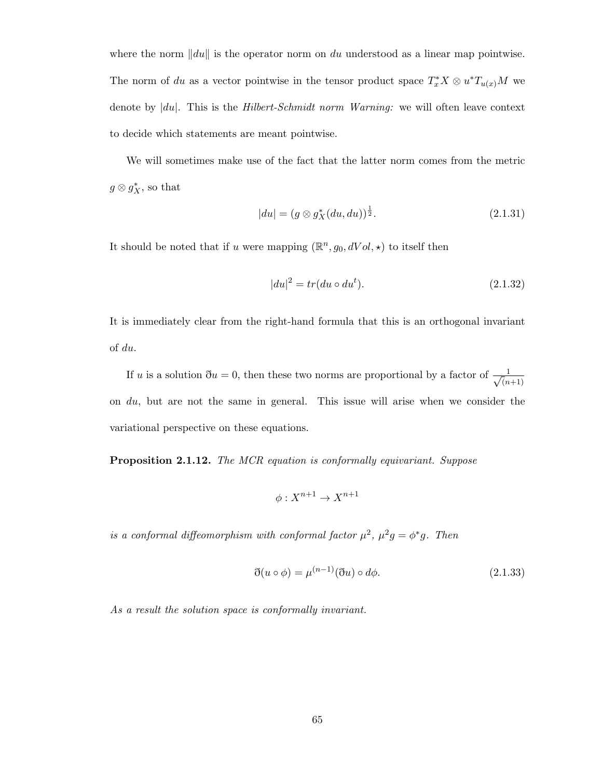where the norm  $\|du\|$  is the operator norm on du understood as a linear map pointwise. The norm of du as a vector pointwise in the tensor product space  $T_x^*X \otimes u^*T_{u(x)}M$  we denote by  $|du|$ . This is the *Hilbert-Schmidt norm Warning:* we will often leave context to decide which statements are meant pointwise.

We will sometimes make use of the fact that the latter norm comes from the metric  $g \otimes g_X^*$ , so that

$$
|du| = (g \otimes g_X^*(du, du))^{\frac{1}{2}}.
$$
\n(2.1.31)

It should be noted that if u were mapping  $(\mathbb{R}^n, g_0, dVol, \star)$  to itself then

$$
|du|^2 = tr(du \circ du^t). \tag{2.1.32}
$$

It is immediately clear from the right-hand formula that this is an orthogonal invariant of du.

If u is a solution  $\eth u = 0$ , then these two norms are proportional by a factor of  $\frac{1}{\sqrt{2}}$  $(n+1)$ on  $du$ , but are not the same in general. This issue will arise when we consider the variational perspective on these equations.

**Proposition 2.1.12.** The MCR equation is conformally equivariant. Suppose

$$
\phi: X^{n+1} \to X^{n+1}
$$

is a conformal diffeomorphism with conformal factor  $\mu^2$ ,  $\mu^2 g = \phi^* g$ . Then

$$
\mathfrak{F}(u \circ \phi) = \mu^{(n-1)}(\mathfrak{F}u) \circ d\phi.
$$
\n(2.1.33)

As a result the solution space is conformally invariant.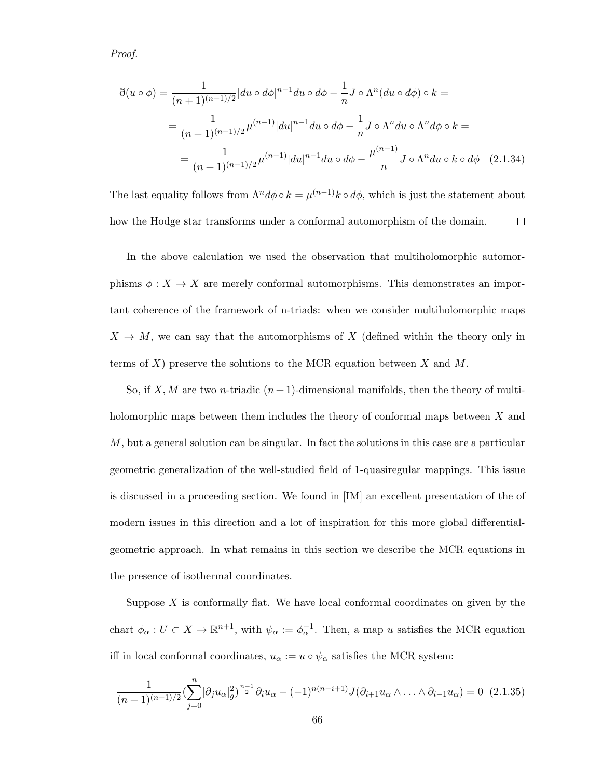Proof.

$$
\mathfrak{F}(u \circ \phi) = \frac{1}{(n+1)^{(n-1)/2}} |du \circ d\phi|^{n-1} du \circ d\phi - \frac{1}{n} J \circ \Lambda^n (du \circ d\phi) \circ k =
$$
  
= 
$$
\frac{1}{(n+1)^{(n-1)/2}} \mu^{(n-1)} |du|^{n-1} du \circ d\phi - \frac{1}{n} J \circ \Lambda^n du \circ \Lambda^n d\phi \circ k =
$$
  
= 
$$
\frac{1}{(n+1)^{(n-1)/2}} \mu^{(n-1)} |du|^{n-1} du \circ d\phi - \frac{\mu^{(n-1)}}{n} J \circ \Lambda^n du \circ k \circ d\phi \quad (2.1.34)
$$

The last equality follows from  $\Lambda^n d\phi \circ k = \mu^{(n-1)} k \circ d\phi$ , which is just the statement about how the Hodge star transforms under a conformal automorphism of the domain.  $\Box$ 

In the above calculation we used the observation that multiholomorphic automorphisms  $\phi: X \to X$  are merely conformal automorphisms. This demonstrates an important coherence of the framework of n-triads: when we consider multiholomorphic maps  $X \to M$ , we can say that the automorphisms of X (defined within the theory only in terms of  $X$ ) preserve the solutions to the MCR equation between  $X$  and  $M$ .

So, if X, M are two n-triadic  $(n+1)$ -dimensional manifolds, then the theory of multiholomorphic maps between them includes the theory of conformal maps between X and  $M$ , but a general solution can be singular. In fact the solutions in this case are a particular geometric generalization of the well-studied field of 1-quasiregular mappings. This issue is discussed in a proceeding section. We found in [IM] an excellent presentation of the of modern issues in this direction and a lot of inspiration for this more global differentialgeometric approach. In what remains in this section we describe the MCR equations in the presence of isothermal coordinates.

Suppose  $X$  is conformally flat. We have local conformal coordinates on given by the chart  $\phi_{\alpha}: U \subset X \to \mathbb{R}^{n+1}$ , with  $\psi_{\alpha} := \phi_{\alpha}^{-1}$ . Then, a map u satisfies the MCR equation iff in local conformal coordinates,  $u_{\alpha} := u \circ \psi_{\alpha}$  satisfies the MCR system:

$$
\frac{1}{(n+1)^{(n-1)/2}} \left(\sum_{j=0}^{n} |\partial_j u_{\alpha}|_g^2\right)^{\frac{n-1}{2}} \partial_i u_{\alpha} - (-1)^{n(n-i+1)} J(\partial_{i+1} u_{\alpha} \wedge \ldots \wedge \partial_{i-1} u_{\alpha}) = 0 \tag{2.1.35}
$$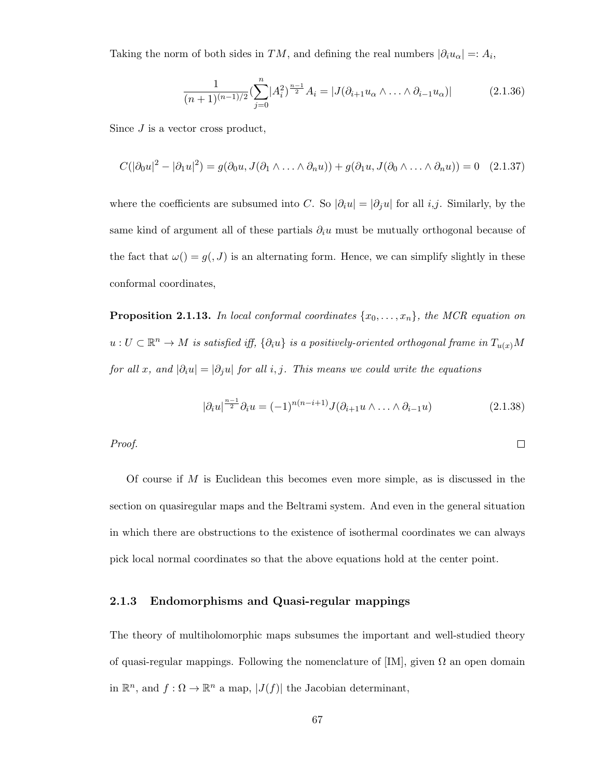Taking the norm of both sides in TM, and defining the real numbers  $|\partial_i u_\alpha| =: A_i$ ,

$$
\frac{1}{(n+1)^{(n-1)/2}} \left( \sum_{j=0}^{n} |A_i^2|^{\frac{n-1}{2}} A_i = |J(\partial_{i+1} u_\alpha \wedge \ldots \wedge \partial_{i-1} u_\alpha)| \right) \tag{2.1.36}
$$

Since  $J$  is a vector cross product,

$$
C(|\partial_0 u|^2 - |\partial_1 u|^2) = g(\partial_0 u, J(\partial_1 \wedge \ldots \wedge \partial_n u)) + g(\partial_1 u, J(\partial_0 \wedge \ldots \wedge \partial_n u)) = 0 \quad (2.1.37)
$$

where the coefficients are subsumed into C. So  $|\partial_i u| = |\partial_j u|$  for all i,j. Similarly, by the same kind of argument all of these partials  $\partial_i u$  must be mutually orthogonal because of the fact that  $\omega() = g(0, J)$  is an alternating form. Hence, we can simplify slightly in these conformal coordinates,

**Proposition 2.1.13.** In local conformal coordinates  $\{x_0, \ldots, x_n\}$ , the MCR equation on  $u: U \subset \mathbb{R}^n \to M$  is satisfied iff,  $\{\partial_i u\}$  is a positively-oriented orthogonal frame in  $T_{u(x)}M$ for all x, and  $|\partial_i u| = |\partial_j u|$  for all i, j. This means we could write the equations

$$
|\partial_i u|^{\frac{n-1}{2}} \partial_i u = (-1)^{n(n-i+1)} J(\partial_{i+1} u \wedge \ldots \wedge \partial_{i-1} u)
$$
\n(2.1.38)

 $\Box$ 

Proof.

Of course if  $M$  is Euclidean this becomes even more simple, as is discussed in the section on quasiregular maps and the Beltrami system. And even in the general situation in which there are obstructions to the existence of isothermal coordinates we can always pick local normal coordinates so that the above equations hold at the center point.

#### 2.1.3 Endomorphisms and Quasi-regular mappings

The theory of multiholomorphic maps subsumes the important and well-studied theory of quasi-regular mappings. Following the nomenclature of  $[IM]$ , given  $\Omega$  an open domain in  $\mathbb{R}^n$ , and  $f: \Omega \to \mathbb{R}^n$  a map,  $|J(f)|$  the Jacobian determinant,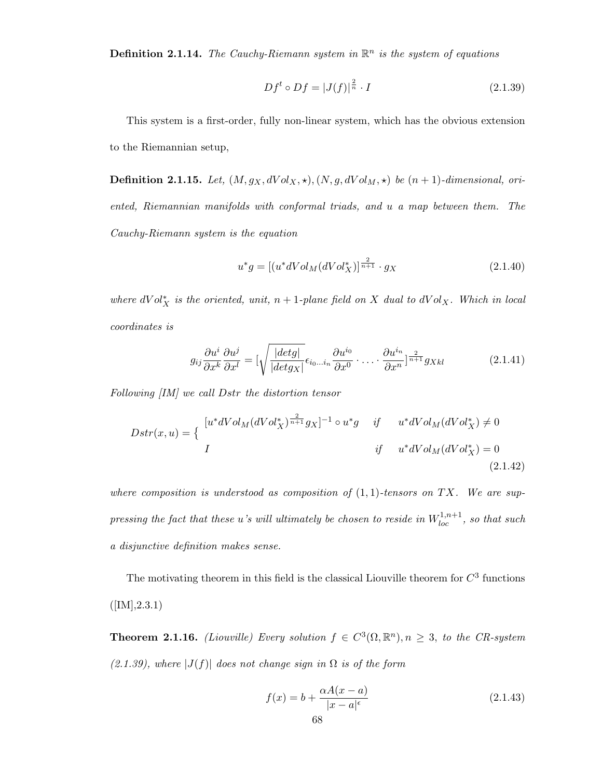**Definition 2.1.14.** The Cauchy-Riemann system in  $\mathbb{R}^n$  is the system of equations

$$
Df^t \circ Df = |J(f)|^{\frac{2}{n}} \cdot I \tag{2.1.39}
$$

This system is a first-order, fully non-linear system, which has the obvious extension to the Riemannian setup,

**Definition 2.1.15.** Let,  $(M, g_X, dVol_X, \star), (N, g, dVol_M, \star)$  be  $(n + 1)$ -dimensional, oriented, Riemannian manifolds with conformal triads, and u a map between them. The Cauchy-Riemann system is the equation

$$
u^*g = [(u^*dVol_M(dVol_X^*)]^{\frac{2}{n+1}} \cdot g_X \tag{2.1.40}
$$

where  $dVol_X^*$  is the oriented, unit,  $n+1$ -plane field on X dual to  $dVol_X$ . Which in local coordinates is

$$
g_{ij}\frac{\partial u^i}{\partial x^k}\frac{\partial u^j}{\partial x^l} = \left[\sqrt{\frac{|det g|}{|det g_X|}}\epsilon_{i_0...i_n}\frac{\partial u^{i_0}}{\partial x^0}\cdot\ldots\cdot\frac{\partial u^{i_n}}{\partial x^n}\right]^{\frac{2}{n+1}}g_{Xkl}
$$
(2.1.41)

Following [IM] we call Dstr the distortion tensor

$$
Dstr(x, u) = \begin{cases} [u^*dVol_M(dVol_X^*)^{\frac{2}{n+1}} g_X]^{-1} \circ u^* g & \text{if} \qquad u^*dVol_M(dVol_X^*) \neq 0\\ I & \text{if} \qquad u^*dVol_M(dVol_X^*) = 0\\ (2.1.42) \end{cases}
$$

where composition is understood as composition of  $(1,1)$ -tensors on TX. We are suppressing the fact that these  $u$ 's will ultimately be chosen to reside in  $W_{loc}^{1,n+1}$ , so that such a disjunctive definition makes sense.

The motivating theorem in this field is the classical Liouville theorem for  $C<sup>3</sup>$  functions  $([IM], 2.3.1)$ 

**Theorem 2.1.16.** (Liouville) Every solution  $f \in C^3(\Omega, \mathbb{R}^n)$ ,  $n \geq 3$ , to the CR-system  $(2.1.39)$ , where  $|J(f)|$  does not change sign in  $\Omega$  is of the form

$$
f(x) = b + \frac{\alpha A(x - a)}{|x - a|^{\epsilon}} \tag{2.1.43}
$$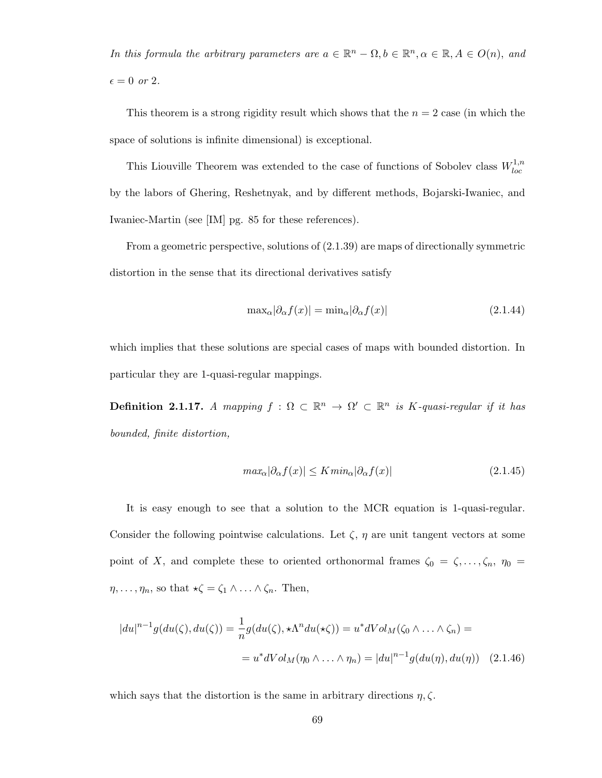In this formula the arbitrary parameters are  $a \in \mathbb{R}^n - \Omega, b \in \mathbb{R}^n, \alpha \in \mathbb{R}, A \in O(n)$ , and  $\epsilon = 0$  or 2.

This theorem is a strong rigidity result which shows that the  $n = 2$  case (in which the space of solutions is infinite dimensional) is exceptional.

This Liouville Theorem was extended to the case of functions of Sobolev class  $W_{loc}^{1,n}$ loc by the labors of Ghering, Reshetnyak, and by different methods, Bojarski-Iwaniec, and Iwaniec-Martin (see [IM] pg. 85 for these references).

From a geometric perspective, solutions of (2.1.39) are maps of directionally symmetric distortion in the sense that its directional derivatives satisfy

$$
\max_{\alpha} |\partial_{\alpha} f(x)| = \min_{\alpha} |\partial_{\alpha} f(x)| \tag{2.1.44}
$$

which implies that these solutions are special cases of maps with bounded distortion. In particular they are 1-quasi-regular mappings.

**Definition 2.1.17.** A mapping  $f : \Omega \subset \mathbb{R}^n \to \Omega' \subset \mathbb{R}^n$  is K-quasi-regular if it has bounded, finite distortion,

$$
max_{\alpha} |\partial_{\alpha} f(x)| \le K \min_{\alpha} |\partial_{\alpha} f(x)| \tag{2.1.45}
$$

It is easy enough to see that a solution to the MCR equation is 1-quasi-regular. Consider the following pointwise calculations. Let  $\zeta$ ,  $\eta$  are unit tangent vectors at some point of X, and complete these to oriented orthonormal frames  $\zeta_0 = \zeta, \ldots, \zeta_n, \eta_0 =$  $\eta, \ldots, \eta_n$ , so that  $\star \zeta = \zeta_1 \wedge \ldots \wedge \zeta_n$ . Then,

$$
|du|^{n-1}g(du(\zeta), du(\zeta)) = \frac{1}{n}g(du(\zeta), \star \Lambda^n du(\star \zeta)) = u^*dVol_M(\zeta_0 \wedge \ldots \wedge \zeta_n) =
$$
  

$$
= u^*dVol_M(\eta_0 \wedge \ldots \wedge \eta_n) = |du|^{n-1}g(du(\eta), du(\eta)) \quad (2.1.46)
$$

which says that the distortion is the same in arbitrary directions  $\eta$ ,  $\zeta$ .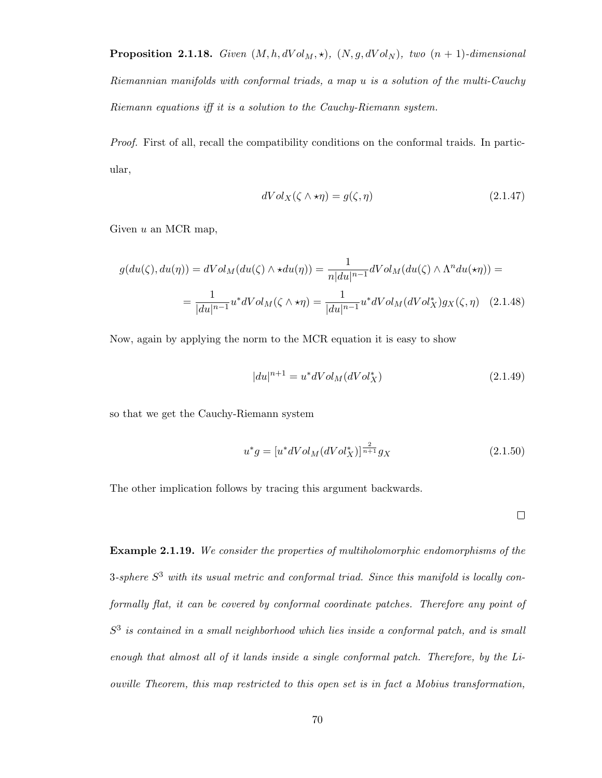**Proposition 2.1.18.** Given  $(M, h, dVol_M, \star)$ ,  $(N, g, dVol_N)$ , two  $(n + 1)$ -dimensional Riemannian manifolds with conformal triads, a map u is a solution of the multi-Cauchy Riemann equations iff it is a solution to the Cauchy-Riemann system.

Proof. First of all, recall the compatibility conditions on the conformal traids. In particular,

$$
dVol_X(\zeta \wedge \star \eta) = g(\zeta, \eta) \tag{2.1.47}
$$

Given  $u$  an MCR map,

$$
g(du(\zeta), du(\eta)) = dVol_M(du(\zeta) \wedge \star du(\eta)) = \frac{1}{n|du|^{n-1}} dVol_M(du(\zeta) \wedge \Lambda^n du(\star \eta)) =
$$
  
= 
$$
\frac{1}{|du|^{n-1}} u^* dVol_M(\zeta \wedge \star \eta) = \frac{1}{|du|^{n-1}} u^* dVol_M(dVol_X^*) g_X(\zeta, \eta) \quad (2.1.48)
$$

Now, again by applying the norm to the MCR equation it is easy to show

$$
|du|^{n+1} = u^* dVol_M(dVol_X^*)
$$
\n(2.1.49)

so that we get the Cauchy-Riemann system

$$
u^*g = [u^*dVol_M(dVol_X^*)]^{\frac{2}{n+1}}g_X
$$
\n(2.1.50)

The other implication follows by tracing this argument backwards.

 $\Box$ 

Example 2.1.19. We consider the properties of multiholomorphic endomorphisms of the 3-sphere  $S^3$  with its usual metric and conformal triad. Since this manifold is locally conformally flat, it can be covered by conformal coordinate patches. Therefore any point of  $S<sup>3</sup>$  is contained in a small neighborhood which lies inside a conformal patch, and is small enough that almost all of it lands inside a single conformal patch. Therefore, by the Liouville Theorem, this map restricted to this open set is in fact a Mobius transformation,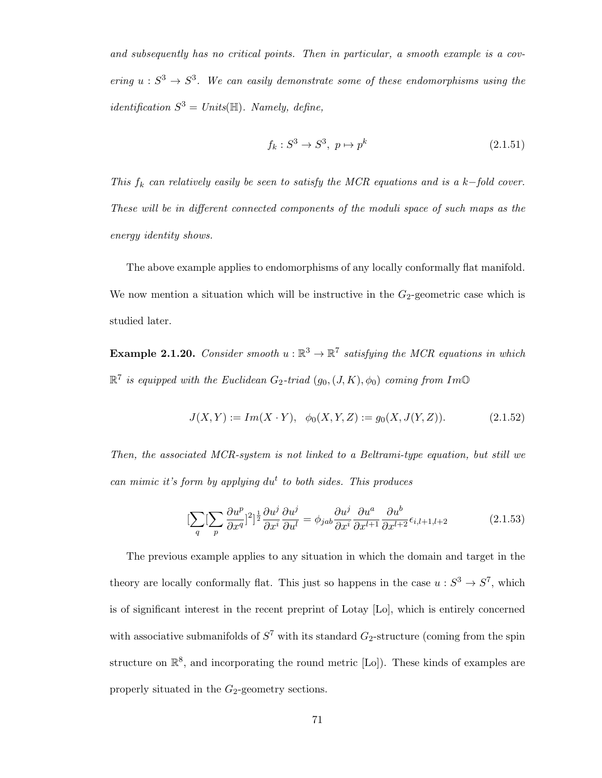and subsequently has no critical points. Then in particular, a smooth example is a covering  $u : S^3 \to S^3$ . We can easily demonstrate some of these endomorphisms using the identification  $S^3 = Units(\mathbb{H})$ . Namely, define,

$$
f_k: S^3 \to S^3, \ p \mapsto p^k \tag{2.1.51}
$$

This  $f_k$  can relatively easily be seen to satisfy the MCR equations and is a k-fold cover. These will be in different connected components of the moduli space of such maps as the energy identity shows.

The above example applies to endomorphisms of any locally conformally flat manifold. We now mention a situation which will be instructive in the  $G_2$ -geometric case which is studied later.

**Example 2.1.20.** Consider smooth  $u : \mathbb{R}^3 \to \mathbb{R}^7$  satisfying the MCR equations in which  $\mathbb{R}^7$  is equipped with the Euclidean  $G_2$ -triad  $(g_0,(J,K),\phi_0)$  coming from Im $\mathbb O$ 

$$
J(X,Y) := Im(X \cdot Y), \ \ \phi_0(X,Y,Z) := g_0(X,J(Y,Z)). \tag{2.1.52}
$$

Then, the associated MCR-system is not linked to a Beltrami-type equation, but still we can mimic it's form by applying  $du^t$  to both sides. This produces

$$
\left[\sum_{q} \left[\sum_{p} \frac{\partial u^{p}}{\partial x^{q}}\right]^{2}\right]^{\frac{1}{2}} \frac{\partial u^{j}}{\partial x^{i}} \frac{\partial u^{j}}{\partial u^{l}} = \phi_{jab} \frac{\partial u^{j}}{\partial x^{i}} \frac{\partial u^{a}}{\partial x^{l+1}} \frac{\partial u^{b}}{\partial x^{l+2}} \epsilon_{i,l+1,l+2}
$$
(2.1.53)

The previous example applies to any situation in which the domain and target in the theory are locally conformally flat. This just so happens in the case  $u : S^3 \to S^7$ , which is of significant interest in the recent preprint of Lotay [Lo], which is entirely concerned with associative submanifolds of  $S^7$  with its standard  $G_2$ -structure (coming from the spin structure on  $\mathbb{R}^8$ , and incorporating the round metric [Lo]). These kinds of examples are properly situated in the  $G_2$ -geometry sections.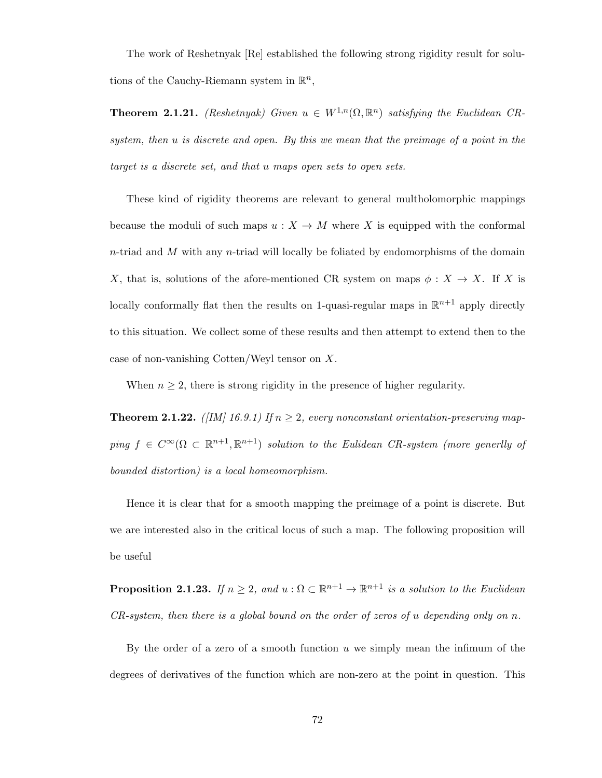The work of Reshetnyak [Re] established the following strong rigidity result for solutions of the Cauchy-Riemann system in  $\mathbb{R}^n$ ,

**Theorem 2.1.21.** (Reshetnyak) Given  $u \in W^{1,n}(\Omega,\mathbb{R}^n)$  satisfying the Euclidean CRsystem, then u is discrete and open. By this we mean that the preimage of a point in the target is a discrete set, and that u maps open sets to open sets.

These kind of rigidity theorems are relevant to general multholomorphic mappings because the moduli of such maps  $u : X \to M$  where X is equipped with the conformal  $n$ -triad and M with any  $n$ -triad will locally be foliated by endomorphisms of the domain X, that is, solutions of the afore-mentioned CR system on maps  $\phi: X \to X$ . If X is locally conformally flat then the results on 1-quasi-regular maps in  $\mathbb{R}^{n+1}$  apply directly to this situation. We collect some of these results and then attempt to extend then to the case of non-vanishing Cotten/Weyl tensor on X.

When  $n \geq 2$ , there is strong rigidity in the presence of higher regularity.

**Theorem 2.1.22.** ([IM] 16.9.1) If  $n \geq 2$ , every nonconstant orientation-preserving mapping  $f \in C^{\infty}(\Omega \subset \mathbb{R}^{n+1}, \mathbb{R}^{n+1})$  solution to the Eulidean CR-system (more generily of bounded distortion) is a local homeomorphism.

Hence it is clear that for a smooth mapping the preimage of a point is discrete. But we are interested also in the critical locus of such a map. The following proposition will be useful

**Proposition 2.1.23.** If  $n \geq 2$ , and  $u : \Omega \subset \mathbb{R}^{n+1} \to \mathbb{R}^{n+1}$  is a solution to the Euclidean  $CR\text{-}system,$  then there is a global bound on the order of zeros of u depending only on n.

By the order of a zero of a smooth function  $u$  we simply mean the infimum of the degrees of derivatives of the function which are non-zero at the point in question. This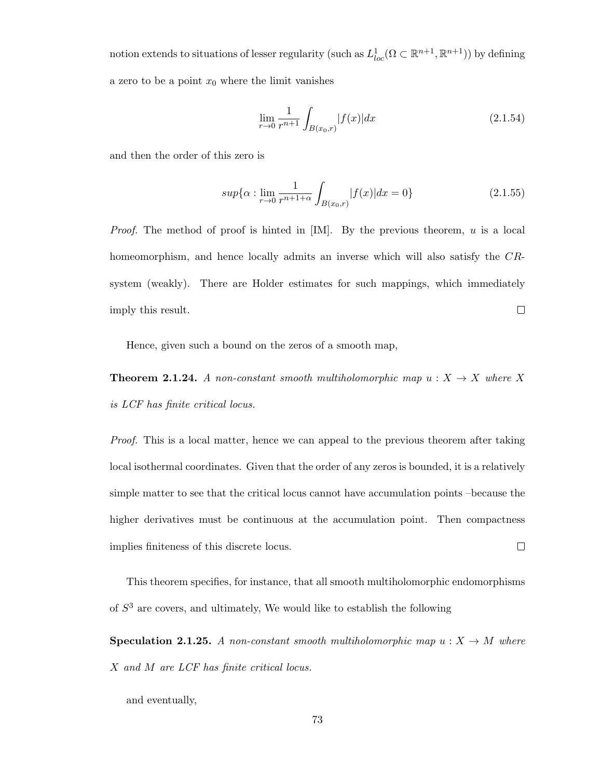notion extends to situations of lesser regularity (such as  $L^1_{loc}(\Omega \subset \mathbb{R}^{n+1}, \mathbb{R}^{n+1})$ ) by defining a zero to be a point  $x_0$  where the limit vanishes

$$
\lim_{r \to 0} \frac{1}{r^{n+1}} \int_{B(x_0,r)} |f(x)| dx \tag{2.1.54}
$$

and then the order of this zero is

$$
sup{\alpha : \lim_{r \to 0} \frac{1}{r^{n+1+\alpha}} \int_{B(x_0,r)} |f(x)| dx = 0}
$$
 (2.1.55)

*Proof.* The method of proof is hinted in  $[IM]$ . By the previous theorem, u is a local homeomorphism, and hence locally admits an inverse which will also satisfy the CRsystem (weakly). There are Holder estimates for such mappings, which immediately  $\Box$ imply this result.

Hence, given such a bound on the zeros of a smooth map,

**Theorem 2.1.24.** A non-constant smooth multiholomorphic map  $u : X \to X$  where X is LCF has finite critical locus.

Proof. This is a local matter, hence we can appeal to the previous theorem after taking local isothermal coordinates. Given that the order of any zeros is bounded, it is a relatively simple matter to see that the critical locus cannot have accumulation points –because the higher derivatives must be continuous at the accumulation point. Then compactness  $\Box$ implies finiteness of this discrete locus.

This theorem specifies, for instance, that all smooth multiholomorphic endomorphisms of  $S<sup>3</sup>$  are covers, and ultimately, We would like to establish the following

**Speculation 2.1.25.** A non-constant smooth multiholomorphic map  $u : X \to M$  where X and M are LCF has finite critical locus.

and eventually,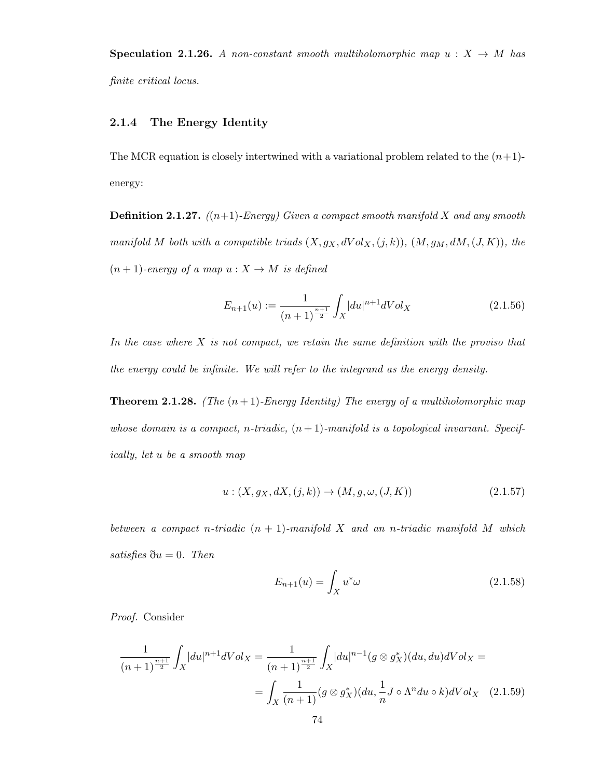**Speculation 2.1.26.** A non-constant smooth multiholomorphic map  $u : X \to M$  has finite critical locus.

## 2.1.4 The Energy Identity

The MCR equation is closely intertwined with a variational problem related to the  $(n+1)$ energy:

**Definition 2.1.27.**  $((n+1)$ -Energy) Given a compact smooth manifold X and any smooth manifold M both with a compatible triads  $(X, g_X, dVol_X, (j, k)), (M, g_M, dM, (J, K)),$  the  $(n + 1)$ -energy of a map  $u : X \to M$  is defined

$$
E_{n+1}(u) := \frac{1}{(n+1)^{\frac{n+1}{2}}} \int_X |du|^{n+1} dVol_X \tag{2.1.56}
$$

In the case where  $X$  is not compact, we retain the same definition with the proviso that the energy could be infinite. We will refer to the integrand as the energy density.

**Theorem 2.1.28.** (The  $(n+1)$ -Energy Identity) The energy of a multiholomorphic map whose domain is a compact, n-triadic,  $(n + 1)$ -manifold is a topological invariant. Specifically, let u be a smooth map

$$
u: (X, g_X, dX, (j, k)) \to (M, g, \omega, (J, K))
$$
\n(2.1.57)

between a compact n-triadic  $(n + 1)$ -manifold X and an n-triadic manifold M which satisfies  $\eth u = 0$ . Then

$$
E_{n+1}(u) = \int_X u^*\omega \tag{2.1.58}
$$

Proof. Consider

$$
\frac{1}{(n+1)^{\frac{n+1}{2}}} \int_X |du|^{n+1} dVol_X = \frac{1}{(n+1)^{\frac{n+1}{2}}} \int_X |du|^{n-1} (g \otimes g_X^*)(du, du) dVol_X =
$$

$$
= \int_X \frac{1}{(n+1)} (g \otimes g_X^*)(du, \frac{1}{n} J \circ \Lambda^n du \circ k) dVol_X \quad (2.1.59)
$$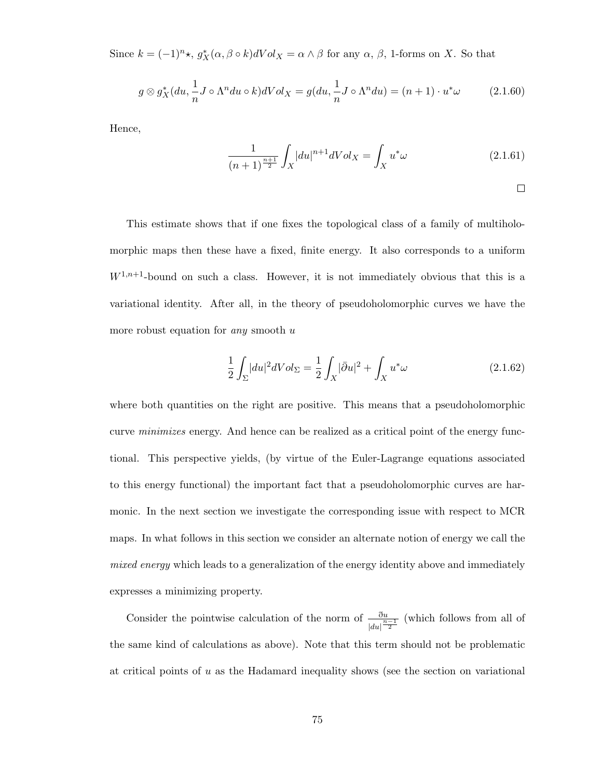Since  $k = (-1)^n \star$ ,  $g_X^*(\alpha, \beta \circ k) dVol_X = \alpha \wedge \beta$  for any  $\alpha, \beta$ , 1-forms on X. So that

$$
g \otimes g_X^*(du, \frac{1}{n}J \circ \Lambda^n du \circ k)dVol_X = g(du, \frac{1}{n}J \circ \Lambda^n du) = (n+1) \cdot u^*\omega \tag{2.1.60}
$$

Hence,

$$
\frac{1}{(n+1)^{\frac{n+1}{2}}} \int_X |du|^{n+1} dVol_X = \int_X u^*\omega \tag{2.1.61}
$$

 $\Box$ 

This estimate shows that if one fixes the topological class of a family of multiholomorphic maps then these have a fixed, finite energy. It also corresponds to a uniform  $W^{1,n+1}$ -bound on such a class. However, it is not immediately obvious that this is a variational identity. After all, in the theory of pseudoholomorphic curves we have the more robust equation for *any* smooth  $u$ 

$$
\frac{1}{2} \int_{\Sigma} |du|^2 dVol_{\Sigma} = \frac{1}{2} \int_X |\bar{\partial}u|^2 + \int_X u^* \omega \tag{2.1.62}
$$

where both quantities on the right are positive. This means that a pseudoholomorphic curve *minimizes* energy. And hence can be realized as a critical point of the energy functional. This perspective yields, (by virtue of the Euler-Lagrange equations associated to this energy functional) the important fact that a pseudoholomorphic curves are harmonic. In the next section we investigate the corresponding issue with respect to MCR maps. In what follows in this section we consider an alternate notion of energy we call the mixed energy which leads to a generalization of the energy identity above and immediately expresses a minimizing property.

Consider the pointwise calculation of the norm of  $\frac{\partial u}{|du|^{\frac{n-1}{2}}}$  (which follows from all of the same kind of calculations as above). Note that this term should not be problematic at critical points of u as the Hadamard inequality shows (see the section on variational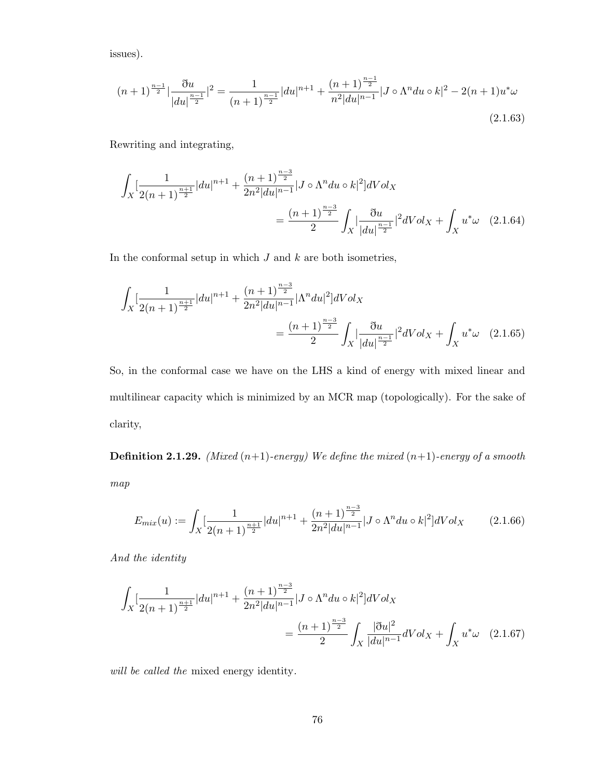issues).

$$
(n+1)^{\frac{n-1}{2}}|\frac{\partial u}{|du|^{\frac{n-1}{2}}}|^2 = \frac{1}{(n+1)^{\frac{n-1}{2}}} |du|^{n+1} + \frac{(n+1)^{\frac{n-1}{2}}}{n^2 |du|^{n-1}} |J \circ \Lambda^n du \circ k|^2 - 2(n+1)u^* \omega
$$
\n(2.1.63)

Rewriting and integrating,

$$
\int_{X} \left[ \frac{1}{2(n+1)^{\frac{n+1}{2}}} |du|^{n+1} + \frac{(n+1)^{\frac{n-3}{2}}}{2n^2 |du|^{n-1}} |J \circ \Lambda^n du \circ k|^2 \right] dVol_X
$$
\n
$$
= \frac{(n+1)^{\frac{n-3}{2}}}{2} \int_{X} \left| \frac{\partial u}{|du|^{\frac{n-1}{2}}} \right|^{2} dVol_X + \int_{X} u^* \omega \quad (2.1.64)
$$

In the conformal setup in which  $J$  and  $k$  are both isometries,

$$
\int_{X} \left[ \frac{1}{2(n+1)^{\frac{n+1}{2}}} |du|^{n+1} + \frac{(n+1)^{\frac{n-3}{2}}}{2n^2 |du|^{n-1}} |\Lambda^n du|^2 \right] dVol_X
$$
\n
$$
= \frac{(n+1)^{\frac{n-3}{2}}}{2} \int_{X} \left| \frac{\partial u}{|du|^{\frac{n-1}{2}}} \right|^{2} dVol_X + \int_{X} u^* \omega \quad (2.1.65)
$$

So, in the conformal case we have on the LHS a kind of energy with mixed linear and multilinear capacity which is minimized by an MCR map (topologically). For the sake of clarity,

**Definition 2.1.29.** (Mixed  $(n+1)$ -energy) We define the mixed  $(n+1)$ -energy of a smooth map

$$
E_{mix}(u) := \int_X \left[ \frac{1}{2(n+1)^{\frac{n+1}{2}}} |du|^{n+1} + \frac{(n+1)^{\frac{n-3}{2}}}{2n^2 |du|^{n-1}} |J \circ \Lambda^n du \circ k|^2 \right] dVol_X \tag{2.1.66}
$$

And the identity

$$
\int_{X} \left[ \frac{1}{2(n+1)^{\frac{n+1}{2}}} |du|^{n+1} + \frac{(n+1)^{\frac{n-3}{2}}}{2n^2 |du|^{n-1}} |J \circ \Lambda^n du \circ k|^2 \right] dVol_X
$$
\n
$$
= \frac{(n+1)^{\frac{n-3}{2}}}{2} \int_{X} \frac{|\eth u|^2}{|du|^{n-1}} dVol_X + \int_{X} u^* \omega \quad (2.1.67)
$$

will be called the mixed energy identity.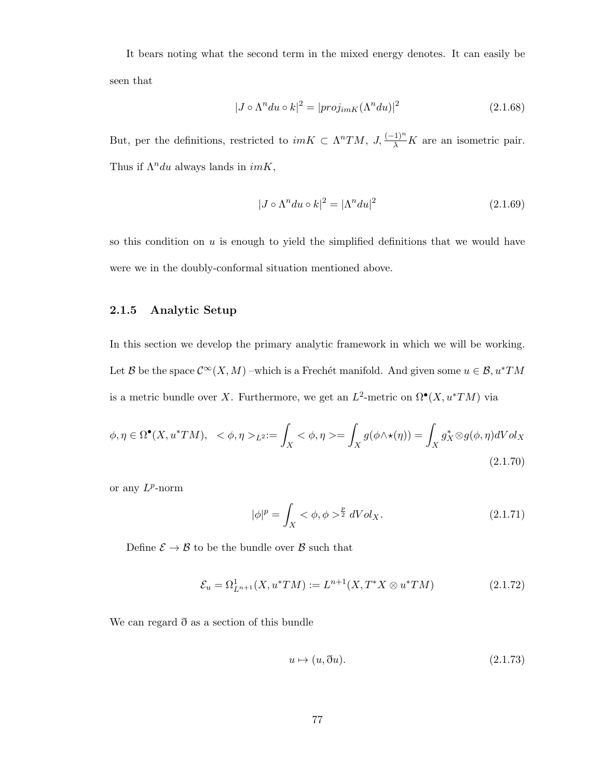It bears noting what the second term in the mixed energy denotes. It can easily be seen that

$$
|J \circ \Lambda^n du \circ k|^2 = |proj_{imK}(\Lambda^n du)|^2
$$
\n(2.1.68)

But, per the definitions, restricted to  $imK \subset \Lambda^n TM$ ,  $J, \frac{(-1)^n}{\lambda}K$  are an isometric pair. Thus if  $\Lambda^n du$  always lands in  $imK$ ,

$$
|J \circ \Lambda^n du \circ k|^2 = |\Lambda^n du|^2 \tag{2.1.69}
$$

so this condition on  $u$  is enough to yield the simplified definitions that we would have were we in the doubly-conformal situation mentioned above.

## 2.1.5 Analytic Setup

In this section we develop the primary analytic framework in which we will be working. Let B be the space  $\mathcal{C}^{\infty}(X, M)$  –which is a Frechét manifold. And given some  $u \in \mathcal{B}, u^*TM$ is a metric bundle over X. Furthermore, we get an  $L^2$ -metric on  $\Omega^{\bullet}(X, u^*TM)$  via

$$
\phi, \eta \in \Omega^{\bullet}(X, u^*TM), \ \ <\phi, \eta>_{L^2}:=\int_X \ <\phi, \eta>=\int_X g(\phi \wedge \star(\eta))=\int_X g_X^* \otimes g(\phi, \eta)dVol_X
$$
\n(2.1.70)

or any  $L^p$ -norm

$$
|\phi|^p = \int_X <\phi, \phi>^{\frac{p}{2}} dVol_X.
$$
 (2.1.71)

Define  $\mathcal{E} \to \mathcal{B}$  to be the bundle over  $\mathcal{B}$  such that

$$
\mathcal{E}_u = \Omega^1_{L^{n+1}}(X, u^*TM) := L^{n+1}(X, T^*X \otimes u^*TM) \tag{2.1.72}
$$

We can regard ð as a section of this bundle

$$
u \mapsto (u, \eth u). \tag{2.1.73}
$$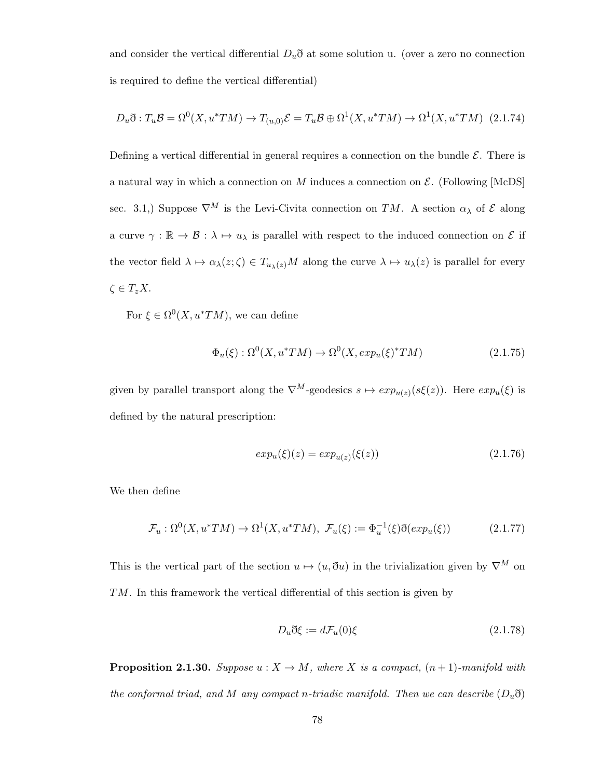and consider the vertical differential  $D_u\eth$  at some solution u. (over a zero no connection is required to define the vertical differential)

$$
D_u \mathfrak{F}: T_u \mathcal{B} = \Omega^0(X, u^*TM) \to T_{(u,0)}\mathcal{E} = T_u \mathcal{B} \oplus \Omega^1(X, u^*TM) \to \Omega^1(X, u^*TM) \tag{2.1.74}
$$

Defining a vertical differential in general requires a connection on the bundle  $\mathcal{E}$ . There is a natural way in which a connection on  $M$  induces a connection on  $\mathcal{E}$ . (Following [McDS] sec. 3.1,) Suppose  $\nabla^M$  is the Levi-Civita connection on TM. A section  $\alpha_\lambda$  of  $\mathcal E$  along a curve  $\gamma : \mathbb{R} \to \mathcal{B} : \lambda \mapsto u_\lambda$  is parallel with respect to the induced connection on  $\mathcal{E}$  if the vector field  $\lambda \mapsto \alpha_\lambda(z; \zeta) \in T_{u_\lambda(z)}M$  along the curve  $\lambda \mapsto u_\lambda(z)$  is parallel for every  $\zeta \in T_z X$ .

For  $\xi \in \Omega^0(X, u^*TM)$ , we can define

$$
\Phi_u(\xi) : \Omega^0(X, u^*TM) \to \Omega^0(X, exp_u(\xi)^*TM) \tag{2.1.75}
$$

given by parallel transport along the  $\nabla^M$ -geodesics  $s \mapsto exp_{u(z)}(s\xi(z))$ . Here  $exp_u(\xi)$  is defined by the natural prescription:

$$
exp_u(\xi)(z) = exp_{u(z)}(\xi(z))
$$
\n(2.1.76)

We then define

$$
\mathcal{F}_u : \Omega^0(X, u^*TM) \to \Omega^1(X, u^*TM), \ \mathcal{F}_u(\xi) := \Phi_u^{-1}(\xi) \eth(exp_u(\xi)) \tag{2.1.77}
$$

This is the vertical part of the section  $u \mapsto (u, \eth u)$  in the trivialization given by  $\nabla^M$  on TM. In this framework the vertical differential of this section is given by

$$
D_u \eth \xi := d\mathcal{F}_u(0)\xi \tag{2.1.78}
$$

**Proposition 2.1.30.** Suppose  $u : X \to M$ , where X is a compact,  $(n + 1)$ -manifold with the conformal triad, and M any compact n-triadic manifold. Then we can describe  $(D_u\eth)$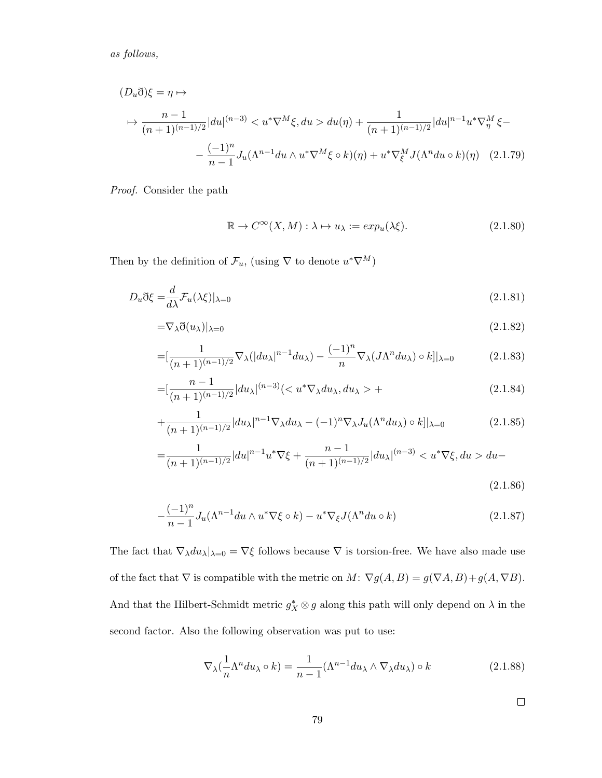as follows,

$$
(D_u \eth)\xi = \eta \mapsto
$$
  
\n
$$
\mapsto \frac{n-1}{(n+1)^{(n-1)/2}} |du|^{(n-3)} < u^* \nabla^M \xi, du > du(\eta) + \frac{1}{(n+1)^{(n-1)/2}} |du|^{n-1} u^* \nabla^M \xi -
$$
  
\n
$$
-\frac{(-1)^n}{n-1} J_u(\Lambda^{n-1} du \wedge u^* \nabla^M \xi \circ k)(\eta) + u^* \nabla^M \xi J(\Lambda^n du \circ k)(\eta) \quad (2.1.79)
$$

Proof. Consider the path

$$
\mathbb{R} \to C^{\infty}(X, M) : \lambda \mapsto u_{\lambda} := exp_u(\lambda \xi). \tag{2.1.80}
$$

Then by the definition of  $\mathcal{F}_u$ , (using  $\nabla$  to denote  $u^*\nabla^M$ )

$$
D_u \eth \xi = \frac{d}{d\lambda} \mathcal{F}_u(\lambda \xi)|_{\lambda=0}
$$
\n(2.1.81)

$$
=\nabla_{\lambda}\eth(u_{\lambda})|_{\lambda=0} \tag{2.1.82}
$$

$$
= [\frac{1}{(n+1)^{(n-1)/2}} \nabla_{\lambda} (|du_{\lambda}|^{n-1} du_{\lambda}) - \frac{(-1)^n}{n} \nabla_{\lambda} (J\Lambda^n du_{\lambda}) \circ k] |_{\lambda=0} \tag{2.1.83}
$$

$$
= \left[\frac{n-1}{(n+1)^{(n-1)/2}}|du_{\lambda}|^{(n-3)}\right| < u^*\nabla_{\lambda}du_{\lambda}, du_{\lambda} > + \tag{2.1.84}
$$

$$
+\frac{1}{(n+1)^{(n-1)/2}}|du_{\lambda}|^{n-1}\nabla_{\lambda}du_{\lambda}-(-1)^{n}\nabla_{\lambda}J_{u}(\Lambda^{n}du_{\lambda})\circ k||_{\lambda=0}
$$
\n(2.1.85)

$$
=\frac{1}{(n+1)^{(n-1)/2}}|du|^{n-1}u^*\nabla\xi+\frac{n-1}{(n+1)^{(n-1)/2}}|du_\lambda|^{(n-3)}du-\tag{2.1.86}
$$

$$
-\frac{(-1)^n}{n-1}J_u(\Lambda^{n-1}du \wedge u^*\nabla \xi \circ k) - u^*\nabla_{\xi}J(\Lambda^n du \circ k)
$$
\n(2.1.87)

The fact that  $\nabla_{\lambda}du_{\lambda}|_{\lambda=0}=\nabla\xi$  follows because  $\nabla$  is torsion-free. We have also made use of the fact that  $\nabla$  is compatible with the metric on  $M: \nabla g(A, B) = g(\nabla A, B) + g(A, \nabla B)$ . And that the Hilbert-Schmidt metric  $g_X^* \otimes g$  along this path will only depend on  $\lambda$  in the second factor. Also the following observation was put to use:

$$
\nabla_{\lambda} \left( \frac{1}{n} \Lambda^n du_{\lambda} \circ k \right) = \frac{1}{n-1} (\Lambda^{n-1} du_{\lambda} \wedge \nabla_{\lambda} du_{\lambda}) \circ k \tag{2.1.88}
$$

 $\Box$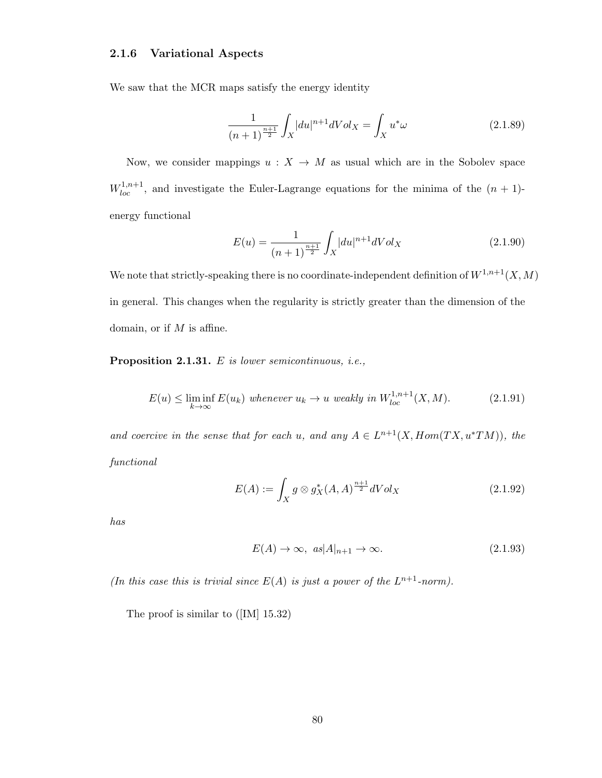## 2.1.6 Variational Aspects

We saw that the MCR maps satisfy the energy identity

$$
\frac{1}{(n+1)^{\frac{n+1}{2}}} \int_{X} |du|^{n+1} dVol_X = \int_{X} u^*\omega
$$
\n(2.1.89)

Now, we consider mappings  $u : X \to M$  as usual which are in the Sobolev space  $W_{loc}^{1,n+1}$ , and investigate the Euler-Lagrange equations for the minima of the  $(n + 1)$ energy functional

$$
E(u) = \frac{1}{(n+1)^{\frac{n+1}{2}}} \int_{X} |du|^{n+1} dVol_X
$$
\n(2.1.90)

We note that strictly-speaking there is no coordinate-independent definition of  $W^{1,n+1}(X, M)$ in general. This changes when the regularity is strictly greater than the dimension of the domain, or if  $M$  is affine.

Proposition 2.1.31. E is lower semicontinuous, i.e.,

$$
E(u) \le \liminf_{k \to \infty} E(u_k) \text{ whenever } u_k \to u \text{ weakly in } W_{loc}^{1,n+1}(X,M). \tag{2.1.91}
$$

and coercive in the sense that for each u, and any  $A \in L^{n+1}(X, Hom(TX, u^*TM))$ , the functional

$$
E(A) := \int_X g \otimes g_X^*(A, A)^{\frac{n+1}{2}} dVol_X \tag{2.1.92}
$$

has

$$
E(A) \to \infty, \ \ a s |A|_{n+1} \to \infty. \tag{2.1.93}
$$

(In this case this is trivial since  $E(A)$  is just a power of the  $L^{n+1}$ -norm).

The proof is similar to ([IM] 15.32)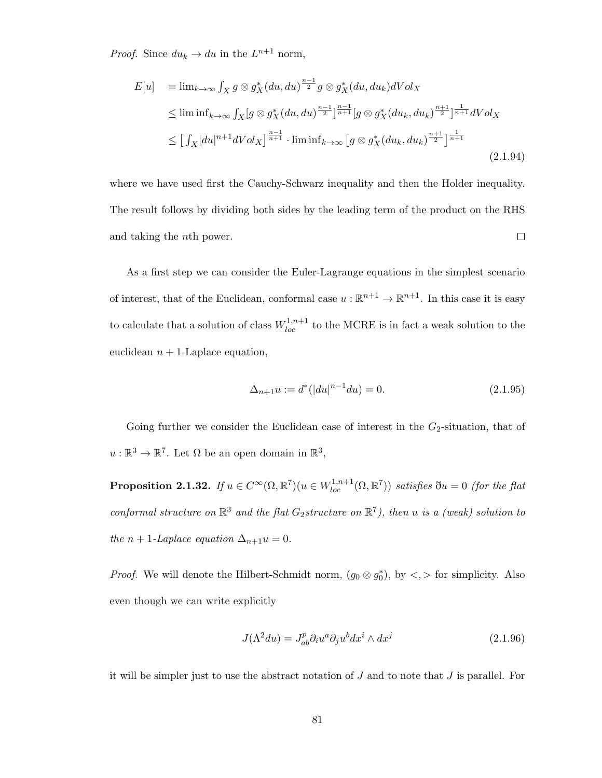*Proof.* Since  $du_k \to du$  in the  $L^{n+1}$  norm,

$$
E[u] = \lim_{k \to \infty} \int_X g \otimes g_X^*(du, du)^{\frac{n-1}{2}} g \otimes g_X^*(du, du_k) dVol_X
$$
  
\n
$$
\leq \liminf_{k \to \infty} \int_X [g \otimes g_X^*(du, du)^{\frac{n-1}{2}}]^{\frac{n-1}{n+1}} [g \otimes g_X^*(du_k, du_k)^{\frac{n+1}{2}}]^{\frac{1}{n+1}} dVol_X
$$
  
\n
$$
\leq \left[ \int_X |du|^{n+1} dVol_X \right]^{\frac{n-1}{n+1}} \cdot \liminf_{k \to \infty} \left[ g \otimes g_X^*(du_k, du_k)^{\frac{n+1}{2}} \right]^{\frac{1}{n+1}} (2.1.94)
$$

where we have used first the Cauchy-Schwarz inequality and then the Holder inequality. The result follows by dividing both sides by the leading term of the product on the RHS and taking the nth power.  $\Box$ 

As a first step we can consider the Euler-Lagrange equations in the simplest scenario of interest, that of the Euclidean, conformal case  $u : \mathbb{R}^{n+1} \to \mathbb{R}^{n+1}$ . In this case it is easy to calculate that a solution of class  $W_{loc}^{1,n+1}$  to the MCRE is in fact a weak solution to the euclidean  $n + 1$ -Laplace equation,

$$
\Delta_{n+1}u := d^*(|du|^{n-1}du) = 0.
$$
\n(2.1.95)

Going further we consider the Euclidean case of interest in the  $G_2$ -situation, that of  $u:\mathbb{R}^3\to\mathbb{R}^7$ . Let  $\Omega$  be an open domain in  $\mathbb{R}^3$ ,

**Proposition 2.1.32.** If  $u \in C^{\infty}(\Omega, \mathbb{R}^7)(u \in W_{loc}^{1,n+1}(\Omega, \mathbb{R}^7))$  satisfies  $\eth u = 0$  (for the flat conformal structure on  $\mathbb{R}^3$  and the flat  $G_2$ structure on  $\mathbb{R}^7$ ), then u is a (weak) solution to the  $n + 1$ -Laplace equation  $\Delta_{n+1}u = 0$ .

*Proof.* We will denote the Hilbert-Schmidt norm,  $(g_0 \otimes g_0^*)$ , by  $\lt, \gt$  for simplicity. Also even though we can write explicitly

$$
J(\Lambda^2 du) = J_{ab}^p \partial_i u^a \partial_j u^b dx^i \wedge dx^j \tag{2.1.96}
$$

it will be simpler just to use the abstract notation of  $J$  and to note that  $J$  is parallel. For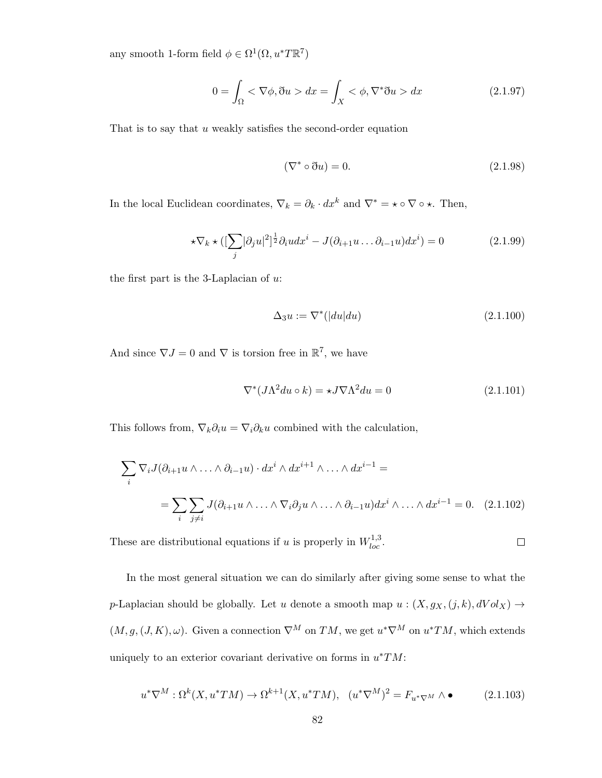any smooth 1-form field  $\phi \in \Omega^1(\Omega, u^*T\mathbb{R}^7)$ 

$$
0 = \int_{\Omega} <\nabla\phi, \eth u > dx = \int_{X} <\phi, \nabla^*\eth u > dx \tag{2.1.97}
$$

That is to say that  $u$  weakly satisfies the second-order equation

$$
(\nabla^* \circ \eth u) = 0. \tag{2.1.98}
$$

In the local Euclidean coordinates,  $\nabla_k = \partial_k \cdot dx^k$  and  $\nabla^* = \star \circ \nabla \circ \star$ . Then,

$$
\star \nabla_k \star \left( \left[ \sum_j |\partial_j u|^2 \right]^{\frac{1}{2}} \partial_i u \, dx^i - J(\partial_{i+1} u \dots \partial_{i-1} u) \, dx^i \right) = 0 \tag{2.1.99}
$$

the first part is the 3-Laplacian of  $u$ :

$$
\Delta_3 u := \nabla^* (|du| du) \tag{2.1.100}
$$

And since  $\nabla J = 0$  and  $\nabla$  is torsion free in  $\mathbb{R}^7$ , we have

$$
\nabla^*(J\Lambda^2 du \circ k) = \star J \nabla \Lambda^2 du = 0 \qquad (2.1.101)
$$

 $\Box$ 

This follows from,  $\nabla_k \partial_i u = \nabla_i \partial_k u$  combined with the calculation,

$$
\sum_{i} \nabla_i J(\partial_{i+1} u \wedge \ldots \wedge \partial_{i-1} u) \cdot dx^i \wedge dx^{i+1} \wedge \ldots \wedge dx^{i-1} =
$$
  
= 
$$
\sum_{i} \sum_{j \neq i} J(\partial_{i+1} u \wedge \ldots \wedge \nabla_i \partial_j u \wedge \ldots \wedge \partial_{i-1} u) dx^i \wedge \ldots \wedge dx^{i-1} = 0.
$$
 (2.1.102)

These are distributional equations if u is properly in  $W_{loc}^{1,3}$ .

In the most general situation we can do similarly after giving some sense to what the p-Laplacian should be globally. Let u denote a smooth map  $u : (X, g_X, (j, k), dVol_X) \to$  $(M, g, (J, K), \omega)$ . Given a connection  $\nabla^M$  on  $TM$ , we get  $u^* \nabla^M$  on  $u^*TM$ , which extends uniquely to an exterior covariant derivative on forms in  $u^*TM$ :

$$
u^*\nabla^M : \Omega^k(X, u^*TM) \to \Omega^{k+1}(X, u^*TM), \quad (u^*\nabla^M)^2 = F_{u^*\nabla^M} \wedge \bullet \tag{2.1.103}
$$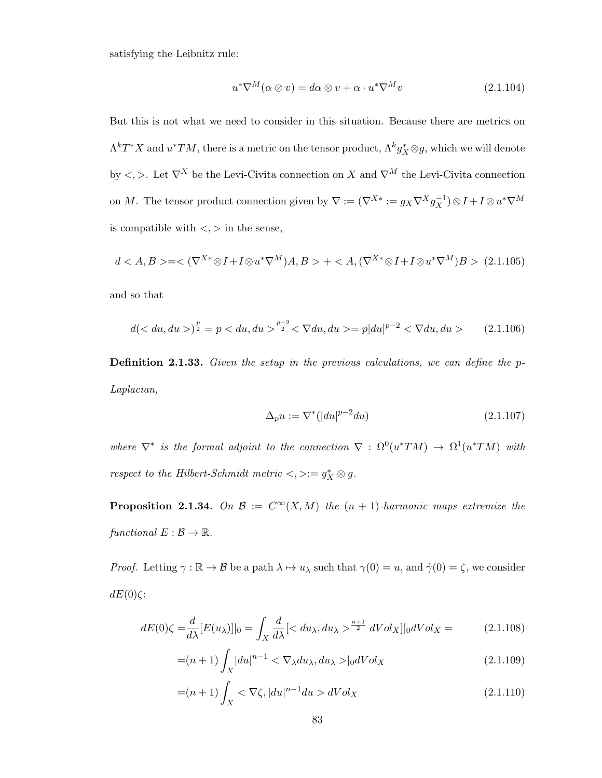satisfying the Leibnitz rule:

$$
u^*\nabla^M(\alpha\otimes v) = d\alpha\otimes v + \alpha \cdot u^*\nabla^M v \tag{2.1.104}
$$

But this is not what we need to consider in this situation. Because there are metrics on  $\Lambda^kT^*X$  and  $u^*TM$ , there is a metric on the tensor product,  $\Lambda^k g^*_X\otimes g$ , which we will denote by  $\langle , \rangle$ . Let  $\nabla^X$  be the Levi-Civita connection on X and  $\nabla^M$  the Levi-Civita connection on M. The tensor product connection given by  $\nabla := (\nabla^{X*} := g_X \nabla^X g_X^{-1}) \otimes I + I \otimes u^* \nabla^M$ is compatible with  $\langle \cdot, \cdot \rangle$  in the sense,

$$
d < A, B> = <(\nabla^{X*} \otimes I + I \otimes u^* \nabla^M)A, B> +  (2.1.105)
$$

and so that

$$
d(< du, du>)^{\frac{p}{2}} = p < du, du>^{\frac{p-2}{2}} < \nabla du, du> = p|du|^{p-2} < \nabla du, du> \tag{2.1.106}
$$

Definition 2.1.33. Given the setup in the previous calculations, we can define the p-Laplacian,

$$
\Delta_p u := \nabla^* (|du|^{p-2} du) \tag{2.1.107}
$$

where  $\nabla^*$  is the formal adjoint to the connection  $\nabla : \Omega^0(u^*TM) \to \Omega^1(u^*TM)$  with respect to the Hilbert-Schmidt metric  $\lt, \gt:= g_X^* \otimes g$ .

**Proposition 2.1.34.** On  $\mathcal{B} := C^{\infty}(X, M)$  the  $(n + 1)$ -harmonic maps extremize the functional  $E : \mathcal{B} \to \mathbb{R}$ .

*Proof.* Letting  $\gamma : \mathbb{R} \to \mathcal{B}$  be a path  $\lambda \mapsto u_\lambda$  such that  $\gamma(0) = u$ , and  $\dot{\gamma}(0) = \zeta$ , we consider  $dE(0)\zeta$ :

$$
dE(0)\zeta = \frac{d}{d\lambda}[E(u_\lambda)]|_0 = \int_X \frac{d}{d\lambda} \left[ \langle du_\lambda, du_\lambda \rangle \frac{n+1}{2} dVol_X \right] |_0 dVol_X = \tag{2.1.108}
$$

$$
=(n+1)\int_{X} |du|^{n-1} < \nabla_{\lambda} du_{\lambda}, du_{\lambda} > |_{0} dVol_X
$$
\n(2.1.109)

$$
=(n+1)\int_{X} <\nabla\zeta, |du|^{n-1}du > dVol_X
$$
\n(2.1.110)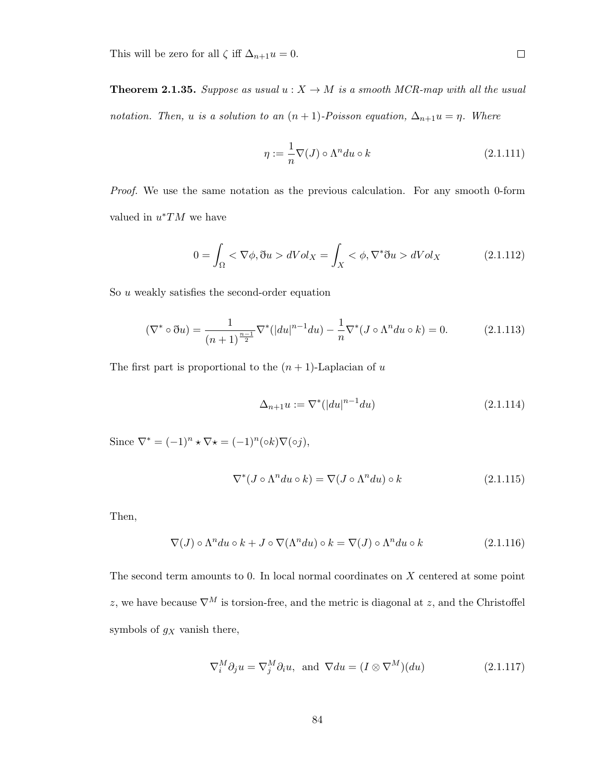This will be zero for all  $\zeta$  iff  $\Delta_{n+1}u = 0$ .

**Theorem 2.1.35.** Suppose as usual  $u : X \to M$  is a smooth MCR-map with all the usual notation. Then, u is a solution to an  $(n + 1)$ -Poisson equation,  $\Delta_{n+1}u = \eta$ . Where

$$
\eta := \frac{1}{n} \nabla(J) \circ \Lambda^n du \circ k \tag{2.1.111}
$$

Proof. We use the same notation as the previous calculation. For any smooth 0-form valued in  $u^*TM$  we have

$$
0 = \int_{\Omega} <\nabla\phi, \eth u > dVol_X = \int_X <\phi, \nabla^*\eth u > dVol_X \tag{2.1.112}
$$

So  $u$  weakly satisfies the second-order equation

$$
(\nabla^* \circ \eth u) = \frac{1}{(n+1)^{\frac{n-1}{2}}} \nabla^* (|du|^{n-1} du) - \frac{1}{n} \nabla^* (J \circ \Lambda^n du \circ k) = 0.
$$
 (2.1.113)

The first part is proportional to the  $(n + 1)$ -Laplacian of u

$$
\Delta_{n+1}u := \nabla^* (|du|^{n-1} du) \tag{2.1.114}
$$

Since  $\nabla^* = (-1)^n \star \nabla \star = (-1)^n (\circ k) \nabla (\circ j),$ 

$$
\nabla^*(J \circ \Lambda^n du \circ k) = \nabla(J \circ \Lambda^n du) \circ k \tag{2.1.115}
$$

Then,

$$
\nabla(J) \circ \Lambda^n du \circ k + J \circ \nabla(\Lambda^n du) \circ k = \nabla(J) \circ \Lambda^n du \circ k \tag{2.1.116}
$$

The second term amounts to 0. In local normal coordinates on X centered at some point z, we have because  $\nabla^M$  is torsion-free, and the metric is diagonal at z, and the Christoffel symbols of  $g_X$  vanish there,

$$
\nabla_i^M \partial_j u = \nabla_j^M \partial_i u, \text{ and } \nabla du = (I \otimes \nabla^M)(du)
$$
 (2.1.117)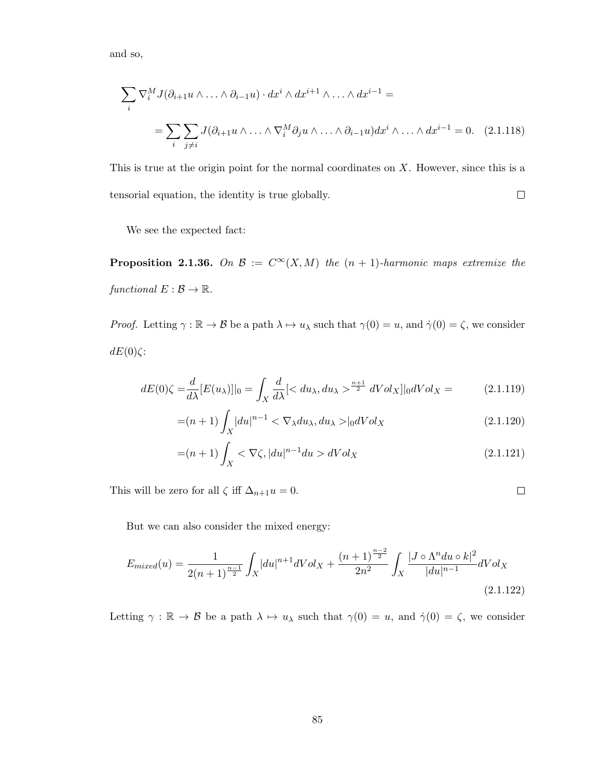and so,

$$
\sum_{i} \nabla_{i}^{M} J(\partial_{i+1} u \wedge \ldots \wedge \partial_{i-1} u) \cdot dx^{i} \wedge dx^{i+1} \wedge \ldots \wedge dx^{i-1} =
$$
  
= 
$$
\sum_{i} \sum_{j \neq i} J(\partial_{i+1} u \wedge \ldots \wedge \nabla_{i}^{M} \partial_{j} u \wedge \ldots \wedge \partial_{i-1} u) dx^{i} \wedge \ldots \wedge dx^{i-1} = 0.
$$
 (2.1.118)

This is true at the origin point for the normal coordinates on X. However, since this is a tensorial equation, the identity is true globally.  $\Box$ 

We see the expected fact:

**Proposition 2.1.36.** On  $\mathcal{B} := C^{\infty}(X, M)$  the  $(n + 1)$ -harmonic maps extremize the functional  $E : \mathcal{B} \to \mathbb{R}$ .

*Proof.* Letting  $\gamma : \mathbb{R} \to \mathcal{B}$  be a path  $\lambda \mapsto u_{\lambda}$  such that  $\gamma(0) = u$ , and  $\dot{\gamma}(0) = \zeta$ , we consider  $dE(0)\zeta$ :

$$
dE(0)\zeta = \frac{d}{d\lambda}[E(u_\lambda)]|_0 = \int_X \frac{d}{d\lambda} \left[ \langle du_\lambda, du_\lambda \rangle \frac{n+1}{2} dVol_X \right] |_0 dVol_X = \tag{2.1.119}
$$

$$
=(n+1)\int_{X} |du|^{n-1} < \nabla_{\lambda} du_{\lambda}, du_{\lambda} > |_{0} dVol_X
$$
\n(2.1.120)

$$
=(n+1)\int_{X} <\nabla\zeta, |du|^{n-1}du > dVol_X
$$
\n(2.1.121)

 $\Box$ 

This will be zero for all  $\zeta$  iff  $\Delta_{n+1}u = 0$ .

But we can also consider the mixed energy:

$$
E_{mixed}(u) = \frac{1}{2(n+1)^{\frac{n-1}{2}}} \int_X |du|^{n+1} dVol_X + \frac{(n+1)^{\frac{n-2}{2}}}{2n^2} \int_X \frac{|J \circ \Lambda^n du \circ k|^2}{|du|^{n-1}} dVol_X
$$
\n(2.1.122)

Letting  $\gamma : \mathbb{R} \to \mathcal{B}$  be a path  $\lambda \mapsto u_\lambda$  such that  $\gamma(0) = u$ , and  $\dot{\gamma}(0) = \zeta$ , we consider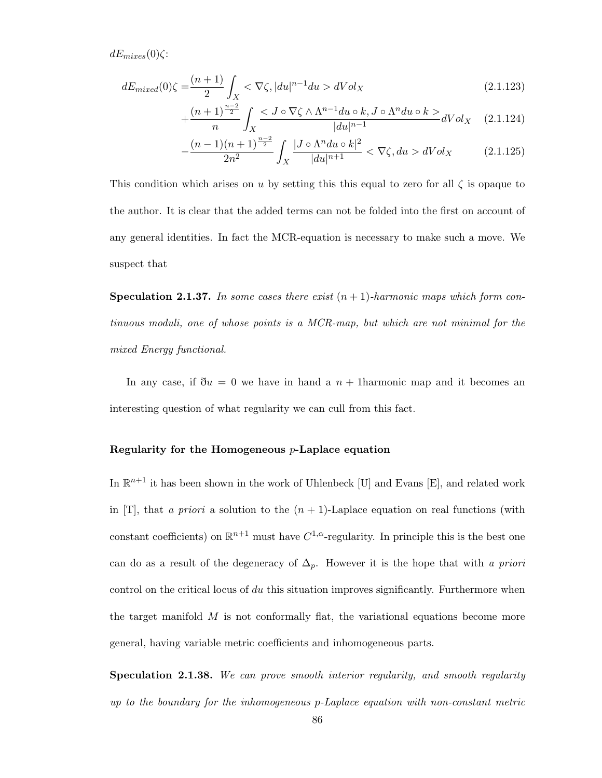$dE_{mizes}(0)\zeta$ :

$$
dE_{mixed}(0)\zeta = \frac{(n+1)}{2}\int_X <\nabla\zeta, |du|^{n-1}du > dVol_X\tag{2.1.123}
$$

$$
+\frac{(n+1)^{\frac{n-2}{2}}}{n}\int_X \frac{}{|du|^{n-1}}dVol_X\quad(2.1.124)
$$

$$
-\frac{(n-1)(n+1)^{\frac{n-2}{2}}}{2n^2} \int_X \frac{|J \circ \Lambda^n du \circ k|^2}{|du|^{n+1}} < \nabla \zeta, du > dVol_X \tag{2.1.125}
$$

This condition which arises on u by setting this this equal to zero for all  $\zeta$  is opaque to the author. It is clear that the added terms can not be folded into the first on account of any general identities. In fact the MCR-equation is necessary to make such a move. We suspect that

**Speculation 2.1.37.** In some cases there exist  $(n + 1)$ -harmonic maps which form continuous moduli, one of whose points is a MCR-map, but which are not minimal for the mixed Energy functional.

In any case, if  $\eth u = 0$  we have in hand a  $n + 1$ harmonic map and it becomes an interesting question of what regularity we can cull from this fact.

## Regularity for the Homogeneous  $p$ -Laplace equation

In  $\mathbb{R}^{n+1}$  it has been shown in the work of Uhlenbeck [U] and Evans [E], and related work in [T], that a priori a solution to the  $(n + 1)$ -Laplace equation on real functions (with constant coefficients) on  $\mathbb{R}^{n+1}$  must have  $C^{1,\alpha}$ -regularity. In principle this is the best one can do as a result of the degeneracy of  $\Delta_p$ . However it is the hope that with a priori control on the critical locus of du this situation improves significantly. Furthermore when the target manifold  $M$  is not conformally flat, the variational equations become more general, having variable metric coefficients and inhomogeneous parts.

**Speculation 2.1.38.** We can prove smooth interior regularity, and smooth regularity up to the boundary for the inhomogeneous p-Laplace equation with non-constant metric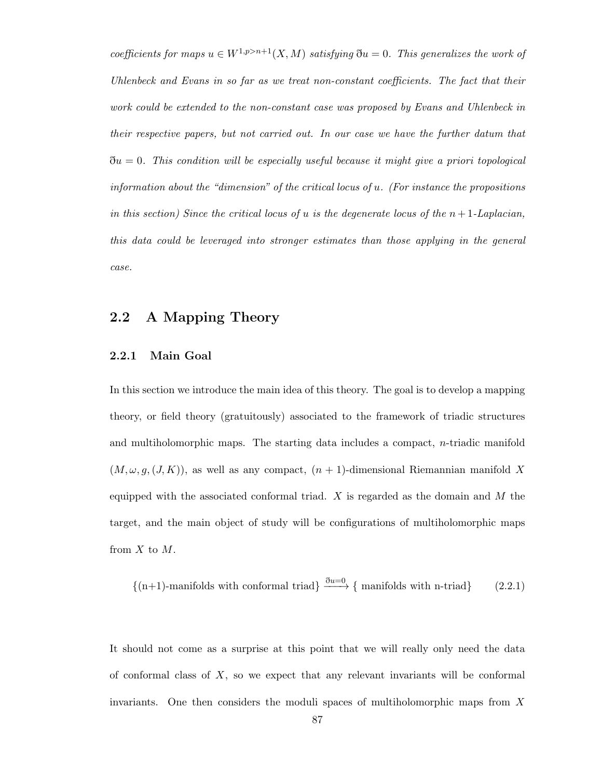coefficients for maps  $u \in W^{1,p>n+1}(X,M)$  satisfying  $\eth u = 0$ . This generalizes the work of Uhlenbeck and Evans in so far as we treat non-constant coefficients. The fact that their work could be extended to the non-constant case was proposed by Evans and Uhlenbeck in their respective papers, but not carried out. In our case we have the further datum that  $\eth u = 0$ . This condition will be especially useful because it might give a priori topological information about the "dimension" of the critical locus of  $u$ . (For instance the propositions in this section) Since the critical locus of u is the degenerate locus of the  $n+1$ -Laplacian, this data could be leveraged into stronger estimates than those applying in the general case.

# 2.2 A Mapping Theory

## 2.2.1 Main Goal

In this section we introduce the main idea of this theory. The goal is to develop a mapping theory, or field theory (gratuitously) associated to the framework of triadic structures and multiholomorphic maps. The starting data includes a compact, n-triadic manifold  $(M, \omega, g, (J, K))$ , as well as any compact,  $(n + 1)$ -dimensional Riemannian manifold X equipped with the associated conformal triad.  $X$  is regarded as the domain and  $M$  the target, and the main object of study will be configurations of multiholomorphic maps from  $X$  to  $M$ .

$$
\{(n+1)-manifolds with conformal triad\} \xrightarrow{\partial u=0} \{\text{manifolds with } n\text{-triad}\}
$$
 (2.2.1)

It should not come as a surprise at this point that we will really only need the data of conformal class of  $X$ , so we expect that any relevant invariants will be conformal invariants. One then considers the moduli spaces of multiholomorphic maps from X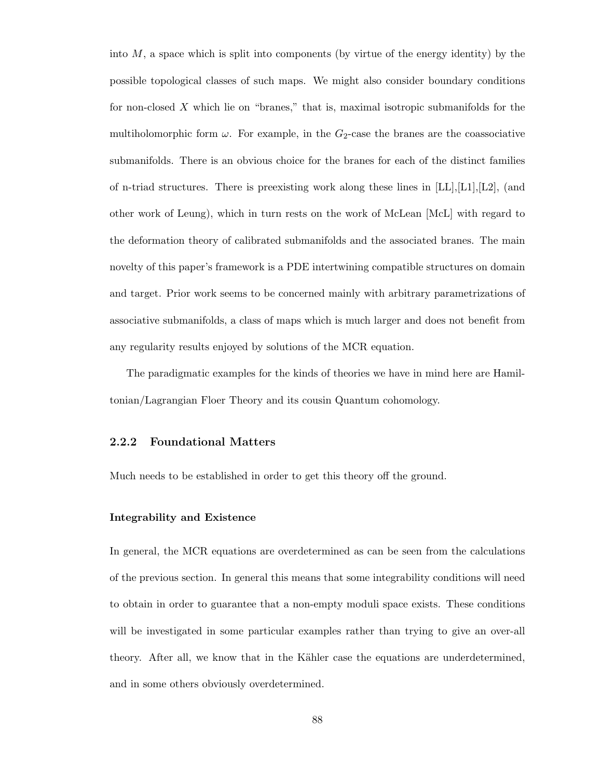into  $M$ , a space which is split into components (by virtue of the energy identity) by the possible topological classes of such maps. We might also consider boundary conditions for non-closed  $X$  which lie on "branes," that is, maximal isotropic submanifolds for the multiholomorphic form  $\omega$ . For example, in the  $G_2$ -case the branes are the coassociative submanifolds. There is an obvious choice for the branes for each of the distinct families of n-triad structures. There is preexisting work along these lines in  $[LL], [L1], [L2],$  (and other work of Leung), which in turn rests on the work of McLean [McL] with regard to the deformation theory of calibrated submanifolds and the associated branes. The main novelty of this paper's framework is a PDE intertwining compatible structures on domain and target. Prior work seems to be concerned mainly with arbitrary parametrizations of associative submanifolds, a class of maps which is much larger and does not benefit from any regularity results enjoyed by solutions of the MCR equation.

The paradigmatic examples for the kinds of theories we have in mind here are Hamiltonian/Lagrangian Floer Theory and its cousin Quantum cohomology.

#### 2.2.2 Foundational Matters

Much needs to be established in order to get this theory off the ground.

#### Integrability and Existence

In general, the MCR equations are overdetermined as can be seen from the calculations of the previous section. In general this means that some integrability conditions will need to obtain in order to guarantee that a non-empty moduli space exists. These conditions will be investigated in some particular examples rather than trying to give an over-all theory. After all, we know that in the Kähler case the equations are underdetermined, and in some others obviously overdetermined.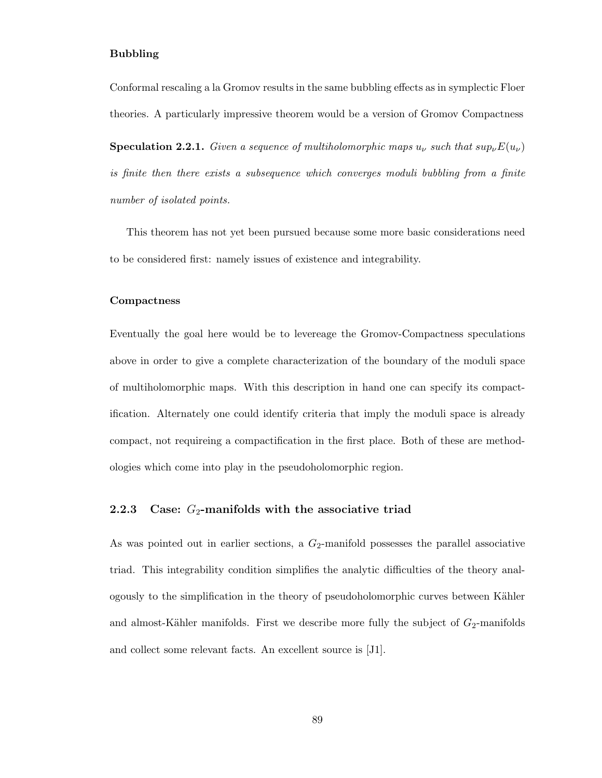#### Bubbling

Conformal rescaling a la Gromov results in the same bubbling effects as in symplectic Floer theories. A particularly impressive theorem would be a version of Gromov Compactness

**Speculation 2.2.1.** Given a sequence of multiholomorphic maps  $u_{\nu}$  such that  $sup_{\nu}E(u_{\nu})$ is finite then there exists a subsequence which converges moduli bubbling from a finite number of isolated points.

This theorem has not yet been pursued because some more basic considerations need to be considered first: namely issues of existence and integrability.

#### Compactness

Eventually the goal here would be to levereage the Gromov-Compactness speculations above in order to give a complete characterization of the boundary of the moduli space of multiholomorphic maps. With this description in hand one can specify its compactification. Alternately one could identify criteria that imply the moduli space is already compact, not requireing a compactification in the first place. Both of these are methodologies which come into play in the pseudoholomorphic region.

## 2.2.3 Case:  $G_2$ -manifolds with the associative triad

As was pointed out in earlier sections, a  $G_2$ -manifold possesses the parallel associative triad. This integrability condition simplifies the analytic difficulties of the theory analogously to the simplification in the theory of pseudoholomorphic curves between K¨ahler and almost-Kähler manifolds. First we describe more fully the subject of  $G_2$ -manifolds and collect some relevant facts. An excellent source is [J1].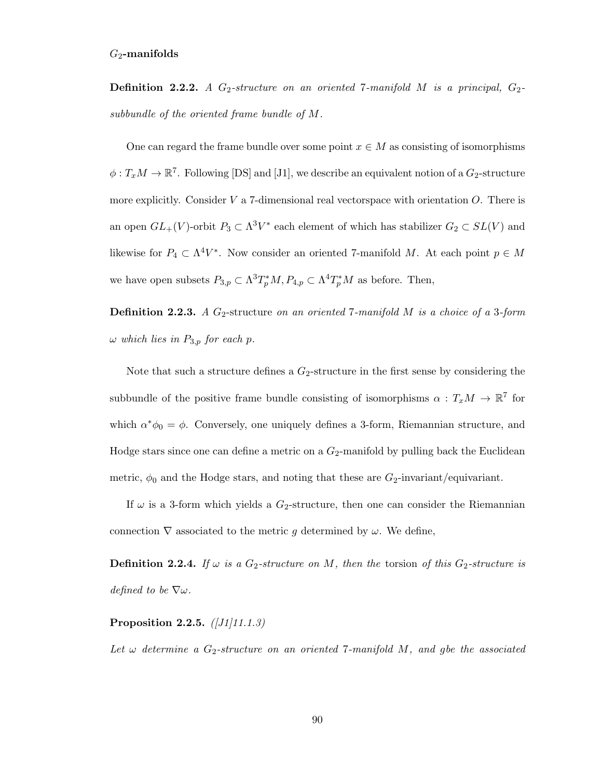**Definition 2.2.2.** A  $G_2$ -structure on an oriented 7-manifold M is a principal,  $G_2$ subbundle of the oriented frame bundle of M.

One can regard the frame bundle over some point  $x \in M$  as consisting of isomorphisms  $\phi: T_xM \to \mathbb{R}^7$ . Following [DS] and [J1], we describe an equivalent notion of a  $G_2$ -structure more explicitly. Consider  $V$  a 7-dimensional real vectorspace with orientation  $O$ . There is an open  $GL_{+}(V)$ -orbit  $P_3 \subset \Lambda^3 V^*$  each element of which has stabilizer  $G_2 \subset SL(V)$  and likewise for  $P_4 \subset \Lambda^4 V^*$ . Now consider an oriented 7-manifold M. At each point  $p \in M$ we have open subsets  $P_{3,p} \subset \Lambda^3 T_p^* M$ ,  $P_{4,p} \subset \Lambda^4 T_p^* M$  as before. Then,

**Definition 2.2.3.** A  $G_2$ -structure on an oriented 7-manifold M is a choice of a 3-form  $\omega$  which lies in  $P_{3,p}$  for each p.

Note that such a structure defines a  $G_2$ -structure in the first sense by considering the subbundle of the positive frame bundle consisting of isomorphisms  $\alpha: T_xM \to \mathbb{R}^7$  for which  $\alpha^*\phi_0 = \phi$ . Conversely, one uniquely defines a 3-form, Riemannian structure, and Hodge stars since one can define a metric on a  $G_2$ -manifold by pulling back the Euclidean metric,  $\phi_0$  and the Hodge stars, and noting that these are  $G_2$ -invariant/equivariant.

If  $\omega$  is a 3-form which yields a  $G_2$ -structure, then one can consider the Riemannian connection  $\nabla$  associated to the metric g determined by  $\omega$ . We define,

**Definition 2.2.4.** If  $\omega$  is a G<sub>2</sub>-structure on M, then the torsion of this G<sub>2</sub>-structure is defined to be  $\nabla \omega$ .

#### Proposition 2.2.5.  $([J1]11.1.3)$

Let  $\omega$  determine a G<sub>2</sub>-structure on an oriented 7-manifold M, and gbe the associated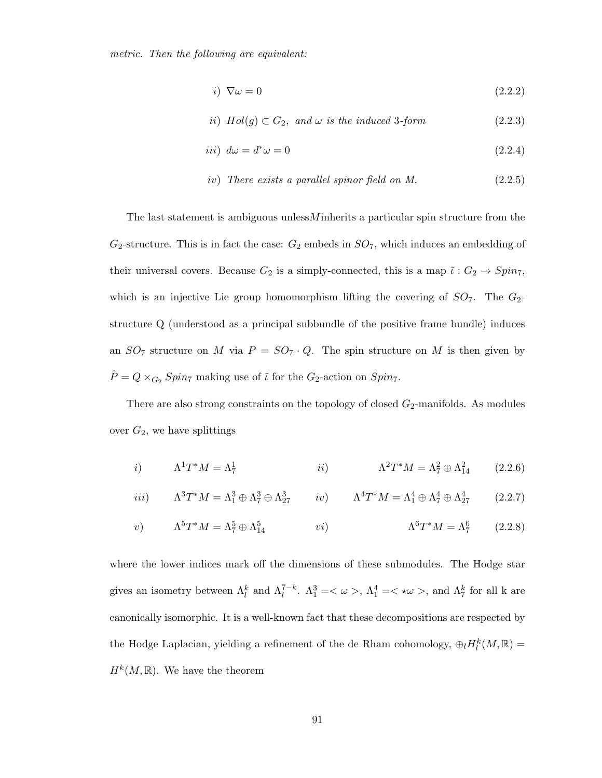metric. Then the following are equivalent:

$$
i) \nabla \omega = 0 \tag{2.2.2}
$$

*ii)* 
$$
Hol(g) \subset G_2
$$
, and  $\omega$  is the induced 3-form\n
$$
(2.2.3)
$$

$$
iii) d\omega = d^*\omega = 0 \tag{2.2.4}
$$

$$
iv) \ \ There \ exists \ a \ parallel \ spinor \ field \ on \ M. \tag{2.2.5}
$$

The last statement is ambiguous unless  $M$  inherits a particular spin structure from the  $G_2$ -structure. This is in fact the case:  $G_2$  embeds in  $SO_7$ , which induces an embedding of their universal covers. Because  $G_2$  is a simply-connected, this is a map  $\tilde{\iota}: G_2 \to Spin_7$ , which is an injective Lie group homomorphism lifting the covering of  $SO<sub>7</sub>$ . The  $G<sub>2</sub>$ structure Q (understood as a principal subbundle of the positive frame bundle) induces an  $SO_7$  structure on M via  $P = SO_7 \cdot Q$ . The spin structure on M is then given by  $\tilde{P} = Q \times_{G_2} Spin_7$  making use of  $\tilde{\iota}$  for the  $G_2$ -action on  $Spin_7$ .

There are also strong constraints on the topology of closed  $G_2$ -manifolds. As modules over  $G_2$ , we have splittings

$$
i) \qquad \Lambda^1 T^* M = \Lambda^1_7 \qquad \qquad ii) \qquad \Lambda^2 T^* M = \Lambda^2_7 \oplus \Lambda^2_{14} \qquad (2.2.6)
$$

$$
iii) \qquad \Lambda^3 T^* M = \Lambda_1^3 \oplus \Lambda_7^3 \oplus \Lambda_{27}^3 \qquad iv) \qquad \Lambda^4 T^* M = \Lambda_1^4 \oplus \Lambda_7^4 \oplus \Lambda_{27}^4 \qquad (2.2.7)
$$

$$
v) \qquad \Lambda^5 T^* M = \Lambda^5_7 \oplus \Lambda^5_{14} \qquad \qquad vi) \qquad \Lambda^6 T^* M = \Lambda^6_7 \qquad (2.2.8)
$$

where the lower indices mark off the dimensions of these submodules. The Hodge star gives an isometry between  $\Lambda_l^k$  and  $\Lambda_l^{7-k}$ .  $\Lambda_1^3 = \langle \omega \rangle$ ,  $\Lambda_1^4 = \langle \omega \rangle$ , and  $\Lambda_7^k$  for all k are canonically isomorphic. It is a well-known fact that these decompositions are respected by the Hodge Laplacian, yielding a refinement of the de Rham cohomology,  $\bigoplus_l H_l^k(M,\mathbb{R}) =$  $H^k(M,\mathbb{R})$ . We have the theorem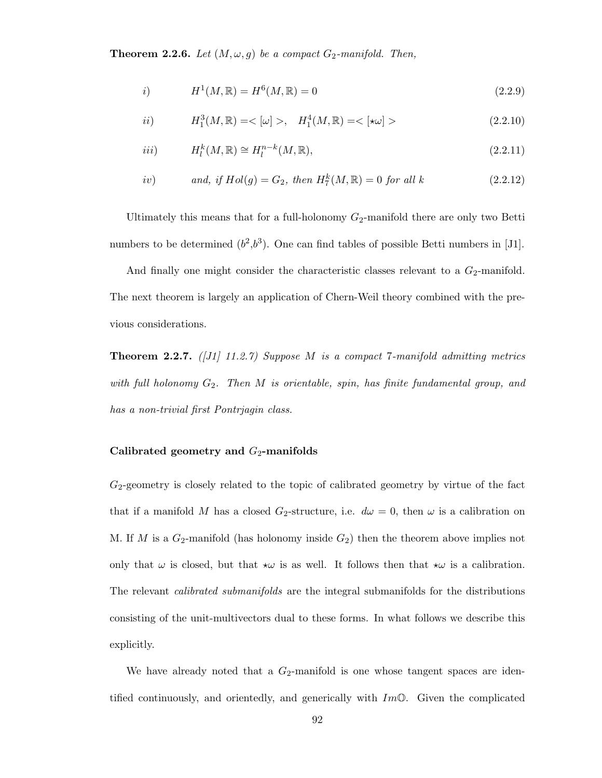**Theorem 2.2.6.** Let  $(M, \omega, g)$  be a compact  $G_2$ -manifold. Then,

i) 
$$
H^{1}(M,\mathbb{R}) = H^{6}(M,\mathbb{R}) = 0
$$
 (2.2.9)

$$
ii) \tH_1^3(M, \mathbb{R}) = \langle \omega \rangle, \quad H_1^4(M, \mathbb{R}) = \langle \star \omega \rangle \tag{2.2.10}
$$

$$
Hi^k(M, \mathbb{R}) \cong H_l^{n-k}(M, \mathbb{R}), \tag{2.2.11}
$$

*iv*) and, if 
$$
Hol(g) = G_2
$$
, then  $H_7^k(M, \mathbb{R}) = 0$  for all k (2.2.12)

Ultimately this means that for a full-holonomy  $G_2$ -manifold there are only two Betti numbers to be determined  $(b^2,b^3)$ . One can find tables of possible Betti numbers in [J1].

And finally one might consider the characteristic classes relevant to a  $G_2$ -manifold. The next theorem is largely an application of Chern-Weil theory combined with the previous considerations.

**Theorem 2.2.7.** ([J1] 11.2.7) Suppose M is a compact 7-manifold admitting metrics with full holonomy  $G_2$ . Then M is orientable, spin, has finite fundamental group, and has a non-trivial first Pontrjagin class.

#### Calibrated geometry and  $G_2$ -manifolds

 $G_2$ -geometry is closely related to the topic of calibrated geometry by virtue of the fact that if a manifold M has a closed G<sub>2</sub>-structure, i.e.  $d\omega = 0$ , then  $\omega$  is a calibration on M. If M is a  $G_2$ -manifold (has holonomy inside  $G_2$ ) then the theorem above implies not only that  $\omega$  is closed, but that  $\star \omega$  is as well. It follows then that  $\star \omega$  is a calibration. The relevant *calibrated submanifolds* are the integral submanifolds for the distributions consisting of the unit-multivectors dual to these forms. In what follows we describe this explicitly.

We have already noted that a  $G_2$ -manifold is one whose tangent spaces are identified continuously, and orientedly, and generically with  $Im\mathbb{O}$ . Given the complicated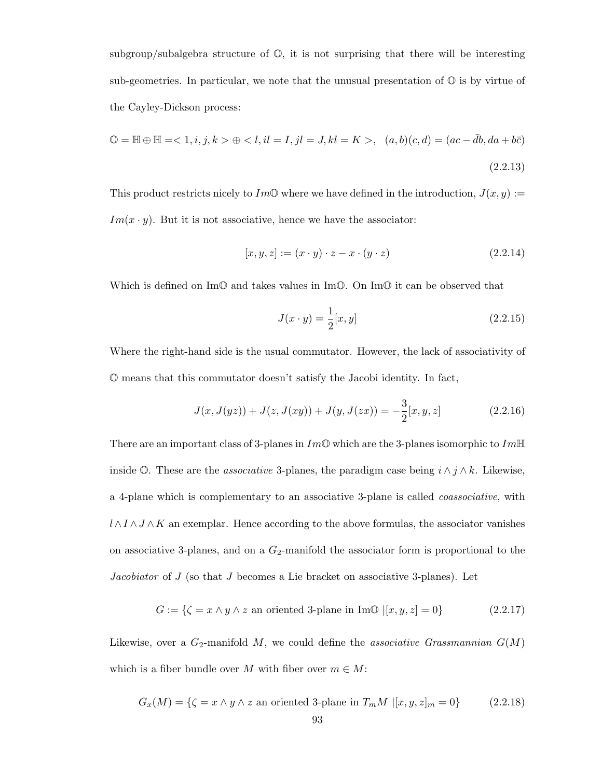subgroup/subalgebra structure of  $\mathbb{O}$ , it is not surprising that there will be interesting sub-geometries. In particular, we note that the unusual presentation of  $\mathbb{O}$  is by virtue of the Cayley-Dickson process:

$$
\mathbb{O} = \mathbb{H} \oplus \mathbb{H} = \langle 1, i, j, k \rangle \oplus \langle l, il = I, jl = J, kl = K \rangle, \quad (a, b)(c, d) = (ac - \bar{d}b, da + b\bar{c})
$$
\n(2.2.13)

This product restricts nicely to Im<sup>O</sup> where we have defined in the introduction,  $J(x, y) :=$  $Im(x \cdot y)$ . But it is not associative, hence we have the associator:

$$
[x, y, z] := (x \cdot y) \cdot z - x \cdot (y \cdot z) \tag{2.2.14}
$$

Which is defined on Im $\mathbb{O}$  and takes values in Im $\mathbb{O}$ . On Im $\mathbb{O}$  it can be observed that

$$
J(x \cdot y) = \frac{1}{2}[x, y] \tag{2.2.15}
$$

Where the right-hand side is the usual commutator. However, the lack of associativity of O means that this commutator doesn't satisfy the Jacobi identity. In fact,

$$
J(x, J(yz)) + J(z, J(xy)) + J(y, J(zx)) = -\frac{3}{2}[x, y, z]
$$
\n(2.2.16)

There are an important class of 3-planes in  $Im\mathbb{O}$  which are the 3-planes isomorphic to  $Im\mathbb{H}$ inside  $\mathbb{O}$ . These are the *associative* 3-planes, the paradigm case being  $i \wedge j \wedge k$ . Likewise, a 4-plane which is complementary to an associative 3-plane is called coassociative, with  $l \wedge I \wedge J \wedge K$  an exemplar. Hence according to the above formulas, the associator vanishes on associative 3-planes, and on a  $G_2$ -manifold the associator form is proportional to the Jacobiator of J (so that J becomes a Lie bracket on associative 3-planes). Let

$$
G := \{ \zeta = x \land y \land z \text{ an oriented 3-plane in Im} \mathbb{O} \mid [x, y, z] = 0 \}
$$
\n
$$
(2.2.17)
$$

Likewise, over a  $G_2$ -manifold M, we could define the associative Grassmannian  $G(M)$ which is a fiber bundle over M with fiber over  $m \in M$ :

$$
G_x(M) = \{ \zeta = x \land y \land z \text{ an oriented 3-plane in } T_m M \ | [x, y, z]_m = 0 \}
$$
 (2.2.18)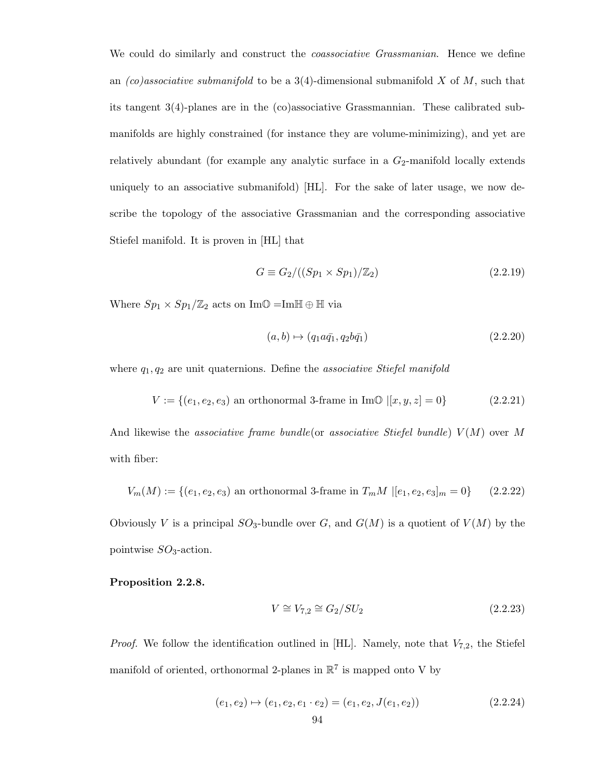We could do similarly and construct the *coassociative Grassmanian*. Hence we define an  $(co)$ associative submanifold to be a 3(4)-dimensional submanifold X of M, such that its tangent 3(4)-planes are in the (co)associative Grassmannian. These calibrated submanifolds are highly constrained (for instance they are volume-minimizing), and yet are relatively abundant (for example any analytic surface in a  $G_2$ -manifold locally extends uniquely to an associative submanifold) [HL]. For the sake of later usage, we now describe the topology of the associative Grassmanian and the corresponding associative Stiefel manifold. It is proven in [HL] that

$$
G \equiv G_2/((Sp_1 \times Sp_1)/\mathbb{Z}_2) \tag{2.2.19}
$$

Where  $Sp_1 \times Sp_1/\mathbb{Z}_2$  acts on Im $\mathbb{O} =$ Im $\mathbb{H} \oplus \mathbb{H}$  via

$$
(a, b) \mapsto (q_1 a \bar{q}_1, q_2 b \bar{q}_1) \tag{2.2.20}
$$

where  $q_1, q_2$  are unit quaternions. Define the *associative Stiefel manifold* 

$$
V := \{(e_1, e_2, e_3) \text{ an orthonormal 3-frame in } \text{Im}\mathbb{O} \mid [x, y, z] = 0\}
$$
 (2.2.21)

And likewise the associative frame bundle or associative Stiefel bundle)  $V(M)$  over M with fiber:

$$
V_m(M) := \{(e_1, e_2, e_3) \text{ an orthonormal 3-frame in } T_mM \ | [e_1, e_2, e_3]_m = 0\} \qquad (2.2.22)
$$

Obviously V is a principal  $SO_3$ -bundle over G, and  $G(M)$  is a quotient of  $V(M)$  by the pointwise  $SO_3$ -action.

## Proposition 2.2.8.

$$
V \cong V_{7,2} \cong G_2/SU_2 \tag{2.2.23}
$$

*Proof.* We follow the identification outlined in [HL]. Namely, note that  $V_{7,2}$ , the Stiefel manifold of oriented, orthonormal 2-planes in  $\mathbb{R}^7$  is mapped onto V by

$$
(e_1, e_2) \mapsto (e_1, e_2, e_1 \cdot e_2) = (e_1, e_2, J(e_1, e_2))
$$
\n
$$
(2.2.24)
$$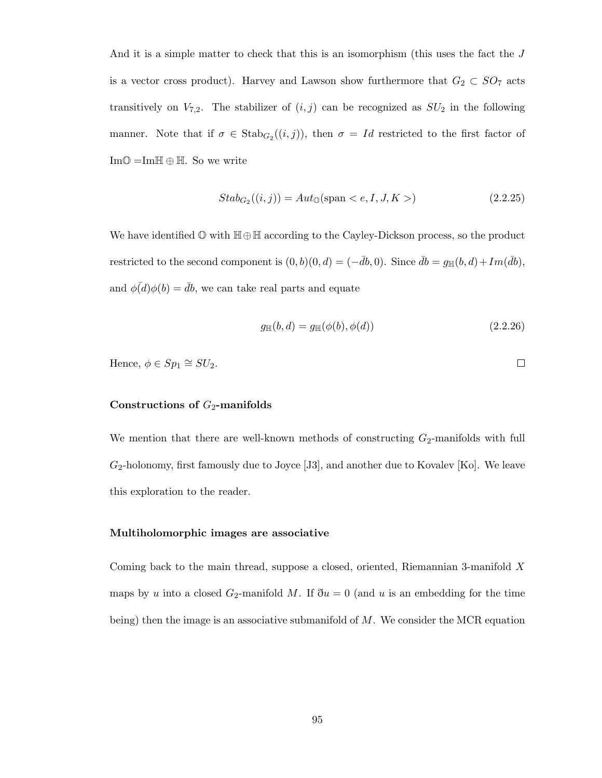And it is a simple matter to check that this is an isomorphism (this uses the fact the J is a vector cross product). Harvey and Lawson show furthermore that  $G_2 \subset SO_7$  acts transitively on  $V_{7,2}$ . The stabilizer of  $(i, j)$  can be recognized as  $SU_2$  in the following manner. Note that if  $\sigma \in \text{Stab}_{G_2}((i,j))$ , then  $\sigma = Id$  restricted to the first factor of  $Im\mathbb{O} = Im\mathbb{H} \oplus \mathbb{H}$ . So we write

$$
Stab_{G_2}((i,j)) = Aut_{\mathbb{O}}(\text{span} < e, I, J, K>)
$$
 (2.2.25)

We have identified O with H⊕H according to the Cayley-Dickson process, so the product restricted to the second component is  $(0, b)(0, d) = (-\overline{d}b, 0)$ . Since  $\overline{d}b = g_{\mathbb{H}}(b, d) + Im(\overline{d}b)$ , and  $\phi(\overline{d})\phi(b) = \overline{d}b$ , we can take real parts and equate

$$
g_{\mathbb{H}}(b,d) = g_{\mathbb{H}}(\phi(b), \phi(d))
$$
\n(2.2.26)

Hence, 
$$
\phi \in Sp_1 \cong SU_2
$$
.

#### Constructions of  $G_2$ -manifolds

We mention that there are well-known methods of constructing  $G_2$ -manifolds with full  $G_2$ -holonomy, first famously due to Joyce [J3], and another due to Kovalev [Ko]. We leave this exploration to the reader.

#### Multiholomorphic images are associative

Coming back to the main thread, suppose a closed, oriented, Riemannian 3-manifold X maps by u into a closed  $G_2$ -manifold M. If  $\eth u = 0$  (and u is an embedding for the time being) then the image is an associative submanifold of  $M$ . We consider the MCR equation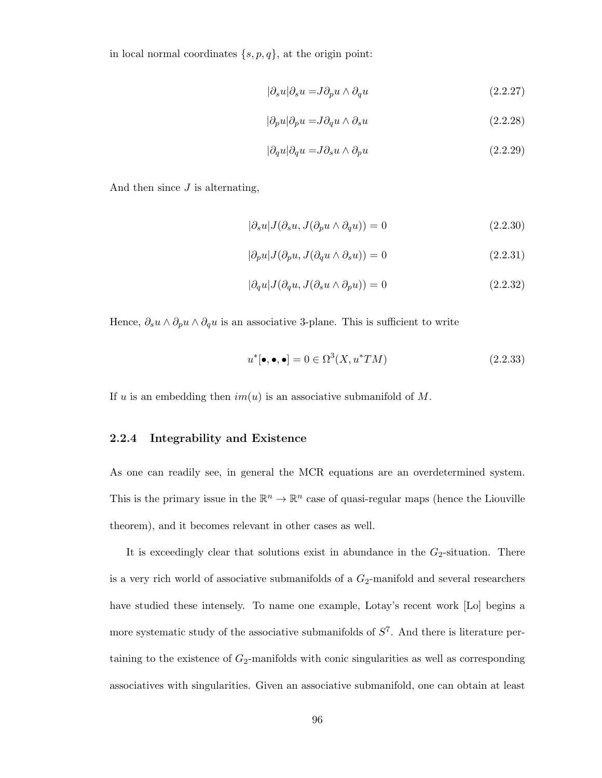in local normal coordinates  $\{s, p, q\}$ , at the origin point:

$$
|\partial_s u| \partial_s u = J \partial_p u \wedge \partial_q u \tag{2.2.27}
$$

$$
|\partial_p u| \partial_p u = J \partial_q u \wedge \partial_s u \tag{2.2.28}
$$

$$
|\partial_q u| \partial_q u = J \partial_s u \wedge \partial_p u \tag{2.2.29}
$$

And then since  $J$  is alternating,

$$
|\partial_s u| J(\partial_s u, J(\partial_p u \wedge \partial_q u)) = 0
$$
\n(2.2.30)

$$
|\partial_p u| J(\partial_p u, J(\partial_q u \wedge \partial_s u)) = 0 \qquad (2.2.31)
$$

$$
|\partial_q u| J(\partial_q u, J(\partial_s u \wedge \partial_p u)) = 0 \qquad (2.2.32)
$$

Hence,  $\partial_s u \wedge \partial_p u \wedge \partial_q u$  is an associative 3-plane. This is sufficient to write

$$
u^*[\bullet, \bullet, \bullet] = 0 \in \Omega^3(X, u^*TM) \tag{2.2.33}
$$

If u is an embedding then  $im(u)$  is an associative submanifold of M.

## 2.2.4 Integrability and Existence

As one can readily see, in general the MCR equations are an overdetermined system. This is the primary issue in the  $\mathbb{R}^n \to \mathbb{R}^n$  case of quasi-regular maps (hence the Liouville theorem), and it becomes relevant in other cases as well.

It is exceedingly clear that solutions exist in abundance in the  $G_2$ -situation. There is a very rich world of associative submanifolds of a  $G_2$ -manifold and several researchers have studied these intensely. To name one example, Lotay's recent work [Lo] begins a more systematic study of the associative submanifolds of  $S<sup>7</sup>$ . And there is literature pertaining to the existence of  $G_2$ -manifolds with conic singularities as well as corresponding associatives with singularities. Given an associative submanifold, one can obtain at least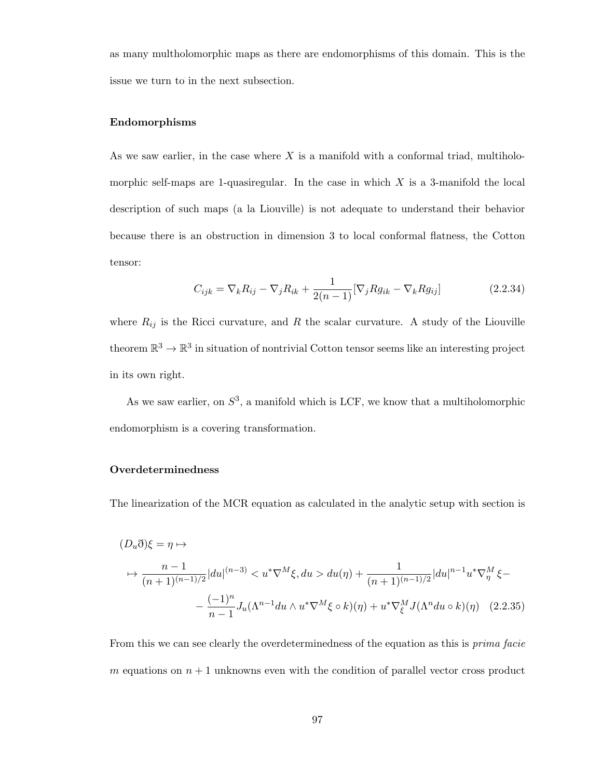as many multholomorphic maps as there are endomorphisms of this domain. This is the issue we turn to in the next subsection.

#### Endomorphisms

As we saw earlier, in the case where  $X$  is a manifold with a conformal triad, multiholomorphic self-maps are 1-quasiregular. In the case in which  $X$  is a 3-manifold the local description of such maps (a la Liouville) is not adequate to understand their behavior because there is an obstruction in dimension 3 to local conformal flatness, the Cotton tensor:

$$
C_{ijk} = \nabla_k R_{ij} - \nabla_j R_{ik} + \frac{1}{2(n-1)} [\nabla_j R g_{ik} - \nabla_k R g_{ij}]
$$
 (2.2.34)

where  $R_{ij}$  is the Ricci curvature, and R the scalar curvature. A study of the Liouville theorem  $\mathbb{R}^3 \to \mathbb{R}^3$  in situation of nontrivial Cotton tensor seems like an interesting project in its own right.

As we saw earlier, on  $S^3$ , a manifold which is LCF, we know that a multiholomorphic endomorphism is a covering transformation.

## Overdeterminedness

The linearization of the MCR equation as calculated in the analytic setup with section is

$$
(D_u \eth)\xi = \eta \mapsto
$$
  
\n
$$
\to \frac{n-1}{(n+1)^{(n-1)/2}} |du|^{(n-3)} < u^* \nabla^M \xi, du > du(\eta) + \frac{1}{(n+1)^{(n-1)/2}} |du|^{n-1} u^* \nabla^M_\eta \xi -
$$
  
\n
$$
- \frac{(-1)^n}{n-1} J_u(\Lambda^{n-1} du \wedge u^* \nabla^M \xi \circ k)(\eta) + u^* \nabla^M_\xi J(\Lambda^n du \circ k)(\eta) \quad (2.2.35)
$$

From this we can see clearly the overdeterminedness of the equation as this is prima facie m equations on  $n + 1$  unknowns even with the condition of parallel vector cross product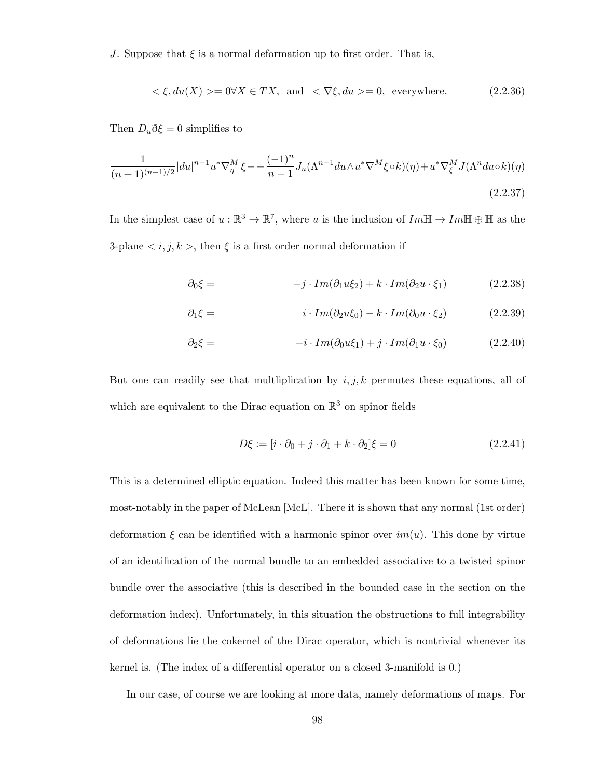J. Suppose that  $\xi$  is a normal deformation up to first order. That is,

$$
\langle \xi, du(X) \rangle = 0 \forall X \in TX, \text{ and } \langle \nabla \xi, du \rangle = 0, \text{ everywhere.}
$$
\n(2.2.36)

Then  $D_u \eth \xi = 0$  simplifies to

$$
\frac{1}{(n+1)^{(n-1)/2}}|du|^{n-1}u^*\nabla_\eta^M\xi - \frac{(-1)^n}{n-1}J_u(\Lambda^{n-1}du \wedge u^*\nabla^M\xi \circ k)(\eta) + u^*\nabla_\xi^M J(\Lambda^n du \circ k)(\eta)
$$
\n(2.2.37)

In the simplest case of  $u : \mathbb{R}^3 \to \mathbb{R}^7$ , where u is the inclusion of  $Im\mathbb{H} \to Im\mathbb{H} \oplus \mathbb{H}$  as the 3-plane  $\langle i, j, k \rangle$ , then  $\xi$  is a first order normal deformation if

$$
\partial_0 \xi = -j \cdot Im(\partial_1 u \xi_2) + k \cdot Im(\partial_2 u \cdot \xi_1) \tag{2.2.38}
$$

$$
\partial_1 \xi = i \cdot Im(\partial_2 u \xi_0) - k \cdot Im(\partial_0 u \cdot \xi_2) \tag{2.2.39}
$$

$$
\partial_2 \xi = -i \cdot Im(\partial_0 u \xi_1) + j \cdot Im(\partial_1 u \cdot \xi_0) \tag{2.2.40}
$$

But one can readily see that multiplication by  $i, j, k$  permutes these equations, all of which are equivalent to the Dirac equation on  $\mathbb{R}^3$  on spinor fields

$$
D\xi := [i \cdot \partial_0 + j \cdot \partial_1 + k \cdot \partial_2] \xi = 0 \tag{2.2.41}
$$

This is a determined elliptic equation. Indeed this matter has been known for some time, most-notably in the paper of McLean [McL]. There it is shown that any normal (1st order) deformation  $\xi$  can be identified with a harmonic spinor over  $im(u)$ . This done by virtue of an identification of the normal bundle to an embedded associative to a twisted spinor bundle over the associative (this is described in the bounded case in the section on the deformation index). Unfortunately, in this situation the obstructions to full integrability of deformations lie the cokernel of the Dirac operator, which is nontrivial whenever its kernel is. (The index of a differential operator on a closed 3-manifold is 0.)

In our case, of course we are looking at more data, namely deformations of maps. For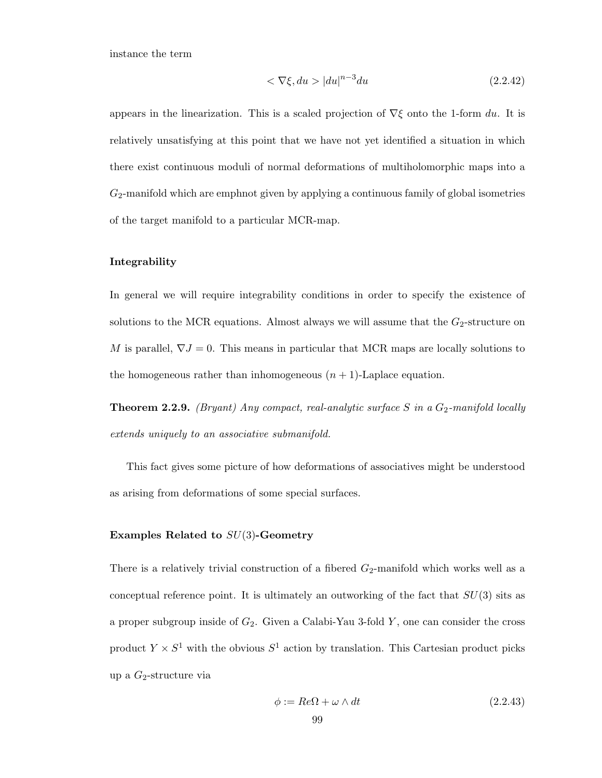instance the term

$$
\langle \nabla \xi, du \rangle |du|^{n-3} du \tag{2.2.42}
$$

appears in the linearization. This is a scaled projection of  $\nabla \xi$  onto the 1-form du. It is relatively unsatisfying at this point that we have not yet identified a situation in which there exist continuous moduli of normal deformations of multiholomorphic maps into a  $G_2$ -manifold which are emphnot given by applying a continuous family of global isometries of the target manifold to a particular MCR-map.

#### Integrability

In general we will require integrability conditions in order to specify the existence of solutions to the MCR equations. Almost always we will assume that the  $G_2$ -structure on M is parallel,  $\nabla J = 0$ . This means in particular that MCR maps are locally solutions to the homogeneous rather than inhomogeneous  $(n + 1)$ -Laplace equation.

**Theorem 2.2.9.** (Bryant) Any compact, real-analytic surface S in a  $G_2$ -manifold locally extends uniquely to an associative submanifold.

This fact gives some picture of how deformations of associatives might be understood as arising from deformations of some special surfaces.

#### Examples Related to  $SU(3)$ -Geometry

There is a relatively trivial construction of a fibered  $G_2$ -manifold which works well as a conceptual reference point. It is ultimately an outworking of the fact that  $SU(3)$  sits as a proper subgroup inside of  $G_2$ . Given a Calabi-Yau 3-fold Y, one can consider the cross product  $Y \times S^1$  with the obvious  $S^1$  action by translation. This Cartesian product picks up a  $G_2$ -structure via

$$
\phi := Re\Omega + \omega \wedge dt \tag{2.2.43}
$$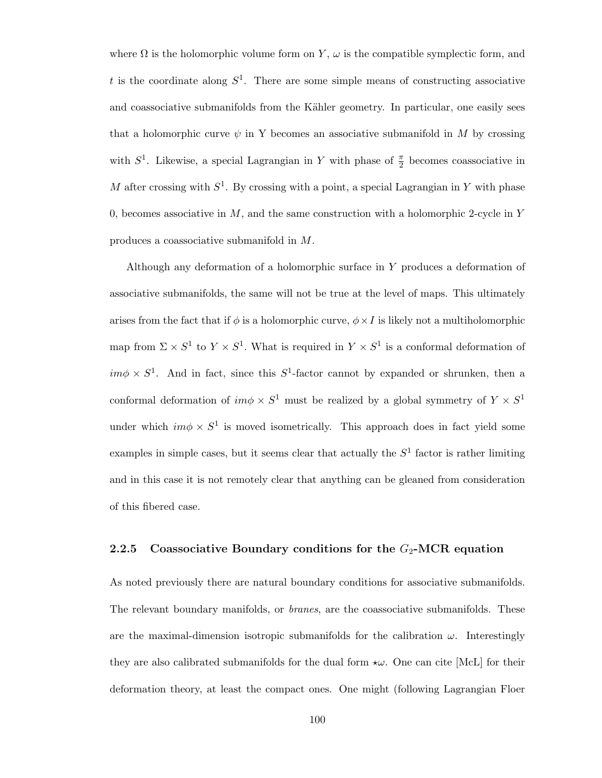where  $\Omega$  is the holomorphic volume form on Y,  $\omega$  is the compatible symplectic form, and t is the coordinate along  $S^1$ . There are some simple means of constructing associative and coassociative submanifolds from the Kähler geometry. In particular, one easily sees that a holomorphic curve  $\psi$  in Y becomes an associative submanifold in M by crossing with  $S^1$ . Likewise, a special Lagrangian in Y with phase of  $\frac{\pi}{2}$  becomes coassociative in M after crossing with  $S^1$ . By crossing with a point, a special Lagrangian in Y with phase 0, becomes associative in  $M$ , and the same construction with a holomorphic 2-cycle in Y produces a coassociative submanifold in M.

Although any deformation of a holomorphic surface in Y produces a deformation of associative submanifolds, the same will not be true at the level of maps. This ultimately arises from the fact that if  $\phi$  is a holomorphic curve,  $\phi \times I$  is likely not a multiholomorphic map from  $\Sigma \times S^1$  to  $Y \times S^1$ . What is required in  $Y \times S^1$  is a conformal deformation of  $im\phi \times S^1$ . And in fact, since this  $S^1$ -factor cannot by expanded or shrunken, then a conformal deformation of  $im\phi \times S^1$  must be realized by a global symmetry of  $Y \times S^1$ under which  $im\phi \times S^1$  is moved isometrically. This approach does in fact yield some examples in simple cases, but it seems clear that actually the  $S<sup>1</sup>$  factor is rather limiting and in this case it is not remotely clear that anything can be gleaned from consideration of this fibered case.

## 2.2.5 Coassociative Boundary conditions for the  $G_2$ -MCR equation

As noted previously there are natural boundary conditions for associative submanifolds. The relevant boundary manifolds, or *branes*, are the coassociative submanifolds. These are the maximal-dimension isotropic submanifolds for the calibration  $\omega$ . Interestingly they are also calibrated submanifolds for the dual form  $\star \omega$ . One can cite [McL] for their deformation theory, at least the compact ones. One might (following Lagrangian Floer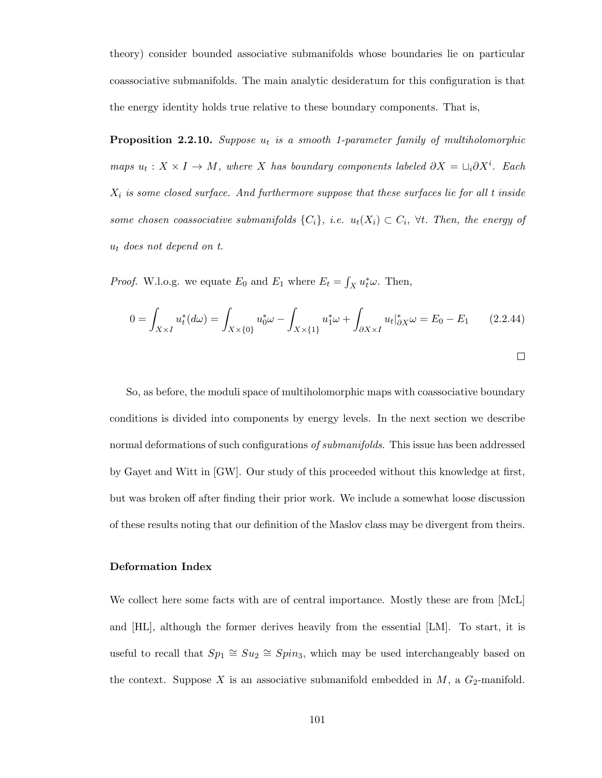theory) consider bounded associative submanifolds whose boundaries lie on particular coassociative submanifolds. The main analytic desideratum for this configuration is that the energy identity holds true relative to these boundary components. That is,

**Proposition 2.2.10.** Suppose  $u_t$  is a smooth 1-parameter family of multiholomorphic maps  $u_t: X \times I \to M$ , where X has boundary components labeled  $\partial X = \bigcup_i \partial X^i$ . Each  $X_i$  is some closed surface. And furthermore suppose that these surfaces lie for all t inside some chosen coassociative submanifolds  $\{C_i\}$ , i.e.  $u_t(X_i) \subset C_i$ ,  $\forall t$ . Then, the energy of  $u_t$  does not depend on t.

*Proof.* W.l.o.g. we equate  $E_0$  and  $E_1$  where  $E_t = \int_X u_t^* \omega$ . Then,

$$
0 = \int_{X \times I} u_t^*(d\omega) = \int_{X \times \{0\}} u_0^*\omega - \int_{X \times \{1\}} u_1^*\omega + \int_{\partial X \times I} u_t |_{\partial X}^*\omega = E_0 - E_1 \qquad (2.2.44)
$$

So, as before, the moduli space of multiholomorphic maps with coassociative boundary conditions is divided into components by energy levels. In the next section we describe normal deformations of such configurations of *submanifolds*. This issue has been addressed by Gayet and Witt in [GW]. Our study of this proceeded without this knowledge at first, but was broken off after finding their prior work. We include a somewhat loose discussion of these results noting that our definition of the Maslov class may be divergent from theirs.

## Deformation Index

We collect here some facts with are of central importance. Mostly these are from [McL] and [HL], although the former derives heavily from the essential [LM]. To start, it is useful to recall that  $Sp_1 \cong Su_2 \cong Spin_3$ , which may be used interchangeably based on the context. Suppose X is an associative submanifold embedded in  $M$ , a  $G_2$ -manifold.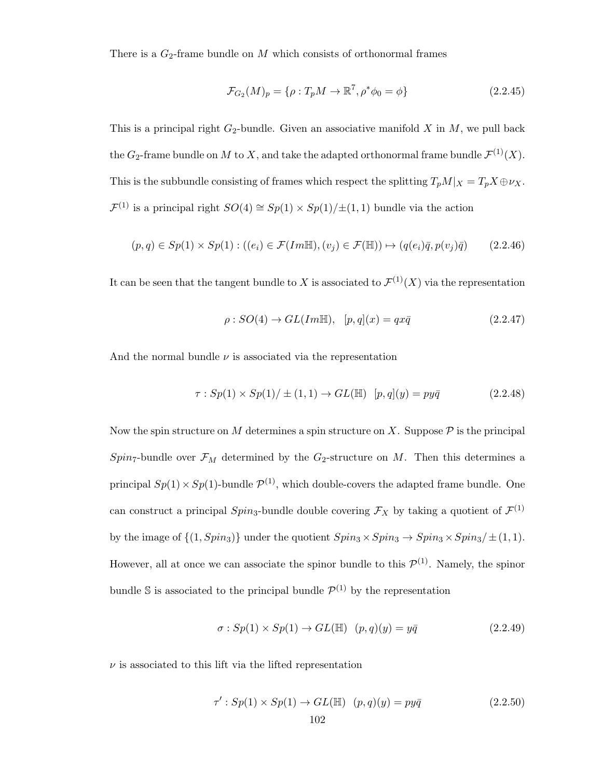There is a  $G_2$ -frame bundle on M which consists of orthonormal frames

$$
\mathcal{F}_{G_2}(M)_p = \{ \rho : T_p M \to \mathbb{R}^7, \rho^* \phi_0 = \phi \}
$$
 (2.2.45)

This is a principal right  $G_2$ -bundle. Given an associative manifold X in M, we pull back the  $G_2$ -frame bundle on M to X, and take the adapted orthonormal frame bundle  $\mathcal{F}^{(1)}(X)$ . This is the subbundle consisting of frames which respect the splitting  $T_pM|_X = T_pX \oplus \nu_X$ .  $\mathcal{F}^{(1)}$  is a principal right  $SO(4) \cong Sp(1) \times Sp(1)/\pm(1,1)$  bundle via the action

$$
(p,q) \in Sp(1) \times Sp(1) : ((e_i) \in \mathcal{F}(Im\mathbb{H}), (v_j) \in \mathcal{F}(\mathbb{H})) \mapsto (q(e_i)\overline{q}, p(v_j)\overline{q}) \tag{2.2.46}
$$

It can be seen that the tangent bundle to X is associated to  $\mathcal{F}^{(1)}(X)$  via the representation

$$
\rho: SO(4) \to GL(Im\mathbb{H}), \ \ [p,q](x) = qx\bar{q} \tag{2.2.47}
$$

And the normal bundle  $\nu$  is associated via the representation

$$
\tau : Sp(1) \times Sp(1)/ \pm (1,1) \to GL(\mathbb{H}) \quad [p,q](y) = py\bar{q}
$$
\n(2.2.48)

Now the spin structure on  $M$  determines a spin structure on  $X$ . Suppose  $P$  is the principal  $Spin_7$ -bundle over  $\mathcal{F}_M$  determined by the  $G_2$ -structure on M. Then this determines a principal  $Sp(1) \times Sp(1)$ -bundle  $\mathcal{P}^{(1)}$ , which double-covers the adapted frame bundle. One can construct a principal  $Spin_3$ -bundle double covering  $\mathcal{F}_X$  by taking a quotient of  $\mathcal{F}^{(1)}$ by the image of  $\{(1, Spin_3)\}\$ under the quotient  $Spin_3 \times Spin_3 \rightarrow Spin_3 \times Spin_3/\pm(1,1).$ However, all at once we can associate the spinor bundle to this  $\mathcal{P}^{(1)}$ . Namely, the spinor bundle S is associated to the principal bundle  $\mathcal{P}^{(1)}$  by the representation

$$
\sigma: Sp(1) \times Sp(1) \to GL(\mathbb{H}) \quad (p,q)(y) = y\overline{q} \tag{2.2.49}
$$

 $\nu$  is associated to this lift via the lifted representation

$$
\tau': Sp(1) \times Sp(1) \to GL(\mathbb{H}) \quad (p,q)(y) = py\overline{q}
$$
\n
$$
102 \tag{2.2.50}
$$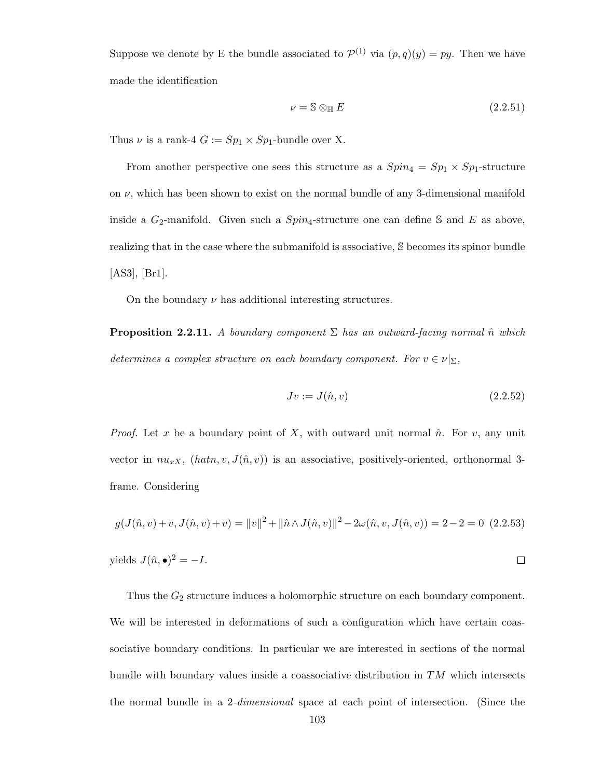Suppose we denote by E the bundle associated to  $\mathcal{P}^{(1)}$  via  $(p,q)(y) = py$ . Then we have made the identification

$$
\nu = \mathbb{S} \otimes_{\mathbb{H}} E \tag{2.2.51}
$$

Thus  $\nu$  is a rank-4  $G := Sp_1 \times Sp_1\text{-bundle over X.}$ 

From another perspective one sees this structure as a  $Spin_4 = Sp_1 \times Sp_1$ -structure on  $\nu$ , which has been shown to exist on the normal bundle of any 3-dimensional manifold inside a  $G_2$ -manifold. Given such a  $Spin_4$ -structure one can define S and E as above, realizing that in the case where the submanifold is associative, S becomes its spinor bundle [AS3], [Br1].

On the boundary  $\nu$  has additional interesting structures.

**Proposition 2.2.11.** A boundary component  $\Sigma$  has an outward-facing normal  $\hat{n}$  which determines a complex structure on each boundary component. For  $v \in \nu|_{\Sigma}$ ,

$$
Jv := J(\hat{n}, v) \tag{2.2.52}
$$

*Proof.* Let x be a boundary point of X, with outward unit normal  $\hat{n}$ . For v, any unit vector in  $nu_{xX}$ ,  $(hatn, v, J(\hat{n}, v))$  is an associative, positively-oriented, orthonormal 3frame. Considering

$$
g(J(\hat{n}, v) + v, J(\hat{n}, v) + v) = ||v||^2 + ||\hat{n} \wedge J(\hat{n}, v)||^2 - 2\omega(\hat{n}, v, J(\hat{n}, v)) = 2 - 2 = 0
$$
 (2.2.53)

$$
yields \, J(\hat{n}, \bullet)^2 = -I.
$$

Thus the  $G_2$  structure induces a holomorphic structure on each boundary component. We will be interested in deformations of such a configuration which have certain coassociative boundary conditions. In particular we are interested in sections of the normal bundle with boundary values inside a coassociative distribution in  $TM$  which intersects the normal bundle in a 2-dimensional space at each point of intersection. (Since the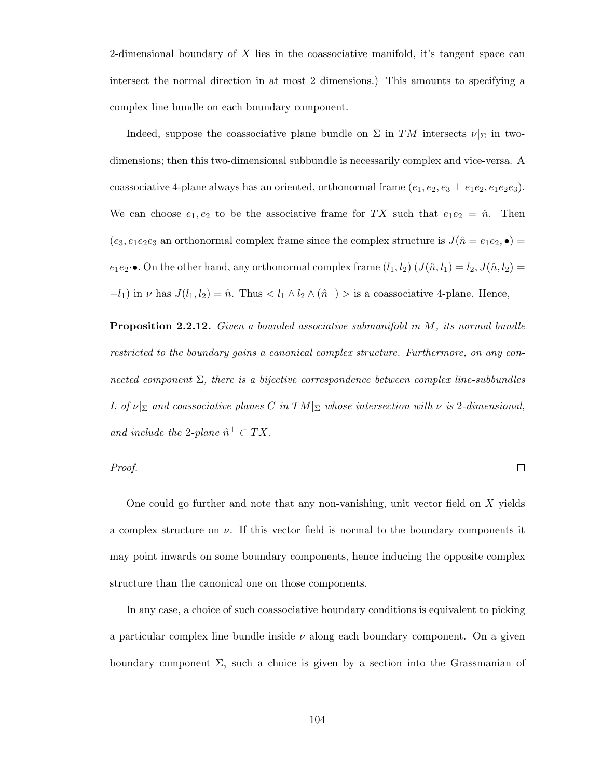2-dimensional boundary of X lies in the coassociative manifold, it's tangent space can intersect the normal direction in at most 2 dimensions.) This amounts to specifying a complex line bundle on each boundary component.

Indeed, suppose the coassociative plane bundle on  $\Sigma$  in TM intersects  $\nu|_{\Sigma}$  in twodimensions; then this two-dimensional subbundle is necessarily complex and vice-versa. A coassociative 4-plane always has an oriented, orthonormal frame  $(e_1, e_2, e_3 \perp e_1e_2, e_1e_2e_3)$ . We can choose  $e_1, e_2$  to be the associative frame for TX such that  $e_1e_2 = \hat{n}$ . Then  $(e_3, e_1e_2e_3$  an orthonormal complex frame since the complex structure is  $J(\hat{n} = e_1e_2, \bullet) =$  $e_1e_2\cdot\bullet$ . On the other hand, any orthonormal complex frame  $(l_1, l_2)$   $(J(\hat{n}, l_1) = l_2, J(\hat{n}, l_2) =$  $-l_1$ ) in  $\nu$  has  $J(l_1, l_2) = \hat{n}$ . Thus  $\langle l_1 \wedge l_2 \wedge (\hat{n}^{\perp}) \rangle$  is a coassociative 4-plane. Hence,

Proposition 2.2.12. Given a bounded associative submanifold in M, its normal bundle restricted to the boundary gains a canonical complex structure. Furthermore, on any connected component  $\Sigma$ , there is a bijective correspondence between complex line-subbundles L of  $\nu|_{\Sigma}$  and coassociative planes C in  $TM|_{\Sigma}$  whose intersection with  $\nu$  is 2-dimensional, and include the 2-plane  $\hat{n}^{\perp} \subset TX$ .

Proof.

 $\Box$ 

One could go further and note that any non-vanishing, unit vector field on  $X$  yields a complex structure on  $\nu$ . If this vector field is normal to the boundary components it may point inwards on some boundary components, hence inducing the opposite complex structure than the canonical one on those components.

In any case, a choice of such coassociative boundary conditions is equivalent to picking a particular complex line bundle inside  $\nu$  along each boundary component. On a given boundary component  $\Sigma$ , such a choice is given by a section into the Grassmanian of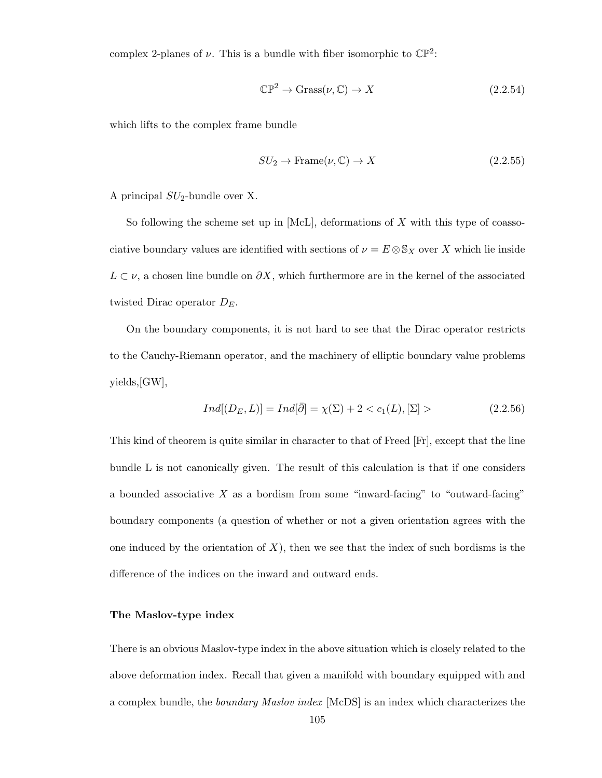complex 2-planes of  $\nu$ . This is a bundle with fiber isomorphic to  $\mathbb{CP}^2$ :

$$
\mathbb{CP}^2 \to \text{Grass}(\nu, \mathbb{C}) \to X \tag{2.2.54}
$$

which lifts to the complex frame bundle

$$
SU_2 \to \text{Frame}(\nu, \mathbb{C}) \to X \tag{2.2.55}
$$

A principal  $SU<sub>2</sub>$ -bundle over X.

So following the scheme set up in  $[McL]$ , deformations of X with this type of coassociative boundary values are identified with sections of  $\nu = E \otimes S_X$  over X which lie inside  $L \subset \nu$ , a chosen line bundle on  $\partial X$ , which furthermore are in the kernel of the associated twisted Dirac operator  $D_E$ .

On the boundary components, it is not hard to see that the Dirac operator restricts to the Cauchy-Riemann operator, and the machinery of elliptic boundary value problems yields,[GW],

$$
Ind[(D_E, L)] = Ind[\bar{\partial}] = \chi(\Sigma) + 2 < c_1(L), [\Sigma] > \tag{2.2.56}
$$

This kind of theorem is quite similar in character to that of Freed [Fr], except that the line bundle L is not canonically given. The result of this calculation is that if one considers a bounded associative  $X$  as a bordism from some "inward-facing" to "outward-facing" boundary components (a question of whether or not a given orientation agrees with the one induced by the orientation of  $X$ ), then we see that the index of such bordisms is the difference of the indices on the inward and outward ends.

## The Maslov-type index

There is an obvious Maslov-type index in the above situation which is closely related to the above deformation index. Recall that given a manifold with boundary equipped with and a complex bundle, the *boundary Maslov index* [McDS] is an index which characterizes the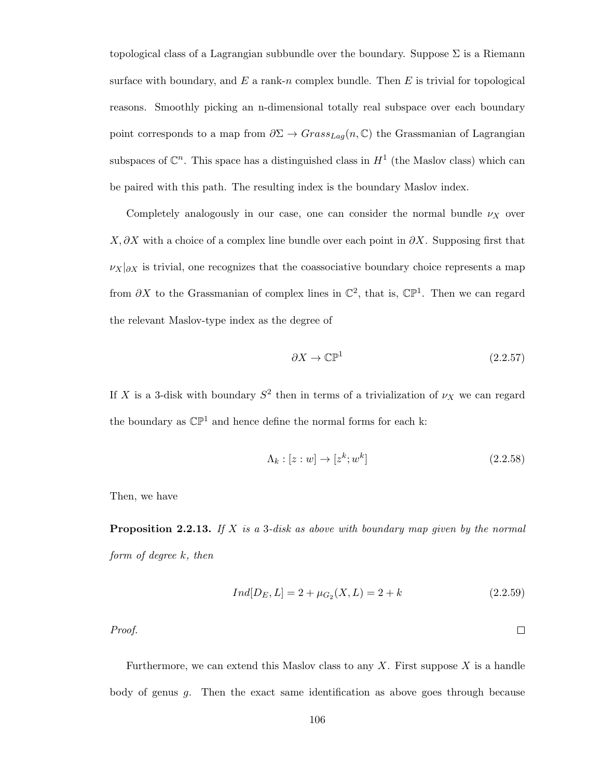topological class of a Lagrangian subbundle over the boundary. Suppose  $\Sigma$  is a Riemann surface with boundary, and  $E$  a rank-n complex bundle. Then  $E$  is trivial for topological reasons. Smoothly picking an n-dimensional totally real subspace over each boundary point corresponds to a map from  $\partial \Sigma \to Grass_{Lag}(n, \mathbb{C})$  the Grassmanian of Lagrangian subspaces of  $\mathbb{C}^n$ . This space has a distinguished class in  $H^1$  (the Maslov class) which can be paired with this path. The resulting index is the boundary Maslov index.

Completely analogously in our case, one can consider the normal bundle  $\nu_X$  over  $X, \partial X$  with a choice of a complex line bundle over each point in  $\partial X$ . Supposing first that  $\nu_X|_{\partial X}$  is trivial, one recognizes that the coassociative boundary choice represents a map from  $\partial X$  to the Grassmanian of complex lines in  $\mathbb{C}^2$ , that is,  $\mathbb{CP}^1$ . Then we can regard the relevant Maslov-type index as the degree of

$$
\partial X \to \mathbb{CP}^1 \tag{2.2.57}
$$

If X is a 3-disk with boundary  $S^2$  then in terms of a trivialization of  $\nu_X$  we can regard the boundary as  $\mathbb{CP}^1$  and hence define the normal forms for each k:

$$
\Lambda_k : [z:w] \to [z^k; w^k] \tag{2.2.58}
$$

Then, we have

**Proposition 2.2.13.** If  $X$  is a 3-disk as above with boundary map given by the normal form of degree k, then

$$
Ind[D_E, L] = 2 + \mu_{G_2}(X, L) = 2 + k \tag{2.2.59}
$$

 $\Box$ 

Proof.

Furthermore, we can extend this Maslov class to any  $X$ . First suppose  $X$  is a handle body of genus g. Then the exact same identification as above goes through because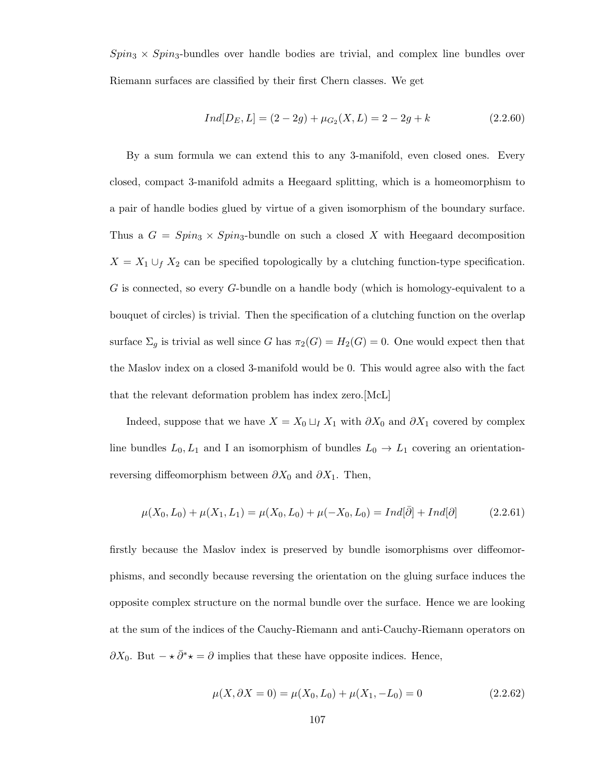$Spin_3 \times Spin_3$ -bundles over handle bodies are trivial, and complex line bundles over Riemann surfaces are classified by their first Chern classes. We get

$$
Ind[D_E, L] = (2 - 2g) + \mu_{G_2}(X, L) = 2 - 2g + k \tag{2.2.60}
$$

By a sum formula we can extend this to any 3-manifold, even closed ones. Every closed, compact 3-manifold admits a Heegaard splitting, which is a homeomorphism to a pair of handle bodies glued by virtue of a given isomorphism of the boundary surface. Thus a  $G = Spin_3 \times Spin_3$ -bundle on such a closed X with Heegaard decomposition  $X = X_1 \cup_f X_2$  can be specified topologically by a clutching function-type specification. G is connected, so every G-bundle on a handle body (which is homology-equivalent to a bouquet of circles) is trivial. Then the specification of a clutching function on the overlap surface  $\Sigma_g$  is trivial as well since G has  $\pi_2(G) = H_2(G) = 0$ . One would expect then that the Maslov index on a closed 3-manifold would be 0. This would agree also with the fact that the relevant deformation problem has index zero.[McL]

Indeed, suppose that we have  $X = X_0 \sqcup_I X_1$  with  $\partial X_0$  and  $\partial X_1$  covered by complex line bundles  $L_0, L_1$  and I an isomorphism of bundles  $L_0 \rightarrow L_1$  covering an orientationreversing diffeomorphism between  $\partial X_0$  and  $\partial X_1$ . Then,

$$
\mu(X_0, L_0) + \mu(X_1, L_1) = \mu(X_0, L_0) + \mu(-X_0, L_0) = Ind[\bar{\partial}] + Ind[\partial]
$$
\n(2.2.61)

firstly because the Maslov index is preserved by bundle isomorphisms over diffeomorphisms, and secondly because reversing the orientation on the gluing surface induces the opposite complex structure on the normal bundle over the surface. Hence we are looking at the sum of the indices of the Cauchy-Riemann and anti-Cauchy-Riemann operators on  $\partial X_0$ . But  $-\star \bar{\partial}^* \star = \partial$  implies that these have opposite indices. Hence,

$$
\mu(X, \partial X = 0) = \mu(X_0, L_0) + \mu(X_1, -L_0) = 0 \tag{2.2.62}
$$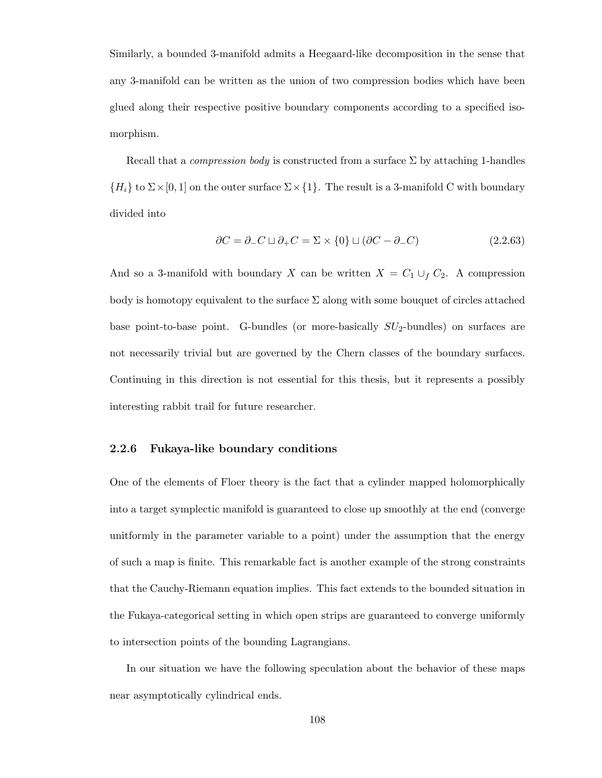Similarly, a bounded 3-manifold admits a Heegaard-like decomposition in the sense that any 3-manifold can be written as the union of two compression bodies which have been glued along their respective positive boundary components according to a specified isomorphism.

Recall that a *compression body* is constructed from a surface  $\Sigma$  by attaching 1-handles  ${H<sub>i</sub>}$  to  $\Sigma \times [0, 1]$  on the outer surface  $\Sigma \times \{1\}$ . The result is a 3-manifold C with boundary divided into

$$
\partial C = \partial_{-} C \sqcup \partial_{+} C = \Sigma \times \{0\} \sqcup (\partial C - \partial_{-} C) \tag{2.2.63}
$$

And so a 3-manifold with boundary X can be written  $X = C_1 \cup_f C_2$ . A compression body is homotopy equivalent to the surface  $\Sigma$  along with some bouquet of circles attached base point-to-base point. G-bundles (or more-basically  $SU_2$ -bundles) on surfaces are not necessarily trivial but are governed by the Chern classes of the boundary surfaces. Continuing in this direction is not essential for this thesis, but it represents a possibly interesting rabbit trail for future researcher.

## 2.2.6 Fukaya-like boundary conditions

One of the elements of Floer theory is the fact that a cylinder mapped holomorphically into a target symplectic manifold is guaranteed to close up smoothly at the end (converge unitformly in the parameter variable to a point) under the assumption that the energy of such a map is finite. This remarkable fact is another example of the strong constraints that the Cauchy-Riemann equation implies. This fact extends to the bounded situation in the Fukaya-categorical setting in which open strips are guaranteed to converge uniformly to intersection points of the bounding Lagrangians.

In our situation we have the following speculation about the behavior of these maps near asymptotically cylindrical ends.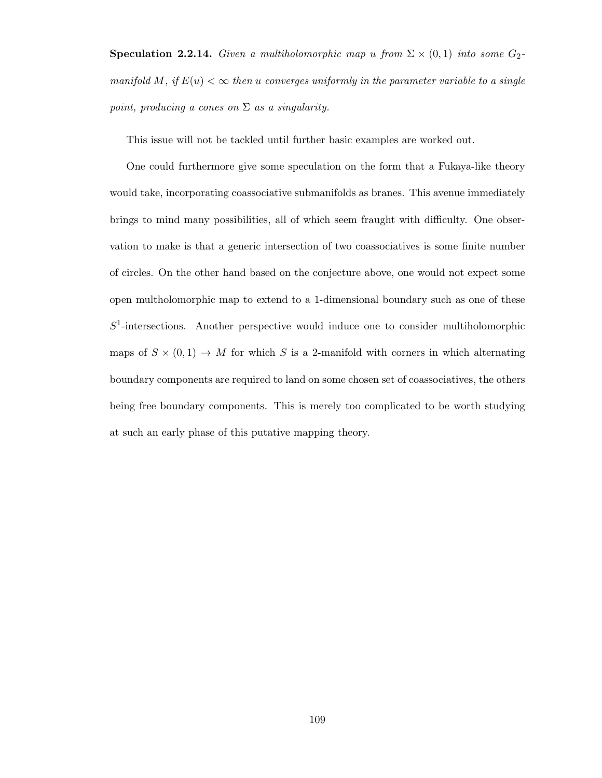**Speculation 2.2.14.** Given a multiholomorphic map u from  $\Sigma \times (0,1)$  into some  $G_2$ manifold M, if  $E(u) < \infty$  then u converges uniformly in the parameter variable to a single point, producing a cones on  $\Sigma$  as a singularity.

This issue will not be tackled until further basic examples are worked out.

One could furthermore give some speculation on the form that a Fukaya-like theory would take, incorporating coassociative submanifolds as branes. This avenue immediately brings to mind many possibilities, all of which seem fraught with difficulty. One observation to make is that a generic intersection of two coassociatives is some finite number of circles. On the other hand based on the conjecture above, one would not expect some open multholomorphic map to extend to a 1-dimensional boundary such as one of these  $S<sup>1</sup>$ -intersections. Another perspective would induce one to consider multiholomorphic maps of  $S \times (0,1) \rightarrow M$  for which S is a 2-manifold with corners in which alternating boundary components are required to land on some chosen set of coassociatives, the others being free boundary components. This is merely too complicated to be worth studying at such an early phase of this putative mapping theory.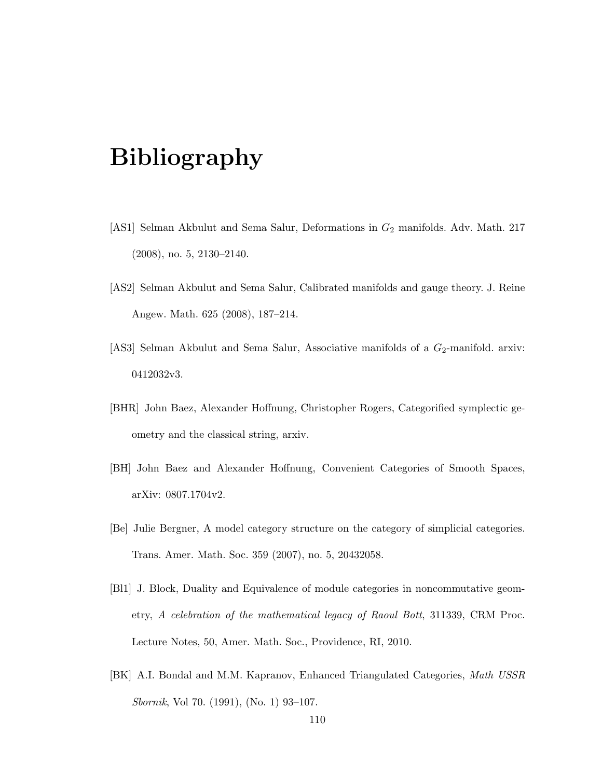## Bibliography

- [AS1] Selman Akbulut and Sema Salur, Deformations in  $G_2$  manifolds. Adv. Math. 217 (2008), no. 5, 2130–2140.
- [AS2] Selman Akbulut and Sema Salur, Calibrated manifolds and gauge theory. J. Reine Angew. Math. 625 (2008), 187–214.
- [AS3] Selman Akbulut and Sema Salur, Associative manifolds of a  $G_2$ -manifold. arxiv: 0412032v3.
- [BHR] John Baez, Alexander Hoffnung, Christopher Rogers, Categorified symplectic geometry and the classical string, arxiv.
- [BH] John Baez and Alexander Hoffnung, Convenient Categories of Smooth Spaces, arXiv: 0807.1704v2.
- [Be] Julie Bergner, A model category structure on the category of simplicial categories. Trans. Amer. Math. Soc. 359 (2007), no. 5, 20432058.
- [Bl1] J. Block, Duality and Equivalence of module categories in noncommutative geometry, A celebration of the mathematical legacy of Raoul Bott, 311339, CRM Proc. Lecture Notes, 50, Amer. Math. Soc., Providence, RI, 2010.
- [BK] A.I. Bondal and M.M. Kapranov, Enhanced Triangulated Categories, Math USSR Sbornik, Vol 70. (1991), (No. 1) 93–107.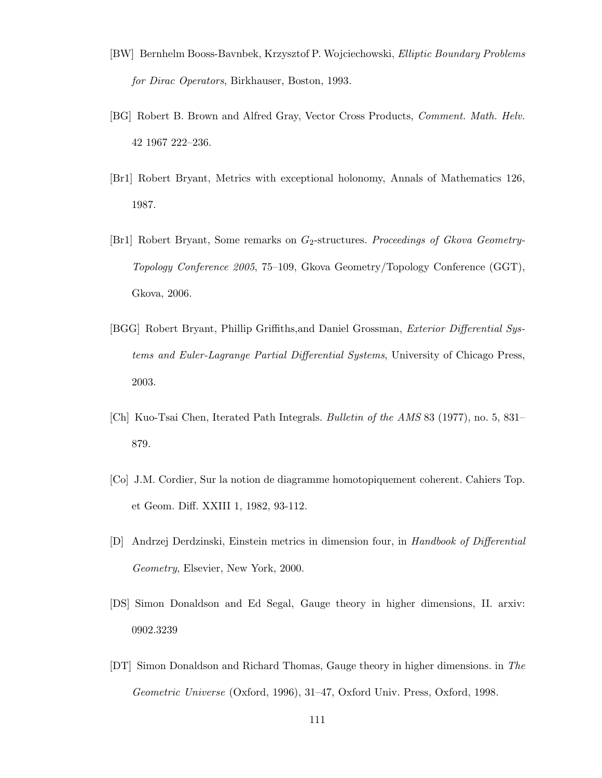- [BW] Bernhelm Booss-Bavnbek, Krzysztof P. Wojciechowski, Elliptic Boundary Problems for Dirac Operators, Birkhauser, Boston, 1993.
- [BG] Robert B. Brown and Alfred Gray, Vector Cross Products, Comment. Math. Helv. 42 1967 222–236.
- [Br1] Robert Bryant, Metrics with exceptional holonomy, Annals of Mathematics 126, 1987.
- [Br1] Robert Bryant, Some remarks on  $G_2$ -structures. Proceedings of Gkova Geometry-Topology Conference 2005, 75–109, Gkova Geometry/Topology Conference (GGT), Gkova, 2006.
- [BGG] Robert Bryant, Phillip Griffiths,and Daniel Grossman, Exterior Differential Systems and Euler-Lagrange Partial Differential Systems, University of Chicago Press, 2003.
- [Ch] Kuo-Tsai Chen, Iterated Path Integrals. Bulletin of the AMS 83 (1977), no. 5, 831– 879.
- [Co] J.M. Cordier, Sur la notion de diagramme homotopiquement coherent. Cahiers Top. et Geom. Diff. XXIII 1, 1982, 93-112.
- [D] Andrzej Derdzinski, Einstein metrics in dimension four, in Handbook of Differential Geometry, Elsevier, New York, 2000.
- [DS] Simon Donaldson and Ed Segal, Gauge theory in higher dimensions, II. arxiv: 0902.3239
- [DT] Simon Donaldson and Richard Thomas, Gauge theory in higher dimensions. in The Geometric Universe (Oxford, 1996), 31–47, Oxford Univ. Press, Oxford, 1998.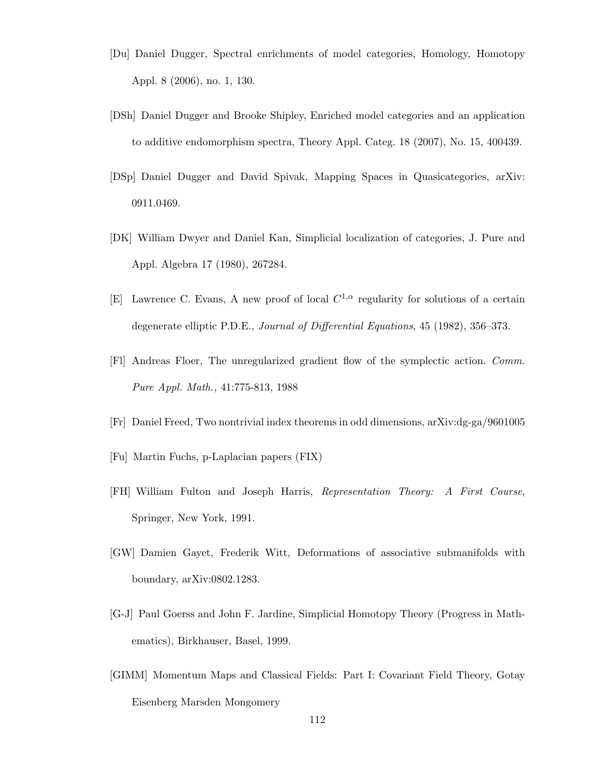- [Du] Daniel Dugger, Spectral enrichments of model categories, Homology, Homotopy Appl. 8 (2006), no. 1, 130.
- [DSh] Daniel Dugger and Brooke Shipley, Enriched model categories and an application to additive endomorphism spectra, Theory Appl. Categ. 18 (2007), No. 15, 400439.
- [DSp] Daniel Dugger and David Spivak, Mapping Spaces in Quasicategories, arXiv: 0911.0469.
- [DK] William Dwyer and Daniel Kan, Simplicial localization of categories, J. Pure and Appl. Algebra 17 (1980), 267284.
- [E] Lawrence C. Evans, A new proof of local  $C^{1,\alpha}$  regularity for solutions of a certain degenerate elliptic P.D.E., Journal of Differential Equations, 45 (1982), 356–373.
- [Fl] Andreas Floer, The unregularized gradient flow of the symplectic action. Comm. Pure Appl. Math., 41:775-813, 1988
- [Fr] Daniel Freed, Two nontrivial index theorems in odd dimensions, arXiv:dg-ga/9601005
- [Fu] Martin Fuchs, p-Laplacian papers (FIX)
- [FH] William Fulton and Joseph Harris, Representation Theory: A First Course, Springer, New York, 1991.
- [GW] Damien Gayet, Frederik Witt, Deformations of associative submanifolds with boundary, arXiv:0802.1283.
- [G-J] Paul Goerss and John F. Jardine, Simplicial Homotopy Theory (Progress in Mathematics), Birkhauser, Basel, 1999.
- [GIMM] Momentum Maps and Classical Fields: Part I: Covariant Field Theory, Gotay Eisenberg Marsden Mongomery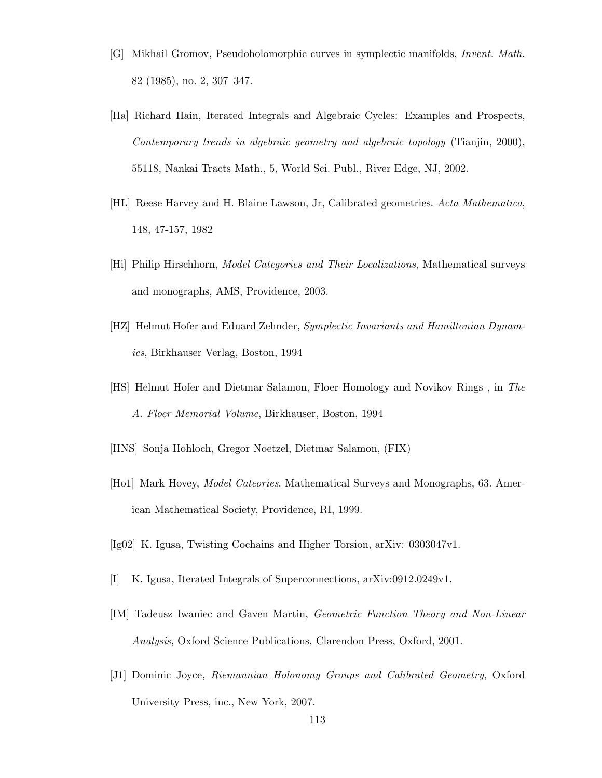- [G] Mikhail Gromov, Pseudoholomorphic curves in symplectic manifolds, Invent. Math. 82 (1985), no. 2, 307–347.
- [Ha] Richard Hain, Iterated Integrals and Algebraic Cycles: Examples and Prospects, Contemporary trends in algebraic geometry and algebraic topology (Tianjin, 2000), 55118, Nankai Tracts Math., 5, World Sci. Publ., River Edge, NJ, 2002.
- [HL] Reese Harvey and H. Blaine Lawson, Jr, Calibrated geometries. Acta Mathematica, 148, 47-157, 1982
- [Hi] Philip Hirschhorn, Model Categories and Their Localizations, Mathematical surveys and monographs, AMS, Providence, 2003.
- [HZ] Helmut Hofer and Eduard Zehnder, Symplectic Invariants and Hamiltonian Dynamics, Birkhauser Verlag, Boston, 1994
- [HS] Helmut Hofer and Dietmar Salamon, Floer Homology and Novikov Rings , in The A. Floer Memorial Volume, Birkhauser, Boston, 1994
- [HNS] Sonja Hohloch, Gregor Noetzel, Dietmar Salamon, (FIX)
- [Ho1] Mark Hovey, Model Cateories. Mathematical Surveys and Monographs, 63. American Mathematical Society, Providence, RI, 1999.
- [Ig02] K. Igusa, Twisting Cochains and Higher Torsion, arXiv: 0303047v1.
- [I] K. Igusa, Iterated Integrals of Superconnections, arXiv:0912.0249v1.
- [IM] Tadeusz Iwaniec and Gaven Martin, Geometric Function Theory and Non-Linear Analysis, Oxford Science Publications, Clarendon Press, Oxford, 2001.
- [J1] Dominic Joyce, Riemannian Holonomy Groups and Calibrated Geometry, Oxford University Press, inc., New York, 2007.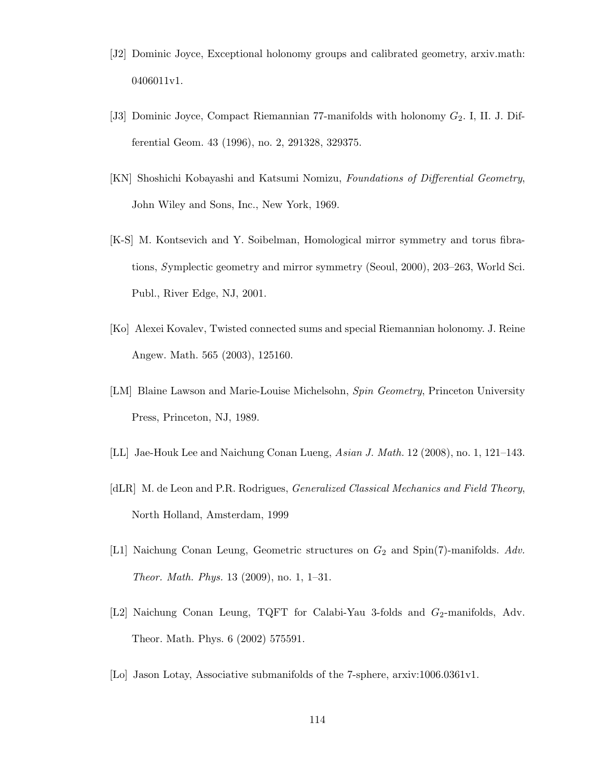- [J2] Dominic Joyce, Exceptional holonomy groups and calibrated geometry, arxiv.math: 0406011v1.
- [J3] Dominic Joyce, Compact Riemannian 77-manifolds with holonomy  $G_2$ . I, II. J. Differential Geom. 43 (1996), no. 2, 291328, 329375.
- [KN] Shoshichi Kobayashi and Katsumi Nomizu, Foundations of Differential Geometry, John Wiley and Sons, Inc., New York, 1969.
- [K-S] M. Kontsevich and Y. Soibelman, Homological mirror symmetry and torus fibrations, Symplectic geometry and mirror symmetry (Seoul, 2000), 203–263, World Sci. Publ., River Edge, NJ, 2001.
- [Ko] Alexei Kovalev, Twisted connected sums and special Riemannian holonomy. J. Reine Angew. Math. 565 (2003), 125160.
- [LM] Blaine Lawson and Marie-Louise Michelsohn, Spin Geometry, Princeton University Press, Princeton, NJ, 1989.
- [LL] Jae-Houk Lee and Naichung Conan Lueng, Asian J. Math. 12 (2008), no. 1, 121–143.
- [dLR] M. de Leon and P.R. Rodrigues, Generalized Classical Mechanics and Field Theory, North Holland, Amsterdam, 1999
- [L1] Naichung Conan Leung, Geometric structures on  $G_2$  and Spin(7)-manifolds. Adv. Theor. Math. Phys. 13 (2009), no. 1, 1–31.
- [L2] Naichung Conan Leung, TQFT for Calabi-Yau 3-folds and  $G_2$ -manifolds, Adv. Theor. Math. Phys. 6 (2002) 575591.
- [Lo] Jason Lotay, Associative submanifolds of the 7-sphere, arxiv:1006.0361v1.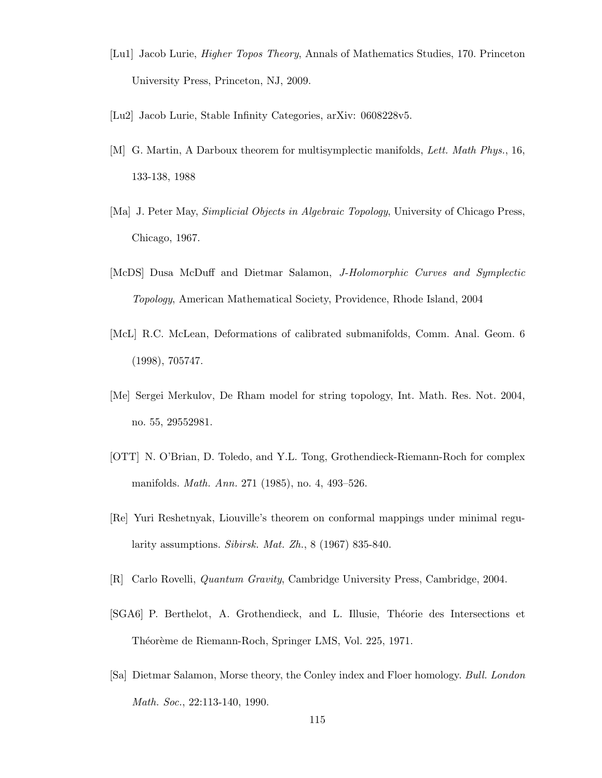- [Lu1] Jacob Lurie, Higher Topos Theory, Annals of Mathematics Studies, 170. Princeton University Press, Princeton, NJ, 2009.
- [Lu2] Jacob Lurie, Stable Infinity Categories, arXiv: 0608228v5.
- [M] G. Martin, A Darboux theorem for multisymplectic manifolds, Lett. Math Phys., 16, 133-138, 1988
- [Ma] J. Peter May, Simplicial Objects in Algebraic Topology, University of Chicago Press, Chicago, 1967.
- [McDS] Dusa McDuff and Dietmar Salamon, J-Holomorphic Curves and Symplectic Topology, American Mathematical Society, Providence, Rhode Island, 2004
- [McL] R.C. McLean, Deformations of calibrated submanifolds, Comm. Anal. Geom. 6 (1998), 705747.
- [Me] Sergei Merkulov, De Rham model for string topology, Int. Math. Res. Not. 2004, no. 55, 29552981.
- [OTT] N. O'Brian, D. Toledo, and Y.L. Tong, Grothendieck-Riemann-Roch for complex manifolds. Math. Ann. 271 (1985), no. 4, 493–526.
- [Re] Yuri Reshetnyak, Liouville's theorem on conformal mappings under minimal regularity assumptions. Sibirsk. Mat. Zh., 8 (1967) 835-840.
- [R] Carlo Rovelli, Quantum Gravity, Cambridge University Press, Cambridge, 2004.
- [SGA6] P. Berthelot, A. Grothendieck, and L. Illusie, Théorie des Intersections et Théorème de Riemann-Roch, Springer LMS, Vol. 225, 1971.
- [Sa] Dietmar Salamon, Morse theory, the Conley index and Floer homology. Bull. London Math. Soc., 22:113-140, 1990.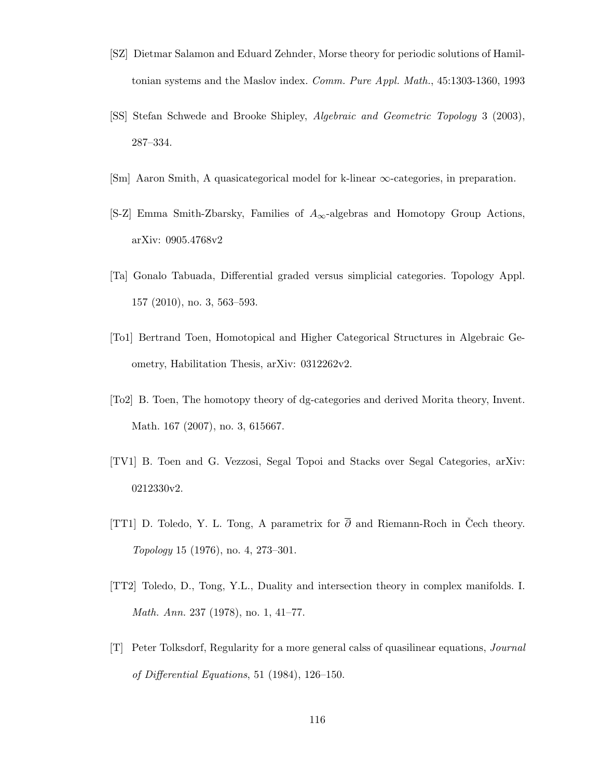- [SZ] Dietmar Salamon and Eduard Zehnder, Morse theory for periodic solutions of Hamiltonian systems and the Maslov index. Comm. Pure Appl. Math., 45:1303-1360, 1993
- [SS] Stefan Schwede and Brooke Shipley, Algebraic and Geometric Topology 3 (2003), 287–334.
- [Sm] Aaron Smith, A quasicategorical model for k-linear ∞-categories, in preparation.
- [S-Z] Emma Smith-Zbarsky, Families of  $A_{\infty}$ -algebras and Homotopy Group Actions, arXiv: 0905.4768v2
- [Ta] Gonalo Tabuada, Differential graded versus simplicial categories. Topology Appl. 157 (2010), no. 3, 563–593.
- [To1] Bertrand Toen, Homotopical and Higher Categorical Structures in Algebraic Geometry, Habilitation Thesis, arXiv: 0312262v2.
- [To2] B. Toen, The homotopy theory of dg-categories and derived Morita theory, Invent. Math. 167 (2007), no. 3, 615667.
- [TV1] B. Toen and G. Vezzosi, Segal Topoi and Stacks over Segal Categories, arXiv: 0212330v2.
- [TT1] D. Toledo, Y. L. Tong, A parametrix for  $\overline{\partial}$  and Riemann-Roch in Čech theory. Topology 15 (1976), no. 4, 273–301.
- [TT2] Toledo, D., Tong, Y.L., Duality and intersection theory in complex manifolds. I. Math. Ann. 237 (1978), no. 1, 41–77.
- [T] Peter Tolksdorf, Regularity for a more general calss of quasilinear equations, Journal of Differential Equations, 51 (1984), 126–150.